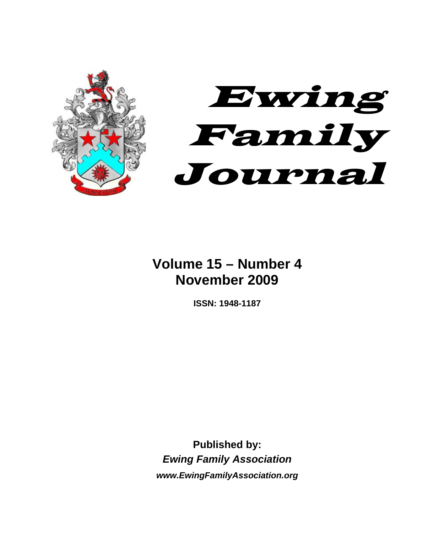



# **Volume 15 – Number 4 November 2009**

**ISSN: 1948-1187**

**Published by:**  *Ewing Family Association www.EwingFamilyAssociation.org*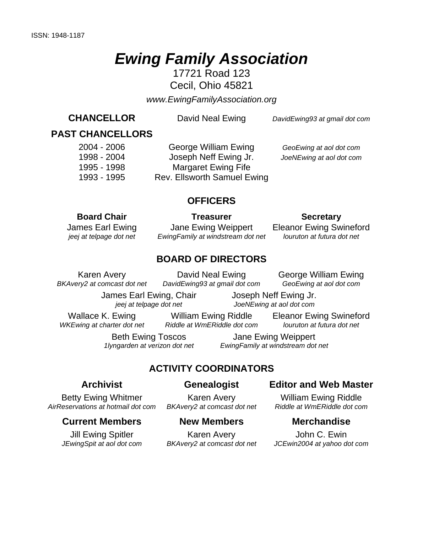# *Ewing Family Association*

17721 Road 123 Cecil, Ohio 45821

#### *www.EwingFamilyAssociation.org*

**CHANCELLOR** David Neal Ewing*DavidEwing93 at gmail dot com*

## **PAST CHANCELLORS**

 2004 - 2006 George William Ewing *GeoEwing at aol dot com* 1998 - 2004 Joseph Neff Ewing Jr. *JoeNEwing at aol dot com* 1995 - 1998 Margaret Ewing Fife 1993 - 1995 Rev. Ellsworth Samuel Ewing

### **OFFICERS**

## **Board Chair Communist Chair Chair Chair Chair Treasurer Secretary**

 James Earl Ewing Jane Ewing Weippert Eleanor Ewing Swineford *jeej at telpage dot net* EwingFamily at windstream dot net louruton at futura dot net

## **BOARD OF DIRECTORS**

 *BKAvery2 at comcast dot net DavidEwing93 at gmail dot com GeoEwing at aol dot com* 

Karen Avery David Neal Ewing George William Ewing

James Earl Ewing, Chair Joseph Neff Ewing Jr.

 *jeej at telpage dot net JoeNEwing at aol dot com* 

*<i>WKEwing at charter dot net* 

Wallace K. Ewing **William Ewing Riddle** Eleanor Ewing Swineford<br>KEwing at charter dot net Riddle at WmERiddle dot com louruton at futura dot net

 Beth Ewing Toscos Jane Ewing Weippert  *1lyngarden at verizon dot net EwingFamily at windstream dot net* 

## **ACTIVITY COORDINATORS**

Betty Ewing Whitmer **Karen Avery** William Ewing Riddle<br>
Reservations at hotmail dot com BKAverv2 at comcast dot net Riddle at WmERiddle dot com

## **Archivist Genealogist Editor and Web Master**

*JEwingSpit at aol dot com BKAvery2 at comcast dot net JCEwin2004 at yahoo dot com*

 *AirReservations at hotmail dot com BKAvery2 at comcast dot net Riddle at WmERiddle dot com* 

## **Current Members New Members Merchandise**

Jill Ewing Spitler Karen Avery John C. Ewin<br>JEwing Spit at aol dot com BKAvery 2 at comcast dot net JCEwin 2004 at yahoo di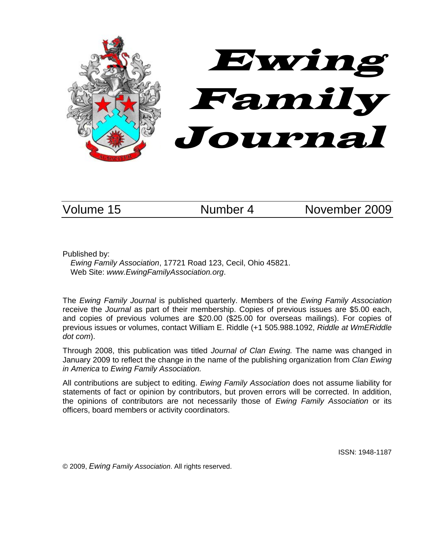

|  |  | Volume 15 |  |
|--|--|-----------|--|
|--|--|-----------|--|

Number 4 November 2009

Published by:

*Ewing Family Association*, 17721 Road 123, Cecil, Ohio 45821. Web Site: *www.EwingFamilyAssociation.org*.

The *Ewing Family Journal* is published quarterly. Members of the *Ewing Family Association* receive the *Journal* as part of their membership. Copies of previous issues are \$5.00 each, and copies of previous volumes are \$20.00 (\$25.00 for overseas mailings). For copies of previous issues or volumes, contact William E. Riddle (+1 505.988.1092, *Riddle at WmERiddle dot com*).

Through 2008, this publication was titled *Journal of Clan Ewing.* The name was changed in January 2009 to reflect the change in the name of the publishing organization from *Clan Ewing in America* to *Ewing Family Association.* 

All contributions are subject to editing. *Ewing Family Association* does not assume liability for statements of fact or opinion by contributors, but proven errors will be corrected. In addition, the opinions of contributors are not necessarily those of *Ewing Family Association* or its officers, board members or activity coordinators.

ISSN: 1948-1187

© 2009, *Ewing Family Association*. All rights reserved.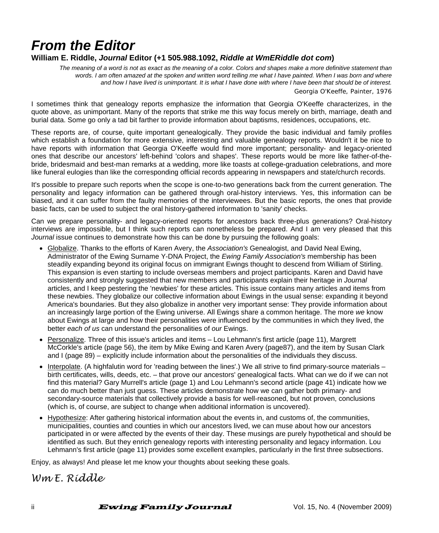# *From the Editor*

#### **William E. Riddle,** *Journal* **Editor (+1 505.988.1092,** *Riddle at WmERiddle dot com***)**

 *The meaning of a word is not as exact as the meaning of a color. Colors and shapes make a more definitive statement than*  words. I am often amazed at the spoken and written word telling me what I have painted. When I was born and where and how I have lived is unimportant. It is what I have done with where I have been that should be of interest. Georgia O'Keeffe, Painter, 1976

I sometimes think that genealogy reports emphasize the information that Georgia O'Keeffe characterizes, in the quote above, as unimportant. Many of the reports that strike me this way focus merely on birth, marriage, death and burial data. Some go only a tad bit farther to provide information about baptisms, residences, occupations, etc.

These reports are, of course, quite important genealogically. They provide the basic individual and family profiles which establish a foundation for more extensive, interesting and valuable genealogy reports. Wouldn't it be nice to have reports with information that Georgia O'Keeffe would find more important; personality- and legacy-oriented ones that describe our ancestors' left-behind 'colors and shapes'. These reports would be more like father-of-thebride, bridesmaid and best-man remarks at a wedding, more like toasts at college-graduation celebrations, and more like funeral eulogies than like the corresponding official records appearing in newspapers and state/church records.

It's possible to prepare such reports when the scope is one-to-two generations back from the current generation. The personality and legacy information can be gathered through oral-history interviews. Yes, this information can be biased, and it can suffer from the faulty memories of the interviewees. But the basic reports, the ones that provide basic facts, can be used to subject the oral history-gathered information to 'sanity' checks.

Can we prepare personality- and legacy-oriented reports for ancestors back three-plus generations? Oral-history interviews are impossible, but I think such reports can nonetheless be prepared. And I am very pleased that this *Journal* issue continues to demonstrate how this can be done by pursuing the following goals:

- Globalize. Thanks to the efforts of Karen Avery, the *Association's* Genealogist, and David Neal Ewing, Administrator of the Ewing Surname Y-DNA Project, the *Ewing Family Association's* membership has been steadily expanding beyond its original focus on immigrant Ewings thought to descend from William of Stirling. This expansion is even starting to include overseas members and project participants. Karen and David have consistently and strongly suggested that new members and participants explain their heritage in *Journal* articles, and I keep pestering the 'newbies' for these articles. This issue contains many articles and items from these newbies. They globalize our collective information about Ewings in the usual sense: expanding it beyond America's boundaries. But they also globalize in another very important sense: They provide information about an increasingly large portion of the Ewing universe. All Ewings share a common heritage. The more *we* know about Ewings at large and how their personalities were influenced by the communities in which they lived, the better *each of us* can understand the personalities of *our* Ewings.
- Personalize. Three of this issue's articles and items Lou Lehmann's first article (page 11), Margrett McCorkle's article (page 56), the item by Mike Ewing and Karen Avery (page87), and the item by Susan Clark and I (page 89) – explicitly include information about the personalities of the individuals they discuss.
- Interpolate. (A highfalutin word for 'reading between the lines'.) We all strive to find primary-source materials birth certificates, wills, deeds, etc. – that prove our ancestors' genealogical facts. What can we do if we can not find this material? Gary Murrell's article (page 1) and Lou Lehmann's second article (page 41) indicate how we can do much better than just guess. These articles demonstrate how we can gather both primary- and secondary-source materials that collectively provide a basis for well-reasoned, but not proven, conclusions (which is, of course, are subject to change when additional information is uncovered).
- Hypothesize: After gathering historical information about the events in, and customs of, the communities, municipalities, counties and counties in which our ancestors lived, we can muse about how our ancestors participated in or were affected by the events of their day. These musings are purely hypothetical and should be identified as such. But they enrich genealogy reports with interesting personality and legacy information. Lou Lehmann's first article (page 11) provides some excellent examples, particularly in the first three subsections.

Enjoy, as always! And please let me know your thoughts about seeking these goals.

*Wm E. Riddle*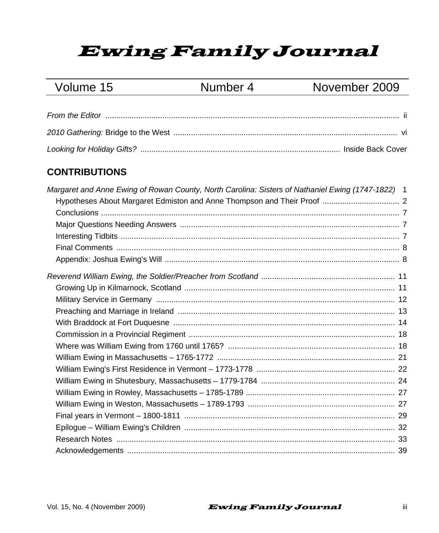# **Ewing Family Journal**

#### Volume 15 Number 4 November 2009

# 

# **CONTRIBUTIONS**

| Margaret and Anne Ewing of Rowan County, North Carolina: Sisters of Nathaniel Ewing (1747-1822) 1 |  |
|---------------------------------------------------------------------------------------------------|--|
|                                                                                                   |  |
|                                                                                                   |  |
|                                                                                                   |  |
|                                                                                                   |  |
|                                                                                                   |  |
|                                                                                                   |  |
|                                                                                                   |  |
|                                                                                                   |  |
|                                                                                                   |  |
|                                                                                                   |  |
|                                                                                                   |  |
|                                                                                                   |  |
|                                                                                                   |  |
|                                                                                                   |  |
|                                                                                                   |  |
|                                                                                                   |  |
|                                                                                                   |  |
|                                                                                                   |  |
|                                                                                                   |  |
|                                                                                                   |  |
|                                                                                                   |  |
|                                                                                                   |  |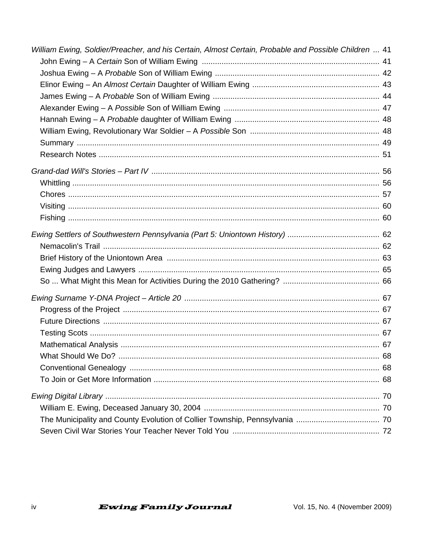| William Ewing, Soldier/Preacher, and his Certain, Almost Certain, Probable and Possible Children  41 |  |
|------------------------------------------------------------------------------------------------------|--|
|                                                                                                      |  |
|                                                                                                      |  |
|                                                                                                      |  |
|                                                                                                      |  |
|                                                                                                      |  |
|                                                                                                      |  |
|                                                                                                      |  |
|                                                                                                      |  |
|                                                                                                      |  |
|                                                                                                      |  |
|                                                                                                      |  |
|                                                                                                      |  |
|                                                                                                      |  |
|                                                                                                      |  |
|                                                                                                      |  |
|                                                                                                      |  |
|                                                                                                      |  |
|                                                                                                      |  |
|                                                                                                      |  |
|                                                                                                      |  |
|                                                                                                      |  |
|                                                                                                      |  |
|                                                                                                      |  |
|                                                                                                      |  |
|                                                                                                      |  |
|                                                                                                      |  |
|                                                                                                      |  |
|                                                                                                      |  |
|                                                                                                      |  |
|                                                                                                      |  |
|                                                                                                      |  |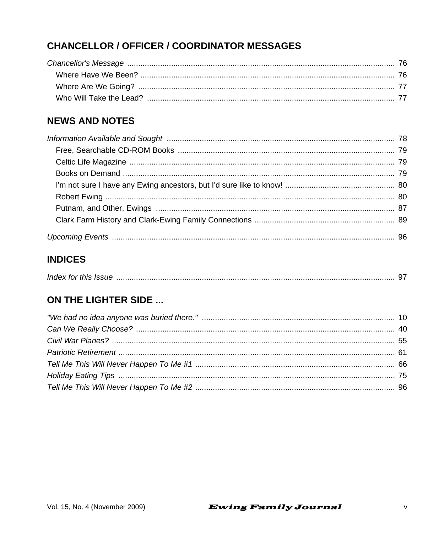# **CHANCELLOR / OFFICER / COORDINATOR MESSAGES**

# **NEWS AND NOTES**

# **INDICES**

| Index for this Issue |
|----------------------|
|----------------------|

# **ON THE LIGHTER SIDE ...**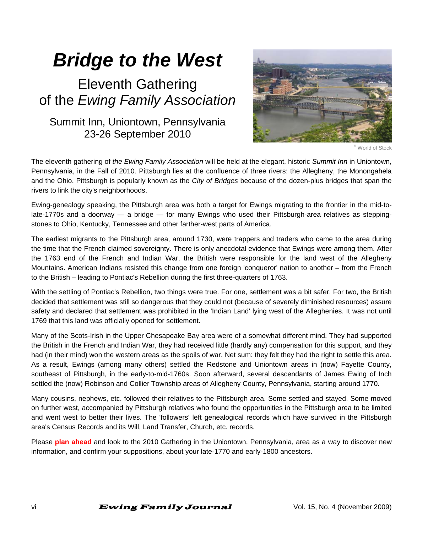# *Bridge to the West*

Eleventh Gathering of the *Ewing Family Association* 

# Summit Inn, Uniontown, Pennsylvania 23-26 September 2010



© World of Stock

The eleventh gathering of *the Ewing Family Association* will be held at the elegant, historic *Summit Inn* in Uniontown, Pennsylvania, in the Fall of 2010. Pittsburgh lies at the confluence of three rivers: the Allegheny, the Monongahela and the Ohio. Pittsburgh is popularly known as the *City of Bridges* because of the dozen-plus bridges that span the rivers to link the city's neighborhoods.

Ewing-genealogy speaking, the Pittsburgh area was both a target for Ewings migrating to the frontier in the mid-tolate-1770s and a doorway — a bridge — for many Ewings who used their Pittsburgh-area relatives as steppingstones to Ohio, Kentucky, Tennessee and other farther-west parts of America.

The earliest migrants to the Pittsburgh area, around 1730, were trappers and traders who came to the area during the time that the French claimed sovereignty. There is only anecdotal evidence that Ewings were among them. After the 1763 end of the French and Indian War, the British were responsible for the land west of the Allegheny Mountains. American Indians resisted this change from one foreign 'conqueror' nation to another – from the French to the British – leading to Pontiac's Rebellion during the first three-quarters of 1763.

With the settling of Pontiac's Rebellion, two things were true. For one, settlement was a bit safer. For two, the British decided that settlement was still so dangerous that they could not (because of severely diminished resources) assure safety and declared that settlement was prohibited in the 'Indian Land' lying west of the Alleghenies. It was not until 1769 that this land was officially opened for settlement.

Many of the Scots-Irish in the Upper Chesapeake Bay area were of a somewhat different mind. They had supported the British in the French and Indian War, they had received little (hardly any) compensation for this support, and they had (in their mind) won the western areas as the spoils of war. Net sum: they felt they had the right to settle this area. As a result, Ewings (among many others) settled the Redstone and Uniontown areas in (now) Fayette County, southeast of Pittsburgh, in the early-to-mid-1760s. Soon afterward, several descendants of James Ewing of Inch settled the (now) Robinson and Collier Township areas of Allegheny County, Pennsylvania, starting around 1770.

Many cousins, nephews, etc. followed their relatives to the Pittsburgh area. Some settled and stayed. Some moved on further west, accompanied by Pittsburgh relatives who found the opportunities in the Pittsburgh area to be limited and went west to better their lives. The 'followers' left genealogical records which have survived in the Pittsburgh area's Census Records and its Will, Land Transfer, Church, etc. records.

Please **plan ahead** and look to the 2010 Gathering in the Uniontown, Pennsylvania, area as a way to discover new information, and confirm your suppositions, about your late-1770 and early-1800 ancestors.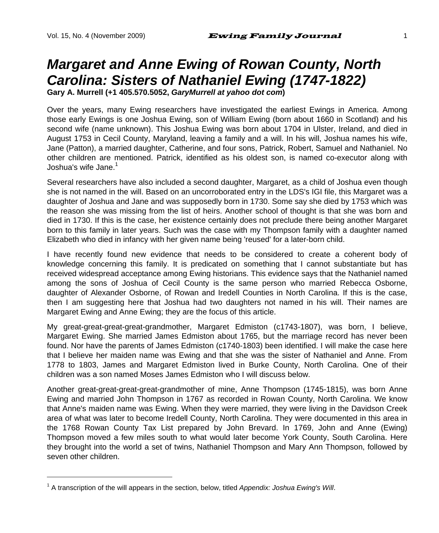l

# *Margaret and Anne Ewing of Rowan County, North Carolina: Sisters of Nathaniel Ewing (1747-1822)*

**Gary A. Murrell (+1 405.570.5052,** *GaryMurrell at yahoo dot com***)** 

Over the years, many Ewing researchers have investigated the earliest Ewings in America. Among those early Ewings is one Joshua Ewing, son of William Ewing (born about 1660 in Scotland) and his second wife (name unknown). This Joshua Ewing was born about 1704 in Ulster, Ireland, and died in August 1753 in Cecil County, Maryland, leaving a family and a will. In his will, Joshua names his wife, Jane (Patton), a married daughter, Catherine, and four sons, Patrick, Robert, Samuel and Nathaniel. No other children are mentioned. Patrick, identified as his oldest son, is named co-executor along with Joshua's wife Jane. $^\mathrm{1}$ 

Several researchers have also included a second daughter, Margaret, as a child of Joshua even though she is not named in the will. Based on an uncorroborated entry in the LDS's IGI file, this Margaret was a daughter of Joshua and Jane and was supposedly born in 1730. Some say she died by 1753 which was the reason she was missing from the list of heirs. Another school of thought is that she was born and died in 1730. If this is the case, her existence certainly does not preclude there being another Margaret born to this family in later years. Such was the case with my Thompson family with a daughter named Elizabeth who died in infancy with her given name being 'reused' for a later-born child.

I have recently found new evidence that needs to be considered to create a coherent body of knowledge concerning this family. It is predicated on something that I cannot substantiate but has received widespread acceptance among Ewing historians. This evidence says that the Nathaniel named among the sons of Joshua of Cecil County is the same person who married Rebecca Osborne, daughter of Alexander Osborne, of Rowan and Iredell Counties in North Carolina. If this is the case, then I am suggesting here that Joshua had two daughters not named in his will. Their names are Margaret Ewing and Anne Ewing; they are the focus of this article.

My great-great-great-great-grandmother, Margaret Edmiston (c1743-1807), was born, I believe, Margaret Ewing. She married James Edmiston about 1765, but the marriage record has never been found. Nor have the parents of James Edmiston (c1740-1803) been identified. I will make the case here that I believe her maiden name was Ewing and that she was the sister of Nathaniel and Anne. From 1778 to 1803, James and Margaret Edmiston lived in Burke County, North Carolina. One of their children was a son named Moses James Edmiston who I will discuss below.

Another great-great-great-great-grandmother of mine, Anne Thompson (1745-1815), was born Anne Ewing and married John Thompson in 1767 as recorded in Rowan County, North Carolina. We know that Anne's maiden name was Ewing. When they were married, they were living in the Davidson Creek area of what was later to become Iredell County, North Carolina. They were documented in this area in the 1768 Rowan County Tax List prepared by John Brevard. In 1769, John and Anne (Ewing) Thompson moved a few miles south to what would later become York County, South Carolina. Here they brought into the world a set of twins, Nathaniel Thompson and Mary Ann Thompson, followed by seven other children.

<sup>&</sup>lt;sup>1</sup> A transcription of the will appears in the section, below, titled *Appendix: Joshua Ewing's Will*.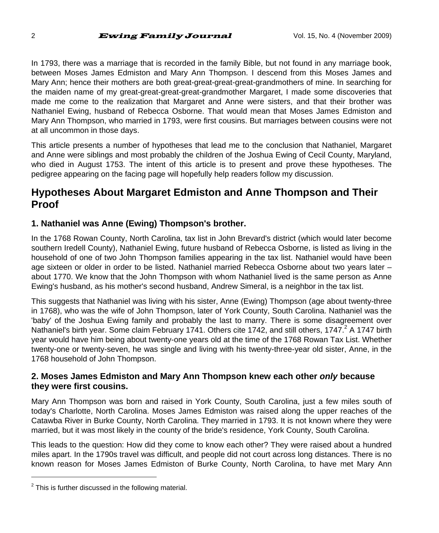In 1793, there was a marriage that is recorded in the family Bible, but not found in any marriage book, between Moses James Edmiston and Mary Ann Thompson. I descend from this Moses James and Mary Ann; hence their mothers are both great-great-great-great-grandmothers of mine. In searching for the maiden name of my great-great-great-great-grandmother Margaret, I made some discoveries that made me come to the realization that Margaret and Anne were sisters, and that their brother was Nathaniel Ewing, husband of Rebecca Osborne. That would mean that Moses James Edmiston and Mary Ann Thompson, who married in 1793, were first cousins. But marriages between cousins were not at all uncommon in those days.

This article presents a number of hypotheses that lead me to the conclusion that Nathaniel, Margaret and Anne were siblings and most probably the children of the Joshua Ewing of Cecil County, Maryland, who died in August 1753. The intent of this article is to present and prove these hypotheses. The pedigree appearing on the facing page will hopefully help readers follow my discussion.

# **Hypotheses About Margaret Edmiston and Anne Thompson and Their Proof**

### **1. Nathaniel was Anne (Ewing) Thompson's brother.**

In the 1768 Rowan County, North Carolina, tax list in John Brevard's district (which would later become southern Iredell County), Nathaniel Ewing, future husband of Rebecca Osborne, is listed as living in the household of one of two John Thompson families appearing in the tax list. Nathaniel would have been age sixteen or older in order to be listed. Nathaniel married Rebecca Osborne about two years later – about 1770. We know that the John Thompson with whom Nathaniel lived is the same person as Anne Ewing's husband, as his mother's second husband, Andrew Simeral, is a neighbor in the tax list.

This suggests that Nathaniel was living with his sister, Anne (Ewing) Thompson (age about twenty-three in 1768), who was the wife of John Thompson, later of York County, South Carolina. Nathaniel was the 'baby' of the Joshua Ewing family and probably the last to marry. There is some disagreement over Nathaniel's birth year. Some claim February 1741. Others cite 1742, and still others, 1747.<sup>2</sup> A 1747 birth year would have him being about twenty-one years old at the time of the 1768 Rowan Tax List. Whether twenty-one or twenty-seven, he was single and living with his twenty-three-year old sister, Anne, in the 1768 household of John Thompson.

### **2. Moses James Edmiston and Mary Ann Thompson knew each other** *only* **because they were first cousins.**

Mary Ann Thompson was born and raised in York County, South Carolina, just a few miles south of today's Charlotte, North Carolina. Moses James Edmiston was raised along the upper reaches of the Catawba River in Burke County, North Carolina. They married in 1793. It is not known where they were married, but it was most likely in the county of the bride's residence, York County, South Carolina.

This leads to the question: How did they come to know each other? They were raised about a hundred miles apart. In the 1790s travel was difficult, and people did not court across long distances. There is no known reason for Moses James Edmiston of Burke County, North Carolina, to have met Mary Ann

 $2$  This is further discussed in the following material.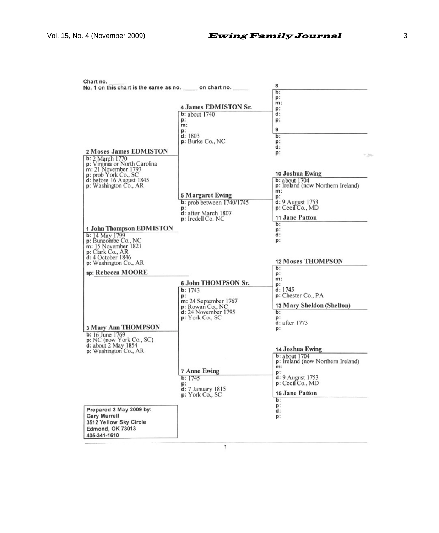| Chart no.                                                               |                                   |                                   |
|-------------------------------------------------------------------------|-----------------------------------|-----------------------------------|
| No. 1 on this chart is the same as no. on chart no.                     |                                   | 8                                 |
|                                                                         |                                   | b:                                |
|                                                                         |                                   | p:<br>m:                          |
|                                                                         | <b>4 James EDMISTON Sr.</b>       | p:                                |
|                                                                         | b: about 1740                     | d:                                |
|                                                                         | p:                                | p:                                |
|                                                                         | $m$ :                             |                                   |
|                                                                         | p:                                | 9                                 |
|                                                                         | d: 1803                           | $\overline{b}$ :                  |
|                                                                         | p: Burke Co., NC                  | p:                                |
|                                                                         |                                   | d:                                |
| 2 Moses James EDMISTON                                                  |                                   | p:                                |
| b: 2 March 1770<br>p: Virginia or North Carolina<br>m: 21 November 1793 |                                   |                                   |
|                                                                         |                                   |                                   |
|                                                                         |                                   |                                   |
| p: prob York Co., SC                                                    |                                   | 10 Joshua Ewing                   |
| d: before 16 August 1845                                                |                                   | b: about 1704                     |
| p: Washington Co., AR                                                   |                                   | p: Ireland (now Northern Ireland) |
|                                                                         |                                   | $m$ :                             |
|                                                                         | 5 Margaret Ewing                  | p:                                |
|                                                                         | <b>b</b> : prob between 1740/1745 | d: 9 August 1753                  |
|                                                                         | p:                                | p: Cecil Co., MD                  |
|                                                                         | d: after March 1807               |                                   |
|                                                                         | p: Iredell Co. NC                 | 11 Jane Patton                    |
| 1 John Thompson EDMISTON                                                |                                   | b:                                |
|                                                                         |                                   | p:                                |
| b: 14 May 1799                                                          |                                   | d:                                |
| p: Buncombe Co., NC<br>m: 15 November 1821                              |                                   | p:                                |
|                                                                         |                                   |                                   |
| p: Clark Co., AR                                                        |                                   |                                   |
| d: 4 October 1846                                                       |                                   | <b>12 Moses THOMPSON</b>          |
| p: Washington Co., AR                                                   |                                   | b:                                |
| sp: Rebecca MOORE                                                       |                                   | p:                                |
|                                                                         |                                   | $m$ :                             |
|                                                                         | 6 John THOMPSON Sr.               | p:                                |
|                                                                         | b: 1743                           | d: 1745                           |
|                                                                         | p:                                | p: Chester Co., PA                |
|                                                                         | m: 24 September 1767              |                                   |
|                                                                         | p: Rowan Co., NC                  | 13 Mary Sheldon (Shelton)         |
|                                                                         | d: 24 November 1795               | b:                                |
|                                                                         | p: York Co., SC                   | p:                                |
|                                                                         |                                   | d: after 1773                     |
| 3 Mary Ann THOMPSON                                                     |                                   | p:                                |
| b: 16 June 1769                                                         |                                   |                                   |
| p: NC (now York Co., SC)                                                |                                   |                                   |
| d: about 2 May 1854                                                     |                                   |                                   |
| p: Washington Co., AR                                                   |                                   | 14 Joshua Ewing                   |
|                                                                         |                                   | b: about 1704                     |
|                                                                         |                                   | p: Ireland (now Northern Ireland) |
|                                                                         | 7 Anne Ewing                      | $m$ :                             |
|                                                                         |                                   | p:                                |
|                                                                         | b: 1745                           | d: 9 August 1753                  |
|                                                                         | p:                                | p: CecilCo., MD                   |
|                                                                         | $d$ : 7 January 1815              | <b>15 Jane Patton</b>             |
|                                                                         | p: York Co., SC                   | b:                                |
|                                                                         |                                   | p:                                |
| Prepared 3 May 2009 by:                                                 |                                   | d:                                |
| <b>Gary Murrell</b>                                                     |                                   | p:                                |
| 3512 Yellow Sky Circle                                                  |                                   |                                   |
| <b>Edmond, OK 73013</b>                                                 |                                   |                                   |
|                                                                         |                                   |                                   |
| 405-341-1610                                                            |                                   |                                   |
|                                                                         |                                   |                                   |

 $\overline{1}$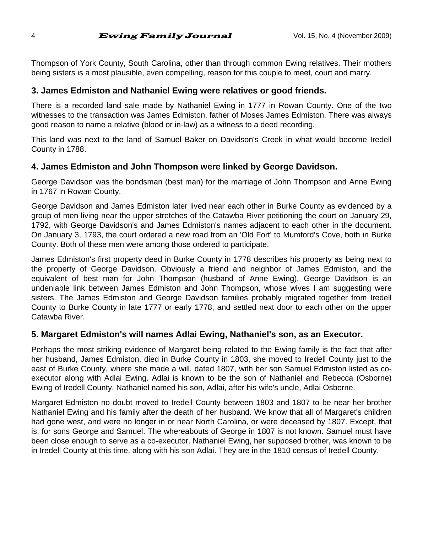#### 4 **Ewing Family Journal**  $\vee$  15, No. 4 (November 2009)

Thompson of York County, South Carolina, other than through common Ewing relatives. Their mothers being sisters is a most plausible, even compelling, reason for this couple to meet, court and marry.

#### **3. James Edmiston and Nathaniel Ewing were relatives or good friends.**

There is a recorded land sale made by Nathaniel Ewing in 1777 in Rowan County. One of the two witnesses to the transaction was James Edmiston, father of Moses James Edmiston. There was always good reason to name a relative (blood or in-law) as a witness to a deed recording.

This land was next to the land of Samuel Baker on Davidson's Creek in what would become Iredell County in 1788.

### **4. James Edmiston and John Thompson were linked by George Davidson.**

George Davidson was the bondsman (best man) for the marriage of John Thompson and Anne Ewing in 1767 in Rowan County.

George Davidson and James Edmiston later lived near each other in Burke County as evidenced by a group of men living near the upper stretches of the Catawba River petitioning the court on January 29, 1792, with George Davidson's and James Edmiston's names adjacent to each other in the document. On January 3, 1793, the court ordered a new road from an 'Old Fort' to Mumford's Cove, both in Burke County. Both of these men were among those ordered to participate.

James Edmiston's first property deed in Burke County in 1778 describes his property as being next to the property of George Davidson. Obviously a friend and neighbor of James Edmiston, and the equivalent of best man for John Thompson (husband of Anne Ewing), George Davidson is an undeniable link between James Edmiston and John Thompson, whose wives I am suggesting were sisters. The James Edmiston and George Davidson families probably migrated together from Iredell County to Burke County in late 1777 or early 1778, and settled next door to each other on the upper Catawba River.

### **5. Margaret Edmiston's will names Adlai Ewing, Nathaniel's son, as an Executor.**

Perhaps the most striking evidence of Margaret being related to the Ewing family is the fact that after her husband, James Edmiston, died in Burke County in 1803, she moved to Iredell County just to the east of Burke County, where she made a will, dated 1807, with her son Samuel Edmiston listed as coexecutor along with Adlai Ewing. Adlai is known to be the son of Nathaniel and Rebecca (Osborne) Ewing of Iredell County. Nathaniel named his son, Adlai, after his wife's uncle, Adlai Osborne.

Margaret Edmiston no doubt moved to Iredell County between 1803 and 1807 to be near her brother Nathaniel Ewing and his family after the death of her husband. We know that all of Margaret's children had gone west, and were no longer in or near North Carolina, or were deceased by 1807. Except, that is, for sons George and Samuel. The whereabouts of George in 1807 is not known. Samuel must have been close enough to serve as a co-executor. Nathaniel Ewing, her supposed brother, was known to be in Iredell County at this time, along with his son Adlai. They are in the 1810 census of Iredell County.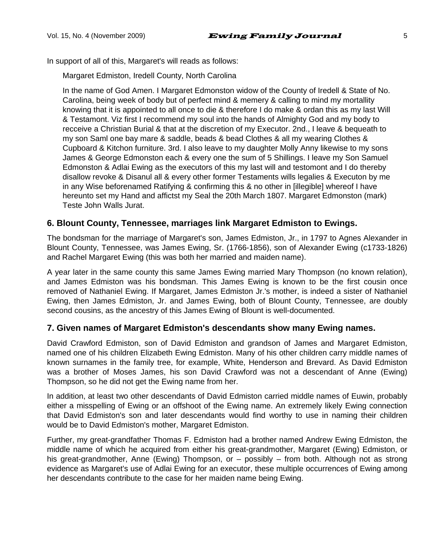In support of all of this, Margaret's will reads as follows:

Margaret Edmiston, Iredell County, North Carolina

In the name of God Amen. I Margaret Edmonston widow of the County of Iredell & State of No. Carolina, being week of body but of perfect mind & memery & calling to mind my mortallity knowing that it is appointed to all once to die & therefore I do make & ordan this as my last Will & Testamont. Viz first I recommend my soul into the hands of Almighty God and my body to recceive a Christian Burial & that at the discretion of my Executor. 2nd., I leave & bequeath to my son Saml one bay mare & saddle, beads & bead Clothes & all my wearing Clothes & Cupboard & Kitchon furniture. 3rd. I also leave to my daughter Molly Anny likewise to my sons James & George Edmonston each & every one the sum of 5 Shillings. I leave my Son Samuel Edmonston & Adlai Ewing as the executors of this my last will and testomont and I do thereby disallow revoke & Disanul all & every other former Testaments wills legalies & Executon by me in any Wise beforenamed Ratifying & confirming this & no other in [illegible] whereof I have hereunto set my Hand and affictst my Seal the 20th March 1807. Margaret Edmonston (mark) Teste John Walls Jurat.

### **6. Blount County, Tennessee, marriages link Margaret Edmiston to Ewings.**

The bondsman for the marriage of Margaret's son, James Edmiston, Jr., in 1797 to Agnes Alexander in Blount County, Tennessee, was James Ewing, Sr. (1766-1856), son of Alexander Ewing (c1733-1826) and Rachel Margaret Ewing (this was both her married and maiden name).

A year later in the same county this same James Ewing married Mary Thompson (no known relation), and James Edmiston was his bondsman. This James Ewing is known to be the first cousin once removed of Nathaniel Ewing. If Margaret, James Edmiston Jr.'s mother, is indeed a sister of Nathaniel Ewing, then James Edmiston, Jr. and James Ewing, both of Blount County, Tennessee, are doubly second cousins, as the ancestry of this James Ewing of Blount is well-documented.

### **7. Given names of Margaret Edmiston's descendants show many Ewing names.**

David Crawford Edmiston, son of David Edmiston and grandson of James and Margaret Edmiston, named one of his children Elizabeth Ewing Edmiston. Many of his other children carry middle names of known surnames in the family tree, for example, White, Henderson and Brevard. As David Edmiston was a brother of Moses James, his son David Crawford was not a descendant of Anne (Ewing) Thompson, so he did not get the Ewing name from her.

In addition, at least two other descendants of David Edmiston carried middle names of Euwin, probably either a misspelling of Ewing or an offshoot of the Ewing name. An extremely likely Ewing connection that David Edmiston's son and later descendants would find worthy to use in naming their children would be to David Edmiston's mother, Margaret Edmiston.

Further, my great-grandfather Thomas F. Edmiston had a brother named Andrew Ewing Edmiston, the middle name of which he acquired from either his great-grandmother, Margaret (Ewing) Edmiston, or his great-grandmother, Anne (Ewing) Thompson, or – possibly – from both. Although not as strong evidence as Margaret's use of Adlai Ewing for an executor, these multiple occurrences of Ewing among her descendants contribute to the case for her maiden name being Ewing.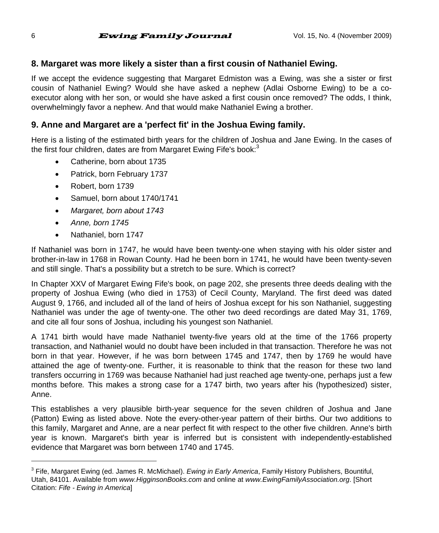## **8. Margaret was more likely a sister than a first cousin of Nathaniel Ewing.**

If we accept the evidence suggesting that Margaret Edmiston was a Ewing, was she a sister or first cousin of Nathaniel Ewing? Would she have asked a nephew (Adlai Osborne Ewing) to be a coexecutor along with her son, or would she have asked a first cousin once removed? The odds, I think, overwhelmingly favor a nephew. And that would make Nathaniel Ewing a brother.

## **9. Anne and Margaret are a 'perfect fit' in the Joshua Ewing family.**

Here is a listing of the estimated birth years for the children of Joshua and Jane Ewing. In the cases of the first four children, dates are from Margaret Ewing Fife's book:<sup>3</sup>

- Catherine, born about 1735
- Patrick, born February 1737
- Robert, born 1739
- Samuel, born about 1740/1741
- *Margaret, born about 1743*
- *Anne, born 1745*
- Nathaniel, born 1747

If Nathaniel was born in 1747, he would have been twenty-one when staying with his older sister and brother-in-law in 1768 in Rowan County. Had he been born in 1741, he would have been twenty-seven and still single. That's a possibility but a stretch to be sure. Which is correct?

In Chapter XXV of Margaret Ewing Fife's book, on page 202, she presents three deeds dealing with the property of Joshua Ewing (who died in 1753) of Cecil County, Maryland. The first deed was dated August 9, 1766, and included all of the land of heirs of Joshua except for his son Nathaniel, suggesting Nathaniel was under the age of twenty-one. The other two deed recordings are dated May 31, 1769, and cite all four sons of Joshua, including his youngest son Nathaniel.

A 1741 birth would have made Nathaniel twenty-five years old at the time of the 1766 property transaction, and Nathaniel would no doubt have been included in that transaction. Therefore he was not born in that year. However, if he was born between 1745 and 1747, then by 1769 he would have attained the age of twenty-one. Further, it is reasonable to think that the reason for these two land transfers occurring in 1769 was because Nathaniel had just reached age twenty-one, perhaps just a few months before*.* This makes a strong case for a 1747 birth, two years after his (hypothesized) sister, Anne.

This establishes a very plausible birth-year sequence for the seven children of Joshua and Jane (Patton) Ewing as listed above. Note the every-other-year pattern of their births. Our two additions to this family, Margaret and Anne, are a near perfect fit with respect to the other five children. Anne's birth year is known. Margaret's birth year is inferred but is consistent with independently-established evidence that Margaret was born between 1740 and 1745.

<sup>3</sup> Fife, Margaret Ewing (ed. James R. McMichael). *Ewing in Early America*, Family History Publishers, Bountiful, Utah, 84101. Available from *www.HigginsonBooks.com* and online at *www.EwingFamilyAssociation.org*. [Short Citation: *Fife - Ewing in America*]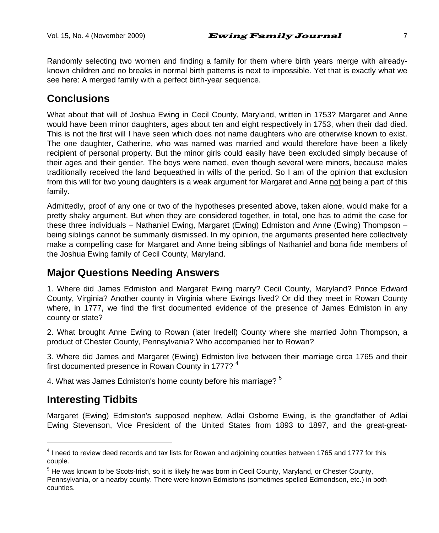Randomly selecting two women and finding a family for them where birth years merge with alreadyknown children and no breaks in normal birth patterns is next to impossible. Yet that is exactly what we see here: A merged family with a perfect birth-year sequence.

# **Conclusions**

What about that will of Joshua Ewing in Cecil County, Maryland, written in 1753? Margaret and Anne would have been minor daughters, ages about ten and eight respectively in 1753, when their dad died. This is not the first will I have seen which does not name daughters who are otherwise known to exist. The one daughter, Catherine, who was named was married and would therefore have been a likely recipient of personal property. But the minor girls could easily have been excluded simply because of their ages and their gender. The boys were named, even though several were minors, because males traditionally received the land bequeathed in wills of the period. So I am of the opinion that exclusion from this will for two young daughters is a weak argument for Margaret and Anne not being a part of this family.

Admittedly, proof of any one or two of the hypotheses presented above, taken alone, would make for a pretty shaky argument. But when they are considered together, in total, one has to admit the case for these three individuals – Nathaniel Ewing, Margaret (Ewing) Edmiston and Anne (Ewing) Thompson – being siblings cannot be summarily dismissed. In my opinion, the arguments presented here collectively make a compelling case for Margaret and Anne being siblings of Nathaniel and bona fide members of the Joshua Ewing family of Cecil County, Maryland.

# **Major Questions Needing Answers**

1. Where did James Edmiston and Margaret Ewing marry? Cecil County, Maryland? Prince Edward County, Virginia? Another county in Virginia where Ewings lived? Or did they meet in Rowan County where, in 1777, we find the first documented evidence of the presence of James Edmiston in any county or state?

2. What brought Anne Ewing to Rowan (later Iredell) County where she married John Thompson, a product of Chester County, Pennsylvania? Who accompanied her to Rowan?

3. Where did James and Margaret (Ewing) Edmiston live between their marriage circa 1765 and their first documented presence in Rowan County in 1777?<sup>4</sup>

4. What was James Edmiston's home county before his marriage?  $5$ 

# **Interesting Tidbits**

l

Margaret (Ewing) Edmiston's supposed nephew, Adlai Osborne Ewing, is the grandfather of Adlai Ewing Stevenson, Vice President of the United States from 1893 to 1897, and the great-great-

<sup>&</sup>lt;sup>4</sup> I need to review deed records and tax lists for Rowan and adjoining counties between 1765 and 1777 for this couple.

<sup>&</sup>lt;sup>5</sup> He was known to be Scots-Irish, so it is likely he was born in Cecil County, Maryland, or Chester County, Pennsylvania, or a nearby county. There were known Edmistons (sometimes spelled Edmondson, etc.) in both counties.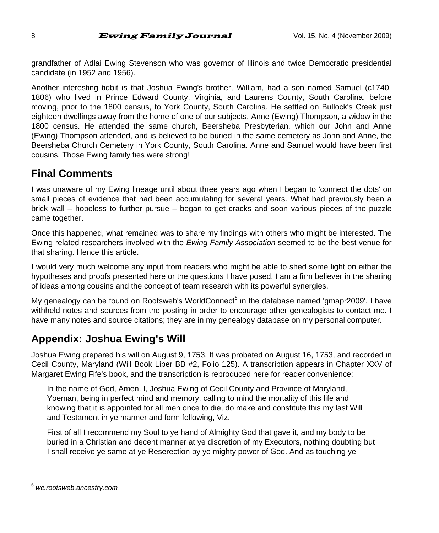grandfather of Adlai Ewing Stevenson who was governor of Illinois and twice Democratic presidential candidate (in 1952 and 1956).

Another interesting tidbit is that Joshua Ewing's brother, William, had a son named Samuel (c1740- 1806) who lived in Prince Edward County, Virginia, and Laurens County, South Carolina, before moving, prior to the 1800 census, to York County, South Carolina. He settled on Bullock's Creek just eighteen dwellings away from the home of one of our subjects, Anne (Ewing) Thompson, a widow in the 1800 census. He attended the same church, Beersheba Presbyterian, which our John and Anne (Ewing) Thompson attended, and is believed to be buried in the same cemetery as John and Anne, the Beersheba Church Cemetery in York County, South Carolina. Anne and Samuel would have been first cousins. Those Ewing family ties were strong!

# **Final Comments**

I was unaware of my Ewing lineage until about three years ago when I began to 'connect the dots' on small pieces of evidence that had been accumulating for several years. What had previously been a brick wall – hopeless to further pursue – began to get cracks and soon various pieces of the puzzle came together.

Once this happened, what remained was to share my findings with others who might be interested. The Ewing-related researchers involved with the *Ewing Family Association* seemed to be the best venue for that sharing. Hence this article.

I would very much welcome any input from readers who might be able to shed some light on either the hypotheses and proofs presented here or the questions I have posed. I am a firm believer in the sharing of ideas among cousins and the concept of team research with its powerful synergies.

My genealogy can be found on Rootsweb's WorldConnect<sup>6</sup> in the database named 'gmapr2009'. I have withheld notes and sources from the posting in order to encourage other genealogists to contact me. I have many notes and source citations; they are in my genealogy database on my personal computer.

# **Appendix: Joshua Ewing's Will**

Joshua Ewing prepared his will on August 9, 1753. It was probated on August 16, 1753, and recorded in Cecil County, Maryland (Will Book Liber BB #2, Folio 125). A transcription appears in Chapter XXV of Margaret Ewing Fife's book, and the transcription is reproduced here for reader convenience:

In the name of God, Amen. I, Joshua Ewing of Cecil County and Province of Maryland, Yoeman, being in perfect mind and memory, calling to mind the mortality of this life and knowing that it is appointed for all men once to die, do make and constitute this my last Will and Testament in ye manner and form following, Viz.

First of all I recommend my Soul to ye hand of Almighty God that gave it, and my body to be buried in a Christian and decent manner at ye discretion of my Executors, nothing doubting but I shall receive ye same at ye Reserection by ye mighty power of God. And as touching ye

<sup>6</sup> *wc.rootsweb.ancestry.com*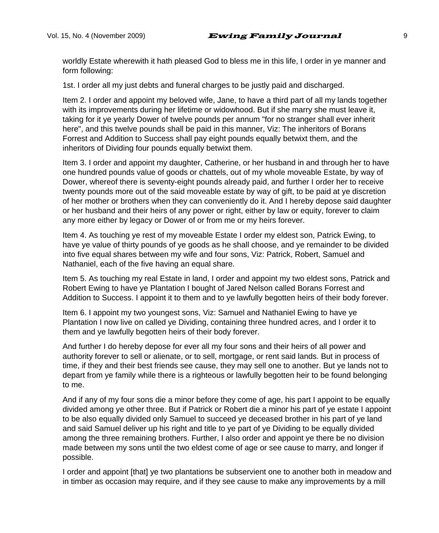worldly Estate wherewith it hath pleased God to bless me in this life, I order in ye manner and form following:

1st. I order all my just debts and funeral charges to be justly paid and discharged.

Item 2. I order and appoint my beloved wife, Jane, to have a third part of all my lands together with its improvements during her lifetime or widowhood. But if she marry she must leave it, taking for it ye yearly Dower of twelve pounds per annum "for no stranger shall ever inherit here", and this twelve pounds shall be paid in this manner, Viz: The inheritors of Borans Forrest and Addition to Success shall pay eight pounds equally betwixt them, and the inheritors of Dividing four pounds equally betwixt them.

Item 3. I order and appoint my daughter, Catherine, or her husband in and through her to have one hundred pounds value of goods or chattels, out of my whole moveable Estate, by way of Dower, whereof there is seventy-eight pounds already paid, and further I order her to receive twenty pounds more out of the said moveable estate by way of gift, to be paid at ye discretion of her mother or brothers when they can conveniently do it. And I hereby depose said daughter or her husband and their heirs of any power or right, either by law or equity, forever to claim any more either by legacy or Dower of or from me or my heirs forever.

Item 4. As touching ye rest of my moveable Estate I order my eldest son, Patrick Ewing, to have ye value of thirty pounds of ye goods as he shall choose, and ye remainder to be divided into five equal shares between my wife and four sons, Viz: Patrick, Robert, Samuel and Nathaniel, each of the five having an equal share.

Item 5. As touching my real Estate in land, I order and appoint my two eldest sons, Patrick and Robert Ewing to have ye Plantation I bought of Jared Nelson called Borans Forrest and Addition to Success. I appoint it to them and to ye lawfully begotten heirs of their body forever.

Item 6. I appoint my two youngest sons, Viz: Samuel and Nathaniel Ewing to have ye Plantation I now live on called ye Dividing, containing three hundred acres, and I order it to them and ye lawfully begotten heirs of their body forever.

And further I do hereby depose for ever all my four sons and their heirs of all power and authority forever to sell or alienate, or to sell, mortgage, or rent said lands. But in process of time, if they and their best friends see cause, they may sell one to another. But ye lands not to depart from ye family while there is a righteous or lawfully begotten heir to be found belonging to me.

And if any of my four sons die a minor before they come of age, his part I appoint to be equally divided among ye other three. But if Patrick or Robert die a minor his part of ye estate I appoint to be also equally divided only Samuel to succeed ye deceased brother in his part of ye land and said Samuel deliver up his right and title to ye part of ye Dividing to be equally divided among the three remaining brothers. Further, I also order and appoint ye there be no division made between my sons until the two eldest come of age or see cause to marry, and longer if possible.

I order and appoint [that] ye two plantations be subservient one to another both in meadow and in timber as occasion may require, and if they see cause to make any improvements by a mill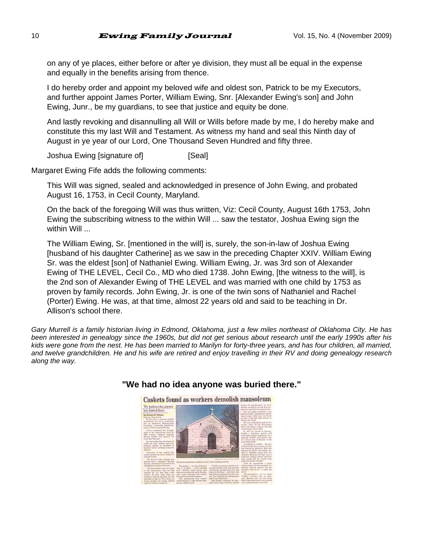on any of ye places, either before or after ye division, they must all be equal in the expense and equally in the benefits arising from thence.

I do hereby order and appoint my beloved wife and oldest son, Patrick to be my Executors, and further appoint James Porter, William Ewing, Snr. [Alexander Ewing's son] and John Ewing, Junr., be my guardians, to see that justice and equity be done.

And lastly revoking and disannulling all Will or Wills before made by me, I do hereby make and constitute this my last Will and Testament. As witness my hand and seal this Ninth day of August in ye year of our Lord, One Thousand Seven Hundred and fifty three.

Joshua Ewing [signature of] [Seal]

Margaret Ewing Fife adds the following comments:

This Will was signed, sealed and acknowledged in presence of John Ewing, and probated August 16, 1753, in Cecil County, Maryland.

On the back of the foregoing Will was thus written, Viz: Cecil County, August 16th 1753, John Ewing the subscribing witness to the within Will ... saw the testator, Joshua Ewing sign the within Will

The William Ewing, Sr. [mentioned in the will] is, surely, the son-in-law of Joshua Ewing [husband of his daughter Catherine] as we saw in the preceding Chapter XXIV. William Ewing Sr. was the eldest [son] of Nathaniel Ewing. William Ewing, Jr. was 3rd son of Alexander Ewing of THE LEVEL, Cecil Co., MD who died 1738. John Ewing, [the witness to the will], is the 2nd son of Alexander Ewing of THE LEVEL and was married with one child by 1753 as proven by family records. John Ewing, Jr. is one of the twin sons of Nathaniel and Rachel (Porter) Ewing. He was, at that time, almost 22 years old and said to be teaching in Dr. Allison's school there.

*Gary Murrell is a family historian living in Edmond, Oklahoma, just a few miles northeast of Oklahoma City. He has been interested in genealogy since the 1960s, but did not get serious about research until the early 1990s after his kids were gone from the nest. He has been married to Marilyn for forty-three years, and has four children, all married, and twelve grandchildren. He and his wife are retired and enjoy travelling in their RV and doing genealogy research along the way.* 



#### **"We had no idea anyone was buried there."**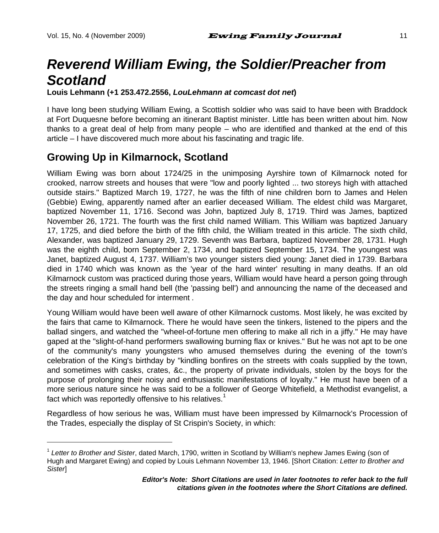l

# *Reverend William Ewing, the Soldier/Preacher from Scotland*

**Louis Lehmann (+1 253.472.2556,** *LouLehmann at comcast dot net***)** 

I have long been studying William Ewing, a Scottish soldier who was said to have been with Braddock at Fort Duquesne before becoming an itinerant Baptist minister. Little has been written about him. Now thanks to a great deal of help from many people – who are identified and thanked at the end of this article – I have discovered much more about his fascinating and tragic life.

# **Growing Up in Kilmarnock, Scotland**

William Ewing was born about 1724/25 in the unimposing Ayrshire town of Kilmarnock noted for crooked, narrow streets and houses that were "low and poorly lighted ... two storeys high with attached outside stairs." Baptized March 19, 1727, he was the fifth of nine children born to James and Helen (Gebbie) Ewing, apparently named after an earlier deceased William. The eldest child was Margaret, baptized November 11, 1716. Second was John, baptized July 8, 1719. Third was James, baptized November 26, 1721. The fourth was the first child named William. This William was baptized January 17, 1725, and died before the birth of the fifth child, the William treated in this article. The sixth child, Alexander, was baptized January 29, 1729. Seventh was Barbara, baptized November 28, 1731. Hugh was the eighth child, born September 2, 1734, and baptized September 15, 1734. The youngest was Janet, baptized August 4, 1737. William's two younger sisters died young: Janet died in 1739. Barbara died in 1740 which was known as the 'year of the hard winter' resulting in many deaths. If an old Kilmarnock custom was practiced during those years, William would have heard a person going through the streets ringing a small hand bell (the 'passing bell') and announcing the name of the deceased and the day and hour scheduled for interment *.*

Young William would have been well aware of other Kilmarnock customs. Most likely, he was excited by the fairs that came to Kilmarnock. There he would have seen the tinkers, listened to the pipers and the ballad singers, and watched the "wheel-of-fortune men offering to make all rich in a jiffy." He may have gaped at the "slight-of-hand performers swallowing burning flax or knives." But he was not apt to be one of the community's many youngsters who amused themselves during the evening of the town's celebration of the King's birthday by "kindling bonfires on the streets with coals supplied by the town, and sometimes with casks, crates, &c., the property of private individuals, stolen by the boys for the purpose of prolonging their noisy and enthusiastic manifestations of loyalty." He must have been of a more serious nature since he was said to be a follower of George Whitefield, a Methodist evangelist, a fact which was reportedly offensive to his relatives.<sup>1</sup>

Regardless of how serious he was, William must have been impressed by Kilmarnock's Procession of the Trades, especially the display of St Crispin's Society, in which:

<sup>1</sup> *Letter to Brother and Sister*, dated March, 1790, written in Scotland by William's nephew James Ewing (son of Hugh and Margaret Ewing) and copied by Louis Lehmann November 13, 1946. [Short Citation: *Letter to Brother and Sister*]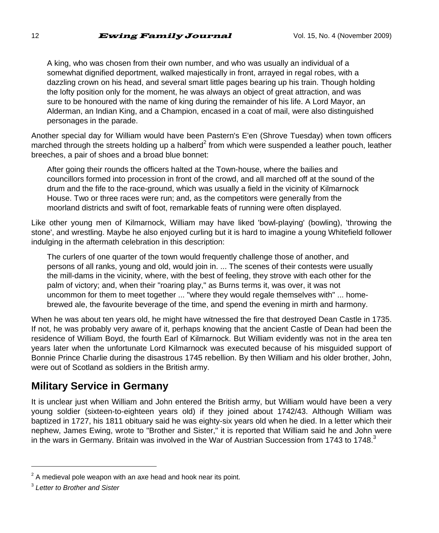A king, who was chosen from their own number, and who was usually an individual of a somewhat dignified deportment, walked majestically in front, arrayed in regal robes, with a dazzling crown on his head, and several smart little pages bearing up his train. Though holding the lofty position only for the moment, he was always an object of great attraction, and was sure to be honoured with the name of king during the remainder of his life. A Lord Mayor, an Alderman, an Indian King, and a Champion, encased in a coat of mail, were also distinguished personages in the parade.

Another special day for William would have been Pastern's E'en (Shrove Tuesday) when town officers marched through the streets holding up a halberd<sup>2</sup> from which were suspended a leather pouch, leather breeches, a pair of shoes and a broad blue bonnet:

After going their rounds the officers halted at the Town-house, where the bailies and councillors formed into procession in front of the crowd, and all marched off at the sound of the drum and the fife to the race-ground, which was usually a field in the vicinity of Kilmarnock House. Two or three races were run; and, as the competitors were generally from the moorland districts and swift of foot, remarkable feats of running were often displayed.

Like other young men of Kilmarnock, William may have liked 'bowl-playing' (bowling), 'throwing the stone', and wrestling. Maybe he also enjoyed curling but it is hard to imagine a young Whitefield follower indulging in the aftermath celebration in this description:

The curlers of one quarter of the town would frequently challenge those of another, and persons of all ranks, young and old, would join in. ... The scenes of their contests were usually the mill-dams in the vicinity, where, with the best of feeling, they strove with each other for the palm of victory; and, when their "roaring play," as Burns terms it, was over, it was not uncommon for them to meet together ... "where they would regale themselves with" ... homebrewed ale, the favourite beverage of the time, and spend the evening in mirth and harmony.

When he was about ten years old, he might have witnessed the fire that destroyed Dean Castle in 1735. If not, he was probably very aware of it, perhaps knowing that the ancient Castle of Dean had been the residence of William Boyd, the fourth Earl of Kilmarnock. But William evidently was not in the area ten years later when the unfortunate Lord Kilmarnock was executed because of his misguided support of Bonnie Prince Charlie during the disastrous 1745 rebellion. By then William and his older brother, John, were out of Scotland as soldiers in the British army.

# **Military Service in Germany**

It is unclear just when William and John entered the British army, but William would have been a very young soldier (sixteen-to-eighteen years old) if they joined about 1742/43. Although William was baptized in 1727, his 1811 obituary said he was eighty-six years old when he died. In a letter which their nephew, James Ewing, wrote to "Brother and Sister," it is reported that William said he and John were in the wars in Germany. Britain was involved in the War of Austrian Succession from 1743 to 1748. $3$ 

 $2^2$  A medieval pole weapon with an axe head and hook near its point.

<sup>3</sup> *Letter to Brother and Sister*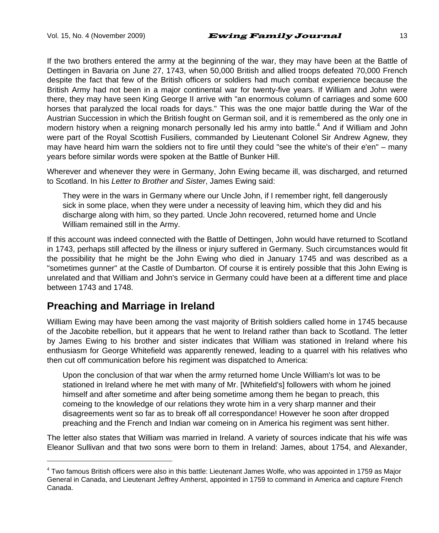If the two brothers entered the army at the beginning of the war, they may have been at the Battle of Dettingen in Bavaria on June 27, 1743, when 50,000 British and allied troops defeated 70,000 French despite the fact that few of the British officers or soldiers had much combat experience because the British Army had not been in a major continental war for twenty-five years. If William and John were there, they may have seen King George II arrive with "an enormous column of carriages and some 600 horses that paralyzed the local roads for days." This was the one major battle during the War of the Austrian Succession in which the British fought on German soil, and it is remembered as the only one in modern history when a reigning monarch personally led his army into battle.<sup>4</sup> And if William and John were part of the Royal Scottish Fusiliers, commanded by Lieutenant Colonel Sir Andrew Agnew, they may have heard him warn the soldiers not to fire until they could "see the white's of their e'en" – many years before similar words were spoken at the Battle of Bunker Hill.

Wherever and whenever they were in Germany, John Ewing became ill, was discharged, and returned to Scotland. In his *Letter to Brother and Sister*, James Ewing said:

They were in the wars in Germany where our Uncle John, if I remember right, fell dangerously sick in some place, when they were under a necessity of leaving him, which they did and his discharge along with him, so they parted. Uncle John recovered, returned home and Uncle William remained still in the Army.

If this account was indeed connected with the Battle of Dettingen, John would have returned to Scotland in 1743, perhaps still affected by the illness or injury suffered in Germany. Such circumstances would fit the possibility that he might be the John Ewing who died in January 1745 and was described as a "sometimes gunner" at the Castle of Dumbarton. Of course it is entirely possible that this John Ewing is unrelated and that William and John's service in Germany could have been at a different time and place between 1743 and 1748.

# **Preaching and Marriage in Ireland**

l

William Ewing may have been among the vast majority of British soldiers called home in 1745 because of the Jacobite rebellion, but it appears that he went to Ireland rather than back to Scotland. The letter by James Ewing to his brother and sister indicates that William was stationed in Ireland where his enthusiasm for George Whitefield was apparently renewed, leading to a quarrel with his relatives who then cut off communication before his regiment was dispatched to America:

Upon the conclusion of that war when the army returned home Uncle William's lot was to be stationed in Ireland where he met with many of Mr. [Whitefield's] followers with whom he joined himself and after sometime and after being sometime among them he began to preach, this comeing to the knowledge of our relations they wrote him in a very sharp manner and their disagreements went so far as to break off all correspondance! However he soon after dropped preaching and the French and Indian war comeing on in America his regiment was sent hither.

The letter also states that William was married in Ireland. A variety of sources indicate that his wife was Eleanor Sullivan and that two sons were born to them in Ireland: James, about 1754, and Alexander,

<sup>4</sup> Two famous British officers were also in this battle: Lieutenant James Wolfe, who was appointed in 1759 as Major General in Canada, and Lieutenant Jeffrey Amherst, appointed in 1759 to command in America and capture French Canada.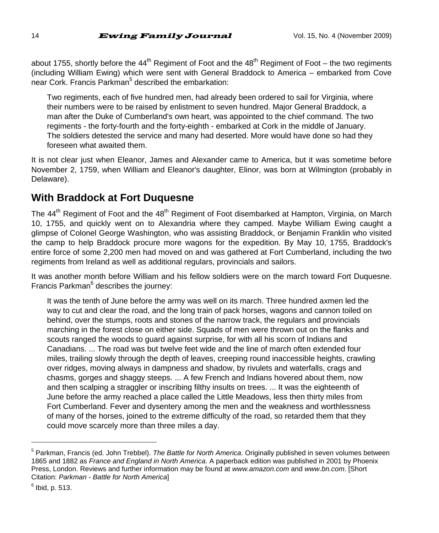about 1755, shortly before the 44<sup>th</sup> Regiment of Foot and the  $48<sup>th</sup>$  Regiment of Foot – the two regiments (including William Ewing) which were sent with General Braddock to America – embarked from Cove near Cork. Francis Parkman<sup>5</sup> described the embarkation:

Two regiments, each of five hundred men, had already been ordered to sail for Virginia, where their numbers were to be raised by enlistment to seven hundred. Major General Braddock, a man after the Duke of Cumberland's own heart, was appointed to the chief command. The two regiments - the forty-fourth and the forty-eighth - embarked at Cork in the middle of January. The soldiers detested the service and many had deserted. More would have done so had they foreseen what awaited them.

It is not clear just when Eleanor, James and Alexander came to America, but it was sometime before November 2, 1759, when William and Eleanor's daughter, Elinor, was born at Wilmington (probably in Delaware).

# **With Braddock at Fort Duquesne**

The 44<sup>th</sup> Regiment of Foot and the 48<sup>th</sup> Regiment of Foot disembarked at Hampton, Virginia, on March 10, 1755, and quickly went on to Alexandria where they camped. Maybe William Ewing caught a glimpse of Colonel George Washington, who was assisting Braddock, or Benjamin Franklin who visited the camp to help Braddock procure more wagons for the expedition. By May 10, 1755, Braddock's entire force of some 2,200 men had moved on and was gathered at Fort Cumberland, including the two regiments from Ireland as well as additional regulars, provincials and sailors.

It was another month before William and his fellow soldiers were on the march toward Fort Duquesne. Francis Parkman<sup>6</sup> describes the journey:

It was the tenth of June before the army was well on its march. Three hundred axmen led the way to cut and clear the road, and the long train of pack horses, wagons and cannon toiled on behind, over the stumps, roots and stones of the narrow track, the regulars and provincials marching in the forest close on either side. Squads of men were thrown out on the flanks and scouts ranged the woods to guard against surprise, for with all his scorn of Indians and Canadians. ... The road was but twelve feet wide and the line of march often extended four miles, trailing slowly through the depth of leaves, creeping round inaccessible heights, crawling over ridges, moving always in dampness and shadow, by rivulets and waterfalls, crags and chasms, gorges and shaggy steeps. ... A few French and Indians hovered about them, now and then scalping a straggler or inscribing filthy insults on trees. ... It was the eighteenth of June before the army reached a place called the Little Meadows, less then thirty miles from Fort Cumberland. Fever and dysentery among the men and the weakness and worthlessness of many of the horses, joined to the extreme difficulty of the road, so retarded them that they could move scarcely more than three miles a day.

<sup>5</sup> Parkman, Francis (ed. John Trebbel). *The Battle for North America*. Originally published in seven volumes between 1865 and 1882 as *France and England in North America*. A paperback edition was published in 2001 by Phoenix Press, London. Reviews and further information may be found at *www.amazon.com* and *www.bn.com*. [Short Citation: *Parkman - Battle for North America*]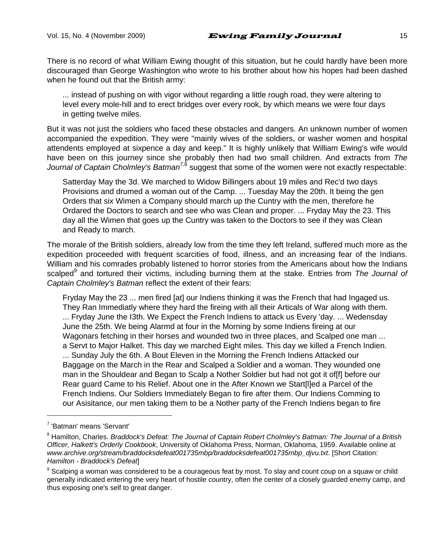There is no record of what William Ewing thought of this situation, but he could hardly have been more discouraged than George Washington who wrote to his brother about how his hopes had been dashed when he found out that the British army:

... instead of pushing on with vigor without regarding a little rough road, they were altering to level every mole-hill and to erect bridges over every rook, by which means we were four days in getting twelve miles.

But it was not just the soldiers who faced these obstacles and dangers. An unknown number of women accompanied the expedition. They were "mainly wives of the soldiers, or washer women and hospital attendents employed at sixpence a day and keep." It is highly unlikely that William Ewing's wife would have been on this journey since she probably then had two small children. And extracts from *The*  Journal of Captain Cholmley's Batman<sup>7,8</sup> suggest that some of the women were not exactly respectable:

Satterday May the 3d. We marched to Widow Billingers about 19 miles and Rec'd two days Provisions and drumed a woman out of the Camp. ... Tuesday May the 20th. It being the gen Orders that six Wimen a Company should march up the Cuntry with the men, therefore he Ordared the Doctors to search and see who was Clean and proper. ... Fryday May the 23. This day all the Wimen that goes up the Cuntry was taken to the Doctors to see if they was Clean and Ready to march.

The morale of the British soldiers, already low from the time they left Ireland, suffered much more as the expedition proceeded with frequent scarcities of food, illness, and an increasing fear of the Indians. William and his comrades probably listened to horror stories from the Americans about how the Indians scalped<sup>9</sup> and tortured their victims, including burning them at the stake. Entries from The Journal of *Captain Cholmley's Batman* reflect the extent of their fears:

Fryday May the 23 ... men fired [at] our Indiens thinking it was the French that had Ingaged us. They Ran Immediatly where they hard the fireing with all their Articals of War along with them. ... Fryday June the I3th. We Expect the French Indiens to attack us Every 'day. ... Wedensday June the 25th. We being Alarmd at four in the Morning by some Indiens fireing at our Wagonars fetching in their horses and wounded two in three places, and Scalped one man ... a Servt to Major Halket. This day we marched Eight miles. This day we killed a French Indien. ... Sunday July the 6th. A Bout Eleven in the Morning the French Indiens Attacked our Baggage on the March in the Rear and Scalped a Soldier and a woman. They wounded one man in the Shouldear and Began to Scalp a Nother Soldier but had not got it of[f] before our Rear guard Came to his Relief. About one in the After Known we Start[l]ed a Parcel of the French Indiens. Our Soldiers Immediately Began to fire after them. Our Indiens Comming to our Asisitance, our men taking them to be a Nother party of the French Indiens began to fire

<sup>7</sup> 'Batman' means 'Servant'

<sup>&</sup>lt;sup>8</sup> Hamilton, Charles. *Braddock's Defeat: The Journal of Captain Robert Cholmley's Batman: The Journal of a British Officer, Halkett's Orderly Cookbook*, University of Oklahoma Press, Norman, Oklahoma, 1959. Available online at *www.archive.org/stream/braddocksdefeat001735mbp/braddocksdefeat001735mbp\_djvu.txt*. [Short Citation: *Hamilton - Braddock's Defeat*]

<sup>&</sup>lt;sup>9</sup> Scalping a woman was considered to be a courageous feat by most. To slay and count coup on a squaw or child generally indicated entering the very heart of hostile country, often the center of a closely guarded enemy camp, and thus exposing one's self to great danger.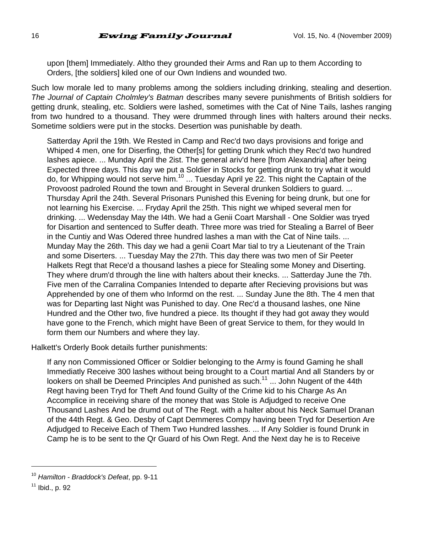upon [them] Immediately. Altho they grounded their Arms and Ran up to them According to Orders, [the soldiers] kiled one of our Own Indiens and wounded two.

Such low morale led to many problems among the soldiers including drinking, stealing and desertion. *The Journal of Captain Cholmley's Batman* describes many severe punishments of British soldiers for getting drunk, stealing, etc. Soldiers were lashed, sometimes with the Cat of Nine Tails, lashes ranging from two hundred to a thousand. They were drummed through lines with halters around their necks. Sometime soldiers were put in the stocks. Desertion was punishable by death.

Satterday April the 19th. We Rested in Camp and Rec'd two days provisions and forige and Whiped 4 men, one for Diserfing, the Other[s] for getting Drunk which they Rec'd two hundred lashes apiece. ... Munday April the 2ist. The general ariv'd here [from Alexandria] after being Expected three days. This day we put a Soldier in Stocks for getting drunk to try what it would do, for Whipping would not serve him.<sup>10</sup> ... Tuesday April ye 22. This night the Captain of the Provoost padroled Round the town and Brought in Several drunken Soldiers to guard. ... Thursday April the 24th. Several Prisonars Punished this Evening for being drunk, but one for not learning his Exercise. ... Fryday April the 25th. This night we whiped several men for drinking. ... Wedensday May the I4th. We had a Genii Coart Marshall - One Soldier was tryed for Disartion and sentenced to Suffer death. Three more was tried for Stealing a Barrel of Beer in the Cuntiy and Was Odered three hundred lashes a man with the Cat of Nine tails. ... Munday May the 26th. This day we had a genii Coart Mar tial to try a Lieutenant of the Train and some Diserters. ... Tuesday May the 27th. This day there was two men of Sir Peeter Halkets Regt that Rece'd a thousand lashes a piece for Stealing some Money and Diserting. They where drum'd through the line with halters about their knecks. ... Satterday June the 7th. Five men of the Carralina Companies Intended to departe after Recieving provisions but was Apprehended by one of them who Informd on the rest. ... Sunday June the 8th. The 4 men that was for Departing last Night was Punished to day. One Rec'd a thousand lashes, one Nine Hundred and the Other two, five hundred a piece. Its thought if they had got away they would have gone to the French, which might have Been of great Service to them, for they would In form them our Numbers and where they lay.

Halkett's Orderly Book details further punishments:

If any non Commissioned Officer or Soldier belonging to the Army is found Gaming he shall Immediatly Receive 300 lashes without being brought to a Court martial And all Standers by or lookers on shall be Deemed Principles And punished as such.11 ... John Nugent of the 44th Regt having been Tryd for Theft And found Guilty of the Crime kid to his Charge As An Accomplice in receiving share of the money that was Stole is Adjudged to receive One Thousand Lashes And be drumd out of The Regt. with a halter about his Neck Samuel Dranan of the 44th Regt. & Geo. Desby of Capt Demmeres Compy having been Tryd for Desertion Are Adjudged to Receive Each of Them Two Hundred lasshes. ... If Any Soldier is found Drunk in Camp he is to be sent to the Qr Guard of his Own Regt. And the Next day he is to Receive

<sup>10</sup> *Hamilton - Braddock's Defeat*, pp. 9-11

 $11$  Ibid., p. 92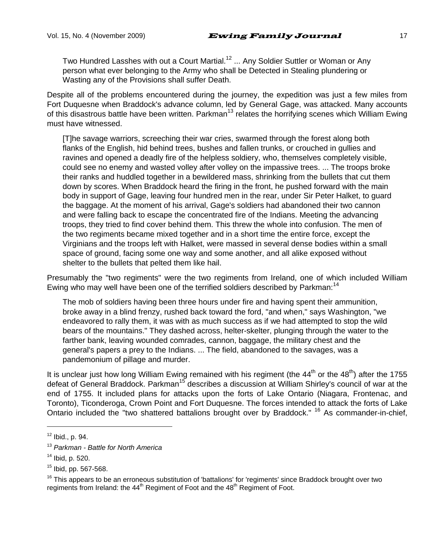Two Hundred Lasshes with out a Court Martial.<sup>12</sup> ... Any Soldier Suttler or Woman or Any person what ever belonging to the Army who shall be Detected in Stealing plundering or Wasting any of the Provisions shall suffer Death.

Despite all of the problems encountered during the journey, the expedition was just a few miles from Fort Duquesne when Braddock's advance column, led by General Gage, was attacked. Many accounts of this disastrous battle have been written. Parkman<sup>13</sup> relates the horrifying scenes which William Ewing must have witnessed.

[T]he savage warriors, screeching their war cries, swarmed through the forest along both flanks of the English, hid behind trees, bushes and fallen trunks, or crouched in gullies and ravines and opened a deadly fire of the helpless soldiery, who, themselves completely visible, could see no enemy and wasted volley after volley on the impassive trees. ... The troops broke their ranks and huddled together in a bewildered mass, shrinking from the bullets that cut them down by scores. When Braddock heard the firing in the front, he pushed forward with the main body in support of Gage, leaving four hundred men in the rear, under Sir Peter Halket, to guard the baggage. At the moment of his arrival, Gage's soldiers had abandoned their two cannon and were falling back to escape the concentrated fire of the Indians. Meeting the advancing troops, they tried to find cover behind them. This threw the whole into confusion. The men of the two regiments became mixed together and in a short time the entire force, except the Virginians and the troops left with Halket, were massed in several dense bodies within a small space of ground, facing some one way and some another, and all alike exposed without shelter to the bullets that pelted them like hail.

Presumably the "two regiments" were the two regiments from Ireland, one of which included William Ewing who may well have been one of the terrified soldiers described by Parkman:<sup>14</sup>

The mob of soldiers having been three hours under fire and having spent their ammunition, broke away in a blind frenzy, rushed back toward the ford, "and when," says Washington, "we endeavored to rally them, it was with as much success as if we had attempted to stop the wild bears of the mountains." They dashed across, helter-skelter, plunging through the water to the farther bank, leaving wounded comrades, cannon, baggage, the military chest and the general's papers a prey to the Indians. ... The field, abandoned to the savages, was a pandemonium of pillage and murder.

It is unclear just how long William Ewing remained with his regiment (the  $44<sup>th</sup>$  or the  $48<sup>th</sup>$ ) after the 1755 defeat of General Braddock. Parkman<sup>15</sup> describes a discussion at William Shirley's council of war at the end of 1755. It included plans for attacks upon the forts of Lake Ontario (Niagara, Frontenac, and Toronto), Ticonderoga, Crown Point and Fort Duquesne. The forces intended to attack the forts of Lake Ontario included the "two shattered battalions brought over by Braddock." <sup>16</sup> As commander-in-chief,

 $12$  Ibid., p. 94.

<sup>13</sup> *Parkman - Battle for North America*

<sup>14</sup> Ibid, p. 520.

<sup>15</sup> Ibid, pp. 567-568.

<sup>&</sup>lt;sup>16</sup> This appears to be an erroneous substitution of 'battalions' for 'regiments' since Braddock brought over two regiments from Ireland: the 44<sup>th</sup> Regiment of Foot and the 48<sup>th</sup> Regiment of Foot.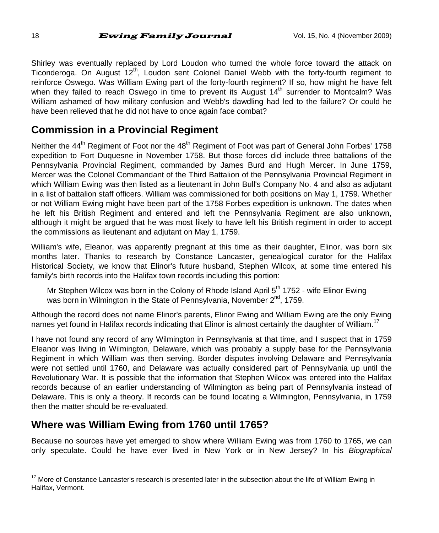Shirley was eventually replaced by Lord Loudon who turned the whole force toward the attack on Ticonderoga. On August 12<sup>th</sup>, Loudon sent Colonel Daniel Webb with the forty-fourth regiment to reinforce Oswego. Was William Ewing part of the forty-fourth regiment? If so, how might he have felt when they failed to reach Oswego in time to prevent its August 14<sup>th</sup> surrender to Montcalm? Was William ashamed of how military confusion and Webb's dawdling had led to the failure? Or could he have been relieved that he did not have to once again face combat?

# **Commission in a Provincial Regiment**

Neither the 44<sup>th</sup> Regiment of Foot nor the 48<sup>th</sup> Regiment of Foot was part of General John Forbes' 1758 expedition to Fort Duquesne in November 1758. But those forces did include three battalions of the Pennsylvania Provincial Regiment, commanded by James Burd and Hugh Mercer. In June 1759, Mercer was the Colonel Commandant of the Third Battalion of the Pennsylvania Provincial Regiment in which William Ewing was then listed as a lieutenant in John Bull's Company No. 4 and also as adjutant in a list of battalion staff officers. William was commissioned for both positions on May 1, 1759. Whether or not William Ewing might have been part of the 1758 Forbes expedition is unknown. The dates when he left his British Regiment and entered and left the Pennsylvania Regiment are also unknown, although it might be argued that he was most likely to have left his British regiment in order to accept the commissions as lieutenant and adjutant on May 1, 1759.

William's wife, Eleanor, was apparently pregnant at this time as their daughter, Elinor, was born six months later. Thanks to research by Constance Lancaster, genealogical curator for the Halifax Historical Society, we know that Elinor's future husband, Stephen Wilcox, at some time entered his family's birth records into the Halifax town records including this portion:

Mr Stephen Wilcox was born in the Colony of Rhode Island April  $5<sup>th</sup>$  1752 - wife Elinor Ewing was born in Wilmington in the State of Pennsylvania, November 2<sup>nd</sup>, 1759.

Although the record does not name Elinor's parents, Elinor Ewing and William Ewing are the only Ewing names vet found in Halifax records indicating that Elinor is almost certainly the daughter of William.<sup>17</sup>

I have not found any record of any Wilmington in Pennsylvania at that time, and I suspect that in 1759 Eleanor was living in Wilmington, Delaware, which was probably a supply base for the Pennsylvania Regiment in which William was then serving. Border disputes involving Delaware and Pennsylvania were not settled until 1760, and Delaware was actually considered part of Pennsylvania up until the Revolutionary War. It is possible that the information that Stephen Wilcox was entered into the Halifax records because of an earlier understanding of Wilmington as being part of Pennsylvania instead of Delaware. This is only a theory. If records can be found locating a Wilmington, Pennsylvania, in 1759 then the matter should be re-evaluated.

# **Where was William Ewing from 1760 until 1765?**

Because no sources have yet emerged to show where William Ewing was from 1760 to 1765, we can only speculate. Could he have ever lived in New York or in New Jersey? In his *Biographical* 

 $17$  More of Constance Lancaster's research is presented later in the subsection about the life of William Ewing in Halifax, Vermont.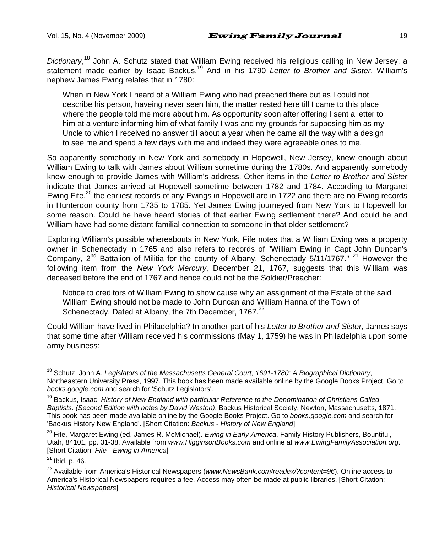*Dictionary*, 18 John A. Schutz stated that William Ewing received his religious calling in New Jersey, a statement made earlier by Isaac Backus.19 And in his 1790 *Letter to Brother and Sister*, William's nephew James Ewing relates that in 1780:

When in New York I heard of a William Ewing who had preached there but as I could not describe his person, haveing never seen him, the matter rested here till I came to this place where the people told me more about him. As opportunity soon after offering I sent a letter to him at a venture informing him of what family I was and my grounds for supposing him as my Uncle to which I received no answer till about a year when he came all the way with a design to see me and spend a few days with me and indeed they were agreeable ones to me.

So apparently somebody in New York and somebody in Hopewell, New Jersey, knew enough about William Ewing to talk with James about William sometime during the 1780s. And apparently somebody knew enough to provide James with William's address. Other items in the *Letter to Brother and Sister* indicate that James arrived at Hopewell sometime between 1782 and 1784. According to Margaret Ewing Fife,<sup>20</sup> the earliest records of any Ewings in Hopewell are in 1722 and there are no Ewing records in Hunterdon county from 1735 to 1785. Yet James Ewing journeyed from New York to Hopewell for some reason. Could he have heard stories of that earlier Ewing settlement there? And could he and William have had some distant familial connection to someone in that older settlement?

Exploring William's possible whereabouts in New York, Fife notes that a William Ewing was a property owner in Schenectady in 1765 and also refers to records of "William Ewing in Capt John Duncan's Company,  $2^{nd}$  Battalion of Militia for the county of Albany, Schenectady 5/11/1767." <sup>21</sup> However the following item from the *New York Mercury*, December 21, 1767, suggests that this William was deceased before the end of 1767 and hence could not be the Soldier/Preacher:

Notice to creditors of William Ewing to show cause why an assignment of the Estate of the said William Ewing should not be made to John Duncan and William Hanna of the Town of Schenectady. Dated at Albany, the 7th December, 1767.<sup>22</sup>

Could William have lived in Philadelphia? In another part of his *Letter to Brother and Sister*, James says that some time after William received his commissions (May 1, 1759) he was in Philadelphia upon some army business:

<sup>18</sup> Schutz, John A. *Legislators of the Massachusetts General Court, 1691-1780: A Biographical Dictionary*, Northeastern University Press, 1997. This book has been made available online by the Google Books Project. Go to *books.google.com* and search for 'Schutz Legislators'.

<sup>19</sup> Backus, Isaac. *History of New England with particular Reference to the Denomination of Christians Called Baptists. (Second Edition with notes by David Weston)*, Backus Historical Society, Newton, Massachusetts, 1871. This book has been made available online by the Google Books Project. Go to *books.google.com* and search for 'Backus History New England'. [Short Citation: *Backus - History of New England*]

<sup>20</sup> Fife, Margaret Ewing (ed. James R. McMichael). *Ewing in Early America*, Family History Publishers, Bountiful, Utah, 84101, pp. 31-38. Available from *www.HigginsonBooks.com* and online at *www.EwingFamilyAssociation.org*. [Short Citation: *Fife - Ewing in America*]

 $^{21}$  Ibid, p. 46.

<sup>22</sup> Available from America's Historical Newspapers (*www.NewsBank.com/readex/?content=96*). Online access to America's Historical Newspapers requires a fee. Access may often be made at public libraries. [Short Citation: *Historical Newspapers*]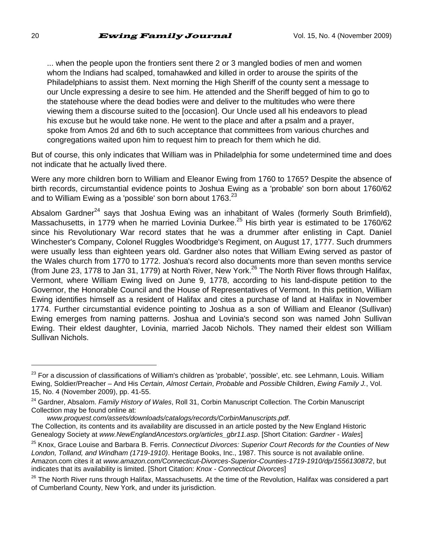... when the people upon the frontiers sent there 2 or 3 mangled bodies of men and women whom the Indians had scalped, tomahawked and killed in order to arouse the spirits of the Philadelphians to assist them. Next morning the High Sheriff of the county sent a message to our Uncle expressing a desire to see him. He attended and the Sheriff begged of him to go to the statehouse where the dead bodies were and deliver to the multitudes who were there viewing them a discourse suited to the [occasion]. Our Uncle used all his endeavors to plead his excuse but he would take none. He went to the place and after a psalm and a prayer, spoke from Amos 2d and 6th to such acceptance that committees from various churches and congregations waited upon him to request him to preach for them which he did.

But of course, this only indicates that William was in Philadelphia for some undetermined time and does not indicate that he actually lived there.

Were any more children born to William and Eleanor Ewing from 1760 to 1765? Despite the absence of birth records, circumstantial evidence points to Joshua Ewing as a 'probable' son born about 1760/62 and to William Ewing as a 'possible' son born about  $1763.<sup>23</sup>$ 

Absalom Gardner<sup>24</sup> says that Joshua Ewing was an inhabitant of Wales (formerly South Brimfield), Massachusetts, in 1779 when he married Lovinia Durkee.<sup>25</sup> His birth year is estimated to be 1760/62 since his Revolutionary War record states that he was a drummer after enlisting in Capt. Daniel Winchester's Company, Colonel Ruggles Woodbridge's Regiment, on August 17, 1777. Such drummers were usually less than eighteen years old. Gardner also notes that William Ewing served as pastor of the Wales church from 1770 to 1772. Joshua's record also documents more than seven months service (from June 23, 1778 to Jan 31, 1779) at North River, New York.<sup>26</sup> The North River flows through Halifax, Vermont, where William Ewing lived on June 9, 1778, according to his land-dispute petition to the Governor, the Honorable Council and the House of Representatives of Vermont. In this petition, William Ewing identifies himself as a resident of Halifax and cites a purchase of land at Halifax in November 1774. Further circumstantial evidence pointing to Joshua as a son of William and Eleanor (Sullivan) Ewing emerges from naming patterns. Joshua and Lovinia's second son was named John Sullivan Ewing. Their eldest daughter, Lovinia, married Jacob Nichols. They named their eldest son William Sullivan Nichols.

<sup>&</sup>lt;sup>23</sup> For a discussion of classifications of William's children as 'probable', 'possible', etc. see Lehmann, Louis. William Ewing, Soldier/Preacher – And His *Certain*, *Almost Certain*, *Probable* and *Possible* Children, *Ewing Family J.*, Vol. 15, No. 4 (November 2009), pp. 41-55.

<sup>24</sup> Gardner, Absalom. *Family History of Wales*, Roll 31, Corbin Manuscript Collection. The Corbin Manuscript Collection may be found online at:

*www.proquest.com/assets/downloads/catalogs/records/CorbinManuscripts.pdf*. The Collection, its contents and its availability are discussed in an article posted by the New England Historic Genealogy Society at *www.NewEnglandAncestors.org/articles\_gbr11.asp*. [Short Citation: *Gardner - Wales*]

<sup>25</sup> Knox, Grace Louise and Barbara B. Ferris. *Connecticut Divorces: Superior Court Records for the Counties of New London, Tolland, and Windham (1719-1910)*. Heritage Books, Inc., 1987. This source is not available online. Amazon.com cites it at *www.amazon.com/Connecticut-Divorces-Superior-Counties-1719-1910/dp/1556130872*, but indicates that its availability is limited. [Short Citation: *Knox - Connecticut Divorces*]

 $^{26}$  The North River runs through Halifax, Massachusetts. At the time of the Revolution, Halifax was considered a part of Cumberland County, New York, and under its jurisdiction.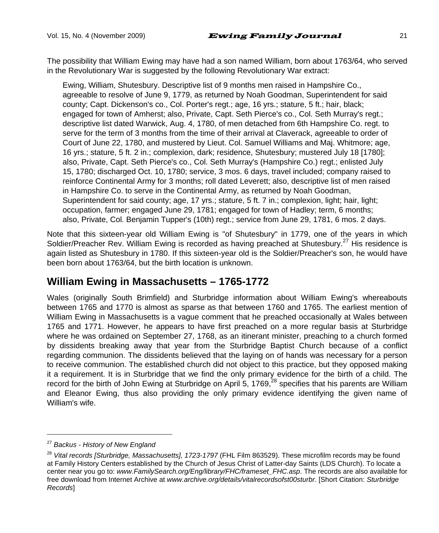The possibility that William Ewing may have had a son named William, born about 1763/64, who served in the Revolutionary War is suggested by the following Revolutionary War extract:

Ewing, William, Shutesbury. Descriptive list of 9 months men raised in Hampshire Co., agreeable to resolve of June 9, 1779, as returned by Noah Goodman, Superintendent for said county; Capt. Dickenson's co., Col. Porter's regt.; age, 16 yrs.; stature, 5 ft.; hair, black; engaged for town of Amherst; also, Private, Capt. Seth Pierce's co., Col. Seth Murray's regt.; descriptive list dated Warwick, Aug. 4, 1780, of men detached from 6th Hampshire Co. regt. to serve for the term of 3 months from the time of their arrival at Claverack, agreeable to order of Court of June 22, 1780, and mustered by Lieut. Col. Samuel Williams and Maj. Whitmore; age, 16 yrs.; stature, 5 ft. 2 in.; complexion, dark; residence, Shutesbury; mustered July 18 [1780]; also, Private, Capt. Seth Pierce's co., Col. Seth Murray's (Hampshire Co.) regt.; enlisted July 15, 1780; discharged Oct. 10, 1780; service, 3 mos. 6 days, travel included; company raised to reinforce Continental Army for 3 months; roll dated Leverett; also, descriptive list of men raised in Hampshire Co. to serve in the Continental Army, as returned by Noah Goodman, Superintendent for said county; age, 17 yrs.; stature, 5 ft. 7 in.; complexion, light; hair, light; occupation, farmer; engaged June 29, 1781; engaged for town of Hadley; term, 6 months; also, Private, Col. Benjamin Tupper's (10th) regt.; service from June 29, 1781, 6 mos. 2 days.

Note that this sixteen-year old William Ewing is "of Shutesbury" in 1779, one of the years in which Soldier/Preacher Rev. William Ewing is recorded as having preached at Shutesbury.<sup>27</sup> His residence is again listed as Shutesbury in 1780. If this sixteen-year old is the Soldier/Preacher's son, he would have been born about 1763/64, but the birth location is unknown.

# **William Ewing in Massachusetts – 1765-1772**

Wales (originally South Brimfield) and Sturbridge information about William Ewing's whereabouts between 1765 and 1770 is almost as sparse as that between 1760 and 1765. The earliest mention of William Ewing in Massachusetts is a vague comment that he preached occasionally at Wales between 1765 and 1771. However, he appears to have first preached on a more regular basis at Sturbridge where he was ordained on September 27, 1768, as an itinerant minister, preaching to a church formed by dissidents breaking away that year from the Sturbridge Baptist Church because of a conflict regarding communion. The dissidents believed that the laying on of hands was necessary for a person to receive communion. The established church did not object to this practice, but they opposed making it a requirement. It is in Sturbridge that we find the only primary evidence for the birth of a child. The record for the birth of John Ewing at Sturbridge on April 5, 1769, $^{28}$  specifies that his parents are William and Eleanor Ewing, thus also providing the only primary evidence identifying the given name of William's wife.

<sup>27</sup> *Backus - History of New England*

<sup>28</sup> *Vital records [Sturbridge, Massachusetts], 1723-1797* (FHL Film 863529). These microfilm records may be found at Family History Centers established by the Church of Jesus Christ of Latter-day Saints (LDS Church). To locate a center near you go to: *www.FamilySearch.org/Eng/library/FHC/frameset\_FHC.asp*. The records are also available for free download from Internet Archive at *www.archive.org/details/vitalrecordsofst00sturbr*. [Short Citation: *Sturbridge Records*]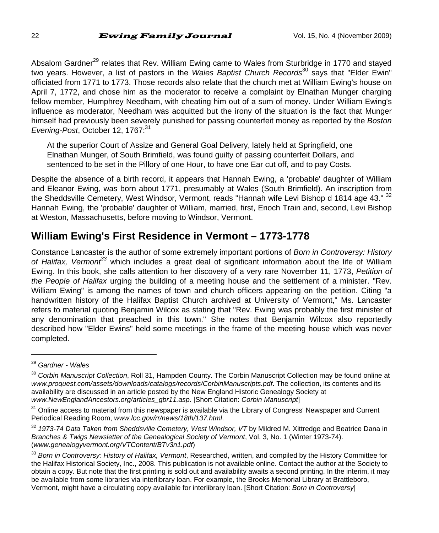Absalom Gardner<sup>29</sup> relates that Rev. William Ewing came to Wales from Sturbridge in 1770 and stayed two years. However, a list of pastors in the *Wales Baptist Church Records*30 says that "Elder Ewin" officiated from 1771 to 1773. Those records also relate that the church met at William Ewing's house on April 7, 1772, and chose him as the moderator to receive a complaint by Elnathan Munger charging fellow member, Humphrey Needham, with cheating him out of a sum of money. Under William Ewing's influence as moderator, Needham was acquitted but the irony of the situation is the fact that Munger himself had previously been severely punished for passing counterfeit money as reported by the *Boston Evening-Post*, October 12, 1767:<sup>31</sup>

At the superior Court of Assize and General Goal Delivery, lately held at Springfield, one Elnathan Munger, of South Brimfield, was found guilty of passing counterfeit Dollars, and sentenced to be set in the Pillory of one Hour, to have one Ear cut off, and to pay Costs.

Despite the absence of a birth record, it appears that Hannah Ewing, a 'probable' daughter of William and Eleanor Ewing, was born about 1771, presumably at Wales (South Brimfield). An inscription from the Sheddsville Cemetery, West Windsor, Vermont, reads "Hannah wife Levi Bishop d 1814 age 43." <sup>32</sup> Hannah Ewing, the 'probable' daughter of William, married, first, Enoch Train and, second, Levi Bishop at Weston, Massachusetts, before moving to Windsor, Vermont.

# **William Ewing's First Residence in Vermont – 1773-1778**

Constance Lancaster is the author of some extremely important portions of *Born in Controversy: History of Halifax, Vermont<sup>33</sup>* which includes a great deal of significant information about the life of William Ewing. In this book, she calls attention to her discovery of a very rare November 11, 1773, *Petition of the People of Halifax* urging the building of a meeting house and the settlement of a minister. "Rev. William Ewing" is among the names of town and church officers appearing on the petition. Citing "a handwritten history of the Halifax Baptist Church archived at University of Vermont," Ms. Lancaster refers to material quoting Benjamin Wilcox as stating that "Rev. Ewing was probably the first minister of any denomination that preached in this town." She notes that Benjamin Wilcox also reportedly described how "Elder Ewins" held some meetings in the frame of the meeting house which was never completed.

<sup>29</sup> *Gardner - Wales*

<sup>30</sup> *Corbin Manuscript Collection*, Roll 31, Hampden County. The Corbin Manuscript Collection may be found online at *www.proquest.com/assets/downloads/catalogs/records/CorbinManuscripts.pdf*. The collection, its contents and its availability are discussed in an article posted by the New England Historic Genealogy Society at *www.NewEnglandAncestors.org/articles\_gbr11.asp*. [Short Citation: *Corbin Manuscript*]

<sup>&</sup>lt;sup>31</sup> Online access to material from this newspaper is available via the Library of Congress' Newspaper and Current Periodical Reading Room, *www.loc.gov/rr/news/18th/137.html*.

<sup>&</sup>lt;sup>32</sup> 1973-74 Data Taken from Sheddsville Cemetery, West Windsor, VT by Mildred M. Xittredge and Beatrice Dana in *Branches & Twigs Newsletter of the Genealogical Society of Vermont*, Vol. 3, No. 1 (Winter 1973-74). (*www.genealogyvermont.org/VTContent/BTv3n1.pdf*)

<sup>33</sup> *Born in Controversy: History of Halifax, Vermont*, Researched, written, and compiled by the History Committee for the Halifax Historical Society, Inc., 2008. This publication is not available online. Contact the author at the Society to obtain a copy. But note that the first printing is sold out and availability awaits a second printing. In the interim, it may be available from some libraries via interlibrary loan. For example, the Brooks Memorial Library at Brattleboro, Vermont, might have a circulating copy available for interlibrary loan. [Short Citation: *Born in Controversy*]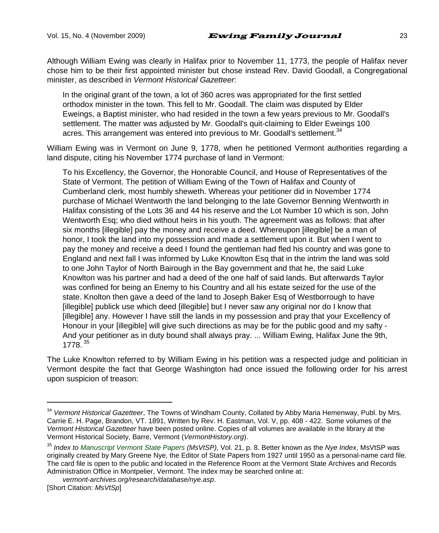Although William Ewing was clearly in Halifax prior to November 11, 1773, the people of Halifax never chose him to be their first appointed minister but chose instead Rev. David Goodall, a Congregational minister, as described in *Vermont Historical Gazetteer*:

In the original grant of the town, a lot of 360 acres was appropriated for the first settled orthodox minister in the town. This fell to Mr. Goodall. The claim was disputed by Elder Eweings, a Baptist minister, who had resided in the town a few years previous to Mr. Goodall's settlement. The matter was adjusted by Mr. Goodall's quit-claiming to Elder Eweings 100 acres. This arrangement was entered into previous to Mr. Goodall's settlement.<sup>34</sup>

William Ewing was in Vermont on June 9, 1778, when he petitioned Vermont authorities regarding a land dispute, citing his November 1774 purchase of land in Vermont:

To his Excellency, the Governor, the Honorable Council, and House of Representatives of the State of Vermont. The petition of William Ewing of the Town of Halifax and County of Cumberland clerk, most humbly sheweth. Whereas your petitioner did in November 1774 purchase of Michael Wentworth the land belonging to the late Governor Benning Wentworth in Halifax consisting of the Lots 36 and 44 his reserve and the Lot Number 10 which is son, John Wentworth Esq; who died without heirs in his youth. The agreement was as follows: that after six months [illegible] pay the money and receive a deed. Whereupon [illegible] be a man of honor, I took the land into my possession and made a settlement upon it. But when I went to pay the money and receive a deed I found the gentleman had fled his country and was gone to England and next fall I was informed by Luke Knowlton Esq that in the intrim the land was sold to one John Taylor of North Bairough in the Bay government and that he, the said Luke Knowlton was his partner and had a deed of the one half of said lands. But afterwards Taylor was confined for being an Enemy to his Country and all his estate seized for the use of the state. Knolton then gave a deed of the land to Joseph Baker Esq of Westborrough to have [illegible] publick use which deed [illegible] but I never saw any original nor do I know that [illegible] any. However I have still the lands in my possession and pray that your Excellency of Honour in your [illegible] will give such directions as may be for the public good and my safty - And your petitioner as in duty bound shall always pray. ... William Ewing, Halifax June the 9th, 1778.<sup>35</sup>

The Luke Knowlton referred to by William Ewing in his petition was a respected judge and politician in Vermont despite the fact that George Washington had once issued the following order for his arrest upon suspicion of treason:

<sup>34</sup> *Vermont Historical Gazetteer*, The Towns of Windham County, Collated by Abby Maria Hemenway, Publ. by Mrs. Carrie E. H. Page, Brandon, VT. 1891, Written by Rev. H. Eastman, Vol. V, pp. 408 - 422. Some volumes of the *Vermont Historical Gazetteer* have been posted online. Copies of all volumes are available in the library at the Vermont Historical Society, Barre, Vermont (*VermontHistory.org*).

<sup>35</sup> *Index to Manuscript Vermont State Papers (MsVtSP)*, Vol. 21, p. 8. Better known as the *Nye Index*, MsVtSP was originally created by Mary Greene Nye, the Editor of State Papers from 1927 until 1950 as a personal-name card file. The card file is open to the public and located in the Reference Room at the Vermont State Archives and Records Administration Office in Montpelier, Vermont. The index may be searched online at:

*vermont-archives.org/research/database/nye.asp*. [Short Citation: *MsVtSp*]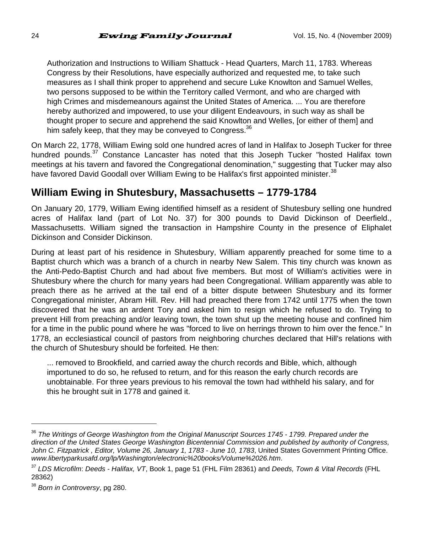Authorization and Instructions to William Shattuck - Head Quarters, March 11, 1783. Whereas Congress by their Resolutions, have especially authorized and requested me, to take such measures as I shall think proper to apprehend and secure Luke Knowlton and Samuel Welles, two persons supposed to be within the Territory called Vermont, and who are charged with high Crimes and misdemeanours against the United States of America. ... You are therefore hereby authorized and impowered, to use your diligent Endeavours, in such way as shall be thought proper to secure and apprehend the said Knowlton and Welles, [or either of them] and him safely keep, that they may be conveyed to Congress.<sup>36</sup>

On March 22, 1778, William Ewing sold one hundred acres of land in Halifax to Joseph Tucker for three hundred pounds.<sup>37</sup> Constance Lancaster has noted that this Joseph Tucker "hosted Halifax town meetings at his tavern and favored the Congregational denomination," suggesting that Tucker may also have favored David Goodall over William Ewing to be Halifax's first appointed minister.<sup>38</sup>

# **William Ewing in Shutesbury, Massachusetts – 1779-1784**

On January 20, 1779, William Ewing identified himself as a resident of Shutesbury selling one hundred acres of Halifax land (part of Lot No. 37) for 300 pounds to David Dickinson of Deerfield., Massachusetts. William signed the transaction in Hampshire County in the presence of Eliphalet Dickinson and Consider Dickinson.

During at least part of his residence in Shutesbury, William apparently preached for some time to a Baptist church which was a branch of a church in nearby New Salem. This tiny church was known as the Anti-Pedo-Baptist Church and had about five members. But most of William's activities were in Shutesbury where the church for many years had been Congregational. William apparently was able to preach there as he arrived at the tail end of a bitter dispute between Shutesbury and its former Congregational minister, Abram Hill. Rev. Hill had preached there from 1742 until 1775 when the town discovered that he was an ardent Tory and asked him to resign which he refused to do. Trying to prevent Hill from preaching and/or leaving town, the town shut up the meeting house and confined him for a time in the public pound where he was "forced to live on herrings thrown to him over the fence." In 1778, an ecclesiastical council of pastors from neighboring churches declared that Hill's relations with the church of Shutesbury should be forfeited*.* He then:

... removed to Brookfield, and carried away the church records and Bible, which, although importuned to do so, he refused to return, and for this reason the early church records are unobtainable. For three years previous to his removal the town had withheld his salary, and for this he brought suit in 1778 and gained it.

<sup>36</sup> *The Writings of George Washington from the Original Manuscript Sources 1745 - 1799. Prepared under the direction of the United States George Washington Bicentennial Commission and published by authority of Congress, John C. Fitzpatrick , Editor, Volume 26, January 1, 1783 - June 10, 1783*, United States Government Printing Office. *www.libertyparkusafd.org/lp/Washington/electronic%20books/Volume%2026.htm*.

<sup>37</sup> *LDS Microfilm*: *Deeds - Halifax, VT*, Book 1, page 51 (FHL Film 28361) and *Deeds, Town & Vital Records* (FHL 28362)

<sup>38</sup> *Born in Controversy*, pg 280.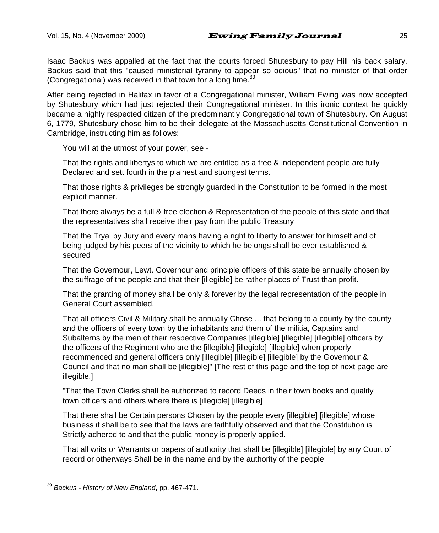Isaac Backus was appalled at the fact that the courts forced Shutesbury to pay Hill his back salary. Backus said that this "caused ministerial tyranny to appear so odious" that no minister of that order (Congregational) was received in that town for a long time.  $39$ 

After being rejected in Halifax in favor of a Congregational minister, William Ewing was now accepted by Shutesbury which had just rejected their Congregational minister. In this ironic context he quickly became a highly respected citizen of the predominantly Congregational town of Shutesbury. On August 6, 1779, Shutesbury chose him to be their delegate at the Massachusetts Constitutional Convention in Cambridge, instructing him as follows:

You will at the utmost of your power, see -

That the rights and libertys to which we are entitled as a free & independent people are fully Declared and sett fourth in the plainest and strongest terms.

That those rights & privileges be strongly guarded in the Constitution to be formed in the most explicit manner.

That there always be a full & free election & Representation of the people of this state and that the representatives shall receive their pay from the public Treasury

That the Tryal by Jury and every mans having a right to liberty to answer for himself and of being judged by his peers of the vicinity to which he belongs shall be ever established & secured

That the Governour, Lewt. Governour and principle officers of this state be annually chosen by the suffrage of the people and that their [illegible] be rather places of Trust than profit.

That the granting of money shall be only & forever by the legal representation of the people in General Court assembled.

That all officers Civil & Military shall be annually Chose ... that belong to a county by the county and the officers of every town by the inhabitants and them of the militia, Captains and Subalterns by the men of their respective Companies [illegible] [illegible] [illegible] officers by the officers of the Regiment who are the [illegible] [illegible] [illegible] when properly recommenced and general officers only [illegible] [illegible] [illegible] by the Governour & Council and that no man shall be [illegible]" [The rest of this page and the top of next page are illegible.]

"That the Town Clerks shall be authorized to record Deeds in their town books and qualify town officers and others where there is [illegible] [illegible]

That there shall be Certain persons Chosen by the people every [illegible] [illegible] whose business it shall be to see that the laws are faithfully observed and that the Constitution is Strictly adhered to and that the public money is properly applied.

That all writs or Warrants or papers of authority that shall be [illegible] [illegible] by any Court of record or otherways Shall be in the name and by the authority of the people

<sup>39</sup> *Backus - History of New England*, pp. 467-471.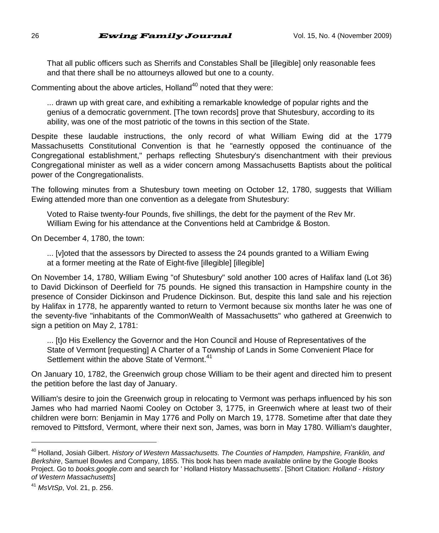That all public officers such as Sherrifs and Constables Shall be [illegible] only reasonable fees and that there shall be no attourneys allowed but one to a county.

Commenting about the above articles, Holland<sup>40</sup> noted that they were:

... drawn up with great care, and exhibiting a remarkable knowledge of popular rights and the genius of a democratic government. [The town records] prove that Shutesbury, according to its ability, was one of the most patriotic of the towns in this section of the State.

Despite these laudable instructions, the only record of what William Ewing did at the 1779 Massachusetts Constitutional Convention is that he "earnestly opposed the continuance of the Congregational establishment," perhaps reflecting Shutesbury's disenchantment with their previous Congregational minister as well as a wider concern among Massachusetts Baptists about the political power of the Congregationalists.

The following minutes from a Shutesbury town meeting on October 12, 1780, suggests that William Ewing attended more than one convention as a delegate from Shutesbury:

Voted to Raise twenty-four Pounds, five shillings, the debt for the payment of the Rev Mr. William Ewing for his attendance at the Conventions held at Cambridge & Boston.

On December 4, 1780, the town:

... [v]oted that the assessors by Directed to assess the 24 pounds granted to a William Ewing at a former meeting at the Rate of Eight-five [illegible] [illegible]

On November 14, 1780, William Ewing "of Shutesbury" sold another 100 acres of Halifax land (Lot 36) to David Dickinson of Deerfield for 75 pounds. He signed this transaction in Hampshire county in the presence of Consider Dickinson and Prudence Dickinson. But, despite this land sale and his rejection by Halifax in 1778, he apparently wanted to return to Vermont because six months later he was one of the seventy-five "inhabitants of the CommonWealth of Massachusetts" who gathered at Greenwich to sign a petition on May 2, 1781:

... [t]o His Exellency the Governor and the Hon Council and House of Representatives of the State of Vermont [requesting] A Charter of a Township of Lands in Some Convenient Place for Settlement within the above State of Vermont.<sup>41</sup>

On January 10, 1782, the Greenwich group chose William to be their agent and directed him to present the petition before the last day of January.

William's desire to join the Greenwich group in relocating to Vermont was perhaps influenced by his son James who had married Naomi Cooley on October 3, 1775, in Greenwich where at least two of their children were born: Benjamin in May 1776 and Polly on March 19, 1778. Sometime after that date they removed to Pittsford, Vermont, where their next son, James, was born in May 1780. William's daughter,

<sup>40</sup> Holland, Josiah Gilbert. *History of Western Massachusetts. The Counties of Hampden, Hampshire, Franklin, and Berkshire*, Samuel Bowles and Company, 1855. This book has been made available online by the Google Books Project. Go to *books.google.com* and search for ' Holland History Massachusetts'. [Short Citation: *Holland - History of Western Massachusetts*]

<sup>41</sup> *MsVtSp*, Vol. 21, p. 256.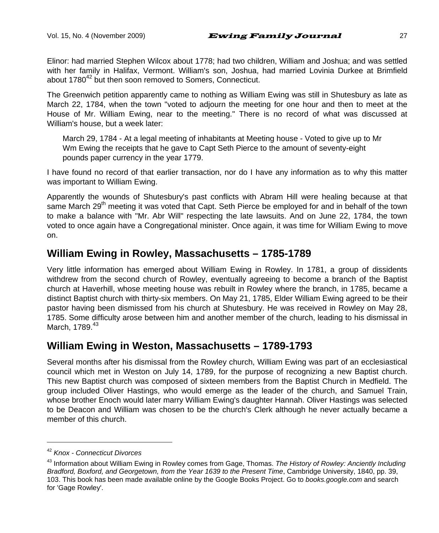Elinor: had married Stephen Wilcox about 1778; had two children, William and Joshua; and was settled with her family in Halifax, Vermont. William's son, Joshua, had married Lovinia Durkee at Brimfield about 1780<sup>42</sup> but then soon removed to Somers, Connecticut.

The Greenwich petition apparently came to nothing as William Ewing was still in Shutesbury as late as March 22, 1784, when the town "voted to adjourn the meeting for one hour and then to meet at the House of Mr. William Ewing, near to the meeting." There is no record of what was discussed at William's house, but a week later:

March 29, 1784 - At a legal meeting of inhabitants at Meeting house - Voted to give up to Mr Wm Ewing the receipts that he gave to Capt Seth Pierce to the amount of seventy-eight pounds paper currency in the year 1779.

I have found no record of that earlier transaction, nor do I have any information as to why this matter was important to William Ewing.

Apparently the wounds of Shutesbury's past conflicts with Abram Hill were healing because at that same March 29<sup>th</sup> meeting it was voted that Capt. Seth Pierce be employed for and in behalf of the town to make a balance with "Mr. Abr Will" respecting the late lawsuits. And on June 22, 1784, the town voted to once again have a Congregational minister. Once again, it was time for William Ewing to move on.

# **William Ewing in Rowley, Massachusetts – 1785-1789**

Very little information has emerged about William Ewing in Rowley. In 1781, a group of dissidents withdrew from the second church of Rowley, eventually agreeing to become a branch of the Baptist church at Haverhill, whose meeting house was rebuilt in Rowley where the branch, in 1785, became a distinct Baptist church with thirty-six members. On May 21, 1785, Elder William Ewing agreed to be their pastor having been dismissed from his church at Shutesbury. He was received in Rowley on May 28, 1785. Some difficulty arose between him and another member of the church, leading to his dismissal in March, 1789.<sup>43</sup>

# **William Ewing in Weston, Massachusetts – 1789-1793**

Several months after his dismissal from the Rowley church, William Ewing was part of an ecclesiastical council which met in Weston on July 14, 1789, for the purpose of recognizing a new Baptist church. This new Baptist church was composed of sixteen members from the Baptist Church in Medfield. The group included Oliver Hastings, who would emerge as the leader of the church, and Samuel Train, whose brother Enoch would later marry William Ewing's daughter Hannah. Oliver Hastings was selected to be Deacon and William was chosen to be the church's Clerk although he never actually became a member of this church.

<sup>42</sup> *Knox - Connecticut Divorces*

<sup>43</sup> Information about William Ewing in Rowley comes from Gage, Thomas. *The History of Rowley: Anciently Including Bradford, Boxford, and Georgetown, from the Year 1639 to the Present Time*, Cambridge University, 1840, pp. 39, 103. This book has been made available online by the Google Books Project. Go to *books.google.com* and search for 'Gage Rowley'.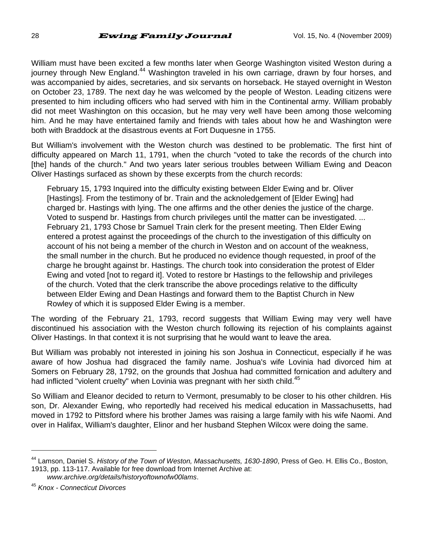William must have been excited a few months later when George Washington visited Weston during a journey through New England.<sup>44</sup> Washington traveled in his own carriage, drawn by four horses, and was accompanied by aides, secretaries, and six servants on horseback. He stayed overnight in Weston on October 23, 1789. The next day he was welcomed by the people of Weston. Leading citizens were presented to him including officers who had served with him in the Continental army. William probably did not meet Washington on this occasion, but he may very well have been among those welcoming him. And he may have entertained family and friends with tales about how he and Washington were both with Braddock at the disastrous events at Fort Duquesne in 1755.

But William's involvement with the Weston church was destined to be problematic. The first hint of difficulty appeared on March 11, 1791, when the church "voted to take the records of the church into [the] hands of the church." And two years later serious troubles between William Ewing and Deacon Oliver Hastings surfaced as shown by these excerpts from the church records:

February 15, 1793 Inquired into the difficulty existing between Elder Ewing and br. Oliver [Hastings]. From the testimony of br. Train and the acknoledgement of [Elder Ewing] had charged br. Hastings with lying. The one affirms and the other denies the justice of the charge. Voted to suspend br. Hastings from church privileges until the matter can be investigated. ... February 21, 1793 Chose br Samuel Train clerk for the present meeting. Then Elder Ewing entered a protest against the proceedings of the church to the investigation of this difficulty on account of his not being a member of the church in Weston and on account of the weakness, the small number in the church. But he produced no evidence though requested, in proof of the charge he brought against br. Hastings. The church took into consideration the protest of Elder Ewing and voted [not to regard it]. Voted to restore br Hastings to the fellowship and privileges of the church. Voted that the clerk transcribe the above procedings relative to the difficulty between Elder Ewing and Dean Hastings and forward them to the Baptist Church in New Rowley of which it is supposed Elder Ewing is a member.

The wording of the February 21, 1793, record suggests that William Ewing may very well have discontinued his association with the Weston church following its rejection of his complaints against Oliver Hastings. In that context it is not surprising that he would want to leave the area.

But William was probably not interested in joining his son Joshua in Connecticut, especially if he was aware of how Joshua had disgraced the family name. Joshua's wife Lovinia had divorced him at Somers on February 28, 1792, on the grounds that Joshua had committed fornication and adultery and had inflicted "violent cruelty" when Lovinia was pregnant with her sixth child. $45$ 

So William and Eleanor decided to return to Vermont, presumably to be closer to his other children. His son, Dr. Alexander Ewing, who reportedly had received his medical education in Massachusetts, had moved in 1792 to Pittsford where his brother James was raising a large family with his wife Naomi. And over in Halifax, William's daughter, Elinor and her husband Stephen Wilcox were doing the same.

<sup>44</sup> Lamson, Daniel S. *History of the Town of Weston, Massachusetts, 1630-1890*, Press of Geo. H. Ellis Co., Boston, 1913, pp. 113-117. Available for free download from Internet Archive at:

*www.archive.org/details/historyoftownofw00lams*.

<sup>45</sup> *Knox - Connecticut Divorces*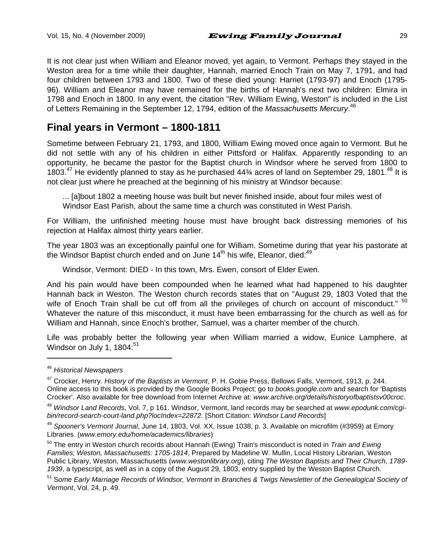It is not clear just when William and Eleanor moved, yet again, to Vermont. Perhaps they stayed in the Weston area for a time while their daughter, Hannah, married Enoch Train on May 7, 1791, and had four children between 1793 and 1800. Two of these died young: Harriet (1793-97) and Enoch (1795- 96). William and Eleanor may have remained for the births of Hannah's next two children: Elmira in 1798 and Enoch in 1800. In any event, the citation "Rev. William Ewing, Weston" is included in the List of Letters Remaining in the September 12, 1794, edition of the *Massachusetts Mercury*. 46

### **Final years in Vermont – 1800-1811**

Sometime between February 21, 1793, and 1800, William Ewing moved once again to Vermont. But he did not settle with any of his children in either Pittsford or Halifax. Apparently responding to an opportunity, he became the pastor for the Baptist church in Windsor where he served from 1800 to 1803.<sup>47</sup> He evidently planned to stay as he purchased  $44\frac{3}{4}$  acres of land on September 29, 1801.<sup>48</sup> It is not clear just where he preached at the beginning of his ministry at Windsor because:

... [a]bout 1802 a meeting house was built but never finished inside, about four miles west of Windsor East Parish, about the same time a church was constituted in West Parish.

For William, the unfinished meeting house must have brought back distressing memories of his rejection at Halifax almost thirty years earlier.

The year 1803 was an exceptionally painful one for William. Sometime during that year his pastorate at the Windsor Baptist church ended and on June  $14<sup>th</sup>$  his wife, Eleanor, died:<sup>49</sup>

Windsor, Vermont: DIED - In this town, Mrs. Ewen, consort of Elder Ewen.

And his pain would have been compounded when he learned what had happened to his daughter Hannah back in Weston. The Weston church records states that on "August 29, 1803 Voted that the wife of Enoch Train shall be cut off from all the privileges of church on account of misconduct." <sup>50</sup> Whatever the nature of this misconduct, it must have been embarrassing for the church as well as for William and Hannah, since Enoch's brother, Samuel, was a charter member of the church.

Life was probably better the following year when William married a widow, Eunice Lamphere, at Windsor on July  $1.1804:51$ 

<sup>46</sup> *Historical Newspapers*

<sup>47</sup> Crocker, Henry. *History of the Baptists in Vermont*, P. H. Gobie Press, Bellows Falls, Vermont, 1913, p. 244. Online access to this book is provided by the Google Books Project; go to *books.google.com* and search for 'Baptists Crocker'. Also available for free download from Internet Archive at: *www.archive.org/details/historyofbaptistsv00croc*.

<sup>48</sup> *Windsor Land Records*, Vol. 7, p 161. Windsor, Vermont, land records may be searched at *www.epodunk.com/cgibin/record-search-court-land.php?locIndex=22872.* [Short Citation: *Windsor Land Records*]

<sup>49</sup> *Spooner's Vermont Journal*, June 14, 1803, Vol. XX, Issue 1038, p. 3. Available on microfilm (#3959) at Emory Libraries. (*www.emory.edu/home/academics/libraries*)

<sup>50</sup> The entry in Weston church records about Hannah (Ewing) Train's misconduct is noted in *Train and Ewing Families; Weston, Massachusetts: 1705-1814*, Prepared by Madeline W. Mullin, Local History Librarian, Weston Public Library, Weston, Massachusetts (*www.westonlibrary.org*), citing *The Weston Baptists and Their Church, 1789- 1939*, a typescript, as well as in a copy of the August 29, 1803, entry supplied by the Weston Baptist Church.

<sup>51</sup> S*ome Early Marriage Records of Windsor, Vermont* in *Branches & Twigs Newsletter of the Genealogical Society of Vermont*, Vol. 24, p. 49.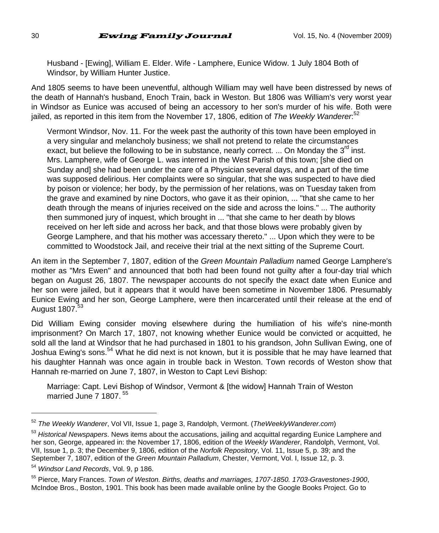Husband - [Ewing], William E. Elder. Wife - Lamphere, Eunice Widow. 1 July 1804 Both of Windsor, by William Hunter Justice.

And 1805 seems to have been uneventful, although William may well have been distressed by news of the death of Hannah's husband, Enoch Train, back in Weston. But 1806 was William's very worst year in Windsor as Eunice was accused of being an accessory to her son's murder of his wife. Both were jailed, as reported in this item from the November 17, 1806, edition of *The Weekly Wanderer.*<sup>52</sup>

Vermont Windsor, Nov. 11. For the week past the authority of this town have been employed in a very singular and melancholy business; we shall not pretend to relate the circumstances exact, but believe the following to be in substance, nearly correct. ... On Monday the  $3<sup>rd</sup>$  inst. Mrs. Lamphere, wife of George L. was interred in the West Parish of this town; [she died on Sunday and] she had been under the care of a Physician several days, and a part of the time was supposed delirious. Her complaints were so singular, that she was suspected to have died by poison or violence; her body, by the permission of her relations, was on Tuesday taken from the grave and examined by nine Doctors, who gave it as their opinion, ... "that she came to her death through the means of injuries received on the side and across the loins." ... The authority then summoned jury of inquest, which brought in ... "that she came to her death by blows received on her left side and across her back, and that those blows were probably given by George Lamphere, and that his mother was accessary thereto." ... Upon which they were to be committed to Woodstock Jail, and receive their trial at the next sitting of the Supreme Court.

An item in the September 7, 1807, edition of the *Green Mountain Palladium* named George Lamphere's mother as "Mrs Ewen" and announced that both had been found not guilty after a four-day trial which began on August 26, 1807. The newspaper accounts do not specify the exact date when Eunice and her son were jailed, but it appears that it would have been sometime in November 1806. Presumably Eunice Ewing and her son, George Lamphere, were then incarcerated until their release at the end of August 1807.<sup>53</sup>

Did William Ewing consider moving elsewhere during the humiliation of his wife's nine-month imprisonment? On March 17, 1807, not knowing whether Eunice would be convicted or acquitted, he sold all the land at Windsor that he had purchased in 1801 to his grandson, John Sullivan Ewing, one of Joshua Ewing's sons.<sup>54</sup> What he did next is not known, but it is possible that he may have learned that his daughter Hannah was once again in trouble back in Weston. Town records of Weston show that Hannah re-married on June 7, 1807, in Weston to Capt Levi Bishop:

Marriage: Capt. Levi Bishop of Windsor, Vermont & [the widow] Hannah Train of Weston married June 7 1807.<sup>55</sup>

<sup>52</sup> *The Weekly Wanderer*, Vol VII, Issue 1, page 3, Randolph, Vermont. (*TheWeeklyWanderer.com*)

<sup>53</sup> *Historical Newspapers*. News items about the accusations, jailing and acquittal regarding Eunice Lamphere and her son, George, appeared in: the November 17, 1806, edition of the *Weekly Wanderer*, Randolph, Vermont, Vol. VII, Issue 1, p. 3; the December 9, 1806, edition of the *Norfolk Repository*, Vol. 11, Issue 5, p. 39; and the September 7, 1807, edition of the *Green Mountain Palladium*, Chester, Vermont, Vol. I, Issue 12, p. 3.

<sup>54</sup> *Windsor Land Records*, Vol. 9, p 186.

<sup>55</sup> Pierce, Mary Frances. *Town of Weston. Births, deaths and marriages, 1707-1850. 1703-Gravestones-1900*, McIndoe Bros., Boston, 1901. This book has been made available online by the Google Books Project. Go to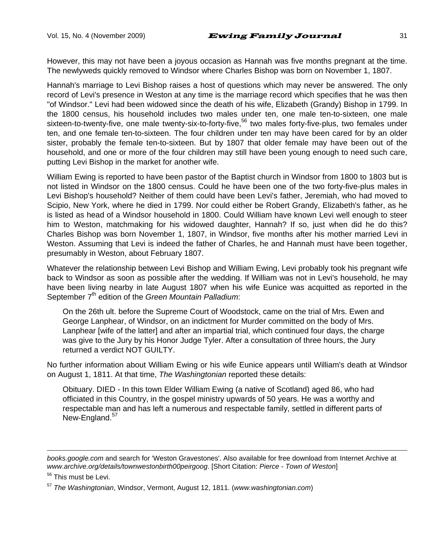However, this may not have been a joyous occasion as Hannah was five months pregnant at the time. The newlyweds quickly removed to Windsor where Charles Bishop was born on November 1, 1807.

Hannah's marriage to Levi Bishop raises a host of questions which may never be answered. The only record of Levi's presence in Weston at any time is the marriage record which specifies that he was then "of Windsor." Levi had been widowed since the death of his wife, Elizabeth (Grandy) Bishop in 1799. In the 1800 census, his household includes two males under ten, one male ten-to-sixteen, one male sixteen-to-twenty-five, one male twenty-six-to-forty-five,<sup>56</sup> two males forty-five-plus, two females under ten, and one female ten-to-sixteen. The four children under ten may have been cared for by an older sister, probably the female ten-to-sixteen. But by 1807 that older female may have been out of the household, and one or more of the four children may still have been young enough to need such care, putting Levi Bishop in the market for another wife.

William Ewing is reported to have been pastor of the Baptist church in Windsor from 1800 to 1803 but is not listed in Windsor on the 1800 census. Could he have been one of the two forty-five-plus males in Levi Bishop's household? Neither of them could have been Levi's father, Jeremiah, who had moved to Scipio, New York, where he died in 1799. Nor could either be Robert Grandy, Elizabeth's father, as he is listed as head of a Windsor household in 1800. Could William have known Levi well enough to steer him to Weston, matchmaking for his widowed daughter, Hannah? If so, just when did he do this? Charles Bishop was born November 1, 1807, in Windsor, five months after his mother married Levi in Weston. Assuming that Levi is indeed the father of Charles, he and Hannah must have been together, presumably in Weston, about February 1807.

Whatever the relationship between Levi Bishop and William Ewing, Levi probably took his pregnant wife back to Windsor as soon as possible after the wedding. If William was not in Levi's household, he may have been living nearby in late August 1807 when his wife Eunice was acquitted as reported in the September 7<sup>th</sup> edition of the *Green Mountain Palladium*:

On the 26th ult. before the Supreme Court of Woodstock, came on the trial of Mrs. Ewen and George Lanphear, of Windsor, on an indictment for Murder committed on the body of Mrs. Lanphear [wife of the latter] and after an impartial trial, which continued four days, the charge was give to the Jury by his Honor Judge Tyler. After a consultation of three hours, the Jury returned a verdict NOT GUILTY.

No further information about William Ewing or his wife Eunice appears until William's death at Windsor on August 1, 1811. At that time, *The Washingtonian* reported these details:

Obituary. DIED - In this town Elder William Ewing (a native of Scotland) aged 86, who had officiated in this Country, in the gospel ministry upwards of 50 years. He was a worthy and respectable man and has left a numerous and respectable family, settled in different parts of New-England.<sup>57</sup>

*books.google.com* and search for 'Weston Gravestones'. Also available for free download from Internet Archive at *www.archive.org/details/townwestonbirth00peirgoog*. [Short Citation: *Pierce - Town of Weston*]

<sup>&</sup>lt;sup>56</sup> This must be Levi.

<sup>57</sup> *The Washingtonian*, Windsor, Vermont, August 12, 1811. (*www.washingtonian.com*)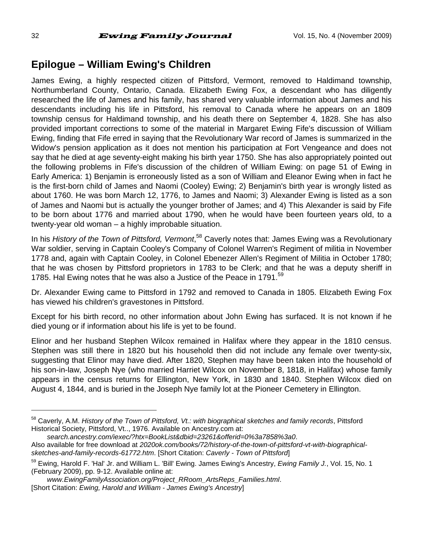### **Epilogue – William Ewing's Children**

James Ewing, a highly respected citizen of Pittsford, Vermont, removed to Haldimand township, Northumberland County, Ontario, Canada. Elizabeth Ewing Fox, a descendant who has diligently researched the life of James and his family, has shared very valuable information about James and his descendants including his life in Pittsford, his removal to Canada where he appears on an 1809 township census for Haldimand township, and his death there on September 4, 1828. She has also provided important corrections to some of the material in Margaret Ewing Fife's discussion of William Ewing, finding that Fife erred in saying that the Revolutionary War record of James is summarized in the Widow's pension application as it does not mention his participation at Fort Vengeance and does not say that he died at age seventy-eight making his birth year 1750. She has also appropriately pointed out the following problems in Fife's discussion of the children of William Ewing: on page 51 of Ewing in Early America: 1) Benjamin is erroneously listed as a son of William and Eleanor Ewing when in fact he is the first-born child of James and Naomi (Cooley) Ewing; 2) Benjamin's birth year is wrongly listed as about 1760. He was born March 12, 1776, to James and Naomi; 3) Alexander Ewing is listed as a son of James and Naomi but is actually the younger brother of James; and 4) This Alexander is said by Fife to be born about 1776 and married about 1790, when he would have been fourteen years old, to a twenty-year old woman – a highly improbable situation.

In his *History of the Town of Pittsford, Vermont*, 58 Caverly notes that: James Ewing was a Revolutionary War soldier, serving in Captain Cooley's Company of Colonel Warren's Regiment of militia in November 1778 and, again with Captain Cooley, in Colonel Ebenezer Allen's Regiment of Militia in October 1780; that he was chosen by Pittsford proprietors in 1783 to be Clerk; and that he was a deputy sheriff in 1785. Hal Ewing notes that he was also a Justice of the Peace in 1791.<sup>59</sup>

Dr. Alexander Ewing came to Pittsford in 1792 and removed to Canada in 1805. Elizabeth Ewing Fox has viewed his children's gravestones in Pittsford.

Except for his birth record, no other information about John Ewing has surfaced. It is not known if he died young or if information about his life is yet to be found.

Elinor and her husband Stephen Wilcox remained in Halifax where they appear in the 1810 census. Stephen was still there in 1820 but his household then did not include any female over twenty-six, suggesting that Elinor may have died. After 1820, Stephen may have been taken into the household of his son-in-law, Joseph Nye (who married Harriet Wilcox on November 8, 1818, in Halifax) whose family appears in the census returns for Ellington, New York, in 1830 and 1840. Stephen Wilcox died on August 4, 1844, and is buried in the Joseph Nye family lot at the Pioneer Cemetery in Ellington.

<sup>58</sup> Caverly, A.M. *History of the Town of Pittsford, Vt.: with biographical sketches and family records*, Pittsford Historical Society, Pittsford, Vt.., 1976. Available on Ancestry.com at:

*search.ancestry.com/iexec/?htx=BookList&dbid=23261&offerid=0%3a7858%3a0*. Also available for free download at *2020ok.com/books/72/history-of-the-town-of-pittsford-vt-with-biographicalsketches-and-family-records-61772.htm*. [Short Citation: *Caverly - Town of Pittsford*]

<sup>59</sup> Ewing, Harold F. 'Hal' Jr. and William L. 'Bill' Ewing. James Ewing's Ancestry, *Ewing Family J.*, Vol. 15, No. 1 (February 2009), pp. 9-12. Available online at:

*www.EwingFamilyAssociation.org/Project\_RRoom\_ArtsReps\_Families.html*. [Short Citation: *Ewing, Harold and William - James Ewing's Ancestry*]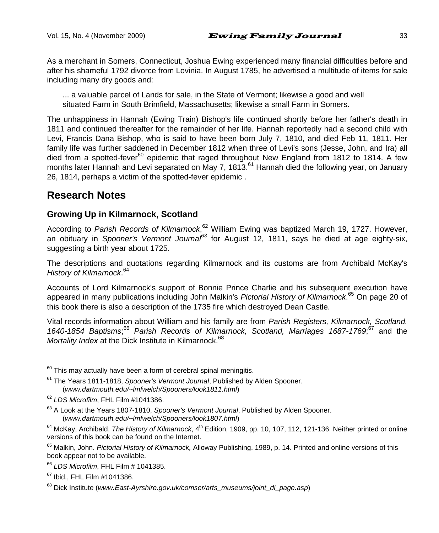As a merchant in Somers, Connecticut, Joshua Ewing experienced many financial difficulties before and after his shameful 1792 divorce from Lovinia. In August 1785, he advertised a multitude of items for sale including many dry goods and:

... a valuable parcel of Lands for sale, in the State of Vermont; likewise a good and well situated Farm in South Brimfield, Massachusetts; likewise a small Farm in Somers.

The unhappiness in Hannah (Ewing Train) Bishop's life continued shortly before her father's death in 1811 and continued thereafter for the remainder of her life. Hannah reportedly had a second child with Levi, Francis Dana Bishop, who is said to have been born July 7, 1810, and died Feb 11, 1811. Her family life was further saddened in December 1812 when three of Levi's sons (Jesse, John, and Ira) all died from a spotted-fever<sup>60</sup> epidemic that raged throughout New England from 1812 to 1814. A few months later Hannah and Levi separated on May 7, 1813.<sup>61</sup> Hannah died the following year, on January 26, 1814, perhaps a victim of the spotted-fever epidemic .

### **Research Notes**

#### **Growing Up in Kilmarnock, Scotland**

According to *Parish Records of Kilmarnock*, 62 William Ewing was baptized March 19, 1727. However, an obituary in *Spooner's Vermont Journal<sup>63</sup>* for August 12, 1811, says he died at age eighty-six, suggesting a birth year about 1725.

The descriptions and quotations regarding Kilmarnock and its customs are from Archibald McKay's *History of Kilmarnock*. 64

Accounts of Lord Kilmarnock's support of Bonnie Prince Charlie and his subsequent execution have appeared in many publications including John Malkin's *Pictorial History of Kilmarnock*. 65 On page 20 of this book there is also a description of the 1735 fire which destroyed Dean Castle.

Vital records information about William and his family are from *Parish Registers, Kilmarnock, Scotland.*  1640-1854 Baptisms;<sup>66</sup> Parish Records of Kilmarnock, Scotland, Marriages 1687-1769;<sup>67</sup> and the *Mortality Index* at the Dick Institute in Kilmarnock.<sup>68</sup>

 $60$  This may actually have been a form of cerebral spinal meningitis.

<sup>61</sup> The Years 1811-1818, *Spooner's Vermont Journal*, Published by Alden Spooner. (*www.dartmouth.edu/~lmfwelch/Spooners/look1811.html*)

<sup>62</sup> *LDS Microfilm*, FHL Film #1041386.

<sup>63</sup> A Look at the Years 1807-1810, *Spooner's Vermont Journal*, Published by Alden Spooner. (*www.dartmouth.edu/~lmfwelch/Spooners/look1807.html*)

<sup>&</sup>lt;sup>64</sup> McKay, Archibald. The History of Kilmarnock, 4<sup>th</sup> Edition, 1909, pp. 10, 107, 112, 121-136. Neither printed or online versions of this book can be found on the Internet.

<sup>65</sup> Malkin, John. *Pictorial History of Kilmarnock,* Alloway Publishing, 1989, p. 14. Printed and online versions of this book appear not to be available.

<sup>66</sup> *LDS Microfilm*, FHL Film # 1041385.

 $67$  Ibid., FHL Film  $\#1041386$ .

<sup>68</sup> Dick Institute (*www.East-Ayrshire.gov.uk/comser/arts\_museums/joint\_di\_page.asp*)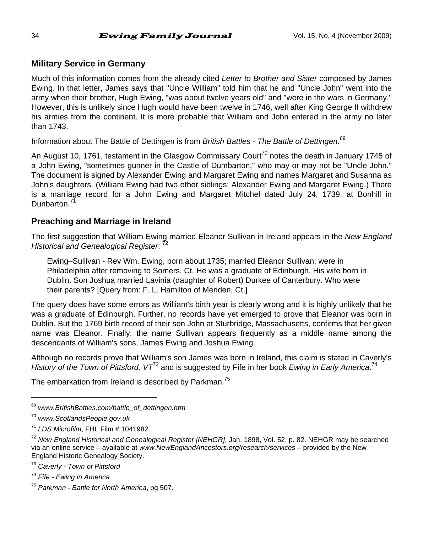### **Military Service in Germany**

Much of this information comes from the already cited *Letter to Brother and Sister* composed by James Ewing. In that letter, James says that "Uncle William" told him that he and "Uncle John" went into the army when their brother, Hugh Ewing, "was about twelve years old" and "were in the wars in Germany." However, this is unlikely since Hugh would have been twelve in 1746, well after King George II withdrew his armies from the continent. It is more probable that William and John entered in the army no later than 1743.

Information about The Battle of Dettingen is from *British Battles - The Battle of Dettingen*. 69

An August 10, 1761, testament in the Glasgow Commissary Court<sup>70</sup> notes the death in January 1745 of a John Ewing, "sometimes gunner in the Castle of Dumbarton," who may or may not be "Uncle John." The document is signed by Alexander Ewing and Margaret Ewing and names Margaret and Susanna as John's daughters. (William Ewing had two other siblings: Alexander Ewing and Margaret Ewing.) There is a marriage record for a John Ewing and Margaret Mitchel dated July 24, 1739, at Bonhill in Dunharton<sup>7</sup>

### **Preaching and Marriage in Ireland**

The first suggestion that William Ewing married Eleanor Sullivan in Ireland appears in the *New England Historical and Genealogical Register*: 72

Ewing–Sullivan - Rev Wm. Ewing, born about 1735; married Eleanor Sullivan; were in Philadelphia after removing to Somers, Ct. He was a graduate of Edinburgh. His wife born in Dublin. Son Joshua married Lavinia (daughter of Robert) Durkee of Canterbury. Who were their parents? [Query from: F. L. Hamilton of Meriden, Ct.]

The query does have some errors as William's birth year is clearly wrong and it is highly unlikely that he was a graduate of Edinburgh. Further, no records have yet emerged to prove that Eleanor was born in Dublin. But the 1769 birth record of their son John at Sturbridge, Massachusetts, confirms that her given name was Eleanor. Finally, the name Sullivan appears frequently as a middle name among the descendants of William's sons, James Ewing and Joshua Ewing.

Although no records prove that William's son James was born in Ireland, this claim is stated in Caverly's History of the Town of Pittsford, VT<sup>73</sup> and is suggested by Fife in her book Ewing in Early America.<sup>74</sup>

The embarkation from Ireland is described by Parkman.<sup>75</sup>

<sup>69</sup> *www.BritishBattles.com/battle\_of\_dettingen.htm*

<sup>70</sup> *www.ScotlandsPeople.gov.uk*

<sup>71</sup> *LDS Microfilm*, FHL Film # 1041982.

<sup>72</sup> *New England Historical and Genealogical Register [NEHGR]*, Jan. 1898, Vol. 52, p. 82. NEHGR may be searched via an online service – available at *www.NewEnglandAncestors.org/research/services* – provided by the New England Historic Genealogy Society.

<sup>73</sup> *Caverly - Town of Pittsford*

<sup>74</sup> *Fife - Ewing in America*

<sup>75</sup> *Parkman - Battle for North America*, pg 507.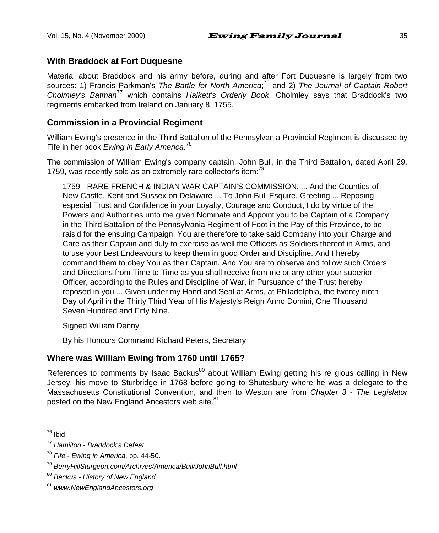#### **With Braddock at Fort Duquesne**

Material about Braddock and his army before, during and after Fort Duquesne is largely from two sources: 1) Francis Parkman's *The Battle for North America*; 76 and 2) *The Journal of Captain Robert Cholmley's Batman*77 which contains *Halkett's Orderly Book*. Cholmley says that Braddock's two regiments embarked from Ireland on January 8, 1755.

#### **Commission in a Provincial Regiment**

William Ewing's presence in the Third Battalion of the Pennsylvania Provincial Regiment is discussed by Fife in her book *Ewing in Early America*. 78

The commission of William Ewing's company captain, John Bull, in the Third Battalion, dated April 29, 1759, was recently sold as an extremely rare collector's item:<sup>79</sup>

1759 - RARE FRENCH & INDIAN WAR CAPTAIN'S COMMISSION. ... And the Counties of New Castle, Kent and Sussex on Delaware ... To John Bull Esquire, Greeting ... Reposing especial Trust and Confidence in your Loyalty, Courage and Conduct, I do by virtue of the Powers and Authorities unto me given Nominate and Appoint you to be Captain of a Company in the Third Battalion of the Pennsylvania Regiment of Foot in the Pay of this Province, to be rais'd for the ensuing Campaign. You are therefore to take said Company into your Charge and Care as their Captain and duly to exercise as well the Officers as Soldiers thereof in Arms, and to use your best Endeavours to keep them in good Order and Discipline. And I hereby command them to obey You as their Captain. And You are to observe and follow such Orders and Directions from Time to Time as you shall receive from me or any other your superior Officer, according to the Rules and Discipline of War, in Pursuance of the Trust hereby reposed in you ... Given under my Hand and Seal at Arms, at Philadelphia, the twenty ninth Day of April in the Thirty Third Year of His Majesty's Reign Anno Domini, One Thousand Seven Hundred and Fifty Nine.

Signed William Denny

By his Honours Command Richard Peters, Secretary

#### **Where was William Ewing from 1760 until 1765?**

References to comments by Isaac Backus<sup>80</sup> about William Ewing getting his religious calling in New Jersey, his move to Sturbridge in 1768 before going to Shutesbury where he was a delegate to the Massachusetts Constitutional Convention, and then to Weston are from *Chapter 3 - The Legislator* posted on the New England Ancestors web site.<sup>81</sup>

<sup>76</sup> Ibid

<sup>77</sup> *Hamilton - Braddock's Defeat*

<sup>78</sup> *Fife - Ewing in America*, pp. 44-50.

<sup>79</sup> *BerryHillSturgeon.com/Archives/America/Bull/JohnBull.html*

<sup>80</sup> *Backus - History of New England*

<sup>81</sup> *www.NewEnglandAncestors.org*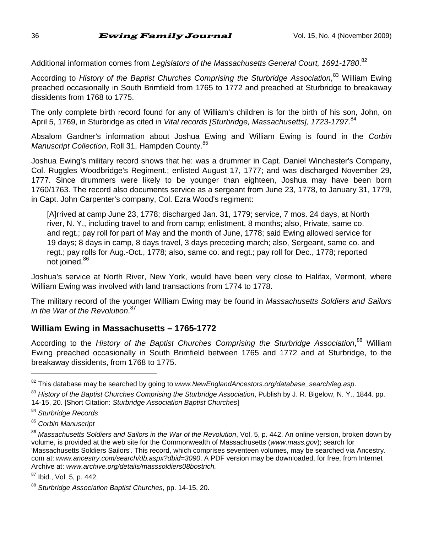#### 36 **Ewing Family Journal**  $\vee$  Vol. 15, No. 4 (November 2009)

Additional information comes from *Legislators of the Massachusetts General Court, 1691-1780*. 82

According to *History of the Baptist Churches Comprising the Sturbridge Association*, 83 William Ewing preached occasionally in South Brimfield from 1765 to 1772 and preached at Sturbridge to breakaway dissidents from 1768 to 1775.

The only complete birth record found for any of William's children is for the birth of his son, John, on April 5, 1769, in Sturbridge as cited in *Vital records [Sturbridge, Massachusetts], 1723-1797*. 84

Absalom Gardner's information about Joshua Ewing and William Ewing is found in the *Corbin Manuscript Collection*, Roll 31, Hampden County.<sup>85</sup>

Joshua Ewing's military record shows that he: was a drummer in Capt. Daniel Winchester's Company, Col. Ruggles Woodbridge's Regiment.; enlisted August 17, 1777; and was discharged November 29, 1777. Since drummers were likely to be younger than eighteen, Joshua may have been born 1760/1763. The record also documents service as a sergeant from June 23, 1778, to January 31, 1779, in Capt. John Carpenter's company, Col. Ezra Wood's regiment:

[A]rrived at camp June 23, 1778; discharged Jan. 31, 1779; service, 7 mos. 24 days, at North river, N. Y., including travel to and from camp; enlistment, 8 months; also, Private, same co. and regt.; pay roll for part of May and the month of June, 1778; said Ewing allowed service for 19 days; 8 days in camp, 8 days travel, 3 days preceding march; also, Sergeant, same co. and regt.; pay rolls for Aug.-Oct., 1778; also, same co. and regt.; pay roll for Dec., 1778; reported not joined.<sup>86</sup>

Joshua's service at North River, New York, would have been very close to Halifax, Vermont, where William Ewing was involved with land transactions from 1774 to 1778.

The military record of the younger William Ewing may be found in *Massachusetts Soldiers and Sailors in the War of the Revolution*. 87

#### **William Ewing in Massachusetts – 1765-1772**

According to the *History of the Baptist Churches Comprising the Sturbridge Association*, 88 William Ewing preached occasionally in South Brimfield between 1765 and 1772 and at Sturbridge, to the breakaway dissidents, from 1768 to 1775.

l

 $87$  Ibid., Vol. 5, p. 442.

<sup>82</sup> This database may be searched by going to *www.NewEnglandAncestors.org/database\_search/leg.asp*.

<sup>83</sup> *History of the Baptist Churches Comprising the Sturbridge Association*, Publish by J. R. Bigelow, N. Y., 1844. pp. 14-15, 20. [Short Citation: *Sturbridge Association Baptist Churches*]

<sup>84</sup> *Sturbridge Records*

<sup>85</sup> *Corbin Manuscript*

<sup>86</sup> Massachusetts Soldiers and Sailors in the War of the Revolution, Vol. 5, p. 442. An online version, broken down by volume, is provided at the web site for the Commonwealth of Massachusetts (*www.mass.gov*); search for 'Massachusetts Soldiers Sailors'. This record, which comprises seventeen volumes, may be searched via Ancestry. com at: *www.ancestry.com/search/db.aspx?dbid=3090*. A PDF version may be downloaded, for free, from Internet Archive at: *www.archive.org/details/masssoldiers08bostrich.*

<sup>88</sup> *Sturbridge Association Baptist Churches*, pp. 14-15, 20.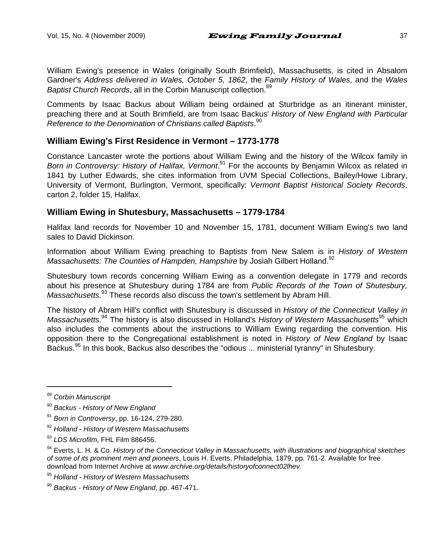William Ewing's presence in Wales (originally South Brimfield), Massachusetts, is cited in Absalom Gardner's *Address delivered in Wales, October 5, 1862*, the *Family History of Wales*, and the *Wales Baptist Church Records*, all in the Corbin Manuscript collection.<sup>89</sup>

Comments by Isaac Backus about William being ordained at Sturbridge as an itinerant minister, preaching there and at South Brimfield, are from Isaac Backus' *History of New England with Particular Reference to the Denomination of Christians called Baptists*. 90

#### **William Ewing's First Residence in Vermont – 1773-1778**

Constance Lancaster wrote the portions about William Ewing and the history of the Wilcox family in Born in Controversy: History of Halifax, Vermont.<sup>91</sup> For the accounts by Benjamin Wilcox as related in 1841 by Luther Edwards, she cites information from UVM Special Collections, Bailey/Howe Library, University of Vermont, Burlington, Vermont, specifically: *Vermont Baptist Historical Society Records*, carton 2, folder 15, Halifax.

### **William Ewing in Shutesbury, Massachusetts – 1779-1784**

Halifax land records for November 10 and November 15, 1781, document William Ewing's two land sales to David Dickinson.

Information about William Ewing preaching to Baptists from New Salem is in *History of Western Massachusetts: The Counties of Hampden, Hampshire* by Josiah Gilbert Holland.<sup>92</sup>

Shutesbury town records concerning William Ewing as a convention delegate in 1779 and records about his presence at Shutesbury during 1784 are from *Public Records of the Town of Shutesbury, Massachusetts*. 93 These records also discuss the town's settlement by Abram Hill.

The history of Abram Hill's conflict with Shutesbury is discussed in *History of the Connecticut Valley in*  Massachusetts.<sup>94</sup> The history is also discussed in Holland's History of Western Massachusetts<sup>95</sup> which also includes the comments about the instructions to William Ewing regarding the convention. His opposition there to the Congregational establishment is noted in *History of New England* by Isaac Backus.<sup>96</sup> In this book, Backus also describes the "odious ... ministerial tyranny" in Shutesbury.

<sup>89</sup> *Corbin Manuscript*

<sup>90</sup> *Backus - History of New England*

<sup>91</sup> *Born in Controversy*, pp. 16-124, 279-280.

<sup>92</sup> *Holland - History of Western Massachusetts*

<sup>93</sup> *LDS Microfilm*, FHL Film 886456.

<sup>94</sup> Everts, L. H. & Co. *History of the Connecticut Valley in Massachusetts, with illustrations and biographical sketches of some of its prominent men and pioneers*, Louis H. Everts, Philadelphia, 1879, pp. 761-2. Available for free download from Internet Archive at *www.archive.org/details/historyofconnect02lhev*.

<sup>95</sup> *Holland - History of Western Massachusetts*

<sup>96</sup> *Backus - History of New England*, pp. 467-471.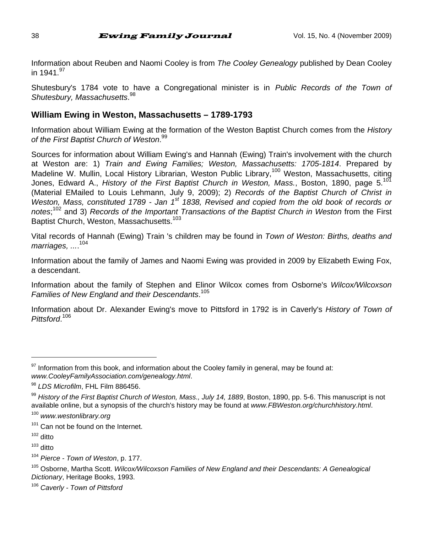Information about Reuben and Naomi Cooley is from *The Cooley Genealogy* published by Dean Cooley in 1941 $^{97}$ 

Shutesbury's 1784 vote to have a Congregational minister is in *Public Records of the Town of Shutesbury, Massachusetts*. 98

#### **William Ewing in Weston, Massachusetts – 1789-1793**

Information about William Ewing at the formation of the Weston Baptist Church comes from the *History of the First Baptist Church of Weston*. 99

Sources for information about William Ewing's and Hannah (Ewing) Train's involvement with the church at Weston are: 1) *Train and Ewing Families; Weston, Massachusetts: 1705-1814*. Prepared by Madeline W. Mullin, Local History Librarian, Weston Public Library,<sup>100</sup> Weston, Massachusetts, citing Jones, Edward A., *History of the First Baptist Church in Weston, Mass.*, Boston, 1890, page 5.<sup>101</sup> (Material EMailed to Louis Lehmann, July 9, 2009); 2) *Records of the Baptist Church of Christ in Weston, Mass, constituted 1789 - Jan 1st 1838, Revised and copied from the old book of records or notes*; 102 and 3) *Records of the Important Transactions of the Baptist Church in Weston* from the First Baptist Church, Weston, Massachusetts.<sup>103</sup>

Vital records of Hannah (Ewing) Train 's children may be found in *Town of Weston: Births, deaths and marriages, ...*. 104

Information about the family of James and Naomi Ewing was provided in 2009 by Elizabeth Ewing Fox, a descendant.

Information about the family of Stephen and Elinor Wilcox comes from Osborne's *Wilcox/Wilcoxson Families of New England and their Descendants*. 105

Information about Dr. Alexander Ewing's move to Pittsford in 1792 is in Caverly's *History of Town of Pittsford*. 106

<sup>&</sup>lt;sup>97</sup> Information from this book, and information about the Cooley family in general, may be found at: *www.CooleyFamilyAssociation.com/genealogy.html*.

<sup>98</sup> *LDS Microfilm*, FHL Film 886456.

<sup>99</sup> *History of the First Baptist Church of Weston, Mass., July 14, 1889*, Boston, 1890, pp. 5-6. This manuscript is not available online, but a synopsis of the church's history may be found at *www.FBWeston.org/churchhistory.html*.

<sup>100</sup> *www.westonlibrary.org*

<sup>&</sup>lt;sup>101</sup> Can not be found on the Internet.

 $102$  ditto

 $103$  ditto

<sup>104</sup> *Pierce - Town of Weston*, p. 177.

<sup>105</sup> Osborne, Martha Scott. *Wilcox/Wilcoxson Families of New England and their Descendants: A Genealogical Dictionary*, Heritage Books, 1993.

<sup>106</sup> *Caverly - Town of Pittsford*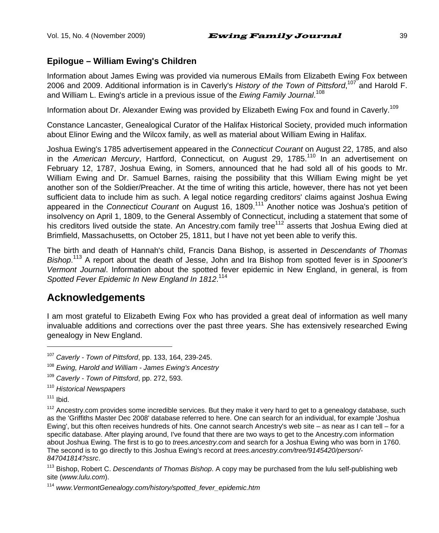### **Epilogue – William Ewing's Children**

Information about James Ewing was provided via numerous EMails from Elizabeth Ewing Fox between 2006 and 2009. Additional information is in Caverly's *History of the Town of Pittsford*, 107 and Harold F. and William L. Ewing's article in a previous issue of the *Ewing Family Journal*. 108

Information about Dr. Alexander Ewing was provided by Elizabeth Ewing Fox and found in Caverly.<sup>109</sup>

Constance Lancaster, Genealogical Curator of the Halifax Historical Society, provided much information about Elinor Ewing and the Wilcox family, as well as material about William Ewing in Halifax.

Joshua Ewing's 1785 advertisement appeared in the *Connecticut Courant* on August 22, 1785, and also in the *American Mercury*, Hartford, Connecticut, on August 29, 1785.<sup>110</sup> In an advertisement on February 12, 1787, Joshua Ewing, in Somers, announced that he had sold all of his goods to Mr. William Ewing and Dr. Samuel Barnes, raising the possibility that this William Ewing might be yet another son of the Soldier/Preacher. At the time of writing this article, however, there has not yet been sufficient data to include him as such. A legal notice regarding creditors' claims against Joshua Ewing appeared in the *Connecticut Courant* on August 16, 1809.111 Another notice was Joshua's petition of insolvency on April 1, 1809, to the General Assembly of Connecticut, including a statement that some of his creditors lived outside the state. An Ancestry.com family tree<sup>112</sup> asserts that Joshua Ewing died at Brimfield, Massachusetts, on October 25, 1811, but I have not yet been able to verify this.

The birth and death of Hannah's child, Francis Dana Bishop, is asserted in *Descendants of Thomas Bishop*. 113 A report about the death of Jesse, John and Ira Bishop from spotted fever is in *Spooner's Vermont Journal*. Information about the spotted fever epidemic in New England, in general, is from *Spotted Fever Epidemic In New England In 1812*. 114

### **Acknowledgements**

I am most grateful to Elizabeth Ewing Fox who has provided a great deal of information as well many invaluable additions and corrections over the past three years. She has extensively researched Ewing genealogy in New England.

<sup>107</sup> *Caverly - Town of Pittsford*, pp. 133, 164, 239-245.

<sup>108</sup> *Ewing, Harold and William - James Ewing's Ancestry*

<sup>109</sup> *Caverly - Town of Pittsford*, pp. 272, 593.

<sup>110</sup> *Historical Newspapers*

 $111$  Ibid.

 $112$  Ancestry.com provides some incredible services. But they make it very hard to get to a genealogy database, such as the 'Griffiths Master Dec 2008' database referred to here. One can search for an individual, for example 'Joshua Ewing', but this often receives hundreds of hits. One cannot search Ancestry's web site – as near as I can tell – for a specific database. After playing around, I've found that there are two ways to get to the Ancestry.com information about Joshua Ewing. The first is to go to *trees.ancestry.com* and search for a Joshua Ewing who was born in 1760. The second is to go directly to this Joshua Ewing's record at *trees.ancestry.com/tree/9145420/person/- 847041814?ssrc*.

<sup>113</sup> Bishop, Robert C. *Descendants of Thomas Bishop*. A copy may be purchased from the lulu self-publishing web site (*www.lulu.com*).

<sup>114</sup> *www.VermontGenealogy.com/history/spotted\_fever\_epidemic.htm*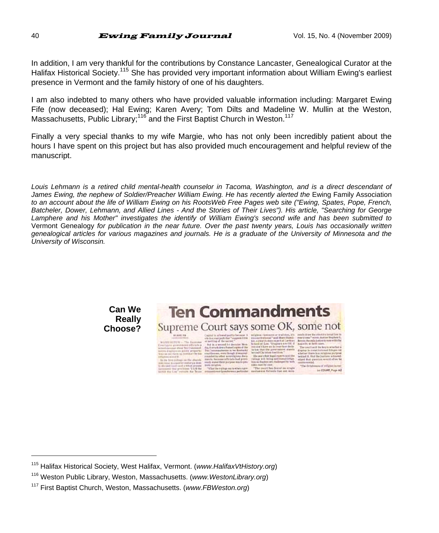In addition, I am very thankful for the contributions by Constance Lancaster, Genealogical Curator at the Halifax Historical Society.<sup>115</sup> She has provided very important information about William Ewing's earliest presence in Vermont and the family history of one of his daughters.

I am also indebted to many others who have provided valuable information including: Margaret Ewing Fife (now deceased); Hal Ewing; Karen Avery; Tom Dilts and Madeline W. Mullin at the Weston, Massachusetts, Public Library;<sup>116</sup> and the First Baptist Church in Weston.<sup>117</sup>

Finally a very special thanks to my wife Margie, who has not only been incredibly patient about the hours I have spent on this project but has also provided much encouragement and helpful review of the manuscript.

Louis Lehmann is a retired child mental-health counselor in Tacoma, Washington, and is a direct descendant of James Ewing, the nephew of Soldier/Preacher William Ewing. He has recently alerted the Ewing Family Association *to an account about the life of William Ewing on his RootsWeb Free Pages web site ("Ewing, Spates, Pope, French, Batcheler, Dower, Lehmann, and Allied Lines - And the Stories of Their Lives"). His article, "Searching for George Lamphere and his Mother" investigates the identify of William Ewing's second wife and has been submitted to*  Vermont Genealogy *for publication in the near future. Over the past twenty years, Louis has occasionally written genealogical articles for various magazines and journals. He is a graduate of the University of Minnesota and the University of Wisconsin.* 

> **Can We Really Choose?**



**STREW-The Re** 

He selected was leading to sel the children will be selected to the children of the selected of the selected of the selected of the selected of the selected of the selected of the selected of the selected of the selected o

contract the ratio of the state of the contract of the contract of the state of the state of the state of the state of the state of the state of the state of the state of the state of the state of the state of the state of

ing CERARE, Page A.

<sup>115</sup> Halifax Historical Society, West Halifax, Vermont. (*www.HalifaxVtHistory.org*)

<sup>116</sup> Weston Public Library, Weston, Massachusetts. (*www.WestonLibrary.org*)

<sup>117</sup> First Baptist Church, Weston, Massachusetts. (*www.FBWeston.org*)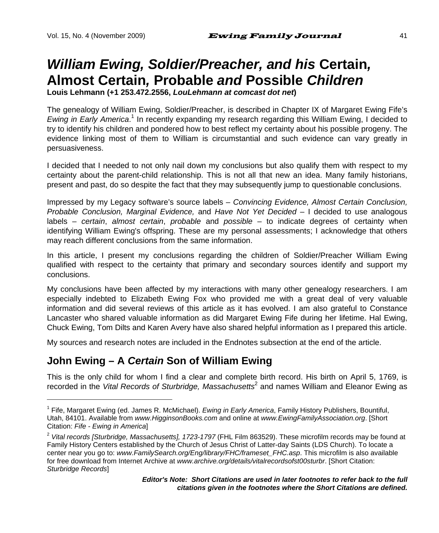# *William Ewing, Soldier/Preacher, and his* **Certain***,*  **Almost Certain***,* **Probable** *and* **Possible** *Children*

**Louis Lehmann (+1 253.472.2556,** *LouLehmann at comcast dot net***)** 

The genealogy of William Ewing, Soldier/Preacher, is described in Chapter IX of Margaret Ewing Fife's Ewing in Early America.<sup>1</sup> In recently expanding my research regarding this William Ewing, I decided to try to identify his children and pondered how to best reflect my certainty about his possible progeny. The evidence linking most of them to William is circumstantial and such evidence can vary greatly in persuasiveness.

I decided that I needed to not only nail down my conclusions but also qualify them with respect to my certainty about the parent-child relationship. This is not all that new an idea. Many family historians, present and past, do so despite the fact that they may subsequently jump to questionable conclusions.

Impressed by my Legacy software's source labels – *Convincing Evidence, Almost Certain Conclusion, Probable Conclusion, Marginal Evidence,* and *Have Not Yet Decided* – I decided to use analogous labels – *certain*, *almost certain*, *probable* and *possible* – to indicate degrees of certainty when identifying William Ewing's offspring. These are my personal assessments; I acknowledge that others may reach different conclusions from the same information.

In this article, I present my conclusions regarding the children of Soldier/Preacher William Ewing qualified with respect to the certainty that primary and secondary sources identify and support my conclusions.

My conclusions have been affected by my interactions with many other genealogy researchers. I am especially indebted to Elizabeth Ewing Fox who provided me with a great deal of very valuable information and did several reviews of this article as it has evolved. I am also grateful to Constance Lancaster who shared valuable information as did Margaret Ewing Fife during her lifetime. Hal Ewing, Chuck Ewing, Tom Dilts and Karen Avery have also shared helpful information as I prepared this article.

My sources and research notes are included in the Endnotes subsection at the end of the article.

### **John Ewing – A** *Certain* **Son of William Ewing**

l

This is the only child for whom I find a clear and complete birth record. His birth on April 5, 1769, is recorded in the Vital Records of Sturbridge, Massachusetts<sup>2</sup> and names William and Eleanor Ewing as

<sup>1</sup> Fife, Margaret Ewing (ed. James R. McMichael). *Ewing in Early America*, Family History Publishers, Bountiful, Utah, 84101. Available from *www.HigginsonBooks.com* and online at *www.EwingFamilyAssociation.org*. [Short Citation: *Fife - Ewing in America*]

<sup>2</sup> *Vital records [Sturbridge, Massachusetts], 1723-1797* (FHL Film 863529). These microfilm records may be found at Family History Centers established by the Church of Jesus Christ of Latter-day Saints (LDS Church). To locate a center near you go to: *www.FamilySearch.org/Eng/library/FHC/frameset\_FHC.asp*. This microfilm is also available for free download from Internet Archive at *www.archive.org/details/vitalrecordsofst00sturbr*. [Short Citation: *Sturbridge Records*]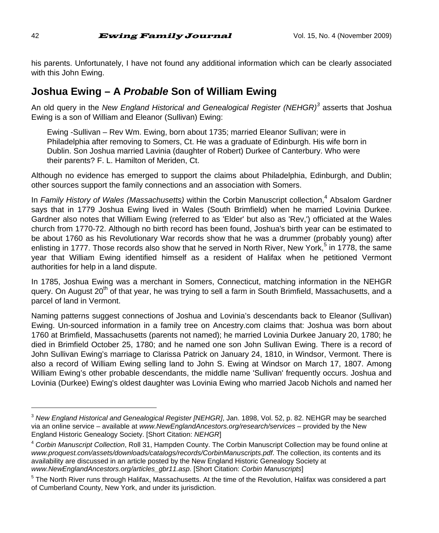his parents. Unfortunately, I have not found any additional information which can be clearly associated with this John Ewing.

## **Joshua Ewing – A** *Probable* **Son of William Ewing**

An old query in the *N*e*w England Historical and Genealogical Register (NEHGR)<sup>3</sup>* asserts that Joshua Ewing is a son of William and Eleanor (Sullivan) Ewing:

Ewing -Sullivan – Rev Wm. Ewing, born about 1735; married Eleanor Sullivan; were in Philadelphia after removing to Somers, Ct. He was a graduate of Edinburgh. His wife born in Dublin. Son Joshua married Lavinia (daughter of Robert) Durkee of Canterbury. Who were their parents? F. L. Hamilton of Meriden, Ct.

Although no evidence has emerged to support the claims about Philadelphia, Edinburgh, and Dublin; other sources support the family connections and an association with Somers.

In *Family History of Wales (Massachusetts)* within the Corbin Manuscript collection,<sup>4</sup> Absalom Gardner says that in 1779 Joshua Ewing lived in Wales (South Brimfield) when he married Lovinia Durkee. Gardner also notes that William Ewing (referred to as 'Elder' but also as 'Rev,') officiated at the Wales church from 1770-72. Although no birth record has been found, Joshua's birth year can be estimated to be about 1760 as his Revolutionary War records show that he was a drummer (probably young) after enlisting in 1777. Those records also show that he served in North River, New York,<sup>5</sup> in 1778, the same year that William Ewing identified himself as a resident of Halifax when he petitioned Vermont authorities for help in a land dispute.

In 1785, Joshua Ewing was a merchant in Somers, Connecticut, matching information in the NEHGR query. On August 20<sup>th</sup> of that year, he was trying to sell a farm in South Brimfield, Massachusetts, and a parcel of land in Vermont.

Naming patterns suggest connections of Joshua and Lovinia's descendants back to Eleanor (Sullivan) Ewing. Un-sourced information in a family tree on Ancestry.com claims that: Joshua was born about 1760 at Brimfield, Massachusetts (parents not named); he married Lovinia Durkee January 20, 1780; he died in Brimfield October 25, 1780; and he named one son John Sullivan Ewing. There is a record of John Sullivan Ewing's marriage to Clarissa Patrick on January 24, 1810, in Windsor, Vermont. There is also a record of William Ewing selling land to John S. Ewing at Windsor on March 17, 1807. Among William Ewing's other probable descendants, the middle name 'Sullivan' frequently occurs. Joshua and Lovinia (Durkee) Ewing's oldest daughter was Lovinia Ewing who married Jacob Nichols and named her

<sup>3</sup> *New England Historical and Genealogical Register [NEHGR]*, Jan. 1898, Vol. 52, p. 82. NEHGR may be searched via an online service – available at *www.NewEnglandAncestors.org/research/services* – provided by the New England Historic Genealogy Society. [Short Citation: *NEHGR*]

<sup>4</sup> *Corbin Manuscript Collection*, Roll 31, Hampden County. The Corbin Manuscript Collection may be found online at *www.proquest.com/assets/downloads/catalogs/records/CorbinManuscripts.pdf*. The collection, its contents and its availability are discussed in an article posted by the New England Historic Genealogy Society at *www.NewEnglandAncestors.org/articles\_gbr11.asp*. [Short Citation: *Corbin Manuscripts*]

 $^5$  The North River runs through Halifax, Massachusetts. At the time of the Revolution, Halifax was considered a part of Cumberland County, New York, and under its jurisdiction.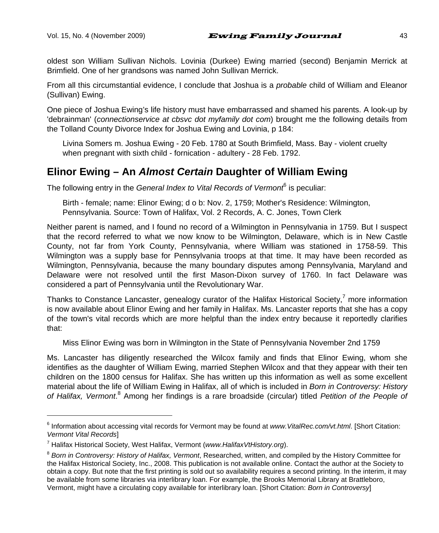l

oldest son William Sullivan Nichols. Lovinia (Durkee) Ewing married (second) Benjamin Merrick at Brimfield. One of her grandsons was named John Sullivan Merrick.

From all this circumstantial evidence, I conclude that Joshua is a *probable* child of William and Eleanor (Sullivan) Ewing.

One piece of Joshua Ewing's life history must have embarrassed and shamed his parents. A look-up by 'debrainman' (*connectionservice at cbsvc dot myfamily dot com*) brought me the following details from the Tolland County Divorce Index for Joshua Ewing and Lovinia, p 184:

Livina Somers m. Joshua Ewing - 20 Feb. 1780 at South Brimfield, Mass. Bay - violent cruelty when pregnant with sixth child - fornication - adultery - 28 Feb. 1792.

### **Elinor Ewing – An** *Almost Certain* **Daughter of William Ewing**

The following entry in the *General Index to Vital Records of Vermont*<sup>6</sup> is peculiar:

Birth - female; name: Elinor Ewing; d o b: Nov. 2, 1759; Mother's Residence: Wilmington, Pennsylvania. Source: Town of Halifax, Vol. 2 Records, A. C. Jones, Town Clerk

Neither parent is named, and I found no record of a Wilmington in Pennsylvania in 1759. But I suspect that the record referred to what we now know to be Wilmington, Delaware, which is in New Castle County, not far from York County, Pennsylvania, where William was stationed in 1758-59. This Wilmington was a supply base for Pennsylvania troops at that time. It may have been recorded as Wilmington, Pennsylvania, because the many boundary disputes among Pennsylvania, Maryland and Delaware were not resolved until the first Mason-Dixon survey of 1760. In fact Delaware was considered a part of Pennsylvania until the Revolutionary War.

Thanks to Constance Lancaster, genealogy curator of the Halifax Historical Society,<sup>7</sup> more information is now available about Elinor Ewing and her family in Halifax. Ms. Lancaster reports that she has a copy of the town's vital records which are more helpful than the index entry because it reportedly clarifies that:

Miss Elinor Ewing was born in Wilmington in the State of Pennsylvania November 2nd 1759

Ms. Lancaster has diligently researched the Wilcox family and finds that Elinor Ewing, whom she identifies as the daughter of William Ewing, married Stephen Wilcox and that they appear with their ten children on the 1800 census for Halifax. She has written up this information as well as some excellent material about the life of William Ewing in Halifax, all of which is included in *Born in Controversy: History*  of Halifax, Vermont.<sup>8</sup> Among her findings is a rare broadside (circular) titled Petition of the People of

<sup>6</sup> Information about accessing vital records for Vermont may be found at *www.VitalRec.com/vt.html*. [Short Citation: *Vermont Vital Records*]

<sup>7</sup> Halifax Historical Society, West Halifax, Vermont (*www.HalifaxVtHistory.org*).

<sup>8</sup> *Born in Controversy: History of Halifax, Vermont*, Researched, written, and compiled by the History Committee for the Halifax Historical Society, Inc., 2008. This publication is not available online. Contact the author at the Society to obtain a copy. But note that the first printing is sold out so availability requires a second printing. In the interim, it may be available from some libraries via interlibrary loan. For example, the Brooks Memorial Library at Brattleboro, Vermont, might have a circulating copy available for interlibrary loan. [Short Citation: *Born in Controversy*]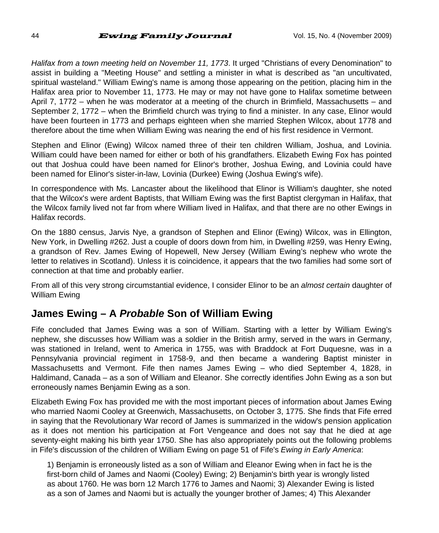*Halifax from a town meeting held on November 11, 1773*. It urged "Christians of every Denomination" to assist in building a "Meeting House" and settling a minister in what is described as "an uncultivated, spiritual wasteland." William Ewing's name is among those appearing on the petition, placing him in the Halifax area prior to November 11, 1773. He may or may not have gone to Halifax sometime between April 7, 1772 – when he was moderator at a meeting of the church in Brimfield, Massachusetts – and September 2, 1772 – when the Brimfield church was trying to find a minister. In any case, Elinor would have been fourteen in 1773 and perhaps eighteen when she married Stephen Wilcox, about 1778 and therefore about the time when William Ewing was nearing the end of his first residence in Vermont.

Stephen and Elinor (Ewing) Wilcox named three of their ten children William, Joshua, and Lovinia. William could have been named for either or both of his grandfathers. Elizabeth Ewing Fox has pointed out that Joshua could have been named for Elinor's brother, Joshua Ewing, and Lovinia could have been named for Elinor's sister-in-law, Lovinia (Durkee) Ewing (Joshua Ewing's wife).

In correspondence with Ms. Lancaster about the likelihood that Elinor is William's daughter, she noted that the Wilcox's were ardent Baptists, that William Ewing was the first Baptist clergyman in Halifax, that the Wilcox family lived not far from where William lived in Halifax, and that there are no other Ewings in Halifax records.

On the 1880 census, Jarvis Nye, a grandson of Stephen and Elinor (Ewing) Wilcox, was in Ellington, New York, in Dwelling #262. Just a couple of doors down from him, in Dwelling #259, was Henry Ewing, a grandson of Rev. James Ewing of Hopewell, New Jersey (William Ewing's nephew who wrote the letter to relatives in Scotland). Unless it is coincidence, it appears that the two families had some sort of connection at that time and probably earlier.

From all of this very strong circumstantial evidence, I consider Elinor to be an *almost certain* daughter of William Ewing

### **James Ewing – A** *Probable* **Son of William Ewing**

Fife concluded that James Ewing was a son of William. Starting with a letter by William Ewing's nephew, she discusses how William was a soldier in the British army, served in the wars in Germany, was stationed in Ireland, went to America in 1755, was with Braddock at Fort Duquesne, was in a Pennsylvania provincial regiment in 1758-9, and then became a wandering Baptist minister in Massachusetts and Vermont. Fife then names James Ewing – who died September 4, 1828, in Haldimand, Canada – as a son of William and Eleanor. She correctly identifies John Ewing as a son but erroneously names Benjamin Ewing as a son.

Elizabeth Ewing Fox has provided me with the most important pieces of information about James Ewing who married Naomi Cooley at Greenwich, Massachusetts, on October 3, 1775. She finds that Fife erred in saying that the Revolutionary War record of James is summarized in the widow's pension application as it does not mention his participation at Fort Vengeance and does not say that he died at age seventy-eight making his birth year 1750. She has also appropriately points out the following problems in Fife's discussion of the children of William Ewing on page 51 of Fife's *Ewing in Early America*:

1) Benjamin is erroneously listed as a son of William and Eleanor Ewing when in fact he is the first-born child of James and Naomi (Cooley) Ewing; 2) Benjamin's birth year is wrongly listed as about 1760. He was born 12 March 1776 to James and Naomi; 3) Alexander Ewing is listed as a son of James and Naomi but is actually the younger brother of James; 4) This Alexander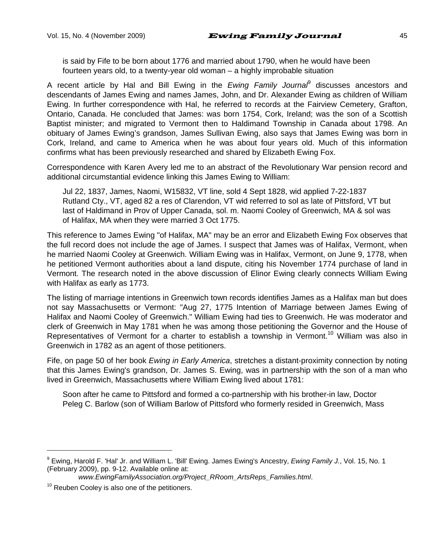is said by Fife to be born about 1776 and married about 1790, when he would have been fourteen years old, to a twenty-year old woman – a highly improbable situation

A recent article by Hal and Bill Ewing in the *Ewing Family Journal*<sup>9</sup> discusses ancestors and descendants of James Ewing and names James, John, and Dr. Alexander Ewing as children of William Ewing. In further correspondence with Hal, he referred to records at the Fairview Cemetery, Grafton, Ontario, Canada. He concluded that James: was born 1754, Cork, Ireland; was the son of a Scottish Baptist minister; and migrated to Vermont then to Haldimand Township in Canada about 1798. An obituary of James Ewing's grandson, James Sullivan Ewing, also says that James Ewing was born in Cork, Ireland, and came to America when he was about four years old. Much of this information confirms what has been previously researched and shared by Elizabeth Ewing Fox.

Correspondence with Karen Avery led me to an abstract of the Revolutionary War pension record and additional circumstantial evidence linking this James Ewing to William:

Jul 22, 1837, James, Naomi, W15832, VT line, sold 4 Sept 1828, wid applied 7-22-1837 Rutland Cty., VT, aged 82 a res of Clarendon, VT wid referred to sol as late of Pittsford, VT but last of Haldimand in Prov of Upper Canada, sol. m. Naomi Cooley of Greenwich, MA & sol was of Halifax, MA when they were married 3 Oct 1775.

This reference to James Ewing "of Halifax, MA" may be an error and Elizabeth Ewing Fox observes that the full record does not include the age of James. I suspect that James was of Halifax, Vermont, when he married Naomi Cooley at Greenwich. William Ewing was in Halifax, Vermont, on June 9, 1778, when he petitioned Vermont authorities about a land dispute, citing his November 1774 purchase of land in Vermont. The research noted in the above discussion of Elinor Ewing clearly connects William Ewing with Halifax as early as 1773.

The listing of marriage intentions in Greenwich town records identifies James as a Halifax man but does not say Massachusetts or Vermont: "Aug 27, 1775 Intention of Marriage between James Ewing of Halifax and Naomi Cooley of Greenwich." William Ewing had ties to Greenwich. He was moderator and clerk of Greenwich in May 1781 when he was among those petitioning the Governor and the House of Representatives of Vermont for a charter to establish a township in Vermont.10 William was also in Greenwich in 1782 as an agent of those petitioners.

Fife, on page 50 of her book *Ewing in Early America*, stretches a distant-proximity connection by noting that this James Ewing's grandson, Dr. James S. Ewing, was in partnership with the son of a man who lived in Greenwich, Massachusetts where William Ewing lived about 1781:

Soon after he came to Pittsford and formed a co-partnership with his brother-in law, Doctor Peleg C. Barlow (son of William Barlow of Pittsford who formerly resided in Greenwich, Mass

<sup>9</sup> Ewing, Harold F. 'Hal' Jr. and William L. 'Bill' Ewing. James Ewing's Ancestry, *Ewing Family J.*, Vol. 15, No. 1 (February 2009), pp. 9-12. Available online at:

*www.EwingFamilyAssociation.org/Project\_RRoom\_ArtsReps\_Families.html*.

 $10$  Reuben Cooley is also one of the petitioners.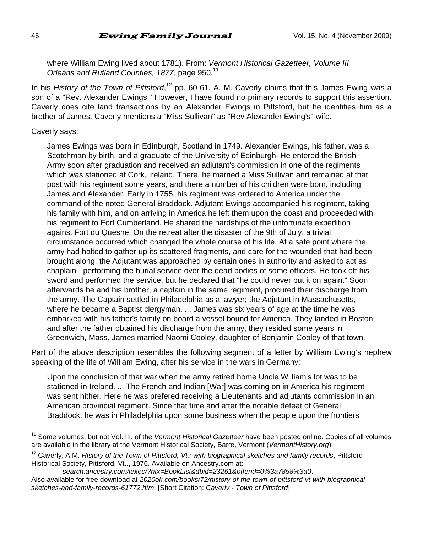where William Ewing lived about 1781). From: *Vermont Historical Gazetteer, Volume III Orleans and Rutland Counties, 1877*, page 950.<sup>11</sup>

In his History of the Town of Pittsford,<sup>12</sup> pp. 60-61, A. M. Caverly claims that this James Ewing was a son of a "Rev. Alexander Ewings." However, I have found no primary records to support this assertion. Caverly does cite land transactions by an Alexander Ewings in Pittsford, but he identifies him as a brother of James. Caverly mentions a "Miss Sullivan" as "Rev Alexander Ewing's" wife.

#### Caverly says:

l

James Ewings was born in Edinburgh, Scotland in 1749. Alexander Ewings, his father, was a Scotchman by birth, and a graduate of the University of Edinburgh. He entered the British Army soon after graduation and received an adjutant's commission in one of the regiments which was stationed at Cork, Ireland. There, he married a Miss Sullivan and remained at that post with his regiment some years, and there a number of his children were born, including James and Alexander. Early in 1755, his regiment was ordered to America under the command of the noted General Braddock. Adjutant Ewings accompanied his regiment, taking his family with him, and on arriving in America he left them upon the coast and proceeded with his regiment to Fort Cumberland. He shared the hardships of the unfortunate expedition against Fort du Quesne. On the retreat after the disaster of the 9th of July, a trivial circumstance occurred which changed the whole course of his life. At a safe point where the army had halted to gather up its scattered fragments, and care for the wounded that had been brought along, the Adjutant was approached by certain ones in authority and asked to act as chaplain - performing the burial service over the dead bodies of some officers. He took off his sword and performed the service, but he declared that "he could never put it on again." Soon afterwards he and his brother, a captain in the same regiment, procured their discharge from the army. The Captain settled in Philadelphia as a lawyer; the Adjutant in Massachusetts, where he became a Baptist clergyman. ... James was six years of age at the time he was embarked with his father's family on board a vessel bound for America. They landed in Boston, and after the father obtained his discharge from the army, they resided some years in Greenwich, Mass. James married Naomi Cooley, daughter of Benjamin Cooley of that town.

Part of the above description resembles the following segment of a letter by William Ewing's nephew speaking of the life of William Ewing, after his service in the wars in Germany:

Upon the conclusion of that war when the army retired home Uncle William's lot was to be stationed in Ireland. ... The French and Indian [War] was coming on in America his regiment was sent hither. Here he was prefered receiving a Lieutenants and adjutants commission in an American provincial regiment. Since that time and after the notable defeat of General Braddock, he was in Philadelphia upon some business when the people upon the frontiers

<sup>11</sup> Some volumes, but not Vol. III, of the *Vermont Historical Gazetteer* have been posted online. Copies of all volumes are available in the library at the Vermont Historical Society, Barre, Vermont (*VermontHistory.org*).

<sup>12</sup> Caverly, A.M. *History of the Town of Pittsford, Vt.: with biographical sketches and family records*, Pittsford Historical Society, Pittsford, Vt.., 1976. Available on Ancestry.com at:

*search.ancestry.com/iexec/?htx=BookList&dbid=23261&offerid=0%3a7858%3a0*. Also available for free download at *2020ok.com/books/72/history-of-the-town-of-pittsford-vt-with-biographicalsketches-and-family-records-61772.htm*. [Short Citation: *Caverly - Town of Pittsford*]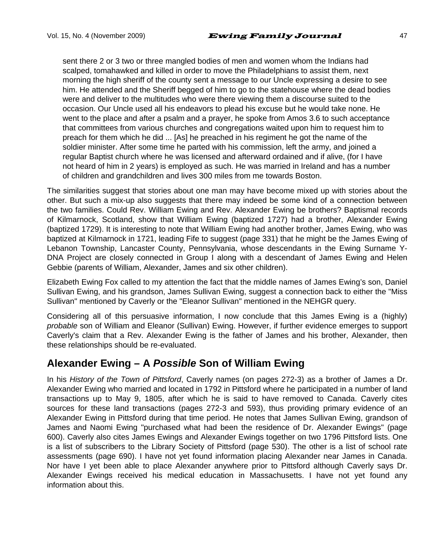sent there 2 or 3 two or three mangled bodies of men and women whom the Indians had scalped, tomahawked and killed in order to move the Philadelphians to assist them, next morning the high sheriff of the county sent a message to our Uncle expressing a desire to see him. He attended and the Sheriff begged of him to go to the statehouse where the dead bodies were and deliver to the multitudes who were there viewing them a discourse suited to the occasion. Our Uncle used all his endeavors to plead his excuse but he would take none. He went to the place and after a psalm and a prayer, he spoke from Amos 3.6 to such acceptance that committees from various churches and congregations waited upon him to request him to preach for them which he did ... [As] he preached in his regiment he got the name of the soldier minister. After some time he parted with his commission, left the army, and joined a regular Baptist church where he was licensed and afterward ordained and if alive, (for I have not heard of him in 2 years) is employed as such. He was married in Ireland and has a number of children and grandchildren and lives 300 miles from me towards Boston.

The similarities suggest that stories about one man may have become mixed up with stories about the other. But such a mix-up also suggests that there may indeed be some kind of a connection between the two families. Could Rev. William Ewing and Rev. Alexander Ewing be brothers? Baptismal records of Kilmarnock, Scotland, show that William Ewing (baptized 1727) had a brother, Alexander Ewing (baptized 1729). It is interesting to note that William Ewing had another brother, James Ewing, who was baptized at Kilmarnock in 1721, leading Fife to suggest (page 331) that he might be the James Ewing of Lebanon Township, Lancaster County, Pennsylvania, whose descendants in the Ewing Surname Y-DNA Project are closely connected in Group I along with a descendant of James Ewing and Helen Gebbie (parents of William, Alexander, James and six other children).

Elizabeth Ewing Fox called to my attention the fact that the middle names of James Ewing's son, Daniel Sullivan Ewing, and his grandson, James Sullivan Ewing, suggest a connection back to either the "Miss Sullivan" mentioned by Caverly or the "Eleanor Sullivan" mentioned in the NEHGR query.

Considering all of this persuasive information, I now conclude that this James Ewing is a (highly) *probable* son of William and Eleanor (Sullivan) Ewing. However, if further evidence emerges to support Caverly's claim that a Rev. Alexander Ewing is the father of James and his brother, Alexander, then these relationships should be re-evaluated.

### **Alexander Ewing – A** *Possible* **Son of William Ewing**

In his *History of the Town of Pittsford*, Caverly names (on pages 272-3) as a brother of James a Dr. Alexander Ewing who married and located in 1792 in Pittsford where he participated in a number of land transactions up to May 9, 1805, after which he is said to have removed to Canada. Caverly cites sources for these land transactions (pages 272-3 and 593), thus providing primary evidence of an Alexander Ewing in Pittsford during that time period. He notes that James Sullivan Ewing, grandson of James and Naomi Ewing "purchased what had been the residence of Dr. Alexander Ewings" (page 600). Caverly also cites James Ewings and Alexander Ewings together on two 1796 Pittsford lists. One is a list of subscribers to the Library Society of Pittsford (page 530). The other is a list of school rate assessments (page 690). I have not yet found information placing Alexander near James in Canada. Nor have I yet been able to place Alexander anywhere prior to Pittsford although Caverly says Dr. Alexander Ewings received his medical education in Massachusetts. I have not yet found any information about this.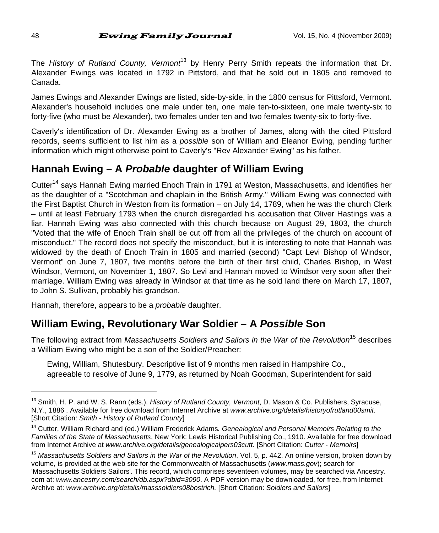The *History of Rutland County, Vermont*<sup>13</sup> by Henry Perry Smith repeats the information that Dr. Alexander Ewings was located in 1792 in Pittsford, and that he sold out in 1805 and removed to Canada.

James Ewings and Alexander Ewings are listed, side-by-side, in the 1800 census for Pittsford, Vermont. Alexander's household includes one male under ten, one male ten-to-sixteen, one male twenty-six to forty-five (who must be Alexander), two females under ten and two females twenty-six to forty-five.

Caverly's identification of Dr. Alexander Ewing as a brother of James, along with the cited Pittsford records, seems sufficient to list him as a *possible* son of William and Eleanor Ewing, pending further information which might otherwise point to Caverly's "Rev Alexander Ewing" as his father.

## **Hannah Ewing – A** *Probable* **daughter of William Ewing**

Cutter<sup>14</sup> says Hannah Ewing married Enoch Train in 1791 at Weston, Massachusetts, and identifies her as the daughter of a "Scotchman and chaplain in the British Army." William Ewing was connected with the First Baptist Church in Weston from its formation – on July 14, 1789, when he was the church Clerk – until at least February 1793 when the church disregarded his accusation that Oliver Hastings was a liar. Hannah Ewing was also connected with this church because on August 29, 1803, the church "Voted that the wife of Enoch Train shall be cut off from all the privileges of the church on account of misconduct." The record does not specify the misconduct, but it is interesting to note that Hannah was widowed by the death of Enoch Train in 1805 and married (second) "Capt Levi Bishop of Windsor, Vermont" on June 7, 1807, five months before the birth of their first child, Charles Bishop, in West Windsor, Vermont, on November 1, 1807. So Levi and Hannah moved to Windsor very soon after their marriage. William Ewing was already in Windsor at that time as he sold land there on March 17, 1807, to John S. Sullivan, probably his grandson.

Hannah, therefore, appears to be a *probable* daughter.

### **William Ewing, Revolutionary War Soldier – A** *Possible* **Son**

The following extract from *Massachusetts Soldiers and Sailors in the War of the Revolution*15 describes a William Ewing who might be a son of the Soldier/Preacher:

Ewing, William, Shutesbury. Descriptive list of 9 months men raised in Hampshire Co., agreeable to resolve of June 9, 1779, as returned by Noah Goodman, Superintendent for said

<sup>13</sup> Smith, H. P. and W. S. Rann (eds.). *History of Rutland County, Vermont*, D. Mason & Co. Publishers, Syracuse, N.Y., 1886 . Available for free download from Internet Archive at *www.archive.org/details/historyofrutland00smit*. [Short Citation: *Smith - History of Rutland County*]

<sup>14</sup> Cutter, William Richard and (ed.) William Frederick Adams*. Genealogical and Personal Memoirs Relating to the Families of the State of Massachusetts*, New York: Lewis Historical Publishing Co., 1910. Available for free download from Internet Archive at *www.archive.org/details/genealogicalpers03cutt*. [Short Citation: *Cutter - Memoirs*]

<sup>15</sup> *Massachusetts Soldiers and Sailors in the War of the Revolution*, Vol. 5, p. 442. An online version, broken down by volume, is provided at the web site for the Commonwealth of Massachusetts (*www.mass.gov*); search for 'Massachusetts Soldiers Sailors'. This record, which comprises seventeen volumes, may be searched via Ancestry. com at: *www.ancestry.com/search/db.aspx?dbid=3090*. A PDF version may be downloaded, for free, from Internet Archive at: *www.archive.org/details/masssoldiers08bostrich.* [Short Citation: *Soldiers and Sailors*]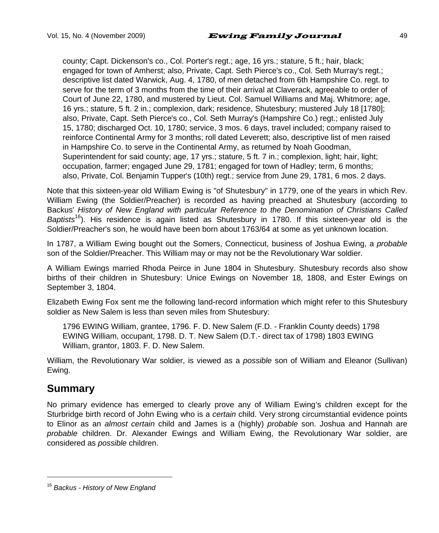county; Capt. Dickenson's co., Col. Porter's regt.; age, 16 yrs.; stature, 5 ft.; hair, black; engaged for town of Amherst; also, Private, Capt. Seth Pierce's co., Col. Seth Murray's regt.; descriptive list dated Warwick, Aug. 4, 1780, of men detached from 6th Hampshire Co. regt. to serve for the term of 3 months from the time of their arrival at Claverack, agreeable to order of Court of June 22, 1780, and mustered by Lieut. Col. Samuel Williams and Maj. Whitmore; age, 16 yrs.; stature, 5 ft. 2 in.; complexion, dark; residence, Shutesbury; mustered July 18 [1780]; also, Private, Capt. Seth Pierce's co., Col. Seth Murray's (Hampshire Co.) regt.; enlisted July 15, 1780; discharged Oct. 10, 1780; service, 3 mos. 6 days, travel included; company raised to reinforce Continental Army for 3 months; roll dated Leverett; also, descriptive list of men raised in Hampshire Co. to serve in the Continental Army, as returned by Noah Goodman, Superintendent for said county; age, 17 yrs.; stature, 5 ft. 7 in.; complexion, light; hair, light; occupation, farmer; engaged June 29, 1781; engaged for town of Hadley; term, 6 months; also, Private, Col. Benjamin Tupper's (10th) regt.; service from June 29, 1781, 6 mos. 2 days.

Note that this sixteen-year old William Ewing is "of Shutesbury" in 1779, one of the years in which Rev. William Ewing (the Soldier/Preacher) is recorded as having preached at Shutesbury (according to Backus' *History of New England with particular Reference to the Denomination of Christians Called Baptists*16). His residence is again listed as Shutesbury in 1780. If this sixteen-year old is the Soldier/Preacher's son, he would have been born about 1763/64 at some as yet unknown location.

In 1787, a William Ewing bought out the Somers, Connecticut, business of Joshua Ewing, a *probable* son of the Soldier/Preacher. This William may or may not be the Revolutionary War soldier.

A William Ewings married Rhoda Peirce in June 1804 in Shutesbury. Shutesbury records also show births of their children in Shutesbury: Unice Ewings on November 18, 1808, and Ester Ewings on September 3, 1804.

Elizabeth Ewing Fox sent me the following land-record information which might refer to this Shutesbury soldier as New Salem is less than seven miles from Shutesbury:

1796 EWING William, grantee, 1796. F. D. New Salem (F.D. - Franklin County deeds) 1798 EWING William, occupant, 1798. D. T. New Salem (D.T.- direct tax of 1798) 1803 EWING William, grantor, 1803. F. D. New Salem.

William, the Revolutionary War soldier, is viewed as a *possible* son of William and Eleanor (Sullivan) Ewing.

### **Summary**

l

No primary evidence has emerged to clearly prove any of William Ewing's children except for the Sturbridge birth record of John Ewing who is a *certain* child. Very strong circumstantial evidence points to Elinor as an *almost certain* child and James is a (highly) *probable* son. Joshua and Hannah are *probable* children. Dr. Alexander Ewings and William Ewing, the Revolutionary War soldier, are considered as *possible* children.

<sup>16</sup> *Backus - History of New England*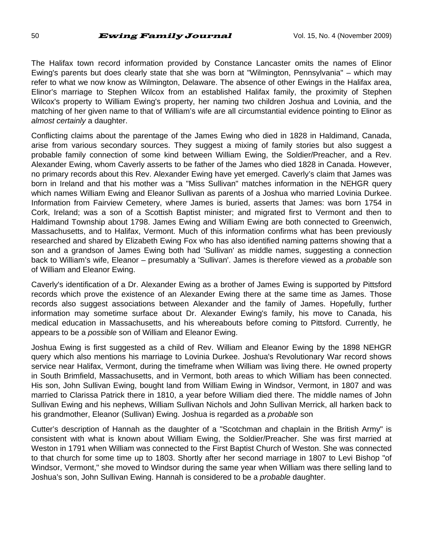The Halifax town record information provided by Constance Lancaster omits the names of Elinor Ewing's parents but does clearly state that she was born at "Wilmington, Pennsylvania" – which may refer to what we now know as Wilmington, Delaware. The absence of other Ewings in the Halifax area, Elinor's marriage to Stephen Wilcox from an established Halifax family, the proximity of Stephen Wilcox's property to William Ewing's property, her naming two children Joshua and Lovinia, and the matching of her given name to that of William's wife are all circumstantial evidence pointing to Elinor as *almost certainly* a daughter.

Conflicting claims about the parentage of the James Ewing who died in 1828 in Haldimand, Canada, arise from various secondary sources. They suggest a mixing of family stories but also suggest a probable family connection of some kind between William Ewing, the Soldier/Preacher, and a Rev. Alexander Ewing, whom Caverly asserts to be father of the James who died 1828 in Canada. However, no primary records about this Rev. Alexander Ewing have yet emerged. Caverly's claim that James was born in Ireland and that his mother was a "Miss Sullivan" matches information in the NEHGR query which names William Ewing and Eleanor Sullivan as parents of a Joshua who married Lovinia Durkee. Information from Fairview Cemetery, where James is buried, asserts that James: was born 1754 in Cork, Ireland; was a son of a Scottish Baptist minister; and migrated first to Vermont and then to Haldimand Township about 1798. James Ewing and William Ewing are both connected to Greenwich, Massachusetts, and to Halifax, Vermont. Much of this information confirms what has been previously researched and shared by Elizabeth Ewing Fox who has also identified naming patterns showing that a son and a grandson of James Ewing both had 'Sullivan' as middle names, suggesting a connection back to William's wife, Eleanor – presumably a 'Sullivan'. James is therefore viewed as a *probable* son of William and Eleanor Ewing.

Caverly's identification of a Dr. Alexander Ewing as a brother of James Ewing is supported by Pittsford records which prove the existence of an Alexander Ewing there at the same time as James. Those records also suggest associations between Alexander and the family of James. Hopefully, further information may sometime surface about Dr. Alexander Ewing's family, his move to Canada, his medical education in Massachusetts, and his whereabouts before coming to Pittsford. Currently, he appears to be a *possible* son of William and Eleanor Ewing.

Joshua Ewing is first suggested as a child of Rev. William and Eleanor Ewing by the 1898 NEHGR query which also mentions his marriage to Lovinia Durkee. Joshua's Revolutionary War record shows service near Halifax, Vermont, during the timeframe when William was living there. He owned property in South Brimfield, Massachusetts, and in Vermont, both areas to which William has been connected. His son, John Sullivan Ewing, bought land from William Ewing in Windsor, Vermont, in 1807 and was married to Clarissa Patrick there in 1810, a year before William died there. The middle names of John Sullivan Ewing and his nephews, William Sullivan Nichols and John Sullivan Merrick, all harken back to his grandmother, Eleanor (Sullivan) Ewing. Joshua is regarded as a *probable* son

Cutter's description of Hannah as the daughter of a "Scotchman and chaplain in the British Army" is consistent with what is known about William Ewing, the Soldier/Preacher. She was first married at Weston in 1791 when William was connected to the First Baptist Church of Weston. She was connected to that church for some time up to 1803. Shortly after her second marriage in 1807 to Levi Bishop "of Windsor, Vermont," she moved to Windsor during the same year when William was there selling land to Joshua's son, John Sullivan Ewing. Hannah is considered to be a *probable* daughter.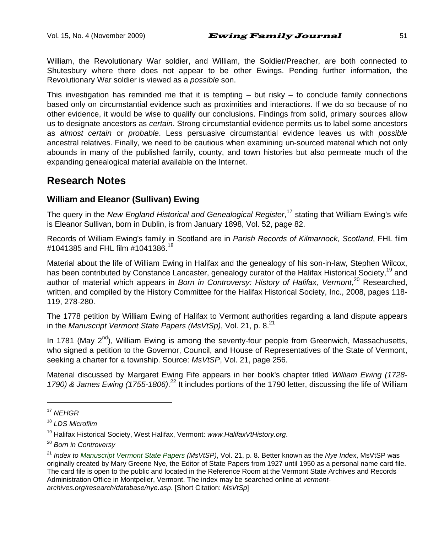William, the Revolutionary War soldier, and William, the Soldier/Preacher, are both connected to Shutesbury where there does not appear to be other Ewings. Pending further information, the Revolutionary War soldier is viewed as a *possible* son.

This investigation has reminded me that it is tempting – but risky – to conclude family connections based only on circumstantial evidence such as proximities and interactions. If we do so because of no other evidence, it would be wise to qualify our conclusions. Findings from solid, primary sources allow us to designate ancestors as *certain*. Strong circumstantial evidence permits us to label some ancestors as *almost certain* or *probable*. Less persuasive circumstantial evidence leaves us with *possible* ancestral relatives. Finally, we need to be cautious when examining un-sourced material which not only abounds in many of the published family, county, and town histories but also permeate much of the expanding genealogical material available on the Internet.

## **Research Notes**

### **William and Eleanor (Sullivan) Ewing**

The query in the *New England Historical and Genealogical Register*, 17 stating that William Ewing's wife is Eleanor Sullivan, born in Dublin, is from January 1898, Vol. 52, page 82.

Records of William Ewing's family in Scotland are in *Parish Records of Kilmarnock, Scotland*, FHL film #1041385 and FHL film #1041386.<sup>18</sup>

Material about the life of William Ewing in Halifax and the genealogy of his son-in-law, Stephen Wilcox, has been contributed by Constance Lancaster, genealogy curator of the Halifax Historical Society,<sup>19</sup> and author of material which appears in *Born in Controversy: History of Halifax, Vermont*, 20 Researched, written, and compiled by the History Committee for the Halifax Historical Society, Inc., 2008, pages 118- 119, 278-280.

The 1778 petition by William Ewing of Halifax to Vermont authorities regarding a land dispute appears in the *Manuscript Vermont State Papers (MsVtSp)*, Vol. 21, p. 8.<sup>21</sup>

In 1781 (May 2<sup>nd</sup>), William Ewing is among the seventy-four people from Greenwich, Massachusetts, who signed a petition to the Governor, Council, and House of Representatives of the State of Vermont, seeking a charter for a township. Source: *MsVtSP*, Vol. 21, page 256.

Material discussed by Margaret Ewing Fife appears in her book's chapter titled *William Ewing (1728-* 1790) & James Ewing (1755-1806).<sup>22</sup> It includes portions of the 1790 letter, discussing the life of William

<sup>17</sup> *NEHGR*

<sup>18</sup> *LDS Microfilm*

<sup>19</sup> Halifax Historical Society, West Halifax, Vermont: *www.HalifaxVtHistory.org*.

<sup>20</sup> *Born in Controversy*

<sup>21</sup> *Index to Manuscript Vermont State Papers (MsVtSP)*, Vol. 21, p. 8. Better known as the *Nye Index*, MsVtSP was originally created by Mary Greene Nye, the Editor of State Papers from 1927 until 1950 as a personal name card file. The card file is open to the public and located in the Reference Room at the Vermont State Archives and Records Administration Office in Montpelier, Vermont. The index may be searched online at *vermontarchives.org/research/database/nye.asp*. [Short Citation: *MsVtSp*]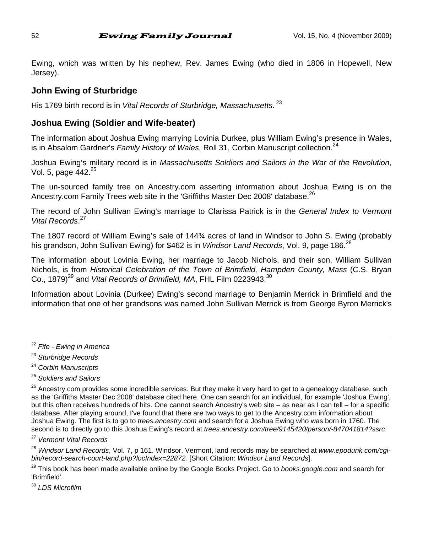Ewing, which was written by his nephew, Rev. James Ewing (who died in 1806 in Hopewell, New Jersey).

#### **John Ewing of Sturbridge**

His 1769 birth record is in *Vital Records of Sturbridge, Massachusetts.*<sup>23</sup>

#### **Joshua Ewing (Soldier and Wife-beater)**

The information about Joshua Ewing marrying Lovinia Durkee, plus William Ewing's presence in Wales, is in Absalom Gardner's *Family History of Wales*, Roll 31, Corbin Manuscript collection.<sup>24</sup>

Joshua Ewing's military record is in *Massachusetts Soldiers and Sailors in the War of the Revolution*, Vol. 5, page  $442.^{25}$ 

The un-sourced family tree on Ancestry.com asserting information about Joshua Ewing is on the Ancestry.com Family Trees web site in the 'Griffiths Master Dec 2008' database.<sup>26</sup>

The record of John Sullivan Ewing's marriage to Clarissa Patrick is in the *General Index to Vermont Vital Records*. 27

The 1807 record of William Ewing's sale of 144¾ acres of land in Windsor to John S. Ewing (probably his grandson, John Sullivan Ewing) for \$462 is in *Windsor Land Records*, Vol. 9, page 186.<sup>28</sup>

The information about Lovinia Ewing, her marriage to Jacob Nichols, and their son, William Sullivan Nichols, is from *Historical Celebration of the Town of Brimfield, Hampden County, Mass* (C.S. Bryan Co., 1879)<sup>29</sup> and *Vital Records of Brimfield, MA*, FHL Film 0223943.<sup>30</sup>

Information about Lovinia (Durkee) Ewing's second marriage to Benjamin Merrick in Brimfield and the information that one of her grandsons was named John Sullivan Merrick is from George Byron Merrick's

- <sup>24</sup> *Corbin Manuscripts*
- <sup>25</sup> *Soldiers and Sailors*

 $26$  Ancestry.com provides some incredible services. But they make it very hard to get to a genealogy database, such as the 'Griffiths Master Dec 2008' database cited here. One can search for an individual, for example 'Joshua Ewing', but this often receives hundreds of hits. One cannot search Ancestry's web site – as near as I can tell – for a specific database. After playing around, I've found that there are two ways to get to the Ancestry.com information about Joshua Ewing. The first is to go to *trees.ancestry.com* and search for a Joshua Ewing who was born in 1760. The second is to directly go to this Joshua Ewing's record at *trees.ancestry.com/tree/9145420/person/-847041814?ssrc*.

<sup>27</sup> *Vermont Vital Records*

<sup>28</sup> *Windsor Land Records*, Vol. 7, p 161. Windsor, Vermont, land records may be searched at *www.epodunk.com/cgibin/record-search-court-land.php?locIndex=22872.* [Short Citation: *Windsor Land Records*].

29 This book has been made available online by the Google Books Project. Go to *books.google.com* and search for 'Brimfield'.

<sup>30</sup> *LDS Microfilm*

 <sup>22</sup> *Fife - Ewing in America*

<sup>23</sup> *Sturbridge Records*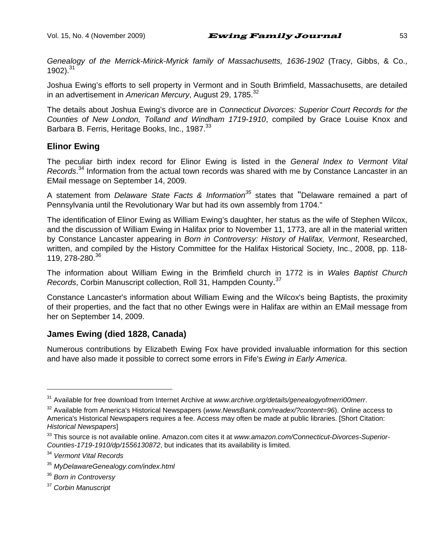*Genealogy of the Merrick-Mirick-Myrick family of Massachusetts, 1636-1902* (Tracy, Gibbs, & Co.,  $1902$ ).<sup>31</sup>

Joshua Ewing's efforts to sell property in Vermont and in South Brimfield, Massachusetts, are detailed in an advertisement in American Mercury, August 29, 1785.<sup>32</sup>

The details about Joshua Ewing's divorce are in *Connecticut Divorces: Superior Court Records for the Counties of New London, Tolland and Windham 1719-1910*, compiled by Grace Louise Knox and Barbara B. Ferris, Heritage Books, Inc., 1987.<sup>33</sup>

### **Elinor Ewing**

The peculiar birth index record for Elinor Ewing is listed in the *General Index to Vermont Vital Records*. 34 Information from the actual town records was shared with me by Constance Lancaster in an EMail message on September 14, 2009.

A statement from *Delaware State Facts & Information<sup>35</sup>* states that "Delaware remained a part of Pennsylvania until the Revolutionary War but had its own assembly from 1704."

The identification of Elinor Ewing as William Ewing's daughter, her status as the wife of Stephen Wilcox, and the discussion of William Ewing in Halifax prior to November 11, 1773, are all in the material written by Constance Lancaster appearing in *Born in Controversy: History of Halifax, Vermont*, Researched, written, and compiled by the History Committee for the Halifax Historical Society, Inc., 2008, pp. 118- 119, 278-280.<sup>36</sup>

The information about William Ewing in the Brimfield church in 1772 is in *Wales Baptist Church Records*, Corbin Manuscript collection, Roll 31, Hampden County. 37

Constance Lancaster's information about William Ewing and the Wilcox's being Baptists, the proximity of their properties, and the fact that no other Ewings were in Halifax are within an EMail message from her on September 14, 2009.

#### **James Ewing (died 1828, Canada)**

Numerous contributions by Elizabeth Ewing Fox have provided invaluable information for this section and have also made it possible to correct some errors in Fife's *Ewing in Early America*.

<sup>31</sup> Available for free download from Internet Archive at *www.archive.org/details/genealogyofmerri00merr*.

<sup>32</sup> Available from America's Historical Newspapers (*www.NewsBank.com/readex/?content=96*). Online access to America's Historical Newspapers requires a fee. Access may often be made at public libraries. [Short Citation: *Historical Newspapers*]

<sup>33</sup> This source is not available online. Amazon.com cites it at *www.amazon.com/Connecticut-Divorces-Superior-Counties-1719-1910/dp/1556130872*, but indicates that its availability is limited.

<sup>34</sup> *Vermont Vital Records*

<sup>35</sup> *MyDelawareGenealogy.com/index.html*

<sup>36</sup> *Born in Controversy*

<sup>37</sup> *Corbin Manuscript*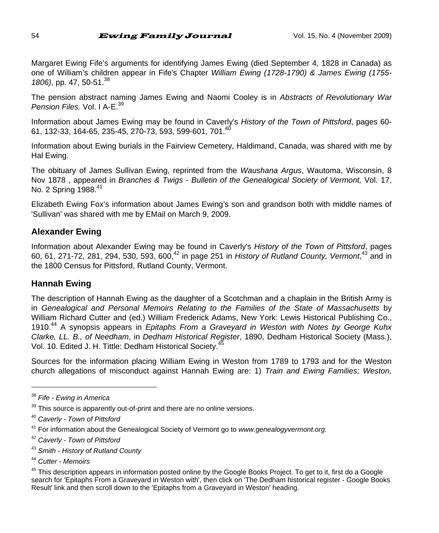#### 54 **Ewing Family Journal**  $V$   $\sim$   $V$   $\sim$  4 (November 2009)

Margaret Ewing Fife's arguments for identifying James Ewing (died September 4, 1828 in Canada) as one of William's children appear in Fife's Chapter *William Ewing (1728-1790) & James Ewing (1755- 1806*), pp. 47, 50-51.<sup>38</sup>

The pension abstract naming James Ewing and Naomi Cooley is in *Abstracts of Revolutionary War Pension Files.* Vol. I A-F.<sup>39</sup>

Information about James Ewing may be found in Caverly's *History of the Town of Pittsford*, pages 60- 61, 132-33, 164-65, 235-45, 270-73, 593, 599-601, 701.<sup>40</sup>

Information about Ewing burials in the Fairview Cemetery, Haldimand, Canada, was shared with me by Hal Ewing.

The obituary of James Sullivan Ewing, reprinted from the *Waushana Argus*, Wautoma, Wisconsin, 8 Nov 1878 , appeared in *Branches & Twigs - Bulletin of the Genealogical Society of Vermont,* Vol. 17, No. 2 Spring 1988.<sup>41</sup>

Elizabeth Ewing Fox's information about James Ewing's son and grandson both with middle names of 'Sullivan' was shared with me by EMail on March 9, 2009.

#### **Alexander Ewing**

Information about Alexander Ewing may be found in Caverly's *History of the Town of Pittsford*, pages 60, 61, 271-72, 281, 294, 530, 593, 600,42 in page 251 in *History of Rutland County, Vermont*, 43 and in the 1800 Census for Pittsford, Rutland County, Vermont.

#### **Hannah Ewing**

The description of Hannah Ewing as the daughter of a Scotchman and a chaplain in the British Army is in *Genealogical and Personal Memoirs Relating to the Families of the State of Massachusetts* by William Richard Cutter and (ed.) William Frederick Adams, New York: Lewis Historical Publishing Co., 1910.44 A synopsis appears in *Epitaphs From a Graveyard in Weston with Notes by George Kuhx Clarke, LL. B., of Needham*, in *Dedham Historical Register*, 1890, Dedham Historical Society (Mass.), Vol. 10. Edited J. H. Tittle: Dedham Historical Society.<sup>4</sup>

Sources for the information placing William Ewing in Weston from 1789 to 1793 and for the Weston church allegations of misconduct against Hannah Ewing are: 1) *Train and Ewing Families; Weston,* 

<sup>38</sup> *Fife - Ewing in America*

 $39$  This source is apparently out-of-print and there are no online versions.

<sup>40</sup> *Caverly - Town of Pittsford*

<sup>41</sup> For information about the Genealogical Society of Vermont go to *www.genealogyvermont.org.* 

<sup>42</sup> *Caverly - Town of Pittsford*

<sup>43</sup> *Smith - History of Rutland County*

<sup>44</sup> *Cutter - Memoirs* 

<sup>&</sup>lt;sup>45</sup> This description appears in information posted online by the Google Books Project. To get to it, first do a Google search for 'Epitaphs From a Graveyard in Weston with', then click on 'The Dedham historical register - Google Books Result' link and then scroll down to the 'Epitaphs from a Graveyard in Weston' heading.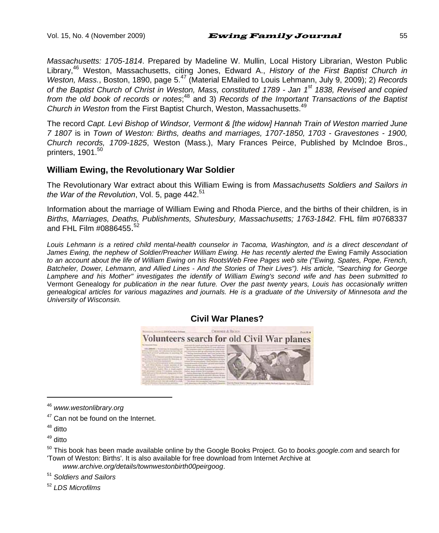*Massachusetts: 1705-1814*. Prepared by Madeline W. Mullin, Local History Librarian, Weston Public Library,46 Weston, Massachusetts, citing Jones, Edward A., *History of the First Baptist Church in Weston, Mass.*, Boston, 1890, page 5.47 (Material EMailed to Louis Lehmann, July 9, 2009); 2) *Records of the Baptist Church of Christ in Weston, Mass, constituted 1789 - Jan 1st 1838, Revised and copied from the old book of records or notes*; 48 and 3) *Records of the Important Transactions of the Baptist Church in Weston* from the First Baptist Church, Weston, Massachusetts.49

The record *Capt. Levi Bishop of Windsor, Vermont & [the widow] Hannah Train of Weston married June 7 1807* is in *Town of Weston: Births, deaths and marriages, 1707-1850, 1703 - Gravestones - 1900, Church records, 1709-1825*, Weston (Mass.), Mary Frances Peirce, Published by McIndoe Bros., printers,  $1901.<sup>50</sup>$ 

#### **William Ewing, the Revolutionary War Soldier**

The Revolutionary War extract about this William Ewing is from *Massachusetts Soldiers and Sailors in the War of the Revolution, Vol. 5, page 442.*<sup>51</sup>

Information about the marriage of William Ewing and Rhoda Pierce, and the births of their children, is in *Births, Marriages, Deaths, Publishments, Shutesbury, Massachusetts; 1763-1842*. FHL film #0768337 and FHL Film #0886455.<sup>52</sup>

Louis Lehmann is a retired child mental-health counselor in Tacoma, Washington, and is a direct descendant of James Ewing, the nephew of Soldier/Preacher William Ewing. He has recently alerted the Ewing Family Association *to an account about the life of William Ewing on his RootsWeb Free Pages web site ("Ewing, Spates, Pope, French, Batcheler, Dower, Lehmann, and Allied Lines - And the Stories of Their Lives"). His article, "Searching for George Lamphere and his Mother" investigates the identify of William Ewing's second wife and has been submitted to*  Vermont Genealogy *for publication in the near future. Over the past twenty years, Louis has occasionally written genealogical articles for various magazines and journals. He is a graduate of the University of Minnesota and the University of Wisconsin.* 

#### **Civil War Planes?**



<sup>46</sup> *www.westonlibrary.org*

l

49 ditto

50 This book has been made available online by the Google Books Project. Go to *books.google.com* and search for 'Town of Weston: Births'. It is also available for free download from Internet Archive at

*www.archive.org/details/townwestonbirth00peirgoog*.

<sup>51</sup> *Soldiers and Sailors*

<sup>52</sup> *LDS Microfilms*

<sup>&</sup>lt;sup>47</sup> Can not be found on the Internet.

<sup>48</sup> ditto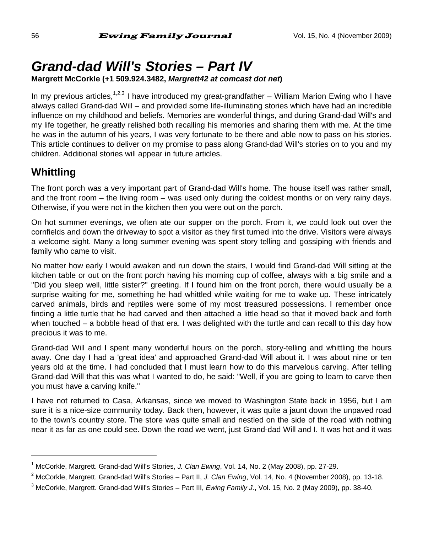# *Grand-dad Will's Stories – Part IV*

**Margrett McCorkle (+1 509.924.3482,** *Margrett42 at comcast dot net***)** 

In my previous articles,<sup>1,2,3</sup> I have introduced my great-grandfather – William Marion Ewing who I have always called Grand-dad Will – and provided some life-illuminating stories which have had an incredible influence on my childhood and beliefs. Memories are wonderful things, and during Grand-dad Will's and my life together, he greatly relished both recalling his memories and sharing them with me. At the time he was in the autumn of his years, I was very fortunate to be there and able now to pass on his stories. This article continues to deliver on my promise to pass along Grand-dad Will's stories on to you and my children. Additional stories will appear in future articles.

## **Whittling**

l

The front porch was a very important part of Grand-dad Will's home. The house itself was rather small, and the front room – the living room – was used only during the coldest months or on very rainy days. Otherwise, if you were not in the kitchen then you were out on the porch.

On hot summer evenings, we often ate our supper on the porch. From it, we could look out over the cornfields and down the driveway to spot a visitor as they first turned into the drive. Visitors were always a welcome sight. Many a long summer evening was spent story telling and gossiping with friends and family who came to visit.

No matter how early I would awaken and run down the stairs, I would find Grand-dad Will sitting at the kitchen table or out on the front porch having his morning cup of coffee, always with a big smile and a "Did you sleep well, little sister?" greeting. If I found him on the front porch, there would usually be a surprise waiting for me, something he had whittled while waiting for me to wake up. These intricately carved animals, birds and reptiles were some of my most treasured possessions. I remember once finding a little turtle that he had carved and then attached a little head so that it moved back and forth when touched – a bobble head of that era. I was delighted with the turtle and can recall to this day how precious it was to me.

Grand-dad Will and I spent many wonderful hours on the porch, story-telling and whittling the hours away. One day I had a 'great idea' and approached Grand-dad Will about it. I was about nine or ten years old at the time. I had concluded that I must learn how to do this marvelous carving. After telling Grand-dad Will that this was what I wanted to do, he said: "Well, if you are going to learn to carve then you must have a carving knife."

I have not returned to Casa, Arkansas, since we moved to Washington State back in 1956, but I am sure it is a nice-size community today. Back then, however, it was quite a jaunt down the unpaved road to the town's country store. The store was quite small and nestled on the side of the road with nothing near it as far as one could see. Down the road we went, just Grand-dad Will and I. It was hot and it was

2 McCorkle, Margrett. Grand-dad Will's Stories – Part II, *J. Clan Ewing*, Vol. 14, No. 4 (November 2008), pp. 13-18.

<sup>1</sup> McCorkle, Margrett. Grand-dad Will's Stories, *J. Clan Ewing*, Vol. 14, No. 2 (May 2008), pp. 27-29.

<sup>3</sup> McCorkle, Margrett. Grand-dad Will's Stories – Part III, *Ewing Family J.*, Vol. 15, No. 2 (May 2009), pp. 38-40.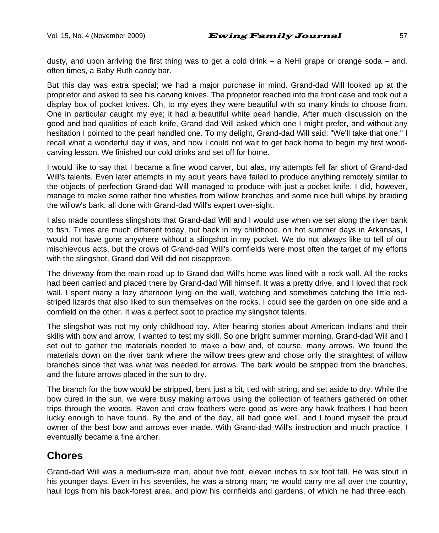dusty, and upon arriving the first thing was to get a cold drink  $-$  a NeHi grape or orange soda  $-$  and, often times, a Baby Ruth candy bar.

But this day was extra special; we had a major purchase in mind. Grand-dad Will looked up at the proprietor and asked to see his carving knives. The proprietor reached into the front case and took out a display box of pocket knives. Oh, to my eyes they were beautiful with so many kinds to choose from. One in particular caught my eye; it had a beautiful white pearl handle. After much discussion on the good and bad qualities of each knife, Grand-dad Will asked which one I might prefer, and without any hesitation I pointed to the pearl handled one. To my delight, Grand-dad Will said: "We'll take that one." I recall what a wonderful day it was, and how I could not wait to get back home to begin my first woodcarving lesson. We finished our cold drinks and set off for home.

I would like to say that I became a fine wood carver, but alas, my attempts fell far short of Grand-dad Will's talents. Even later attempts in my adult years have failed to produce anything remotely similar to the objects of perfection Grand-dad Will managed to produce with just a pocket knife. I did, however, manage to make some rather fine whistles from willow branches and some nice bull whips by braiding the willow's bark, all done with Grand-dad Will's expert over-sight.

I also made countless slingshots that Grand-dad Will and I would use when we set along the river bank to fish. Times are much different today, but back in my childhood, on hot summer days in Arkansas, I would not have gone anywhere without a slingshot in my pocket. We do not always like to tell of our mischievous acts, but the crows of Grand-dad Will's cornfields were most often the target of my efforts with the slingshot. Grand-dad Will did not disapprove.

The driveway from the main road up to Grand-dad Will's home was lined with a rock wall. All the rocks had been carried and placed there by Grand-dad Will himself. It was a pretty drive, and I loved that rock wall. I spent many a lazy afternoon lying on the wall, watching and sometimes catching the little redstriped lizards that also liked to sun themselves on the rocks. I could see the garden on one side and a cornfield on the other. It was a perfect spot to practice my slingshot talents.

The slingshot was not my only childhood toy. After hearing stories about American Indians and their skills with bow and arrow, I wanted to test my skill. So one bright summer morning, Grand-dad Will and I set out to gather the materials needed to make a bow and, of course, many arrows. We found the materials down on the river bank where the willow trees grew and chose only the straightest of willow branches since that was what was needed for arrows. The bark would be stripped from the branches, and the future arrows placed in the sun to dry.

The branch for the bow would be stripped, bent just a bit, tied with string, and set aside to dry. While the bow cured in the sun, we were busy making arrows using the collection of feathers gathered on other trips through the woods. Raven and crow feathers were good as were any hawk feathers I had been lucky enough to have found. By the end of the day, all had gone well, and I found myself the proud owner of the best bow and arrows ever made. With Grand-dad Will's instruction and much practice, I eventually became a fine archer.

### **Chores**

Grand-dad Will was a medium-size man, about five foot, eleven inches to six foot tall. He was stout in his younger days. Even in his seventies, he was a strong man; he would carry me all over the country, haul logs from his back-forest area, and plow his cornfields and gardens, of which he had three each.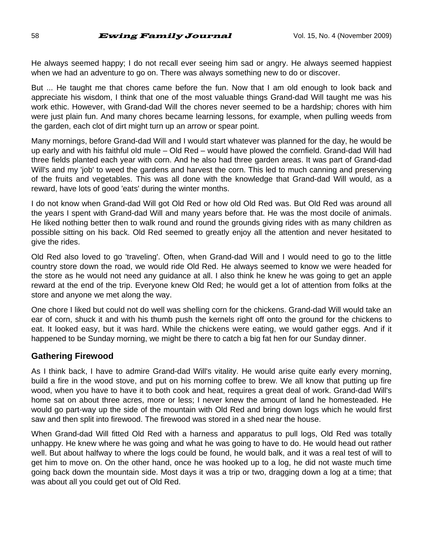He always seemed happy; I do not recall ever seeing him sad or angry. He always seemed happiest when we had an adventure to go on. There was always something new to do or discover.

But ... He taught me that chores came before the fun. Now that I am old enough to look back and appreciate his wisdom, I think that one of the most valuable things Grand-dad Will taught me was his work ethic. However, with Grand-dad Will the chores never seemed to be a hardship; chores with him were just plain fun. And many chores became learning lessons, for example, when pulling weeds from the garden, each clot of dirt might turn up an arrow or spear point.

Many mornings, before Grand-dad Will and I would start whatever was planned for the day, he would be up early and with his faithful old mule – Old Red – would have plowed the cornfield. Grand-dad Will had three fields planted each year with corn. And he also had three garden areas. It was part of Grand-dad Will's and my 'job' to weed the gardens and harvest the corn. This led to much canning and preserving of the fruits and vegetables. This was all done with the knowledge that Grand-dad Will would, as a reward, have lots of good 'eats' during the winter months.

I do not know when Grand-dad Will got Old Red or how old Old Red was. But Old Red was around all the years I spent with Grand-dad Will and many years before that. He was the most docile of animals. He liked nothing better then to walk round and round the grounds giving rides with as many children as possible sitting on his back. Old Red seemed to greatly enjoy all the attention and never hesitated to give the rides.

Old Red also loved to go 'traveling'. Often, when Grand-dad Will and I would need to go to the little country store down the road, we would ride Old Red. He always seemed to know we were headed for the store as he would not need any guidance at all. I also think he knew he was going to get an apple reward at the end of the trip. Everyone knew Old Red; he would get a lot of attention from folks at the store and anyone we met along the way.

One chore I liked but could not do well was shelling corn for the chickens. Grand-dad Will would take an ear of corn, shuck it and with his thumb push the kernels right off onto the ground for the chickens to eat. It looked easy, but it was hard. While the chickens were eating, we would gather eggs. And if it happened to be Sunday morning, we might be there to catch a big fat hen for our Sunday dinner.

#### **Gathering Firewood**

As I think back, I have to admire Grand-dad Will's vitality. He would arise quite early every morning, build a fire in the wood stove, and put on his morning coffee to brew. We all know that putting up fire wood, when you have to have it to both cook and heat, requires a great deal of work. Grand-dad Will's home sat on about three acres, more or less; I never knew the amount of land he homesteaded. He would go part-way up the side of the mountain with Old Red and bring down logs which he would first saw and then split into firewood. The firewood was stored in a shed near the house.

When Grand-dad Will fitted Old Red with a harness and apparatus to pull logs, Old Red was totally unhappy. He knew where he was going and what he was going to have to do. He would head out rather well. But about halfway to where the logs could be found, he would balk, and it was a real test of will to get him to move on. On the other hand, once he was hooked up to a log, he did not waste much time going back down the mountain side. Most days it was a trip or two, dragging down a log at a time; that was about all you could get out of Old Red.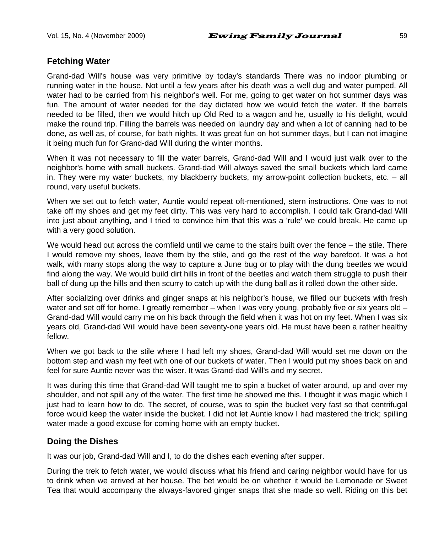#### **Fetching Water**

Grand-dad Will's house was very primitive by today's standards There was no indoor plumbing or running water in the house. Not until a few years after his death was a well dug and water pumped. All water had to be carried from his neighbor's well. For me, going to get water on hot summer days was fun. The amount of water needed for the day dictated how we would fetch the water. If the barrels needed to be filled, then we would hitch up Old Red to a wagon and he, usually to his delight, would make the round trip. Filling the barrels was needed on laundry day and when a lot of canning had to be done, as well as, of course, for bath nights. It was great fun on hot summer days, but I can not imagine it being much fun for Grand-dad Will during the winter months.

When it was not necessary to fill the water barrels, Grand-dad Will and I would just walk over to the neighbor's home with small buckets. Grand-dad Will always saved the small buckets which lard came in. They were my water buckets, my blackberry buckets, my arrow-point collection buckets, etc. – all round, very useful buckets.

When we set out to fetch water, Auntie would repeat oft-mentioned, stern instructions. One was to not take off my shoes and get my feet dirty. This was very hard to accomplish. I could talk Grand-dad Will into just about anything, and I tried to convince him that this was a 'rule' we could break. He came up with a very good solution.

We would head out across the cornfield until we came to the stairs built over the fence – the stile. There I would remove my shoes, leave them by the stile, and go the rest of the way barefoot. It was a hot walk, with many stops along the way to capture a June bug or to play with the dung beetles we would find along the way. We would build dirt hills in front of the beetles and watch them struggle to push their ball of dung up the hills and then scurry to catch up with the dung ball as it rolled down the other side.

After socializing over drinks and ginger snaps at his neighbor's house, we filled our buckets with fresh water and set off for home. I greatly remember – when I was very young, probably five or six years old – Grand-dad Will would carry me on his back through the field when it was hot on my feet. When I was six years old, Grand-dad Will would have been seventy-one years old. He must have been a rather healthy fellow.

When we got back to the stile where I had left my shoes, Grand-dad Will would set me down on the bottom step and wash my feet with one of our buckets of water. Then I would put my shoes back on and feel for sure Auntie never was the wiser. It was Grand-dad Will's and my secret.

It was during this time that Grand-dad Will taught me to spin a bucket of water around, up and over my shoulder, and not spill any of the water. The first time he showed me this, I thought it was magic which I just had to learn how to do. The secret, of course, was to spin the bucket very fast so that centrifugal force would keep the water inside the bucket. I did not let Auntie know I had mastered the trick; spilling water made a good excuse for coming home with an empty bucket.

#### **Doing the Dishes**

It was our job, Grand-dad Will and I, to do the dishes each evening after supper.

During the trek to fetch water, we would discuss what his friend and caring neighbor would have for us to drink when we arrived at her house. The bet would be on whether it would be Lemonade or Sweet Tea that would accompany the always-favored ginger snaps that she made so well. Riding on this bet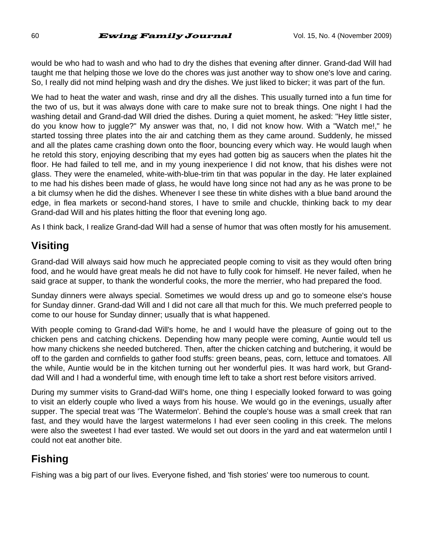would be who had to wash and who had to dry the dishes that evening after dinner. Grand-dad Will had taught me that helping those we love do the chores was just another way to show one's love and caring. So, I really did not mind helping wash and dry the dishes. We just liked to bicker; it was part of the fun.

We had to heat the water and wash, rinse and dry all the dishes. This usually turned into a fun time for the two of us, but it was always done with care to make sure not to break things. One night I had the washing detail and Grand-dad Will dried the dishes. During a quiet moment, he asked: "Hey little sister, do you know how to juggle?" My answer was that, no, I did not know how. With a "Watch me!," he started tossing three plates into the air and catching them as they came around. Suddenly, he missed and all the plates came crashing down onto the floor, bouncing every which way. He would laugh when he retold this story, enjoying describing that my eyes had gotten big as saucers when the plates hit the floor. He had failed to tell me, and in my young inexperience I did not know, that his dishes were not glass. They were the enameled, white-with-blue-trim tin that was popular in the day. He later explained to me had his dishes been made of glass, he would have long since not had any as he was prone to be a bit clumsy when he did the dishes. Whenever I see these tin white dishes with a blue band around the edge, in flea markets or second-hand stores, I have to smile and chuckle, thinking back to my dear Grand-dad Will and his plates hitting the floor that evening long ago.

As I think back, I realize Grand-dad Will had a sense of humor that was often mostly for his amusement.

## **Visiting**

Grand-dad Will always said how much he appreciated people coming to visit as they would often bring food, and he would have great meals he did not have to fully cook for himself. He never failed, when he said grace at supper, to thank the wonderful cooks, the more the merrier, who had prepared the food.

Sunday dinners were always special. Sometimes we would dress up and go to someone else's house for Sunday dinner. Grand-dad Will and I did not care all that much for this. We much preferred people to come to our house for Sunday dinner; usually that is what happened.

With people coming to Grand-dad Will's home, he and I would have the pleasure of going out to the chicken pens and catching chickens. Depending how many people were coming, Auntie would tell us how many chickens she needed butchered. Then, after the chicken catching and butchering, it would be off to the garden and cornfields to gather food stuffs: green beans, peas, corn, lettuce and tomatoes. All the while, Auntie would be in the kitchen turning out her wonderful pies. It was hard work, but Granddad Will and I had a wonderful time, with enough time left to take a short rest before visitors arrived.

During my summer visits to Grand-dad Will's home, one thing I especially looked forward to was going to visit an elderly couple who lived a ways from his house. We would go in the evenings, usually after supper. The special treat was 'The Watermelon'. Behind the couple's house was a small creek that ran fast, and they would have the largest watermelons I had ever seen cooling in this creek. The melons were also the sweetest I had ever tasted. We would set out doors in the yard and eat watermelon until I could not eat another bite.

## **Fishing**

Fishing was a big part of our lives. Everyone fished, and 'fish stories' were too numerous to count.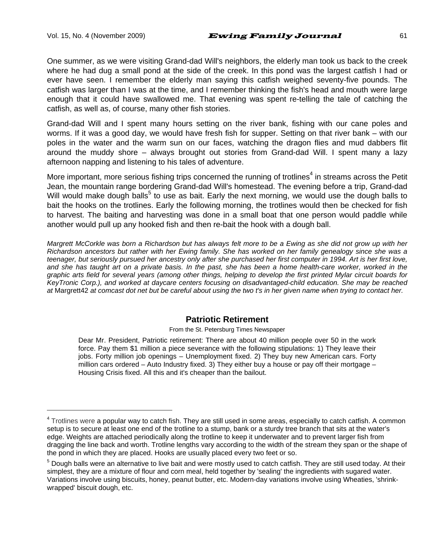l

One summer, as we were visiting Grand-dad Will's neighbors, the elderly man took us back to the creek where he had dug a small pond at the side of the creek. In this pond was the largest catfish I had or ever have seen. I remember the elderly man saying this catfish weighed seventy-five pounds. The catfish was larger than I was at the time, and I remember thinking the fish's head and mouth were large enough that it could have swallowed me. That evening was spent re-telling the tale of catching the catfish, as well as, of course, many other fish stories.

Grand-dad Will and I spent many hours setting on the river bank, fishing with our cane poles and worms. If it was a good day, we would have fresh fish for supper. Setting on that river bank – with our poles in the water and the warm sun on our faces, watching the dragon flies and mud dabbers flit around the muddy shore – always brought out stories from Grand-dad Will. I spent many a lazy afternoon napping and listening to his tales of adventure.

More important, more serious fishing trips concerned the running of trotlines<sup>4</sup> in streams across the Petit Jean, the mountain range bordering Grand-dad Will's homestead. The evening before a trip, Grand-dad Will would make dough balls<sup>5</sup> to use as bait. Early the next morning, we would use the dough balls to bait the hooks on the trotlines. Early the following morning, the trotlines would then be checked for fish to harvest. The baiting and harvesting was done in a small boat that one person would paddle while another would pull up any hooked fish and then re-bait the hook with a dough ball.

*Margrett McCorkle was born a Richardson but has always felt more to be a Ewing as she did not grow up with her Richardson ancestors but rather with her Ewing family. She has worked on her family genealogy since she was a teenager, but seriously pursued her ancestry only after she purchased her first computer in 1994. Art is her first love, and she has taught art on a private basis. In the past, she has been a home health-care worker, worked in the graphic arts field for several years (among other things, helping to develop the first printed Mylar circuit boards for KeyTronic Corp.), and worked at daycare centers focusing on disadvantaged-child education. She may be reached at* Margrett42 *at comcast dot net but be careful about using the two t's in her given name when trying to contact her.* 

#### **Patriotic Retirement**

#### From the St. Petersburg Times Newspaper

Dear Mr. President, Patriotic retirement: There are about 40 million people over 50 in the work force. Pay them \$1 million a piece severance with the following stipulations: 1) They leave their jobs. Forty million job openings – Unemployment fixed. 2) They buy new American cars. Forty million cars ordered – Auto Industry fixed. 3) They either buy a house or pay off their mortgage – Housing Crisis fixed. All this and it's cheaper than the bailout.

 $4$  Trotlines were a popular way to catch fish. They are still used in some areas, especially to catch catfish. A common setup is to secure at least one end of the trotline to a stump, bank or a sturdy tree branch that sits at the water's edge. Weights are attached periodically along the trotline to keep it underwater and to prevent larger fish from dragging the line back and worth. Trotline lengths vary according to the width of the stream they span or the shape of the pond in which they are placed. Hooks are usually placed every two feet or so.

 $^5$  Dough balls were an alternative to live bait and were mostly used to catch catfish. They are still used today. At their simplest, they are a mixture of flour and corn meal, held together by 'sealing' the ingredients with sugared water. Variations involve using biscuits, honey, peanut butter, etc. Modern-day variations involve using Wheaties, 'shrinkwrapped' biscuit dough, etc.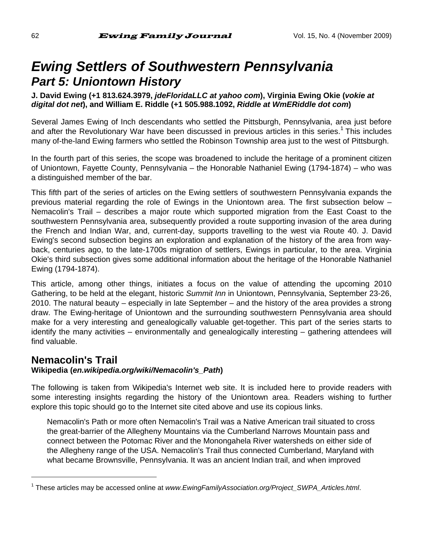# *Ewing Settlers of Southwestern Pennsylvania Part 5: Uniontown History*

**J. David Ewing (+1 813.624.3979,** *jdeFloridaLLC at yahoo com***), Virginia Ewing Okie (***vokie at digital dot net***), and William E. Riddle (+1 505.988.1092,** *Riddle at WmERiddle dot com***)** 

Several James Ewing of Inch descendants who settled the Pittsburgh, Pennsylvania, area just before and after the Revolutionary War have been discussed in previous articles in this series.<sup>1</sup> This includes many of-the-land Ewing farmers who settled the Robinson Township area just to the west of Pittsburgh.

In the fourth part of this series, the scope was broadened to include the heritage of a prominent citizen of Uniontown, Fayette County, Pennsylvania – the Honorable Nathaniel Ewing (1794-1874) – who was a distinguished member of the bar.

This fifth part of the series of articles on the Ewing settlers of southwestern Pennsylvania expands the previous material regarding the role of Ewings in the Uniontown area. The first subsection below – Nemacolin's Trail – describes a major route which supported migration from the East Coast to the southwestern Pennsylvania area, subsequently provided a route supporting invasion of the area during the French and Indian War, and, current-day, supports travelling to the west via Route 40. J. David Ewing's second subsection begins an exploration and explanation of the history of the area from wayback, centuries ago, to the late-1700s migration of settlers, Ewings in particular, to the area. Virginia Okie's third subsection gives some additional information about the heritage of the Honorable Nathaniel Ewing (1794-1874).

This article, among other things, initiates a focus on the value of attending the upcoming 2010 Gathering, to be held at the elegant, historic *Summit Inn* in Uniontown, Pennsylvania, September 23-26, 2010. The natural beauty – especially in late September – and the history of the area provides a strong draw. The Ewing-heritage of Uniontown and the surrounding southwestern Pennsylvania area should make for a very interesting and genealogically valuable get-together. This part of the series starts to identify the many activities – environmentally and genealogically interesting – gathering attendees will find valuable.

#### **Nemacolin's Trail Wikipedia (***en.wikipedia.org/wiki/Nemacolin's\_Path***)**

The following is taken from Wikipedia's Internet web site. It is included here to provide readers with some interesting insights regarding the history of the Uniontown area. Readers wishing to further explore this topic should go to the Internet site cited above and use its copious links.

Nemacolin's Path or more often Nemacolin's Trail was a Native American trail situated to cross the great-barrier of the Allegheny Mountains via the Cumberland Narrows Mountain pass and connect between the Potomac River and the Monongahela River watersheds on either side of the Allegheny range of the USA. Nemacolin's Trail thus connected Cumberland, Maryland with what became Brownsville, Pennsylvania. It was an ancient Indian trail, and when improved

<sup>1</sup> These articles may be accessed online at *www.EwingFamilyAssociation.org/Project\_SWPA\_Articles.html*.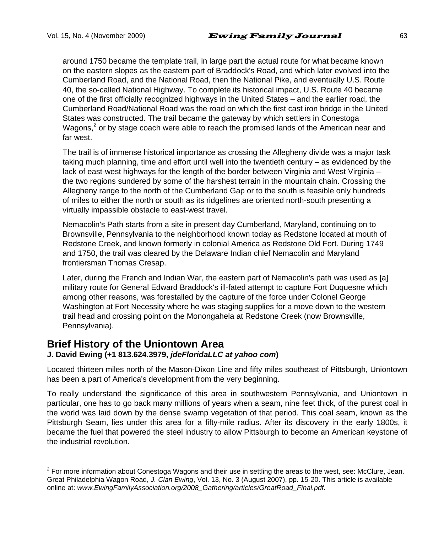around 1750 became the template trail, in large part the actual route for what became known on the eastern slopes as the eastern part of Braddock's Road, and which later evolved into the Cumberland Road, and the National Road, then the National Pike, and eventually U.S. Route 40, the so-called National Highway. To complete its historical impact, U.S. Route 40 became one of the first officially recognized highways in the United States – and the earlier road, the Cumberland Road/National Road was the road on which the first cast iron bridge in the United States was constructed. The trail became the gateway by which settlers in Conestoga Wagons,<sup>2</sup> or by stage coach were able to reach the promised lands of the American near and far west.

The trail is of immense historical importance as crossing the Allegheny divide was a major task taking much planning, time and effort until well into the twentieth century – as evidenced by the lack of east-west highways for the length of the border between Virginia and West Virginia – the two regions sundered by some of the harshest terrain in the mountain chain. Crossing the Allegheny range to the north of the Cumberland Gap or to the south is feasible only hundreds of miles to either the north or south as its ridgelines are oriented north-south presenting a virtually impassible obstacle to east-west travel.

Nemacolin's Path starts from a site in present day Cumberland, Maryland, continuing on to Brownsville, Pennsylvania to the neighborhood known today as Redstone located at mouth of Redstone Creek, and known formerly in colonial America as Redstone Old Fort. During 1749 and 1750, the trail was cleared by the Delaware Indian chief Nemacolin and Maryland frontiersman Thomas Cresap.

Later, during the French and Indian War, the eastern part of Nemacolin's path was used as [a] military route for General Edward Braddock's ill-fated attempt to capture Fort Duquesne which among other reasons, was forestalled by the capture of the force under Colonel George Washington at Fort Necessity where he was staging supplies for a move down to the western trail head and crossing point on the Monongahela at Redstone Creek (now Brownsville, Pennsylvania).

# **Brief History of the Uniontown Area**

l

#### **J. David Ewing (+1 813.624.3979,** *jdeFloridaLLC at yahoo com***)**

Located thirteen miles north of the Mason-Dixon Line and fifty miles southeast of Pittsburgh, Uniontown has been a part of America's development from the very beginning.

To really understand the significance of this area in southwestern Pennsylvania, and Uniontown in particular, one has to go back many millions of years when a seam, nine feet thick, of the purest coal in the world was laid down by the dense swamp vegetation of that period. This coal seam, known as the Pittsburgh Seam, lies under this area for a fifty-mile radius. After its discovery in the early 1800s, it became the fuel that powered the steel industry to allow Pittsburgh to become an American keystone of the industrial revolution.

 $2$  For more information about Conestoga Wagons and their use in settling the areas to the west, see: McClure, Jean. Great Philadelphia Wagon Road, *J. Clan Ewing*, Vol. 13, No. 3 (August 2007), pp. 15-20. This article is available online at: *www.EwingFamilyAssociation.org/2008\_Gathering/articles/GreatRoad\_Final.pdf*.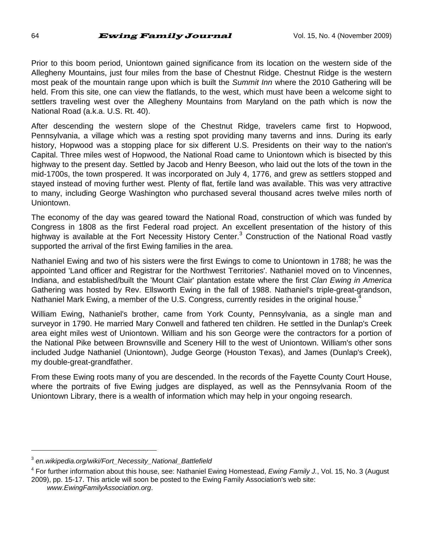Prior to this boom period, Uniontown gained significance from its location on the western side of the Allegheny Mountains, just four miles from the base of Chestnut Ridge. Chestnut Ridge is the western most peak of the mountain range upon which is built the *Summit Inn* where the 2010 Gathering will be held. From this site, one can view the flatlands, to the west, which must have been a welcome sight to settlers traveling west over the Allegheny Mountains from Maryland on the path which is now the National Road (a.k.a. U.S. Rt. 40).

After descending the western slope of the Chestnut Ridge, travelers came first to Hopwood, Pennsylvania, a village which was a resting spot providing many taverns and inns. During its early history, Hopwood was a stopping place for six different U.S. Presidents on their way to the nation's Capital. Three miles west of Hopwood, the National Road came to Uniontown which is bisected by this highway to the present day. Settled by Jacob and Henry Beeson, who laid out the lots of the town in the mid-1700s, the town prospered. It was incorporated on July 4, 1776, and grew as settlers stopped and stayed instead of moving further west. Plenty of flat, fertile land was available. This was very attractive to many, including George Washington who purchased several thousand acres twelve miles north of Uniontown.

The economy of the day was geared toward the National Road, construction of which was funded by Congress in 1808 as the first Federal road project. An excellent presentation of the history of this highway is available at the Fort Necessity History Center.<sup>3</sup> Construction of the National Road vastly supported the arrival of the first Ewing families in the area.

Nathaniel Ewing and two of his sisters were the first Ewings to come to Uniontown in 1788; he was the appointed 'Land officer and Registrar for the Northwest Territories'. Nathaniel moved on to Vincennes, Indiana, and established/built the 'Mount Clair' plantation estate where the first *Clan Ewing in America* Gathering was hosted by Rev. Ellsworth Ewing in the fall of 1988. Nathaniel's triple-great-grandson, Nathaniel Mark Ewing, a member of the U.S. Congress, currently resides in the original house.<sup>4</sup>

William Ewing, Nathaniel's brother, came from York County, Pennsylvania, as a single man and surveyor in 1790. He married Mary Conwell and fathered ten children. He settled in the Dunlap's Creek area eight miles west of Uniontown. William and his son George were the contractors for a portion of the National Pike between Brownsville and Scenery Hill to the west of Uniontown. William's other sons included Judge Nathaniel (Uniontown), Judge George (Houston Texas), and James (Dunlap's Creek), my double-great-grandfather.

From these Ewing roots many of you are descended. In the records of the Fayette County Court House, where the portraits of five Ewing judges are displayed, as well as the Pennsylvania Room of the Uniontown Library, there is a wealth of information which may help in your ongoing research.

<sup>3</sup> *en.wikipedia.org/wiki/Fort\_Necessity\_National\_Battlefield*

<sup>4</sup> For further information about this house, see: Nathaniel Ewing Homestead, *Ewing Family J.*, Vol. 15, No. 3 (August 2009), pp. 15-17. This article will soon be posted to the Ewing Family Association's web site:

*www.EwingFamilyAssociation.org*.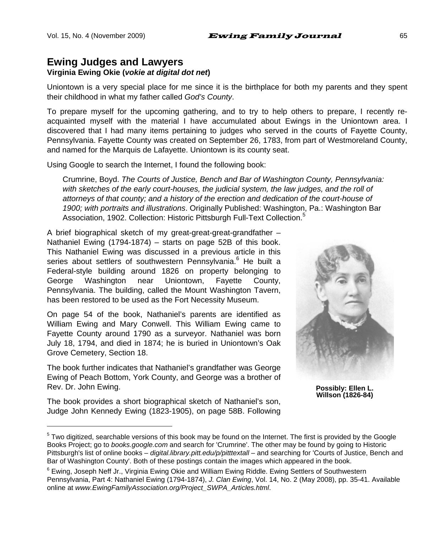#### **Ewing Judges and Lawyers Virginia Ewing Okie (***vokie at digital dot net***)**

Uniontown is a very special place for me since it is the birthplace for both my parents and they spent their childhood in what my father called *God's County*.

To prepare myself for the upcoming gathering, and to try to help others to prepare, I recently reacquainted myself with the material I have accumulated about Ewings in the Uniontown area. I discovered that I had many items pertaining to judges who served in the courts of Fayette County, Pennsylvania. Fayette County was created on September 26, 1783, from part of Westmoreland County, and named for the Marquis de Lafayette. Uniontown is its county seat.

Using Google to search the Internet, I found the following book:

Crumrine, Boyd. *The Courts of Justice, Bench and Bar of Washington County, Pennsylvania: with sketches of the early court-houses, the judicial system, the law judges, and the roll of attorneys of that county; and a history of the erection and dedication of the court-house of 1900; with portraits and illustrations*. Originally Published: Washington, Pa.: Washington Bar Association, 1902. Collection: Historic Pittsburgh Full-Text Collection.<sup>5</sup>

A brief biographical sketch of my great-great-great-grandfather – Nathaniel Ewing (1794-1874) – starts on page 52B of this book. This Nathaniel Ewing was discussed in a previous article in this series about settlers of southwestern Pennsylvania.<sup>6</sup> He built a Federal-style building around 1826 on property belonging to George Washington near Uniontown, Fayette County, Pennsylvania. The building, called the Mount Washington Tavern, has been restored to be used as the Fort Necessity Museum.

On page 54 of the book, Nathaniel's parents are identified as William Ewing and Mary Conwell. This William Ewing came to Fayette County around 1790 as a surveyor. Nathaniel was born July 18, 1794, and died in 1874; he is buried in Uniontown's Oak Grove Cemetery, Section 18.

The book further indicates that Nathaniel's grandfather was George Ewing of Peach Bottom, York County, and George was a brother of Rev. Dr. John Ewing.

The book provides a short biographical sketch of Nathaniel's son, Judge John Kennedy Ewing (1823-1905), on page 58B. Following

l



**Possibly: Ellen L. Willson (1826-84)** 

<sup>&</sup>lt;sup>5</sup> Two digitized, searchable versions of this book may be found on the Internet. The first is provided by the Google Books Project; go to *books.google.com* and search for 'Crumrine'. The other may be found by going to Historic Pittsburgh's list of online books – *digital.library.pitt.edu/p/pitttextall* – and searching for 'Courts of Justice, Bench and Bar of Washington County'. Both of these postings contain the images which appeared in the book.

<sup>&</sup>lt;sup>6</sup> Ewing, Joseph Neff Jr., Virginia Ewing Okie and William Ewing Riddle. Ewing Settlers of Southwestern Pennsylvania, Part 4: Nathaniel Ewing (1794-1874), *J. Clan Ewing*, Vol. 14, No. 2 (May 2008), pp. 35-41. Available online at *www.EwingFamilyAssociation.org/Project\_SWPA\_Articles.html*.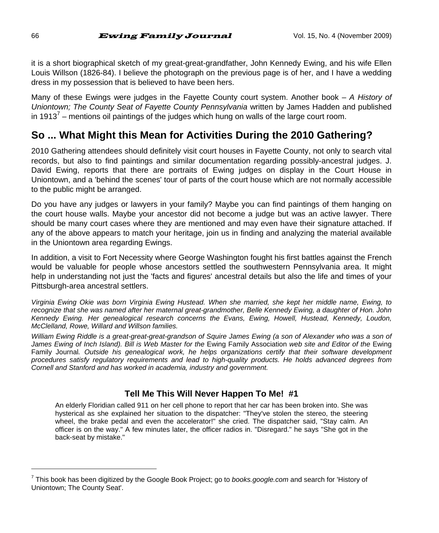it is a short biographical sketch of my great-great-grandfather, John Kennedy Ewing, and his wife Ellen Louis Willson (1826-84). I believe the photograph on the previous page is of her, and I have a wedding dress in my possession that is believed to have been hers.

Many of these Ewings were judges in the Fayette County court system. Another book – *A History of Uniontown; The County Seat of Fayette County Pennsylvania* written by James Hadden and published in 1913<sup>7</sup> – mentions oil paintings of the judges which hung on walls of the large court room.

# **So ... What Might this Mean for Activities During the 2010 Gathering?**

2010 Gathering attendees should definitely visit court houses in Fayette County, not only to search vital records, but also to find paintings and similar documentation regarding possibly-ancestral judges. J. David Ewing, reports that there are portraits of Ewing judges on display in the Court House in Uniontown, and a 'behind the scenes' tour of parts of the court house which are not normally accessible to the public might be arranged.

Do you have any judges or lawyers in your family? Maybe you can find paintings of them hanging on the court house walls. Maybe your ancestor did not become a judge but was an active lawyer. There should be many court cases where they are mentioned and may even have their signature attached. If any of the above appears to match your heritage, join us in finding and analyzing the material available in the Uniontown area regarding Ewings.

In addition, a visit to Fort Necessity where George Washington fought his first battles against the French would be valuable for people whose ancestors settled the southwestern Pennsylvania area. It might help in understanding not just the 'facts and figures' ancestral details but also the life and times of your Pittsburgh-area ancestral settlers.

*Virginia Ewing Okie was born Virginia Ewing Hustead. When she married, she kept her middle name, Ewing, to recognize that she was named after her maternal great-grandmother, Belle Kennedy Ewing, a daughter of Hon. John Kennedy Ewing. Her genealogical research concerns the Evans, Ewing, Howell, Hustead, Kennedy, Loudon, McClelland, Rowe, Willard and Willson families.* 

William Ewing Riddle is a great-great-great-grandson of Squire James Ewing (a son of Alexander who was a son of *James Ewing of Inch Island). Bill is Web Master for the* Ewing Family Association *web site and Editor of the* Ewing Family Journal*. Outside his genealogical work, he helps organizations certify that their software development procedures satisfy regulatory requirements and lead to high-quality products. He holds advanced degrees from Cornell and Stanford and has worked in academia, industry and government.* 

### **Tell Me This Will Never Happen To Me! #1**

An elderly Floridian called 911 on her cell phone to report that her car has been broken into. She was hysterical as she explained her situation to the dispatcher: "They've stolen the stereo, the steering wheel, the brake pedal and even the accelerator!" she cried. The dispatcher said, "Stay calm. An officer is on the way." A few minutes later, the officer radios in. "Disregard." he says "She got in the back-seat by mistake."

l

<sup>7</sup> This book has been digitized by the Google Book Project; go to *books.google.com* and search for 'History of Uniontown; The County Seat'.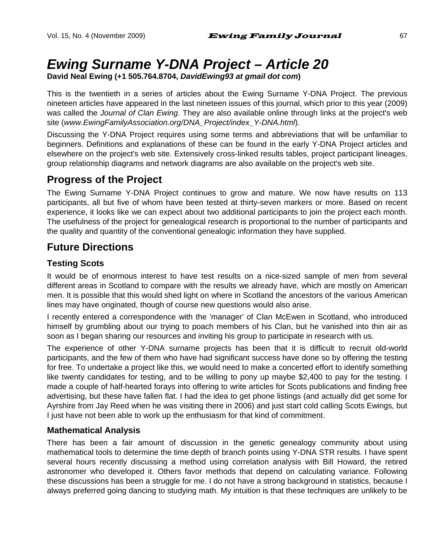# *Ewing Surname Y-DNA Project – Article 20*

**David Neal Ewing (+1 505.764.8704,** *DavidEwing93 at gmail dot com***)** 

This is the twentieth in a series of articles about the Ewing Surname Y-DNA Project. The previous nineteen articles have appeared in the last nineteen issues of this journal, which prior to this year (2009) was called the *Journal of Clan Ewing*. They are also available online through links at the project's web site (*www.EwingFamilyAssociation.org/DNA\_Project/index\_Y-DNA.html*).

Discussing the Y-DNA Project requires using some terms and abbreviations that will be unfamiliar to beginners. Definitions and explanations of these can be found in the early Y-DNA Project articles and elsewhere on the project's web site. Extensively cross-linked results tables, project participant lineages, group relationship diagrams and network diagrams are also available on the project's web site.

# **Progress of the Project**

The Ewing Surname Y-DNA Project continues to grow and mature. We now have results on 113 participants, all but five of whom have been tested at thirty-seven markers or more. Based on recent experience, it looks like we can expect about two additional participants to join the project each month. The usefulness of the project for genealogical research is proportional to the number of participants and the quality and quantity of the conventional genealogic information they have supplied.

## **Future Directions**

### **Testing Scots**

It would be of enormous interest to have test results on a nice-sized sample of men from several different areas in Scotland to compare with the results we already have, which are mostly on American men. It is possible that this would shed light on where in Scotland the ancestors of the various American lines may have originated, though of course new questions would also arise.

I recently entered a correspondence with the 'manager' of Clan McEwen in Scotland, who introduced himself by grumbling about our trying to poach members of his Clan, but he vanished into thin air as soon as I began sharing our resources and inviting his group to participate in research with us.

The experience of other Y-DNA surname projects has been that it is difficult to recruit old-world participants, and the few of them who have had significant success have done so by offering the testing for free. To undertake a project like this, we would need to make a concerted effort to identify something like twenty candidates for testing, and to be willing to pony up maybe \$2,400 to pay for the testing. I made a couple of half-hearted forays into offering to write articles for Scots publications and finding free advertising, but these have fallen flat. I had the idea to get phone listings (and actually did get some for Ayrshire from Jay Reed when he was visiting there in 2006) and just start cold calling Scots Ewings, but I just have not been able to work up the enthusiasm for that kind of commitment.

#### **Mathematical Analysis**

There has been a fair amount of discussion in the genetic genealogy community about using mathematical tools to determine the time depth of branch points using Y-DNA STR results. I have spent several hours recently discussing a method using correlation analysis with Bill Howard, the retired astronomer who developed it. Others favor methods that depend on calculating variance. Following these discussions has been a struggle for me. I do not have a strong background in statistics, because I always preferred going dancing to studying math. My intuition is that these techniques are unlikely to be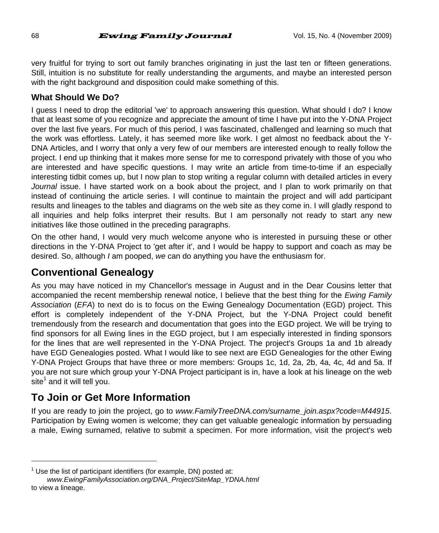very fruitful for trying to sort out family branches originating in just the last ten or fifteen generations. Still, intuition is no substitute for really understanding the arguments, and maybe an interested person with the right background and disposition could make something of this.

#### **What Should We Do?**

I guess I need to drop the editorial 'we' to approach answering this question. What should I do? I know that at least some of you recognize and appreciate the amount of time I have put into the Y-DNA Project over the last five years. For much of this period, I was fascinated, challenged and learning so much that the work was effortless. Lately, it has seemed more like work. I get almost no feedback about the Y-DNA Articles, and I worry that only a very few of our members are interested enough to really follow the project. I end up thinking that it makes more sense for me to correspond privately with those of you who are interested and have specific questions. I may write an article from time-to-time if an especially interesting tidbit comes up, but I now plan to stop writing a regular column with detailed articles in every Journal issue. I have started work on a book about the project, and I plan to work primarily on that instead of continuing the article series. I will continue to maintain the project and will add participant results and lineages to the tables and diagrams on the web site as they come in. I will gladly respond to all inquiries and help folks interpret their results. But I am personally not ready to start any new initiatives like those outlined in the preceding paragraphs.

On the other hand, I would very much welcome anyone who is interested in pursuing these or other directions in the Y-DNA Project to 'get after it', and I would be happy to support and coach as may be desired. So, although *I* am pooped, *we* can do anything you have the enthusiasm for.

# **Conventional Genealogy**

As you may have noticed in my Chancellor's message in August and in the Dear Cousins letter that accompanied the recent membership renewal notice, I believe that the best thing for the *Ewing Family Association* (*EFA*) to next do is to focus on the Ewing Genealogy Documentation (EGD) project. This effort is completely independent of the Y-DNA Project, but the Y-DNA Project could benefit tremendously from the research and documentation that goes into the EGD project. We will be trying to find sponsors for all Ewing lines in the EGD project, but I am especially interested in finding sponsors for the lines that are well represented in the Y-DNA Project. The project's Groups 1a and 1b already have EGD Genealogies posted. What I would like to see next are EGD Genealogies for the other Ewing Y-DNA Project Groups that have three or more members: Groups 1c, 1d, 2a, 2b, 4a, 4c, 4d and 5a. If you are not sure which group your Y-DNA Project participant is in, have a look at his lineage on the web  $\sinh^{-1}$  and it will tell you.

# **To Join or Get More Information**

If you are ready to join the project, go to *www.FamilyTreeDNA.com/surname\_join.aspx?code=M44915*. Participation by Ewing women is welcome; they can get valuable genealogic information by persuading a male, Ewing surnamed, relative to submit a specimen. For more information, visit the project's web

l

 $1$  Use the list of participant identifiers (for example, DN) posted at: *www.EwingFamilyAssociation.org/DNA\_Project/SiteMap\_YDNA.html* to view a lineage.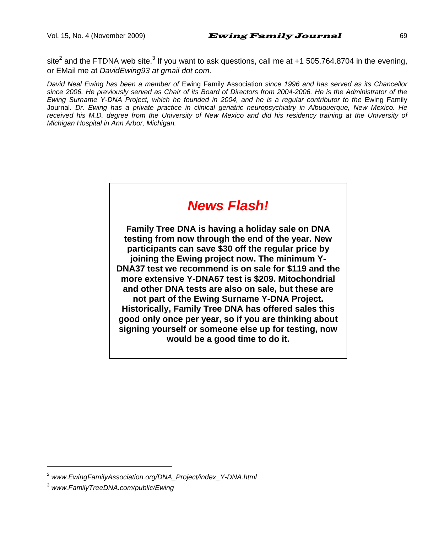site<sup>2</sup> and the FTDNA web site.<sup>3</sup> If you want to ask questions, call me at +1 505.764.8704 in the evening, or EMail me at *DavidEwing93 at gmail dot com*.

*David Neal Ewing has been a member of* Ewing Family Association *since 1996 and has served as its Chancellor*  since 2006. He previously served as Chair of its Board of Directors from 2004-2006. He is the Administrator of the *Ewing Surname Y-DNA Project, which he founded in 2004, and he is a regular contributor to the Ewing Family* Journal*. Dr. Ewing has a private practice in clinical geriatric neuropsychiatry in Albuquerque, New Mexico. He*  received his M.D. degree from the University of New Mexico and did his residency training at the University of *Michigan Hospital in Ann Arbor, Michigan.* 



l

<sup>2</sup> *www.EwingFamilyAssociation.org/DNA\_Project/index\_Y-DNA.html*

<sup>3</sup> *www.FamilyTreeDNA.com/public/Ewing*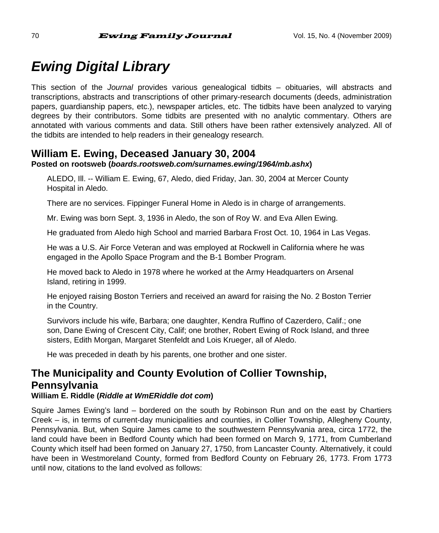# *Ewing Digital Library*

This section of the *Journal* provides various genealogical tidbits – obituaries, will abstracts and transcriptions, abstracts and transcriptions of other primary-research documents (deeds, administration papers, guardianship papers, etc.), newspaper articles, etc. The tidbits have been analyzed to varying degrees by their contributors. Some tidbits are presented with no analytic commentary. Others are annotated with various comments and data. Still others have been rather extensively analyzed. All of the tidbits are intended to help readers in their genealogy research.

#### **William E. Ewing, Deceased January 30, 2004 Posted on rootsweb (***boards.rootsweb.com/surnames.ewing/1964/mb.ashx***)**

ALEDO, Ill. -- William E. Ewing, 67, Aledo, died Friday, Jan. 30, 2004 at Mercer County Hospital in Aledo.

There are no services. Fippinger Funeral Home in Aledo is in charge of arrangements.

Mr. Ewing was born Sept. 3, 1936 in Aledo, the son of Roy W. and Eva Allen Ewing.

He graduated from Aledo high School and married Barbara Frost Oct. 10, 1964 in Las Vegas.

He was a U.S. Air Force Veteran and was employed at Rockwell in California where he was engaged in the Apollo Space Program and the B-1 Bomber Program.

He moved back to Aledo in 1978 where he worked at the Army Headquarters on Arsenal Island, retiring in 1999.

He enjoyed raising Boston Terriers and received an award for raising the No. 2 Boston Terrier in the Country.

Survivors include his wife, Barbara; one daughter, Kendra Ruffino of Cazerdero, Calif.; one son, Dane Ewing of Crescent City, Calif; one brother, Robert Ewing of Rock Island, and three sisters, Edith Morgan, Margaret Stenfeldt and Lois Krueger, all of Aledo.

He was preceded in death by his parents, one brother and one sister.

# **The Municipality and County Evolution of Collier Township, Pennsylvania**

### **William E. Riddle (***Riddle at WmERiddle dot com***)**

Squire James Ewing's land – bordered on the south by Robinson Run and on the east by Chartiers Creek – is, in terms of current-day municipalities and counties, in Collier Township, Allegheny County, Pennsylvania. But, when Squire James came to the southwestern Pennsylvania area, circa 1772, the land could have been in Bedford County which had been formed on March 9, 1771, from Cumberland County which itself had been formed on January 27, 1750, from Lancaster County. Alternatively, it could have been in Westmoreland County, formed from Bedford County on February 26, 1773. From 1773 until now, citations to the land evolved as follows: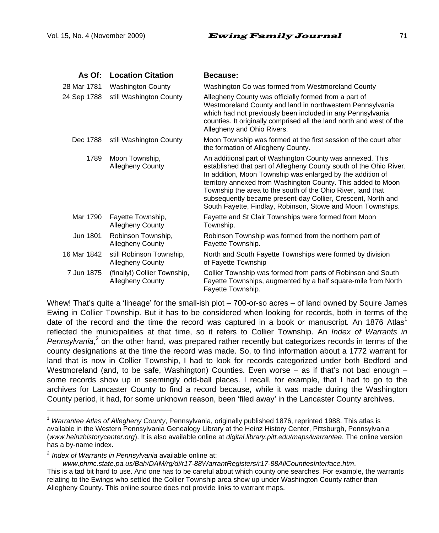Vol. 15, No. 4 (November 2009)  $Ewing Family Journal$  71

| As Of:      | <b>Location Citation</b>                                | Because:                                                                                                                                                                                                                                                                                                                                                                                                                                                    |  |
|-------------|---------------------------------------------------------|-------------------------------------------------------------------------------------------------------------------------------------------------------------------------------------------------------------------------------------------------------------------------------------------------------------------------------------------------------------------------------------------------------------------------------------------------------------|--|
| 28 Mar 1781 | <b>Washington County</b>                                | Washington Co was formed from Westmoreland County                                                                                                                                                                                                                                                                                                                                                                                                           |  |
| 24 Sep 1788 | still Washington County                                 | Allegheny County was officially formed from a part of<br>Westmoreland County and land in northwestern Pennsylvania<br>which had not previously been included in any Pennsylvania<br>counties. It originally comprised all the land north and west of the<br>Allegheny and Ohio Rivers.                                                                                                                                                                      |  |
| Dec 1788    | still Washington County                                 | Moon Township was formed at the first session of the court after<br>the formation of Allegheny County.                                                                                                                                                                                                                                                                                                                                                      |  |
| 1789        | Moon Township,<br><b>Allegheny County</b>               | An additional part of Washington County was annexed. This<br>established that part of Allegheny County south of the Ohio River.<br>In addition, Moon Township was enlarged by the addition of<br>territory annexed from Washington County. This added to Moon<br>Township the area to the south of the Ohio River, land that<br>subsequently became present-day Collier, Crescent, North and<br>South Fayette, Findlay, Robinson, Stowe and Moon Townships. |  |
| Mar 1790    | Fayette Township,<br><b>Allegheny County</b>            | Fayette and St Clair Townships were formed from Moon<br>Township.                                                                                                                                                                                                                                                                                                                                                                                           |  |
| Jun 1801    | Robinson Township,<br><b>Allegheny County</b>           | Robinson Township was formed from the northern part of<br>Fayette Township.                                                                                                                                                                                                                                                                                                                                                                                 |  |
| 16 Mar 1842 | still Robinson Township,<br><b>Allegheny County</b>     | North and South Fayette Townships were formed by division<br>of Fayette Township                                                                                                                                                                                                                                                                                                                                                                            |  |
| 7 Jun 1875  | (finally!) Collier Township,<br><b>Allegheny County</b> | Collier Township was formed from parts of Robinson and South<br>Fayette Townships, augmented by a half square-mile from North<br>Fayette Township.                                                                                                                                                                                                                                                                                                          |  |

Whew! That's quite a 'lineage' for the small-ish plot – 700-or-so acres – of land owned by Squire James Ewing in Collier Township. But it has to be considered when looking for records, both in terms of the date of the record and the time the record was captured in a book or manuscript. An 1876 Atlas<sup>1</sup> reflected the municipalities at that time, so it refers to Collier Township. An *Index of Warrants in*  Pennsylvania,<sup>2</sup> on the other hand, was prepared rather recently but categorizes records in terms of the county designations at the time the record was made. So, to find information about a 1772 warrant for land that is now in Collier Township, I had to look for records categorized under both Bedford and Westmoreland (and, to be safe, Washington) Counties. Even worse – as if that's not bad enough – some records show up in seemingly odd-ball places. I recall, for example, that I had to go to the archives for Lancaster County to find a record because, while it was made during the Washington County period, it had, for some unknown reason, been 'filed away' in the Lancaster County archives.

l

*www.phmc.state.pa.us/Bah/DAM/rg/di/r17-88WarrantRegisters/r17-88AllCountiesInterface.htm*.

<sup>1</sup> *Warrantee Atlas of Allegheny County*, Pennsylvania, originally published 1876, reprinted 1988. This atlas is available in the Western Pennsylvania Genealogy Library at the Heinz History Center, Pittsburgh, Pennsylvania (*www.heinzhistorycenter.org*). It is also available online at *digital.library.pitt.edu/maps/warrantee*. The online version has a by-name index.

<sup>2</sup> *Index of Warrants in Pennsylvania* available online at:

This is a tad bit hard to use. And one has to be careful about which county one searches. For example, the warrants relating to the Ewings who settled the Collier Township area show up under Washington County rather than Allegheny County. This online source does not provide links to warrant maps.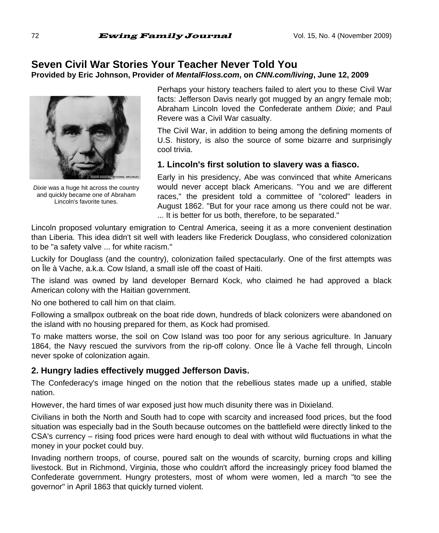### **Seven Civil War Stories Your Teacher Never Told You**

**Provided by Eric Johnson, Provider of** *MentalFloss.com***, on** *CNN.com/living***, June 12, 2009** 



*Dixie* was a huge hit across the country and quickly became one of Abraham Lincoln's favorite tunes.

Perhaps your history teachers failed to alert you to these Civil War facts: Jefferson Davis nearly got mugged by an angry female mob; Abraham Lincoln loved the Confederate anthem *Dixie*; and Paul Revere was a Civil War casualty.

The Civil War, in addition to being among the defining moments of U.S. history, is also the source of some bizarre and surprisingly cool trivia.

#### **1. Lincoln's first solution to slavery was a fiasco.**

Early in his presidency, Abe was convinced that white Americans would never accept black Americans. "You and we are different races," the president told a committee of "colored" leaders in August 1862. "But for your race among us there could not be war. ... It is better for us both, therefore, to be separated."

Lincoln proposed voluntary emigration to Central America, seeing it as a more convenient destination than Liberia. This idea didn't sit well with leaders like Frederick Douglass, who considered colonization to be "a safety valve ... for white racism."

Luckily for Douglass (and the country), colonization failed spectacularly. One of the first attempts was on Île à Vache, a.k.a. Cow Island, a small isle off the coast of Haiti.

The island was owned by land developer Bernard Kock, who claimed he had approved a black American colony with the Haitian government.

No one bothered to call him on that claim.

Following a smallpox outbreak on the boat ride down, hundreds of black colonizers were abandoned on the island with no housing prepared for them, as Kock had promised.

To make matters worse, the soil on Cow Island was too poor for any serious agriculture. In January 1864, the Navy rescued the survivors from the rip-off colony. Once Île à Vache fell through, Lincoln never spoke of colonization again.

#### **2. Hungry ladies effectively mugged Jefferson Davis.**

The Confederacy's image hinged on the notion that the rebellious states made up a unified, stable nation.

However, the hard times of war exposed just how much disunity there was in Dixieland.

Civilians in both the North and South had to cope with scarcity and increased food prices, but the food situation was especially bad in the South because outcomes on the battlefield were directly linked to the CSA's currency – rising food prices were hard enough to deal with without wild fluctuations in what the money in your pocket could buy.

Invading northern troops, of course, poured salt on the wounds of scarcity, burning crops and killing livestock. But in Richmond, Virginia, those who couldn't afford the increasingly pricey food blamed the Confederate government. Hungry protesters, most of whom were women, led a march "to see the governor" in April 1863 that quickly turned violent.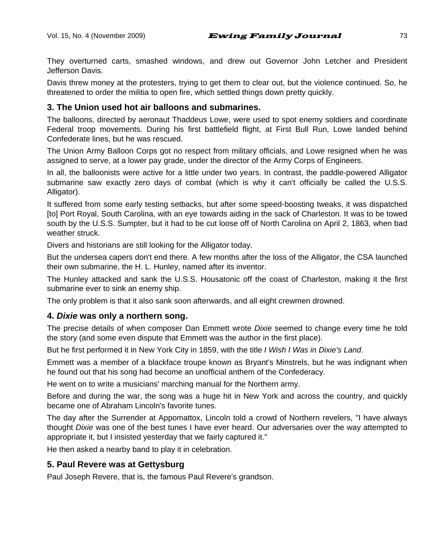They overturned carts, smashed windows, and drew out Governor John Letcher and President Jefferson Davis.

Davis threw money at the protesters, trying to get them to clear out, but the violence continued. So, he threatened to order the militia to open fire, which settled things down pretty quickly.

#### **3. The Union used hot air balloons and submarines.**

The balloons, directed by aeronaut Thaddeus Lowe, were used to spot enemy soldiers and coordinate Federal troop movements. During his first battlefield flight, at First Bull Run, Lowe landed behind Confederate lines, but he was rescued.

The Union Army Balloon Corps got no respect from military officials, and Lowe resigned when he was assigned to serve, at a lower pay grade, under the director of the Army Corps of Engineers.

In all, the balloonists were active for a little under two years. In contrast, the paddle-powered Alligator submarine saw exactly zero days of combat (which is why it can't officially be called the U.S.S. Alligator).

It suffered from some early testing setbacks, but after some speed-boosting tweaks, it was dispatched [to] Port Royal, South Carolina, with an eye towards aiding in the sack of Charleston. It was to be towed south by the U.S.S. Sumpter, but it had to be cut loose off of North Carolina on April 2, 1863, when bad weather struck.

Divers and historians are still looking for the Alligator today.

But the undersea capers don't end there. A few months after the loss of the Alligator, the CSA launched their own submarine, the H. L. Hunley, named after its inventor.

The Hunley attacked and sank the U.S.S. Housatonic off the coast of Charleston, making it the first submarine ever to sink an enemy ship.

The only problem is that it also sank soon afterwards, and all eight crewmen drowned.

#### **4.** *Dixie* **was only a northern song.**

The precise details of when composer Dan Emmett wrote *Dixie* seemed to change every time he told the story (and some even dispute that Emmett was the author in the first place).

But he first performed it in New York City in 1859, with the title *I Wish I Was in Dixie's Land*.

Emmett was a member of a blackface troupe known as Bryant's Minstrels, but he was indignant when he found out that his song had become an unofficial anthem of the Confederacy.

He went on to write a musicians' marching manual for the Northern army.

Before and during the war, the song was a huge hit in New York and across the country, and quickly became one of Abraham Lincoln's favorite tunes.

The day after the Surrender at Appomattox, Lincoln told a crowd of Northern revelers, "I have always thought *Dixie* was one of the best tunes I have ever heard. Our adversaries over the way attempted to appropriate it, but I insisted yesterday that we fairly captured it."

He then asked a nearby band to play it in celebration.

#### **5. Paul Revere was at Gettysburg**

Paul Joseph Revere, that is, the famous Paul Revere's grandson.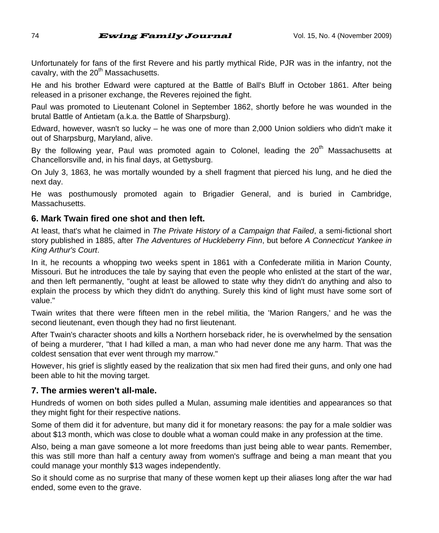74 **Ewing Family Journal**  $V$ ol. 15, No. 4 (November 2009)

Unfortunately for fans of the first Revere and his partly mythical Ride, PJR was in the infantry, not the cavalry, with the 20<sup>th</sup> Massachusetts.

He and his brother Edward were captured at the Battle of Ball's Bluff in October 1861. After being released in a prisoner exchange, the Reveres rejoined the fight.

Paul was promoted to Lieutenant Colonel in September 1862, shortly before he was wounded in the brutal Battle of Antietam (a.k.a. the Battle of Sharpsburg).

Edward, however, wasn't so lucky – he was one of more than 2,000 Union soldiers who didn't make it out of Sharpsburg, Maryland, alive.

By the following year, Paul was promoted again to Colonel, leading the  $20<sup>th</sup>$  Massachusetts at Chancellorsville and, in his final days, at Gettysburg.

On July 3, 1863, he was mortally wounded by a shell fragment that pierced his lung, and he died the next day.

He was posthumously promoted again to Brigadier General, and is buried in Cambridge, Massachusetts.

#### **6. Mark Twain fired one shot and then left.**

At least, that's what he claimed in *The Private History of a Campaign that Failed*, a semi-fictional short story published in 1885, after *The Adventures of Huckleberry Finn*, but before *A Connecticut Yankee in King Arthur's Court*.

In it, he recounts a whopping two weeks spent in 1861 with a Confederate militia in Marion County, Missouri. But he introduces the tale by saying that even the people who enlisted at the start of the war, and then left permanently, "ought at least be allowed to state why they didn't do anything and also to explain the process by which they didn't do anything. Surely this kind of light must have some sort of value."

Twain writes that there were fifteen men in the rebel militia, the 'Marion Rangers,' and he was the second lieutenant, even though they had no first lieutenant.

After Twain's character shoots and kills a Northern horseback rider, he is overwhelmed by the sensation of being a murderer, "that I had killed a man, a man who had never done me any harm. That was the coldest sensation that ever went through my marrow."

However, his grief is slightly eased by the realization that six men had fired their guns, and only one had been able to hit the moving target.

#### **7. The armies weren't all-male.**

Hundreds of women on both sides pulled a Mulan, assuming male identities and appearances so that they might fight for their respective nations.

Some of them did it for adventure, but many did it for monetary reasons: the pay for a male soldier was about \$13 month, which was close to double what a woman could make in any profession at the time.

Also, being a man gave someone a lot more freedoms than just being able to wear pants. Remember, this was still more than half a century away from women's suffrage and being a man meant that you could manage your monthly \$13 wages independently.

So it should come as no surprise that many of these women kept up their aliases long after the war had ended, some even to the grave.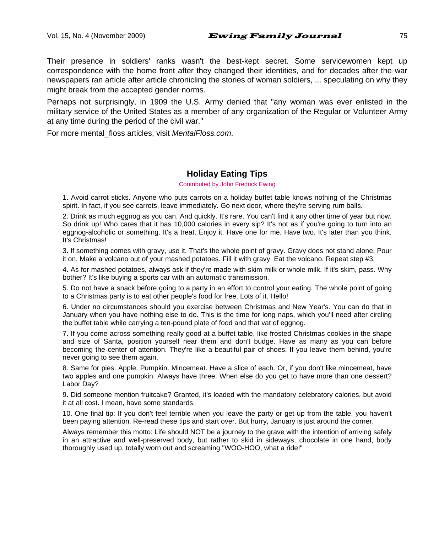#### Vol. 15, No. 4 (November 2009)  $Ewing Family Journal$  75

Their presence in soldiers' ranks wasn't the best-kept secret. Some servicewomen kept up correspondence with the home front after they changed their identities, and for decades after the war newspapers ran article after article chronicling the stories of woman soldiers, ... speculating on why they might break from the accepted gender norms.

Perhaps not surprisingly, in 1909 the U.S. Army denied that "any woman was ever enlisted in the military service of the United States as a member of any organization of the Regular or Volunteer Army at any time during the period of the civil war."

For more mental\_floss articles, visit *MentalFloss.com*.

#### **Holiday Eating Tips**

Contributed by John Fredrick Ewing

1. Avoid carrot sticks. Anyone who puts carrots on a holiday buffet table knows nothing of the Christmas spirit. In fact, if you see carrots, leave immediately. Go next door, where they're serving rum balls.

2. Drink as much eggnog as you can. And quickly. It's rare. You can't find it any other time of year but now. So drink up! Who cares that it has 10,000 calories in every sip? It's not as if you're going to turn into an eggnog-alcoholic or something. It's a treat. Enjoy it. Have one for me. Have two. It's later than you think. It's Christmas!

3. If something comes with gravy, use it. That's the whole point of gravy. Gravy does not stand alone. Pour it on. Make a volcano out of your mashed potatoes. Fill it with gravy. Eat the volcano. Repeat step #3.

4. As for mashed potatoes, always ask if they're made with skim milk or whole milk. If it's skim, pass. Why bother? It's like buying a sports car with an automatic transmission.

5. Do not have a snack before going to a party in an effort to control your eating. The whole point of going to a Christmas party is to eat other people's food for free. Lots of it. Hello!

6. Under no circumstances should you exercise between Christmas and New Year's. You can do that in January when you have nothing else to do. This is the time for long naps, which you'll need after circling the buffet table while carrying a ten-pound plate of food and that vat of eggnog.

7. If you come across something really good at a buffet table, like frosted Christmas cookies in the shape and size of Santa, position yourself near them and don't budge. Have as many as you can before becoming the center of attention. They're like a beautiful pair of shoes. If you leave them behind, you're never going to see them again.

8. Same for pies. Apple. Pumpkin. Mincemeat. Have a slice of each. Or, if you don't like mincemeat, have two apples and one pumpkin. Always have three. When else do you get to have more than one dessert? Labor Day?

9. Did someone mention fruitcake? Granted, it's loaded with the mandatory celebratory calories, but avoid it at all cost. I mean, have some standards.

10. One final tip: If you don't feel terrible when you leave the party or get up from the table, you haven't been paying attention. Re-read these tips and start over. But hurry, January is just around the corner.

Always remember this motto: Life should NOT be a journey to the grave with the intention of arriving safely in an attractive and well-preserved body, but rather to skid in sideways, chocolate in one hand, body thoroughly used up, totally worn out and screaming "WOO-HOO, what a ride!"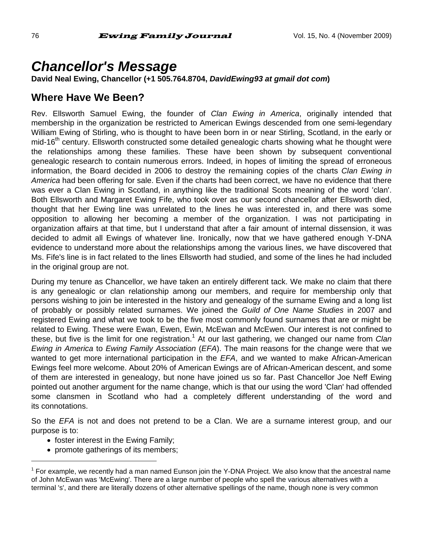# *Chancellor's Message*

**David Neal Ewing, Chancellor (+1 505.764.8704,** *DavidEwing93 at gmail dot com***)** 

# **Where Have We Been?**

Rev. Ellsworth Samuel Ewing, the founder of *Clan Ewing in America*, originally intended that membership in the organization be restricted to American Ewings descended from one semi-legendary William Ewing of Stirling, who is thought to have been born in or near Stirling, Scotland, in the early or mid-16<sup>th</sup> century. Ellsworth constructed some detailed genealogic charts showing what he thought were the relationships among these families. These have been shown by subsequent conventional genealogic research to contain numerous errors. Indeed, in hopes of limiting the spread of erroneous information, the Board decided in 2006 to destroy the remaining copies of the charts *Clan Ewing in America* had been offering for sale. Even if the charts had been correct, we have no evidence that there was ever a Clan Ewing in Scotland, in anything like the traditional Scots meaning of the word 'clan'. Both Ellsworth and Margaret Ewing Fife, who took over as our second chancellor after Ellsworth died, thought that her Ewing line was unrelated to the lines he was interested in, and there was some opposition to allowing her becoming a member of the organization. I was not participating in organization affairs at that time, but I understand that after a fair amount of internal dissension, it was decided to admit all Ewings of whatever line. Ironically, now that we have gathered enough Y-DNA evidence to understand more about the relationships among the various lines, we have discovered that Ms. Fife's line is in fact related to the lines Ellsworth had studied, and some of the lines he had included in the original group are not.

During my tenure as Chancellor, we have taken an entirely different tack. We make no claim that there is any genealogic or clan relationship among our members, and require for membership only that persons wishing to join be interested in the history and genealogy of the surname Ewing and a long list of probably or possibly related surnames. We joined the *Guild of One Name Studies* in 2007 and registered Ewing and what we took to be the five most commonly found surnames that are or might be related to Ewing. These were Ewan, Ewen, Ewin, McEwan and McEwen. Our interest is not confined to these, but five is the limit for one registration.<sup>1</sup> At our last gathering, we changed our name from *Clan Ewing in America* to *Ewing Family Association* (*EFA*). The main reasons for the change were that we wanted to get more international participation in the *EFA*, and we wanted to make African-American Ewings feel more welcome. About 20% of American Ewings are of African-American descent, and some of them are interested in genealogy, but none have joined us so far. Past Chancellor Joe Neff Ewing pointed out another argument for the name change, which is that our using the word 'Clan' had offended some clansmen in Scotland who had a completely different understanding of the word and its connotations.

So the *EFA* is not and does not pretend to be a Clan. We are a surname interest group, and our purpose is to:

- foster interest in the Ewing Family;
- promote gatherings of its members;

l

<sup>&</sup>lt;sup>1</sup> For example, we recently had a man named Eunson join the Y-DNA Project. We also know that the ancestral name of John McEwan was 'McEwing'. There are a large number of people who spell the various alternatives with a terminal 's', and there are literally dozens of other alternative spellings of the name, though none is very common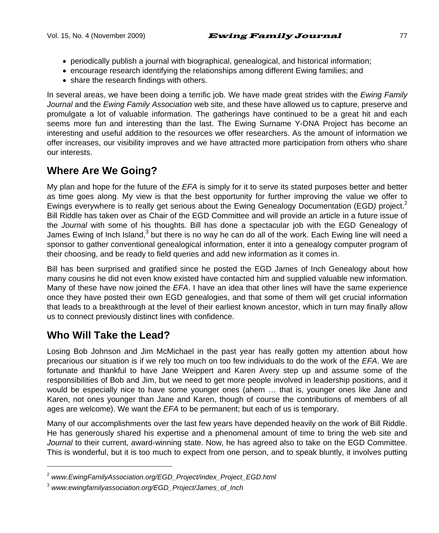- periodically publish a journal with biographical, genealogical, and historical information;
- encourage research identifying the relationships among different Ewing families; and
- share the research findings with others.

In several areas, we have been doing a terrific job. We have made great strides with the *Ewing Family Journal* and the *Ewing Family Association* web site, and these have allowed us to capture, preserve and promulgate a lot of valuable information. The gatherings have continued to be a great hit and each seems more fun and interesting than the last. The Ewing Surname Y-DNA Project has become an interesting and useful addition to the resources we offer researchers. As the amount of information we offer increases, our visibility improves and we have attracted more participation from others who share our interests.

# **Where Are We Going?**

My plan and hope for the future of the *EFA* is simply for it to serve its stated purposes better and better as time goes along. My view is that the best opportunity for further improving the value we offer to Ewings everywhere is to really get serious about the Ewing Genealogy Documentation (EGD*)* project.<sup>2</sup> Bill Riddle has taken over as Chair of the EGD Committee and will provide an article in a future issue of the *Journal* with some of his thoughts. Bill has done a spectacular job with the EGD Genealogy of James Ewing of Inch Island,<sup>3</sup> but there is no way he can do all of the work. Each Ewing line will need a sponsor to gather conventional genealogical information, enter it into a genealogy computer program of their choosing, and be ready to field queries and add new information as it comes in.

Bill has been surprised and gratified since he posted the EGD James of Inch Genealogy about how many cousins he did not even know existed have contacted him and supplied valuable new information. Many of these have now joined the *EFA*. I have an idea that other lines will have the same experience once they have posted their own EGD genealogies, and that some of them will get crucial information that leads to a breakthrough at the level of their earliest known ancestor, which in turn may finally allow us to connect previously distinct lines with confidence.

# **Who Will Take the Lead?**

l

Losing Bob Johnson and Jim McMichael in the past year has really gotten my attention about how precarious our situation is if we rely too much on too few individuals to do the work of the *EFA*. We are fortunate and thankful to have Jane Weippert and Karen Avery step up and assume some of the responsibilities of Bob and Jim, but we need to get more people involved in leadership positions, and it would be especially nice to have some younger ones (ahem … that is, younger ones like Jane and Karen, not ones younger than Jane and Karen, though of course the contributions of members of all ages are welcome). We want the *EFA* to be permanent; but each of us is temporary.

Many of our accomplishments over the last few years have depended heavily on the work of Bill Riddle. He has generously shared his expertise and a phenomenal amount of time to bring the web site and *Journal* to their current, award-winning state. Now, he has agreed also to take on the EGD Committee. This is wonderful, but it is too much to expect from one person, and to speak bluntly, it involves putting

<sup>2</sup> *www.EwingFamilyAssociation.org/EGD\_Project/index\_Project\_EGD.html*

<sup>3</sup> *www.ewingfamilyassociation.org/EGD\_Project/James\_of\_Inch*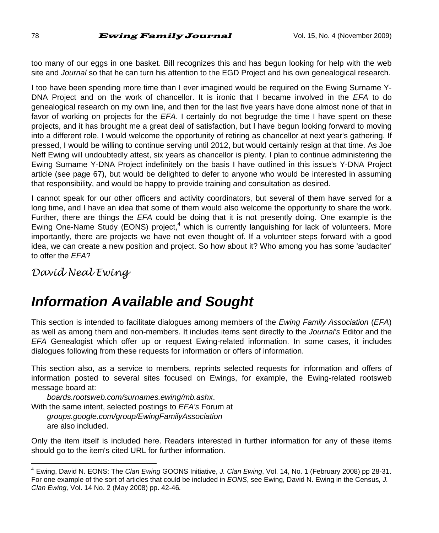too many of our eggs in one basket. Bill recognizes this and has begun looking for help with the web site and *Journal* so that he can turn his attention to the EGD Project and his own genealogical research.

I too have been spending more time than I ever imagined would be required on the Ewing Surname Y-DNA Project and on the work of chancellor. It is ironic that I became involved in the *EFA* to do genealogical research on my own line, and then for the last five years have done almost none of that in favor of working on projects for the *EFA*. I certainly do not begrudge the time I have spent on these projects, and it has brought me a great deal of satisfaction, but I have begun looking forward to moving into a different role. I would welcome the opportunity of retiring as chancellor at next year's gathering. If pressed, I would be willing to continue serving until 2012, but would certainly resign at that time. As Joe Neff Ewing will undoubtedly attest, six years as chancellor is plenty. I plan to continue administering the Ewing Surname Y-DNA Project indefinitely on the basis I have outlined in this issue's Y-DNA Project article (see page 67), but would be delighted to defer to anyone who would be interested in assuming that responsibility, and would be happy to provide training and consultation as desired.

I cannot speak for our other officers and activity coordinators, but several of them have served for a long time, and I have an idea that some of them would also welcome the opportunity to share the work. Further, there are things the *EFA* could be doing that it is not presently doing. One example is the Ewing One-Name Study (EONS) project, $4$  which is currently languishing for lack of volunteers. More importantly, there are projects we have not even thought of. If a volunteer steps forward with a good idea, we can create a new position and project. So how about it? Who among you has some 'audaciter' to offer the *EFA*?

*David Neal Ewing*

l

# *Information Available and Sought*

This section is intended to facilitate dialogues among members of the *Ewing Family Association* (*EFA*) as well as among them and non-members. It includes items sent directly to the *Journal's* Editor and the *EFA* Genealogist which offer up or request Ewing-related information. In some cases, it includes dialogues following from these requests for information or offers of information.

This section also, as a service to members, reprints selected requests for information and offers of information posted to several sites focused on Ewings, for example, the Ewing-related rootsweb message board at:

*boards.rootsweb.com/surnames.ewing/mb.ashx*. With the same intent, selected postings to *EFA's* Forum at *groups.google.com/group/EwingFamilyAssociation* are also included.

Only the item itself is included here. Readers interested in further information for any of these items should go to the item's cited URL for further information.

<sup>4</sup> Ewing, David N. EONS: The *Clan Ewing* GOONS Initiative, *J. Clan Ewing*, Vol. 14, No. 1 (February 2008) pp 28-31. For one example of the sort of articles that could be included in *EONS*, see Ewing, David N. Ewing in the Census*, J. Clan Ewing,* Vol. 14 No. 2 (May 2008) pp. 42-46*.*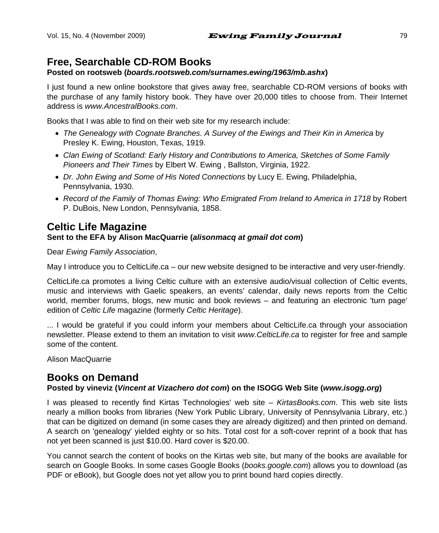# **Free, Searchable CD-ROM Books**

#### **Posted on rootsweb (***boards.rootsweb.com/surnames.ewing/1963/mb.ashx***)**

I just found a new online bookstore that gives away free, searchable CD-ROM versions of books with the purchase of any family history book. They have over 20,000 titles to choose from. Their Internet address is *www.AncestralBooks.com*.

Books that I was able to find on their web site for my research include:

- *The Genealogy with Cognate Branches. A Survey of the Ewings and Their Kin in America* by Presley K. Ewing, Houston, Texas, 1919.
- *Clan Ewing of Scotland: Early History and Contributions to America, Sketches of Some Family Pioneers and Their Times* by Elbert W. Ewing , Ballston, Virginia, 1922.
- *Dr. John Ewing and Some of His Noted Connections* by Lucy E. Ewing, Philadelphia, Pennsylvania, 1930.
- *Record of the Family of Thomas Ewing: Who Emigrated From Ireland to America in 1718* by Robert P. DuBois, New London, Pennsylvania, 1858.

#### **Celtic Life Magazine Sent to the EFA by Alison MacQuarrie (***alisonmacq at gmail dot com***)**

Dear *Ewing Family Association*,

May I introduce you to CelticLife.ca – our new website designed to be interactive and very user-friendly.

CelticLife.ca promotes a living Celtic culture with an extensive audio/visual collection of Celtic events, music and interviews with Gaelic speakers, an events' calendar, daily news reports from the Celtic world, member forums, blogs, new music and book reviews – and featuring an electronic 'turn page' edition of *Celtic Life* magazine (formerly *Celtic Heritage*).

... I would be grateful if you could inform your members about CelticLife.ca through your association newsletter. Please extend to them an invitation to visit *www.CelticLife.ca* to register for free and sample some of the content.

Alison MacQuarrie

### **Books on Demand**

#### **Posted by vineviz (***Vincent at Vizachero dot com***) on the ISOGG Web Site (***www.isogg.org***)**

I was pleased to recently find Kirtas Technologies' web site – *KirtasBooks.com*. This web site lists nearly a million books from libraries (New York Public Library, University of Pennsylvania Library, etc.) that can be digitized on demand (in some cases they are already digitized) and then printed on demand. A search on 'genealogy' yielded eighty or so hits. Total cost for a soft-cover reprint of a book that has not yet been scanned is just \$10.00. Hard cover is \$20.00.

You cannot search the content of books on the Kirtas web site, but many of the books are available for search on Google Books. In some cases Google Books (*books.google.com*) allows you to download (as PDF or eBook), but Google does not yet allow you to print bound hard copies directly.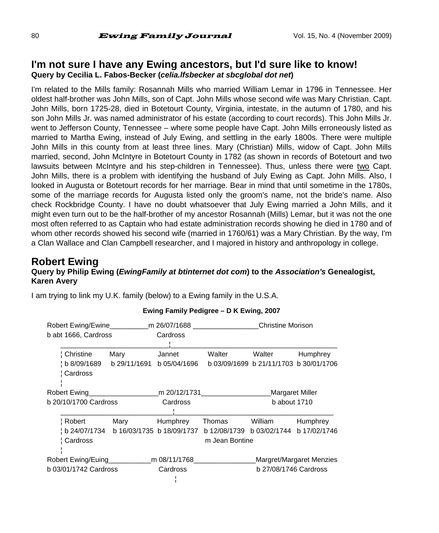#### **I'm not sure I have any Ewing ancestors, but I'd sure like to know! Query by Cecilia L. Fabos-Becker (***celia.lfsbecker at sbcglobal dot net***)**

I'm related to the Mills family: Rosannah Mills who married William Lemar in 1796 in Tennessee. Her oldest half-brother was John Mills, son of Capt. John Mills whose second wife was Mary Christian. Capt. John Mills, born 1725-28, died in Botetourt County, Virginia, intestate, in the autumn of 1780, and his son John Mills Jr. was named administrator of his estate (according to court records). This John Mills Jr. went to Jefferson County, Tennessee – where some people have Capt. John Mills erroneously listed as married to Martha Ewing, instead of July Ewing, and settling in the early 1800s. There were multiple John Mills in this county from at least three lines. Mary (Christian) Mills, widow of Capt. John Mills married, second, John McIntyre in Botetourt County in 1782 (as shown in records of Botetourt and two lawsuits between McIntyre and his step-children in Tennessee). Thus, unless there were two Capt. John Mills, there is a problem with identifying the husband of July Ewing as Capt. John Mills. Also, I looked in Augusta or Botetourt records for her marriage. Bear in mind that until sometime in the 1780s, some of the marriage records for Augusta listed only the groom's name, not the bride's name. Also check Rockbridge County. I have no doubt whatsoever that July Ewing married a John Mills, and it might even turn out to be the half-brother of my ancestor Rosannah (Mills) Lemar, but it was not the one most often referred to as Captain who had estate administration records showing he died in 1780 and of whom other records showed his second wife (married in 1760/61) was a Mary Christian. By the way, I'm a Clan Wallace and Clan Campbell researcher, and I majored in history and anthropology in college.

#### **Robert Ewing Query by Philip Ewing (***EwingFamily at btinternet dot com***) to the** *Association's* **Genealogist, Karen Avery**

I am trying to link my U.K. family (below) to a Ewing family in the U.S.A.

| Robert Ewing/Ewine ___________ m 26/07/1688<br>b abt 1666, Cardross |                      | Cardross                              |                                          | <b>Christine Morison</b>                         |                          |
|---------------------------------------------------------------------|----------------------|---------------------------------------|------------------------------------------|--------------------------------------------------|--------------------------|
| : Christine<br>1 b 8/09/1689<br>: Cardross                          | Mary<br>b 29/11/1691 | Jannet<br>b 05/04/1696                | Walter                                   | Walter<br>b 03/09/1699 b 21/11/1703 b 30/01/1706 | Humphrey                 |
| Robert Ewing<br>b 20/10/1700 Cardross                               |                      | Cardross                              | m 20/12/1731                             | <b>Margaret Miller</b><br>$b$ about 1710         |                          |
| ¦ Robert<br>b 24/07/1734 }<br>: Cardross                            | Mary                 | Humphrey<br>b 16/03/1735 b 18/09/1737 | Thomas<br>b 12/08/1739<br>m Jean Bontine | William<br>b 03/02/1744                          | Humphrey<br>b 17/02/1746 |
| b 03/01/1742 Cardross                                               |                      | Cardross                              |                                          | b 27/08/1746 Cardross                            | Margret/Margaret Menzies |

#### **Ewing Family Pedigree – D K Ewing, 2007**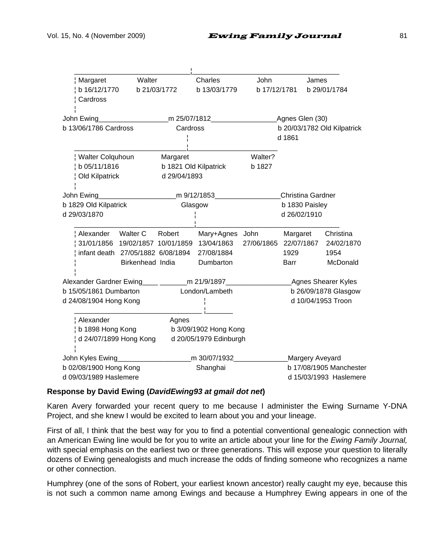| <b>Margaret</b>                                              | Walter                |                       | Charles                | <b>John</b>  | James                                 |                         |
|--------------------------------------------------------------|-----------------------|-----------------------|------------------------|--------------|---------------------------------------|-------------------------|
| b 16/12/1770                                                 |                       | b 21/03/1772          | b 13/03/1779           | b 17/12/1781 |                                       | b 29/01/1784            |
| : Cardross                                                   |                       |                       |                        |              |                                       |                         |
|                                                              |                       |                       |                        |              |                                       |                         |
| John Ewing <b>State Commission</b>                           |                       |                       | m 25/07/1812           |              | Agnes Glen (30)                       |                         |
| b 13/06/1786 Cardross                                        |                       | Cardross              |                        |              | b 20/03/1782 Old Kilpatrick<br>d 1861 |                         |
|                                                              |                       |                       |                        |              |                                       |                         |
| Walter Colquhoun                                             |                       | Margaret              |                        | Walter?      |                                       |                         |
| b 05/11/1816                                                 |                       | b 1821 Old Kilpatrick |                        | b 1827       |                                       |                         |
| <b>Old Kilpatrick</b>                                        |                       | d 29/04/1893          |                        |              |                                       |                         |
|                                                              |                       |                       |                        |              |                                       |                         |
| John Ewing                                                   |                       |                       | $m\,9/12/1853$         |              | <b>Christina Gardner</b>              |                         |
| b 1829 Old Kilpatrick                                        |                       | Glasgow               |                        |              | b 1830 Paisley                        |                         |
| d 29/03/1870                                                 |                       |                       |                        |              | d 26/02/1910                          |                         |
| Alexander                                                    | Walter C              | Robert                | Mary+Agnes John        |              | Margaret                              | Christina               |
| 31/01/1856                                                   | 19/02/1857 10/01/1859 |                       | 13/04/1863             | 27/06/1865   | 22/07/1867                            | 24/02/1870              |
| infant death 27/05/1882 6/08/1894                            |                       |                       | 27/08/1884             |              | 1929                                  | 1954                    |
|                                                              | Birkenhead India      |                       | Dumbarton              |              | Barr                                  | McDonald                |
|                                                              |                       |                       |                        |              |                                       |                         |
| Alexander Gardner Ewing ____ ___ __ m 21/9/1897 ____ ___ ___ |                       |                       |                        |              |                                       | _Agnes Shearer Kyles    |
| b 15/05/1861 Dumbarton                                       |                       | London/Lambeth        |                        |              | b 26/09/1878 Glasgow                  |                         |
| d 24/08/1904 Hong Kong                                       |                       |                       |                        |              |                                       | d 10/04/1953 Troon      |
|                                                              |                       |                       |                        |              |                                       |                         |
| <b>Alexander</b>                                             |                       | Agnes                 |                        |              |                                       |                         |
| b 1898 Hong Kong                                             |                       |                       | b 3/09/1902 Hong Kong  |              |                                       |                         |
| d 24/07/1899 Hong Kong                                       |                       |                       | d 20/05/1979 Edinburgh |              |                                       |                         |
|                                                              |                       |                       |                        |              |                                       |                         |
| John Kyles Ewing                                             |                       |                       | m 30/07/1932           |              | Margery Aveyard                       |                         |
| b 02/08/1900 Hong Kong                                       |                       |                       | Shanghai               |              |                                       | b 17/08/1905 Manchester |
| d 09/03/1989 Haslemere                                       |                       |                       |                        |              |                                       | d 15/03/1993 Haslemere  |

#### **Response by David Ewing (***DavidEwing93 at gmail dot net***)**

Karen Avery forwarded your recent query to me because I administer the Ewing Surname Y-DNA Project, and she knew I would be excited to learn about you and your lineage.

First of all, I think that the best way for you to find a potential conventional genealogic connection with an American Ewing line would be for you to write an article about your line for the *Ewing Family Journal,*  with special emphasis on the earliest two or three generations. This will expose your question to literally dozens of Ewing genealogists and much increase the odds of finding someone who recognizes a name or other connection.

Humphrey (one of the sons of Robert, your earliest known ancestor) really caught my eye, because this is not such a common name among Ewings and because a Humphrey Ewing appears in one of the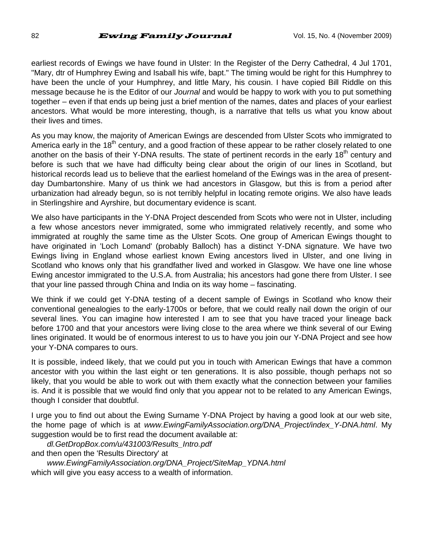earliest records of Ewings we have found in Ulster: In the Register of the Derry Cathedral, 4 Jul 1701, "Mary, dtr of Humphrey Ewing and Isaball his wife, bapt." The timing would be right for this Humphrey to have been the uncle of your Humphrey, and little Mary, his cousin. I have copied Bill Riddle on this message because he is the Editor of our *Journal* and would be happy to work with you to put something together – even if that ends up being just a brief mention of the names, dates and places of your earliest ancestors. What would be more interesting, though, is a narrative that tells us what you know about their lives and times.

As you may know, the majority of American Ewings are descended from Ulster Scots who immigrated to America early in the 18<sup>th</sup> century, and a good fraction of these appear to be rather closely related to one another on the basis of their Y-DNA results. The state of pertinent records in the early 18<sup>th</sup> century and before is such that we have had difficulty being clear about the origin of our lines in Scotland, but historical records lead us to believe that the earliest homeland of the Ewings was in the area of presentday Dumbartonshire. Many of us think we had ancestors in Glasgow, but this is from a period after urbanization had already begun, so is not terribly helpful in locating remote origins. We also have leads in Sterlingshire and Ayrshire, but documentary evidence is scant.

We also have participants in the Y-DNA Project descended from Scots who were not in Ulster, including a few whose ancestors never immigrated, some who immigrated relatively recently, and some who immigrated at roughly the same time as the Ulster Scots. One group of American Ewings thought to have originated in 'Loch Lomand' (probably Balloch) has a distinct Y-DNA signature. We have two Ewings living in England whose earliest known Ewing ancestors lived in Ulster, and one living in Scotland who knows only that his grandfather lived and worked in Glasgow. We have one line whose Ewing ancestor immigrated to the U.S.A. from Australia; his ancestors had gone there from Ulster. I see that your line passed through China and India on its way home – fascinating.

We think if we could get Y-DNA testing of a decent sample of Ewings in Scotland who know their conventional genealogies to the early-1700s or before, that we could really nail down the origin of our several lines. You can imagine how interested I am to see that you have traced your lineage back before 1700 and that your ancestors were living close to the area where we think several of our Ewing lines originated. It would be of enormous interest to us to have you join our Y-DNA Project and see how your Y-DNA compares to ours.

It is possible, indeed likely, that we could put you in touch with American Ewings that have a common ancestor with you within the last eight or ten generations. It is also possible, though perhaps not so likely, that you would be able to work out with them exactly what the connection between your families is. And it is possible that we would find only that you appear not to be related to any American Ewings, though I consider that doubtful.

I urge you to find out about the Ewing Surname Y-DNA Project by having a good look at our web site, the home page of which is at *www.EwingFamilyAssociation.org/DNA\_Project/index\_Y-DNA.html*. My suggestion would be to first read the document available at:

*dl.GetDropBox.com/u/431003/Results\_Intro.pdf* 

```
and then open the 'Results Directory' at
```
*www.EwingFamilyAssociation.org/DNA\_Project/SiteMap\_YDNA.html*  which will give you easy access to a wealth of information.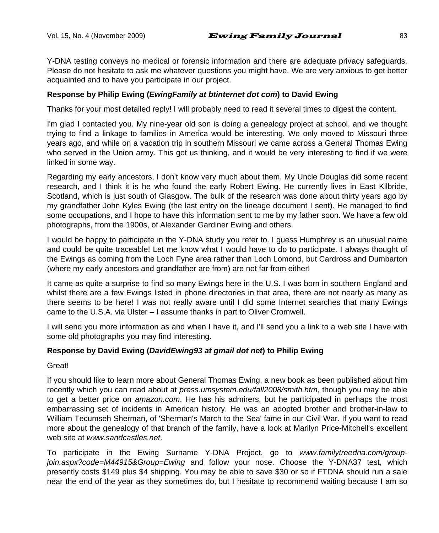Y-DNA testing conveys no medical or forensic information and there are adequate privacy safeguards. Please do not hesitate to ask me whatever questions you might have. We are very anxious to get better acquainted and to have you participate in our project.

#### **Response by Philip Ewing (***EwingFamily at btinternet dot com***) to David Ewing**

Thanks for your most detailed reply! I will probably need to read it several times to digest the content.

I'm glad I contacted you. My nine-year old son is doing a genealogy project at school, and we thought trying to find a linkage to families in America would be interesting. We only moved to Missouri three years ago, and while on a vacation trip in southern Missouri we came across a General Thomas Ewing who served in the Union army. This got us thinking, and it would be very interesting to find if we were linked in some way.

Regarding my early ancestors, I don't know very much about them. My Uncle Douglas did some recent research, and I think it is he who found the early Robert Ewing. He currently lives in East Kilbride, Scotland, which is just south of Glasgow. The bulk of the research was done about thirty years ago by my grandfather John Kyles Ewing (the last entry on the lineage document I sent). He managed to find some occupations, and I hope to have this information sent to me by my father soon. We have a few old photographs, from the 1900s, of Alexander Gardiner Ewing and others.

I would be happy to participate in the Y-DNA study you refer to. I guess Humphrey is an unusual name and could be quite traceable! Let me know what I would have to do to participate. I always thought of the Ewings as coming from the Loch Fyne area rather than Loch Lomond, but Cardross and Dumbarton (where my early ancestors and grandfather are from) are not far from either!

It came as quite a surprise to find so many Ewings here in the U.S. I was born in southern England and whilst there are a few Ewings listed in phone directories in that area, there are not nearly as many as there seems to be here! I was not really aware until I did some Internet searches that many Ewings came to the U.S.A. via Ulster – I assume thanks in part to Oliver Cromwell.

I will send you more information as and when I have it, and I'll send you a link to a web site I have with some old photographs you may find interesting.

#### **Response by David Ewing (***DavidEwing93 at gmail dot net***) to Philip Ewing**

Great!

If you should like to learn more about General Thomas Ewing, a new book as been published about him recently which you can read about at *press.umsystem.edu/fall2008/smith.htm*, though you may be able to get a better price on *amazon.com*. He has his admirers, but he participated in perhaps the most embarrassing set of incidents in American history. He was an adopted brother and brother-in-law to William Tecumseh Sherman, of 'Sherman's March to the Sea' fame in our Civil War. If you want to read more about the genealogy of that branch of the family, have a look at Marilyn Price-Mitchell's excellent web site at *www.sandcastles.net*.

To participate in the Ewing Surname Y-DNA Project, go to *www.familytreedna.com/groupjoin.aspx?code=M44915&Group=Ewing* and follow your nose. Choose the Y-DNA37 test, which presently costs \$149 plus \$4 shipping. You may be able to save \$30 or so if FTDNA should run a sale near the end of the year as they sometimes do, but I hesitate to recommend waiting because I am so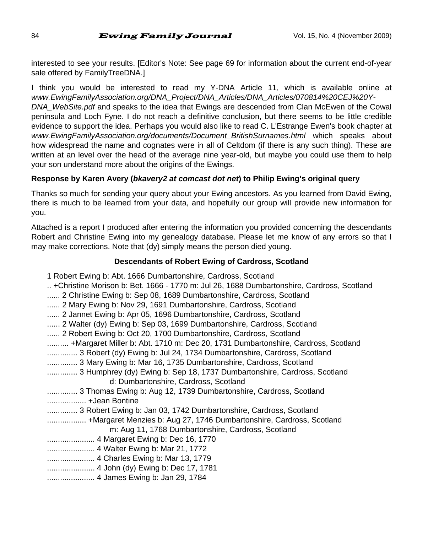interested to see your results. [Editor's Note: See page 69 for information about the current end-of-year sale offered by FamilyTreeDNA.]

I think you would be interested to read my Y-DNA Article 11, which is available online at *www.EwingFamilyAssociation.org/DNA\_Project/DNA\_Articles/DNA\_Articles/070814%20CEJ%20Y-DNA\_WebSite.pdf* and speaks to the idea that Ewings are descended from Clan McEwen of the Cowal peninsula and Loch Fyne. I do not reach a definitive conclusion, but there seems to be little credible evidence to support the idea. Perhaps you would also like to read C. L'Estrange Ewen's book chapter at *www.EwingFamilyAssociation.org/documents/Document\_BritishSurnames.html* which speaks about how widespread the name and cognates were in all of Celtdom (if there is any such thing). These are written at an level over the head of the average nine year-old, but maybe you could use them to help your son understand more about the origins of the Ewings.

#### **Response by Karen Avery (***bkavery2 at comcast dot net***) to Philip Ewing's original query**

Thanks so much for sending your query about your Ewing ancestors. As you learned from David Ewing, there is much to be learned from your data, and hopefully our group will provide new information for you.

Attached is a report I produced after entering the information you provided concerning the descendants Robert and Christine Ewing into my genealogy database. Please let me know of any errors so that I may make corrections. Note that (dy) simply means the person died young.

#### **Descendants of Robert Ewing of Cardross, Scotland**

1 Robert Ewing b: Abt. 1666 Dumbartonshire, Cardross, Scotland .. +Christine Morison b: Bet. 1666 - 1770 m: Jul 26, 1688 Dumbartonshire, Cardross, Scotland ...... 2 Christine Ewing b: Sep 08, 1689 Dumbartonshire, Cardross, Scotland ...... 2 Mary Ewing b: Nov 29, 1691 Dumbartonshire, Cardross, Scotland ...... 2 Jannet Ewing b: Apr 05, 1696 Dumbartonshire, Cardross, Scotland ...... 2 Walter (dy) Ewing b: Sep 03, 1699 Dumbartonshire, Cardross, Scotland ...... 2 Robert Ewing b: Oct 20, 1700 Dumbartonshire, Cardross, Scotland .......... +Margaret Miller b: Abt. 1710 m: Dec 20, 1731 Dumbartonshire, Cardross, Scotland .............. 3 Robert (dy) Ewing b: Jul 24, 1734 Dumbartonshire, Cardross, Scotland .............. 3 Mary Ewing b: Mar 16, 1735 Dumbartonshire, Cardross, Scotland .............. 3 Humphrey (dy) Ewing b: Sep 18, 1737 Dumbartonshire, Cardross, Scotland d: Dumbartonshire, Cardross, Scotland .............. 3 Thomas Ewing b: Aug 12, 1739 Dumbartonshire, Cardross, Scotland .................. +Jean Bontine .............. 3 Robert Ewing b: Jan 03, 1742 Dumbartonshire, Cardross, Scotland .................. +Margaret Menzies b: Aug 27, 1746 Dumbartonshire, Cardross, Scotland m: Aug 11, 1768 Dumbartonshire, Cardross, Scotland ...................... 4 Margaret Ewing b: Dec 16, 1770 ...................... 4 Walter Ewing b: Mar 21, 1772 ...................... 4 Charles Ewing b: Mar 13, 1779 ...................... 4 John (dy) Ewing b: Dec 17, 1781 ...................... 4 James Ewing b: Jan 29, 1784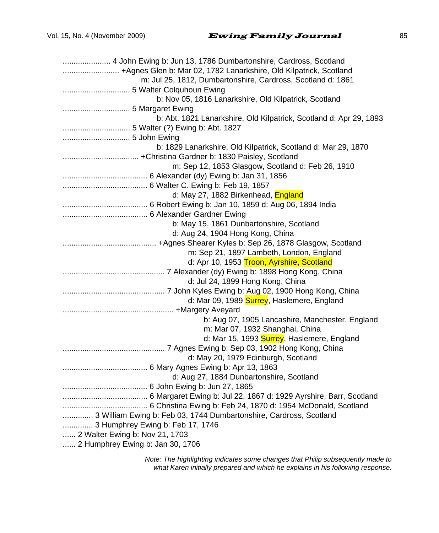| 4 John Ewing b: Jun 13, 1786 Dumbartonshire, Cardross, Scotland    |
|--------------------------------------------------------------------|
| +Agnes Glen b: Mar 02, 1782 Lanarkshire, Old Kilpatrick, Scotland  |
| m: Jul 25, 1812, Dumbartonshire, Cardross, Scotland d: 1861        |
|                                                                    |
| b: Nov 05, 1816 Lanarkshire, Old Kilpatrick, Scotland              |
|                                                                    |
| b: Abt. 1821 Lanarkshire, Old Kilpatrick, Scotland d: Apr 29, 1893 |
|                                                                    |
|                                                                    |
| b: 1829 Lanarkshire, Old Kilpatrick, Scotland d: Mar 29, 1870      |
|                                                                    |
| m: Sep 12, 1853 Glasgow, Scotland d: Feb 26, 1910                  |
|                                                                    |
|                                                                    |
| d: May 27, 1882 Birkenhead, England                                |
|                                                                    |
|                                                                    |
| b: May 15, 1861 Dunbartonshire, Scotland                           |
| d: Aug 24, 1904 Hong Kong, China                                   |
|                                                                    |
| m: Sep 21, 1897 Lambeth, London, England                           |
| d: Apr 10, 1953 Troon, Ayrshire, Scotland                          |
|                                                                    |
| d: Jul 24, 1899 Hong Kong, China                                   |
|                                                                    |
| d: Mar 09, 1989 Surrey, Haslemere, England                         |
|                                                                    |
| b: Aug 07, 1905 Lancashire, Manchester, England                    |
| m: Mar 07, 1932 Shanghai, China                                    |
| d: Mar 15, 1993 Surrey, Haslemere, England                         |
|                                                                    |
| d: May 20, 1979 Edinburgh, Scotland                                |
|                                                                    |
| d: Aug 27, 1884 Dunbartonshire, Scotland                           |
|                                                                    |
|                                                                    |
|                                                                    |
| 3 William Ewing b: Feb 03, 1744 Dumbartonshire, Cardross, Scotland |
| 3 Humphrey Ewing b: Feb 17, 1746                                   |
| 2 Walter Ewing b: Nov 21, 1703                                     |
| 2 Humphrey Ewing b: Jan 30, 1706                                   |

*Note: The highlighting indicates some changes that Philip subsequently made to what Karen initially prepared and which he explains in his following response.*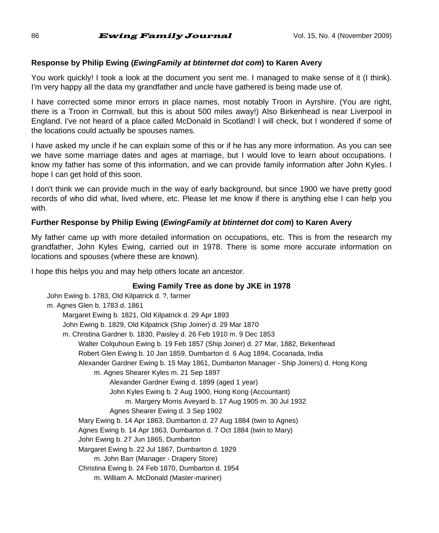#### **Response by Philip Ewing (***EwingFamily at btinternet dot com***) to Karen Avery**

You work quickly! I took a look at the document you sent me. I managed to make sense of it (I think). I'm very happy all the data my grandfather and uncle have gathered is being made use of.

I have corrected some minor errors in place names, most notably Troon in Ayrshire. (You are right, there is a Troon in Cornwall, but this is about 500 miles away!) Also Birkenhead is near Liverpool in England. I've not heard of a place called McDonald in Scotland! I will check, but I wondered if some of the locations could actually be spouses names.

I have asked my uncle if he can explain some of this or if he has any more information. As you can see we have some marriage dates and ages at marriage, but I would love to learn about occupations. I know my father has some of this information, and we can provide family information after John Kyles. I hope I can get hold of this soon.

I don't think we can provide much in the way of early background, but since 1900 we have pretty good records of who did what, lived where, etc. Please let me know if there is anything else I can help you with.

#### **Further Response by Philip Ewing (***EwingFamily at btinternet dot com***) to Karen Avery**

My father came up with more detailed information on occupations, etc. This is from the research my grandfather, John Kyles Ewing, carried out in 1978. There is some more accurate information on locations and spouses (where these are known).

I hope this helps you and may help others locate an ancestor.

#### **Ewing Family Tree as done by JKE in 1978**

John Ewing b. 1783, Old Kilpatrick d. ?, farmer m. Agnes Glen b. 1783 d. 1861 Margaret Ewing b. 1821, Old Kilpatrick d. 29 Apr 1893 John Ewing b. 1829, Old Kilpatrick (Ship Joiner) d. 29 Mar 1870 m. Christina Gardner b. 1830, Paisley d. 26 Feb 1910 m. 9 Dec 1853 Walter Colquhoun Ewing b. 19 Feb 1857 (Ship Joiner) d. 27 Mar, 1882, Birkenhead Robert Glen Ewing b. 10 Jan 1859, Dumbarton d. 6 Aug 1894, Cocanada, India Alexander Gardner Ewing b. 15 May 1861, Dumbarton Manager - Ship Joiners) d. Hong Kong m. Agnes Shearer Kyles m. 21 Sep 1897 Alexander Gardner Ewing d. 1899 (aged 1 year) John Kyles Ewing b. 2 Aug 1900, Hong Kong (Accountant) m. Margery Morris Aveyard b. 17 Aug 1905 m. 30 Jul 1932 Agnes Shearer Ewing d. 3 Sep 1902 Mary Ewing b. 14 Apr 1863, Dumbarton d. 27 Aug 1884 (twin to Agnes) Agnes Ewing b. 14 Apr 1863, Dumbarton d. 7 Oct 1884 (twin to Mary) John Ewing b. 27 Jun 1865, Dumbarton Margaret Ewing b. 22 Jul 1867, Dumbarton d. 1929 m. John Barr (Manager - Drapery Store) Christina Ewing b. 24 Feb 1870, Dumbarton d. 1954 m. William A. McDonald (Master-mariner)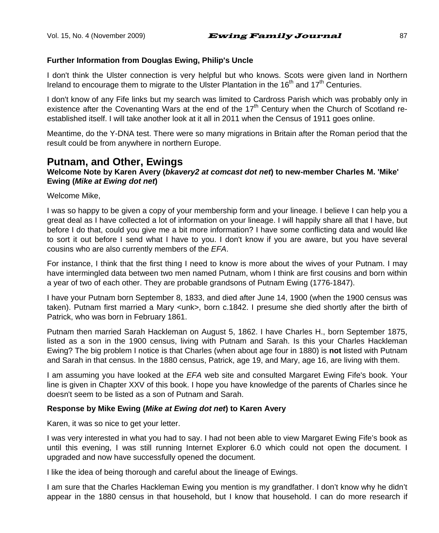#### **Further Information from Douglas Ewing, Philip's Uncle**

I don't think the Ulster connection is very helpful but who knows. Scots were given land in Northern Ireland to encourage them to migrate to the Ulster Plantation in the  $16<sup>th</sup>$  and  $17<sup>th</sup>$  Centuries.

I don't know of any Fife links but my search was limited to Cardross Parish which was probably only in existence after the Covenanting Wars at the end of the  $17<sup>th</sup>$  Century when the Church of Scotland reestablished itself. I will take another look at it all in 2011 when the Census of 1911 goes online.

Meantime, do the Y-DNA test. There were so many migrations in Britain after the Roman period that the result could be from anywhere in northern Europe.

### **Putnam, and Other, Ewings**

#### **Welcome Note by Karen Avery (***bkavery2 at comcast dot net***) to new-member Charles M. 'Mike' Ewing (***Mike at Ewing dot net***)**

Welcome Mike,

I was so happy to be given a copy of your membership form and your lineage. I believe I can help you a great deal as I have collected a lot of information on your lineage. I will happily share all that I have, but before I do that, could you give me a bit more information? I have some conflicting data and would like to sort it out before I send what I have to you. I don't know if you are aware, but you have several cousins who are also currently members of the *EFA*.

For instance, I think that the first thing I need to know is more about the wives of your Putnam. I may have intermingled data between two men named Putnam, whom I think are first cousins and born within a year of two of each other. They are probable grandsons of Putnam Ewing (1776-1847).

I have your Putnam born September 8, 1833, and died after June 14, 1900 (when the 1900 census was taken). Putnam first married a Mary <unk>, born c.1842. I presume she died shortly after the birth of Patrick, who was born in February 1861.

Putnam then married Sarah Hackleman on August 5, 1862. I have Charles H., born September 1875, listed as a son in the 1900 census, living with Putnam and Sarah. Is this your Charles Hackleman Ewing? The big problem I notice is that Charles (when about age four in 1880) is **not** listed with Putnam and Sarah in that census. In the 1880 census, Patrick, age 19, and Mary, age 16, are living with them.

I am assuming you have looked at the *EFA* web site and consulted Margaret Ewing Fife's book. Your line is given in Chapter XXV of this book. I hope you have knowledge of the parents of Charles since he doesn't seem to be listed as a son of Putnam and Sarah.

#### **Response by Mike Ewing (***Mike at Ewing dot net***) to Karen Avery**

Karen, it was so nice to get your letter.

I was very interested in what you had to say. I had not been able to view Margaret Ewing Fife's book as until this evening, I was still running Internet Explorer 6.0 which could not open the document. I upgraded and now have successfully opened the document.

I like the idea of being thorough and careful about the lineage of Ewings.

I am sure that the Charles Hackleman Ewing you mention is my grandfather. I don't know why he didn't appear in the 1880 census in that household, but I know that household. I can do more research if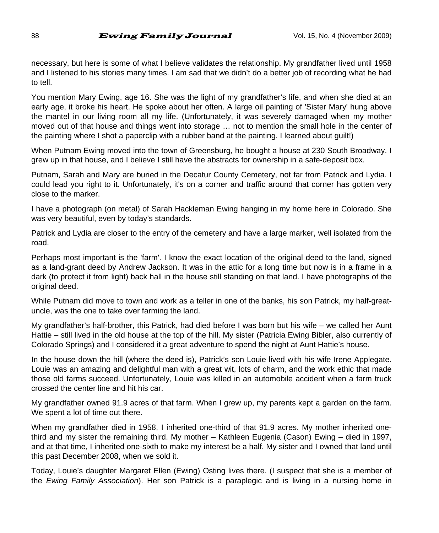#### 88 **Ewing Family Journal**  $V$ ol. 15, No. 4 (November 2009)

necessary, but here is some of what I believe validates the relationship. My grandfather lived until 1958 and I listened to his stories many times. I am sad that we didn't do a better job of recording what he had to tell.

You mention Mary Ewing, age 16. She was the light of my grandfather's life, and when she died at an early age, it broke his heart. He spoke about her often. A large oil painting of 'Sister Mary' hung above the mantel in our living room all my life. (Unfortunately, it was severely damaged when my mother moved out of that house and things went into storage … not to mention the small hole in the center of the painting where I shot a paperclip with a rubber band at the painting. I learned about guilt!)

When Putnam Ewing moved into the town of Greensburg, he bought a house at 230 South Broadway. I grew up in that house, and I believe I still have the abstracts for ownership in a safe-deposit box.

Putnam, Sarah and Mary are buried in the Decatur County Cemetery, not far from Patrick and Lydia. I could lead you right to it. Unfortunately, it's on a corner and traffic around that corner has gotten very close to the marker.

I have a photograph (on metal) of Sarah Hackleman Ewing hanging in my home here in Colorado. She was very beautiful, even by today's standards.

Patrick and Lydia are closer to the entry of the cemetery and have a large marker, well isolated from the road.

Perhaps most important is the 'farm'. I know the exact location of the original deed to the land, signed as a land-grant deed by Andrew Jackson. It was in the attic for a long time but now is in a frame in a dark (to protect it from light) back hall in the house still standing on that land. I have photographs of the original deed.

While Putnam did move to town and work as a teller in one of the banks, his son Patrick, my half-greatuncle, was the one to take over farming the land.

My grandfather's half-brother, this Patrick, had died before I was born but his wife – we called her Aunt Hattie – still lived in the old house at the top of the hill. My sister (Patricia Ewing Bibler, also currently of Colorado Springs) and I considered it a great adventure to spend the night at Aunt Hattie's house.

In the house down the hill (where the deed is), Patrick's son Louie lived with his wife Irene Applegate. Louie was an amazing and delightful man with a great wit, lots of charm, and the work ethic that made those old farms succeed. Unfortunately, Louie was killed in an automobile accident when a farm truck crossed the center line and hit his car.

My grandfather owned 91.9 acres of that farm. When I grew up, my parents kept a garden on the farm. We spent a lot of time out there.

When my grandfather died in 1958, I inherited one-third of that 91.9 acres. My mother inherited onethird and my sister the remaining third. My mother – Kathleen Eugenia (Cason) Ewing – died in 1997, and at that time, I inherited one-sixth to make my interest be a half. My sister and I owned that land until this past December 2008, when we sold it.

Today, Louie's daughter Margaret Ellen (Ewing) Osting lives there. (I suspect that she is a member of the *Ewing Family Association*). Her son Patrick is a paraplegic and is living in a nursing home in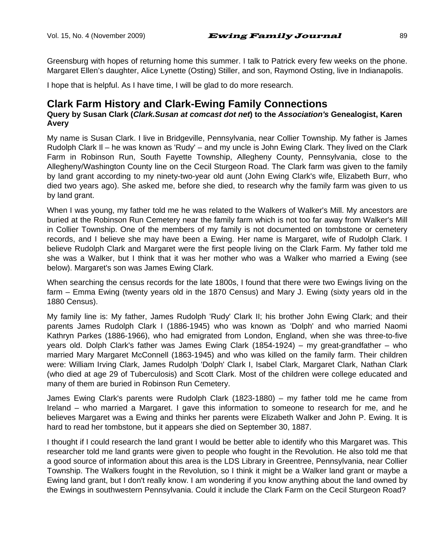Greensburg with hopes of returning home this summer. I talk to Patrick every few weeks on the phone. Margaret Ellen's daughter, Alice Lynette (Osting) Stiller, and son, Raymond Osting, live in Indianapolis.

I hope that is helpful. As I have time, I will be glad to do more research.

### **Clark Farm History and Clark-Ewing Family Connections**

#### **Query by Susan Clark (***Clark.Susan at comcast dot net***) to the** *Association's* **Genealogist, Karen Avery**

My name is Susan Clark. I live in Bridgeville, Pennsylvania, near Collier Township. My father is James Rudolph Clark Il – he was known as 'Rudy' – and my uncle is John Ewing Clark. They lived on the Clark Farm in Robinson Run, South Fayette Township, Allegheny County, Pennsylvania, close to the Allegheny/Washington County line on the Cecil Sturgeon Road. The Clark farm was given to the family by land grant according to my ninety-two-year old aunt (John Ewing Clark's wife, Elizabeth Burr, who died two years ago). She asked me, before she died, to research why the family farm was given to us by land grant.

When I was young, my father told me he was related to the Walkers of Walker's Mill. My ancestors are buried at the Robinson Run Cemetery near the family farm which is not too far away from Walker's Mill in Collier Township. One of the members of my family is not documented on tombstone or cemetery records, and I believe she may have been a Ewing. Her name is Margaret, wife of Rudolph Clark. I believe Rudolph Clark and Margaret were the first people living on the Clark Farm. My father told me she was a Walker, but I think that it was her mother who was a Walker who married a Ewing (see below). Margaret's son was James Ewing Clark.

When searching the census records for the late 1800s, I found that there were two Ewings living on the farm – Emma Ewing (twenty years old in the 1870 Census) and Mary J. Ewing (sixty years old in the 1880 Census).

My family line is: My father, James Rudolph 'Rudy' Clark II; his brother John Ewing Clark; and their parents James Rudolph Clark I (1886-1945) who was known as 'Dolph' and who married Naomi Kathryn Parkes (1886-1966), who had emigrated from London, England, when she was three-to-five years old. Dolph Clark's father was James Ewing Clark (1854-1924) – my great-grandfather – who married Mary Margaret McConnell (1863-1945) and who was killed on the family farm. Their children were: William Irving Clark, James Rudolph 'Dolph' Clark I, Isabel Clark, Margaret Clark, Nathan Clark (who died at age 29 of Tuberculosis) and Scott Clark. Most of the children were college educated and many of them are buried in Robinson Run Cemetery.

James Ewing Clark's parents were Rudolph Clark (1823-1880) – my father told me he came from Ireland – who married a Margaret. I gave this information to someone to research for me, and he believes Margaret was a Ewing and thinks her parents were Elizabeth Walker and John P. Ewing. It is hard to read her tombstone, but it appears she died on September 30, 1887.

I thought if I could research the land grant I would be better able to identify who this Margaret was. This researcher told me land grants were given to people who fought in the Revolution. He also told me that a good source of information about this area is the LDS Library in Greentree, Pennsylvania, near Collier Township. The Walkers fought in the Revolution, so I think it might be a Walker land grant or maybe a Ewing land grant, but I don't really know. I am wondering if you know anything about the land owned by the Ewings in southwestern Pennsylvania. Could it include the Clark Farm on the Cecil Sturgeon Road?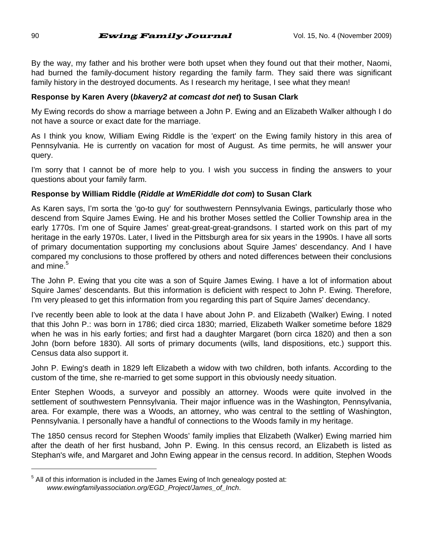By the way, my father and his brother were both upset when they found out that their mother, Naomi, had burned the family-document history regarding the family farm. They said there was significant family history in the destroyed documents. As I research my heritage, I see what they mean!

#### **Response by Karen Avery (***bkavery2 at comcast dot net***) to Susan Clark**

My Ewing records do show a marriage between a John P. Ewing and an Elizabeth Walker although I do not have a source or exact date for the marriage.

As I think you know, William Ewing Riddle is the 'expert' on the Ewing family history in this area of Pennsylvania. He is currently on vacation for most of August. As time permits, he will answer your query.

I'm sorry that I cannot be of more help to you. I wish you success in finding the answers to your questions about your family farm.

#### **Response by William Riddle (***Riddle at WmERiddle dot com***) to Susan Clark**

As Karen says, I'm sorta the 'go-to guy' for southwestern Pennsylvania Ewings, particularly those who descend from Squire James Ewing. He and his brother Moses settled the Collier Township area in the early 1770s. I'm one of Squire James' great-great-great-grandsons. I started work on this part of my heritage in the early 1970s. Later, I lived in the Pittsburgh area for six years in the 1990s. I have all sorts of primary documentation supporting my conclusions about Squire James' descendancy. And I have compared my conclusions to those proffered by others and noted differences between their conclusions and mine $^{\,5}$ 

The John P. Ewing that you cite was a son of Squire James Ewing. I have a lot of information about Squire James' descendants. But this information is deficient with respect to John P. Ewing. Therefore, I'm very pleased to get this information from you regarding this part of Squire James' decendancy.

I've recently been able to look at the data I have about John P. and Elizabeth (Walker) Ewing. I noted that this John P.: was born in 1786; died circa 1830; married, Elizabeth Walker sometime before 1829 when he was in his early forties; and first had a daughter Margaret (born circa 1820) and then a son John (born before 1830). All sorts of primary documents (wills, land dispositions, etc.) support this. Census data also support it.

John P. Ewing's death in 1829 left Elizabeth a widow with two children, both infants. According to the custom of the time, she re-married to get some support in this obviously needy situation.

Enter Stephen Woods, a surveyor and possibly an attorney. Woods were quite involved in the settlement of southwestern Pennsylvania. Their major influence was in the Washington, Pennsylvania, area. For example, there was a Woods, an attorney, who was central to the settling of Washington, Pennsylvania. I personally have a handful of connections to the Woods family in my heritage.

The 1850 census record for Stephen Woods' family implies that Elizabeth (Walker) Ewing married him after the death of her first husband, John P. Ewing. In this census record, an Elizabeth is listed as Stephan's wife, and Margaret and John Ewing appear in the census record. In addition, Stephen Woods

l

 $5$  All of this information is included in the James Ewing of Inch genealogy posted at: *www.ewingfamilyassociation.org/EGD\_Project/James\_of\_Inch*.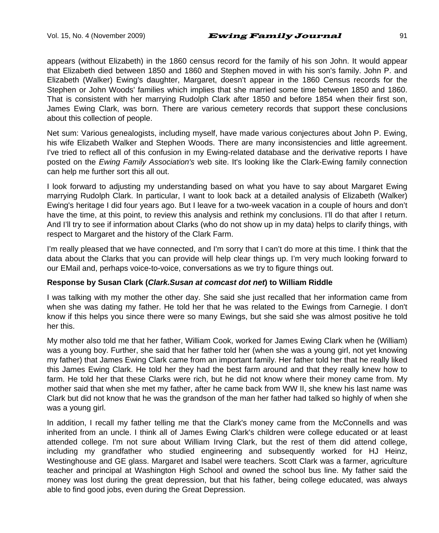appears (without Elizabeth) in the 1860 census record for the family of his son John. It would appear that Elizabeth died between 1850 and 1860 and Stephen moved in with his son's family. John P. and Elizabeth (Walker) Ewing's daughter, Margaret, doesn't appear in the 1860 Census records for the Stephen or John Woods' families which implies that she married some time between 1850 and 1860. That is consistent with her marrying Rudolph Clark after 1850 and before 1854 when their first son, James Ewing Clark, was born. There are various cemetery records that support these conclusions about this collection of people.

Net sum: Various genealogists, including myself, have made various conjectures about John P. Ewing, his wife Elizabeth Walker and Stephen Woods. There are many inconsistencies and little agreement. I've tried to reflect all of this confusion in my Ewing-related database and the derivative reports I have posted on the *Ewing Family Association's* web site. It's looking like the Clark-Ewing family connection can help me further sort this all out.

I look forward to adjusting my understanding based on what you have to say about Margaret Ewing marrying Rudolph Clark. In particular, I want to look back at a detailed analysis of Elizabeth (Walker) Ewing's heritage I did four years ago. But I leave for a two-week vacation in a couple of hours and don't have the time, at this point, to review this analysis and rethink my conclusions. I'll do that after I return. And I'll try to see if information about Clarks (who do not show up in my data) helps to clarify things, with respect to Margaret and the history of the Clark Farm.

I'm really pleased that we have connected, and I'm sorry that I can't do more at this time. I think that the data about the Clarks that you can provide will help clear things up. I'm very much looking forward to our EMail and, perhaps voice-to-voice, conversations as we try to figure things out.

#### **Response by Susan Clark (***Clark.Susan at comcast dot net***) to William Riddle**

I was talking with my mother the other day. She said she just recalled that her information came from when she was dating my father. He told her that he was related to the Ewings from Carnegie. I don't know if this helps you since there were so many Ewings, but she said she was almost positive he told her this.

My mother also told me that her father, William Cook, worked for James Ewing Clark when he (William) was a young boy. Further, she said that her father told her (when she was a young girl, not yet knowing my father) that James Ewing Clark came from an important family. Her father told her that he really liked this James Ewing Clark. He told her they had the best farm around and that they really knew how to farm. He told her that these Clarks were rich, but he did not know where their money came from. My mother said that when she met my father, after he came back from WW II, she knew his last name was Clark but did not know that he was the grandson of the man her father had talked so highly of when she was a young girl.

In addition, I recall my father telling me that the Clark's money came from the McConnells and was inherited from an uncle. I think all of James Ewing Clark's children were college educated or at least attended college. I'm not sure about William Irving Clark, but the rest of them did attend college, including my grandfather who studied engineering and subsequently worked for HJ Heinz, Westinghouse and GE glass. Margaret and Isabel were teachers. Scott Clark was a farmer, agriculture teacher and principal at Washington High School and owned the school bus line. My father said the money was lost during the great depression, but that his father, being college educated, was always able to find good jobs, even during the Great Depression.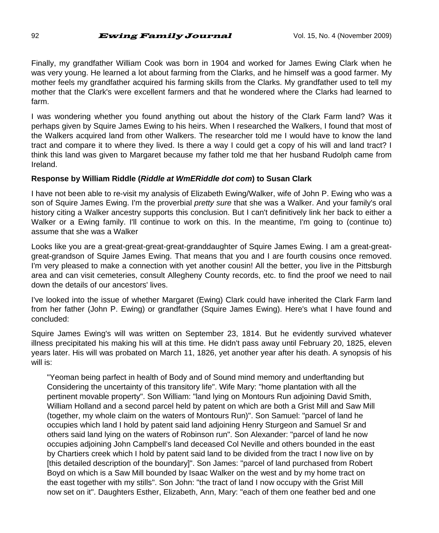Finally, my grandfather William Cook was born in 1904 and worked for James Ewing Clark when he was very young. He learned a lot about farming from the Clarks, and he himself was a good farmer. My mother feels my grandfather acquired his farming skills from the Clarks. My grandfather used to tell my mother that the Clark's were excellent farmers and that he wondered where the Clarks had learned to farm.

I was wondering whether you found anything out about the history of the Clark Farm land? Was it perhaps given by Squire James Ewing to his heirs. When I researched the Walkers, I found that most of the Walkers acquired land from other Walkers. The researcher told me I would have to know the land tract and compare it to where they lived. Is there a way I could get a copy of his will and land tract? I think this land was given to Margaret because my father told me that her husband Rudolph came from Ireland.

#### **Response by William Riddle (***Riddle at WmERiddle dot com***) to Susan Clark**

I have not been able to re-visit my analysis of Elizabeth Ewing/Walker, wife of John P. Ewing who was a son of Squire James Ewing. I'm the proverbial *pretty sure* that she was a Walker. And your family's oral history citing a Walker ancestry supports this conclusion. But I can't definitively link her back to either a Walker or a Ewing family. I'll continue to work on this. In the meantime, I'm going to (continue to) assume that she was a Walker

Looks like you are a great-great-great-great-granddaughter of Squire James Ewing. I am a great-greatgreat-grandson of Squire James Ewing. That means that you and I are fourth cousins once removed. I'm very pleased to make a connection with yet another cousin! All the better, you live in the Pittsburgh area and can visit cemeteries, consult Allegheny County records, etc. to find the proof we need to nail down the details of our ancestors' lives.

I've looked into the issue of whether Margaret (Ewing) Clark could have inherited the Clark Farm land from her father (John P. Ewing) or grandfather (Squire James Ewing). Here's what I have found and concluded:

Squire James Ewing's will was written on September 23, 1814. But he evidently survived whatever illness precipitated his making his will at this time. He didn't pass away until February 20, 1825, eleven years later. His will was probated on March 11, 1826, yet another year after his death. A synopsis of his will is:

"Yeoman being parfect in health of Body and of Sound mind memory and underftanding but Considering the uncertainty of this transitory life". Wife Mary: "home plantation with all the pertinent movable property". Son William: "land lying on Montours Run adjoining David Smith, William Holland and a second parcel held by patent on which are both a Grist Mill and Saw Mill (together, my whole claim on the waters of Montours Run)". Son Samuel: "parcel of land he occupies which land I hold by patent said land adjoining Henry Sturgeon and Samuel Sr and others said land lying on the waters of Robinson run". Son Alexander: "parcel of land he now occupies adjoining John Campbell's land deceased Col Neville and others bounded in the east by Chartiers creek which I hold by patent said land to be divided from the tract I now live on by [this detailed description of the boundary]". Son James: "parcel of land purchased from Robert Boyd on which is a Saw Mill bounded by Isaac Walker on the west and by my home tract on the east together with my stills". Son John: "the tract of land I now occupy with the Grist Mill now set on it". Daughters Esther, Elizabeth, Ann, Mary: "each of them one feather bed and one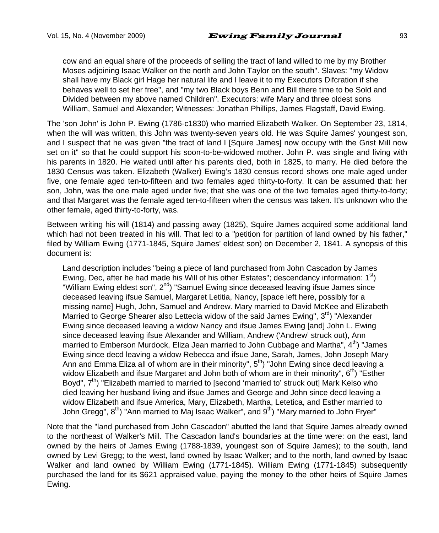cow and an equal share of the proceeds of selling the tract of land willed to me by my Brother Moses adjoining Isaac Walker on the north and John Taylor on the south". Slaves: "my Widow shall have my Black girl Hage her natural life and I leave it to my Executors Difcration if she behaves well to set her free", and "my two Black boys Benn and Bill there time to be Sold and Divided between my above named Children". Executors: wife Mary and three oldest sons William, Samuel and Alexander; Witnesses: Jonathan Phillips, James Flagstaff, David Ewing.

The 'son John' is John P. Ewing (1786-c1830) who married Elizabeth Walker. On September 23, 1814, when the will was written, this John was twenty-seven years old. He was Squire James' youngest son, and I suspect that he was given "the tract of land I [Squire James] now occupy with the Grist Mill now set on it" so that he could support his soon-to-be-widowed mother. John P. was single and living with his parents in 1820. He waited until after his parents died, both in 1825, to marry. He died before the 1830 Census was taken. Elizabeth (Walker) Ewing's 1830 census record shows one male aged under five, one female aged ten-to-fifteen and two females aged thirty-to-forty. It can be assumed that: her son, John, was the one male aged under five; that she was one of the two females aged thirty-to-forty; and that Margaret was the female aged ten-to-fifteen when the census was taken. It's unknown who the other female, aged thirty-to-forty, was.

Between writing his will (1814) and passing away (1825), Squire James acquired some additional land which had not been treated in his will. That led to a "petition for partition of land owned by his father," filed by William Ewing (1771-1845, Squire James' eldest son) on December 2, 1841. A synopsis of this document is:

Land description includes "being a piece of land purchased from John Cascadon by James Ewing, Dec, after he had made his Will of his other Estates"; descendancy information:  $1<sup>st</sup>$ ) "William Ewing eldest son", 2<sup>nd</sup>) "Samuel Ewing since deceased leaving ifsue James since deceased leaving ifsue Samuel, Margaret Letitia, Nancy, [space left here, possibly for a missing name] Hugh, John, Samuel and Andrew. Mary married to David McKee and Elizabeth Married to George Shearer also Lettecia widow of the said James Ewing",  $3<sup>rd</sup>$ ) "Alexander Ewing since deceased leaving a widow Nancy and ifsue James Ewing [and] John L. Ewing since deceased leaving ifsue Alexander and William, Andrew ('Andrew' struck out), Ann married to Emberson Murdock, Eliza Jean married to John Cubbage and Martha",  $4^{\text{th}}$ ) "James Ewing since decd leaving a widow Rebecca and ifsue Jane, Sarah, James, John Joseph Mary Ann and Emma Eliza all of whom are in their minority",  $5<sup>th</sup>$ ) "John Ewing since decd leaving a widow Elizabeth and ifsue Margaret and John both of whom are in their minority",  $6^{th}$ ) "Esther Boyd",  $7<sup>th</sup>$  "Elizabeth married to married to [second 'married to' struck out] Mark Kelso who died leaving her husband living and ifsue James and George and John since decd leaving a widow Elizabeth and ifsue America, Mary, Elizabeth, Martha, Letetica, and Esther married to John Gregg",  $8^{th}$ ) "Ann married to Maj Isaac Walker", and  $9^{th}$ ) "Mary married to John Fryer"

Note that the "land purchased from John Cascadon" abutted the land that Squire James already owned to the northeast of Walker's Mill. The Cascadon land's boundaries at the time were: on the east, land owned by the heirs of James Ewing (1788-1839, youngest son of Squire James); to the south, land owned by Levi Gregg; to the west, land owned by Isaac Walker; and to the north, land owned by Isaac Walker and land owned by William Ewing (1771-1845). William Ewing (1771-1845) subsequently purchased the land for its \$621 appraised value, paying the money to the other heirs of Squire James Ewing.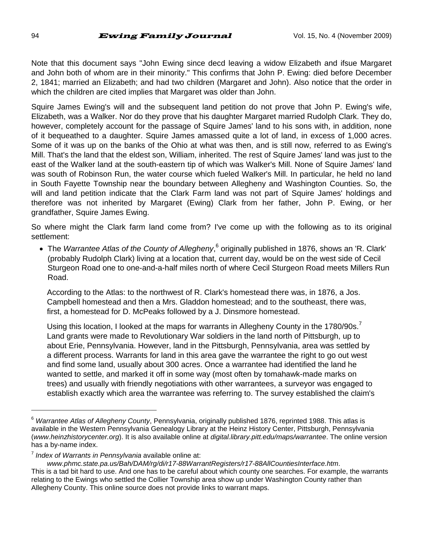Note that this document says "John Ewing since decd leaving a widow Elizabeth and ifsue Margaret and John both of whom are in their minority." This confirms that John P. Ewing: died before December 2, 1841; married an Elizabeth; and had two children (Margaret and John). Also notice that the order in which the children are cited implies that Margaret was older than John.

Squire James Ewing's will and the subsequent land petition do not prove that John P. Ewing's wife, Elizabeth, was a Walker. Nor do they prove that his daughter Margaret married Rudolph Clark. They do, however, completely account for the passage of Squire James' land to his sons with, in addition, none of it bequeathed to a daughter. Squire James amassed quite a lot of land, in excess of 1,000 acres. Some of it was up on the banks of the Ohio at what was then, and is still now, referred to as Ewing's Mill. That's the land that the eldest son, William, inherited. The rest of Squire James' land was just to the east of the Walker land at the south-eastern tip of which was Walker's Mill. None of Squire James' land was south of Robinson Run, the water course which fueled Walker's Mill. In particular, he held no land in South Fayette Township near the boundary between Allegheny and Washington Counties. So, the will and land petition indicate that the Clark Farm land was not part of Squire James' holdings and therefore was not inherited by Margaret (Ewing) Clark from her father, John P. Ewing, or her grandfather, Squire James Ewing.

So where might the Clark farm land come from? I've come up with the following as to its original settlement:

• The *Warrantee Atlas of the County of Allegheny*, <sup>6</sup> originally published in 1876, shows an 'R. Clark' (probably Rudolph Clark) living at a location that, current day, would be on the west side of Cecil Sturgeon Road one to one-and-a-half miles north of where Cecil Sturgeon Road meets Millers Run Road.

According to the Atlas: to the northwest of R. Clark's homestead there was, in 1876, a Jos. Campbell homestead and then a Mrs. Gladdon homestead; and to the southeast, there was, first, a homestead for D. McPeaks followed by a J. Dinsmore homestead.

Using this location, I looked at the maps for warrants in Allegheny County in the 1780/90s.<sup>7</sup> Land grants were made to Revolutionary War soldiers in the land north of Pittsburgh, up to about Erie, Pennsylvania. However, land in the Pittsburgh, Pennsylvania, area was settled by a different process. Warrants for land in this area gave the warrantee the right to go out west and find some land, usually about 300 acres. Once a warrantee had identified the land he wanted to settle, and marked it off in some way (most often by tomahawk-made marks on trees) and usually with friendly negotiations with other warrantees, a surveyor was engaged to establish exactly which area the warrantee was referring to. The survey established the claim's

#### <sup>7</sup> *Index of Warrants in Pennsylvania* available online at:

*www.phmc.state.pa.us/Bah/DAM/rg/di/r17-88WarrantRegisters/r17-88AllCountiesInterface.htm*. This is a tad bit hard to use. And one has to be careful about which county one searches. For example, the warrants relating to the Ewings who settled the Collier Township area show up under Washington County rather than Allegheny County. This online source does not provide links to warrant maps.

l

<sup>6</sup> *Warrantee Atlas of Allegheny County*, Pennsylvania, originally published 1876, reprinted 1988. This atlas is available in the Western Pennsylvania Genealogy Library at the Heinz History Center, Pittsburgh, Pennsylvania (*www.heinzhistorycenter.org*). It is also available online at *digital.library.pitt.edu/maps/warrantee*. The online version has a by-name index.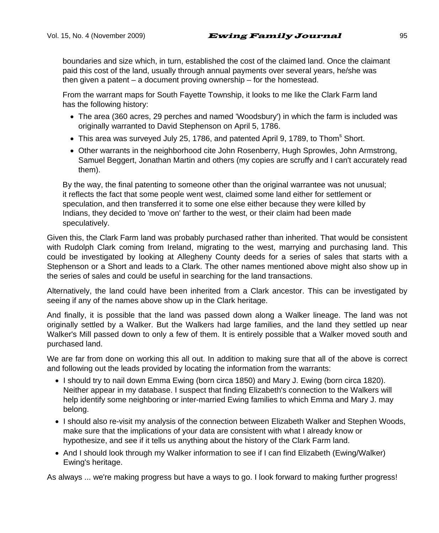boundaries and size which, in turn, established the cost of the claimed land. Once the claimant paid this cost of the land, usually through annual payments over several years, he/she was then given a patent – a document proving ownership – for the homestead.

From the warrant maps for South Fayette Township, it looks to me like the Clark Farm land has the following history:

- The area (360 acres, 29 perches and named 'Woodsbury') in which the farm is included was originally warranted to David Stephenson on April 5, 1786.
- $\bullet$  This area was surveyed July 25, 1786, and patented April 9, 1789, to Thom<sup>s</sup> Short.
- Other warrants in the neighborhood cite John Rosenberry, Hugh Sprowles, John Armstrong, Samuel Beggert, Jonathan Martin and others (my copies are scruffy and I can't accurately read them).

By the way, the final patenting to someone other than the original warrantee was not unusual; it reflects the fact that some people went west, claimed some land either for settlement or speculation, and then transferred it to some one else either because they were killed by Indians, they decided to 'move on' farther to the west, or their claim had been made speculatively.

Given this, the Clark Farm land was probably purchased rather than inherited. That would be consistent with Rudolph Clark coming from Ireland, migrating to the west, marrying and purchasing land. This could be investigated by looking at Allegheny County deeds for a series of sales that starts with a Stephenson or a Short and leads to a Clark. The other names mentioned above might also show up in the series of sales and could be useful in searching for the land transactions.

Alternatively, the land could have been inherited from a Clark ancestor. This can be investigated by seeing if any of the names above show up in the Clark heritage.

And finally, it is possible that the land was passed down along a Walker lineage. The land was not originally settled by a Walker. But the Walkers had large families, and the land they settled up near Walker's Mill passed down to only a few of them. It is entirely possible that a Walker moved south and purchased land.

We are far from done on working this all out. In addition to making sure that all of the above is correct and following out the leads provided by locating the information from the warrants:

- I should try to nail down Emma Ewing (born circa 1850) and Mary J. Ewing (born circa 1820). Neither appear in my database. I suspect that finding Elizabeth's connection to the Walkers will help identify some neighboring or inter-married Ewing families to which Emma and Mary J. may belong.
- I should also re-visit my analysis of the connection between Elizabeth Walker and Stephen Woods, make sure that the implications of your data are consistent with what I already know or hypothesize, and see if it tells us anything about the history of the Clark Farm land.
- And I should look through my Walker information to see if I can find Elizabeth (Ewing/Walker) Ewing's heritage.

As always ... we're making progress but have a ways to go. I look forward to making further progress!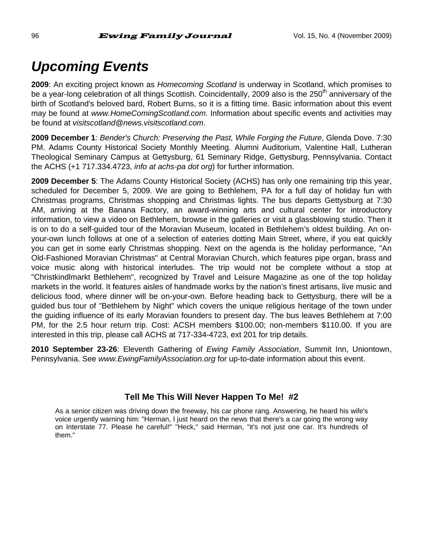# *Upcoming Events*

**2009**: An exciting project known as *Homecoming Scotland* is underway in Scotland, which promises to be a year-long celebration of all things Scottish. Coincidentally, 2009 also is the 250<sup>th</sup> anniversary of the birth of Scotland's beloved bard, Robert Burns, so it is a fitting time. Basic information about this event may be found at *www.HomeComingScotland.com*. Information about specific events and activities may be found at *visitscotland@news.visitscotland.com*.

**2009 December 1**: *Bender's Church: Preserving the Past, While Forging the Future*, Glenda Dove. 7:30 PM. Adams County Historical Society Monthly Meeting. Alumni Auditorium, Valentine Hall, Lutheran Theological Seminary Campus at Gettysburg, 61 Seminary Ridge, Gettysburg, Pennsylvania. Contact the ACHS (+1 717.334.4723, *info at achs-pa dot org*) for further information.

**2009 December 5**: The Adams County Historical Society (ACHS) has only one remaining trip this year, scheduled for December 5, 2009. We are going to Bethlehem, PA for a full day of holiday fun with Christmas programs, Christmas shopping and Christmas lights. The bus departs Gettysburg at 7:30 AM, arriving at the Banana Factory, an award-winning arts and cultural center for introductory information, to view a video on Bethlehem, browse in the galleries or visit a glassblowing studio. Then it is on to do a self-guided tour of the Moravian Museum, located in Bethlehem's oldest building. An onyour-own lunch follows at one of a selection of eateries dotting Main Street, where, if you eat quickly you can get in some early Christmas shopping. Next on the agenda is the holiday performance, "An Old-Fashioned Moravian Christmas" at Central Moravian Church, which features pipe organ, brass and voice music along with historical interludes. The trip would not be complete without a stop at "Christkindlmarkt Bethlehem", recognized by Travel and Leisure Magazine as one of the top holiday markets in the world. It features aisles of handmade works by the nation's finest artisans, live music and delicious food, where dinner will be on-your-own. Before heading back to Gettysburg, there will be a guided bus tour of "Bethlehem by Night" which covers the unique religious heritage of the town under the guiding influence of its early Moravian founders to present day. The bus leaves Bethlehem at 7:00 PM, for the 2.5 hour return trip. Cost: ACSH members \$100.00; non-members \$110.00. If you are interested in this trip, please call ACHS at 717-334-4723, ext 201 for trip details.

**2010 September 23-26**: Eleventh Gathering of *Ewing Family Association*, Summit Inn, Uniontown, Pennsylvania. See *www.EwingFamilyAssociation.org* for up-to-date information about this event.

### **Tell Me This Will Never Happen To Me! #2**

As a senior citizen was driving down the freeway, his car phone rang. Answering, he heard his wife's voice urgently warning him: "Herman, I just heard on the news that there's a car going the wrong way on Interstate 77. Please he careful!" "Heck," said Herman, "it's not just one car. It's hundreds of them."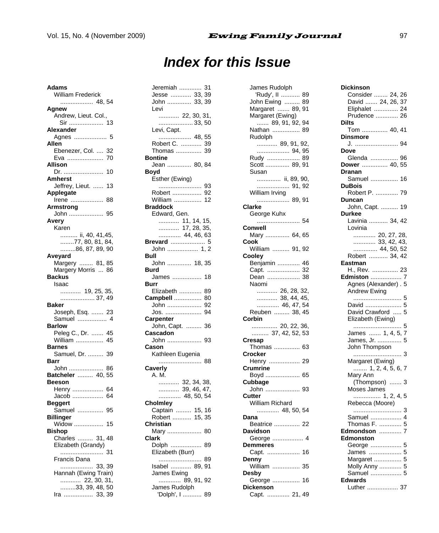Vol. 15, No. 4 (November 2009) **Ewing Family Journal** 97

# *Index for this Issue*

| <b>Adams</b>                                        |
|-----------------------------------------------------|
| William Frederick                                   |
|                                                     |
| Agnew                                               |
| Andrew, Lieut. Col.,<br>Sir                         |
| Alexander                                           |
| Agnes<br>5                                          |
| <b>Allen</b>                                        |
| Ebenezer, Col.<br>32                                |
| Eva<br>70                                           |
| Allison                                             |
| Dr.<br>10<br>Amherst                                |
| Jeffrey, Lieut.<br>13                               |
| Applegate                                           |
| Irene  88                                           |
| Armstrong                                           |
| John  95                                            |
| Avery                                               |
| Karen                                               |
| ii, 40, 41,45,<br>77, 80, 81, 84,<br>86, 87, 89, 90 |
|                                                     |
| Aveyard                                             |
| Margery  81, 85                                     |
| Margery Morris<br>86                                |
| <b>Backus</b>                                       |
| Isaac                                               |
| 37, 49                                              |
| <b>Baker</b>                                        |
| Joseph, Esq.  23                                    |
| Samuel  4                                           |
| Barlow                                              |
| Peleg C., Dr.  45                                   |
| William  45<br><b>Barnes</b>                        |
| Samuel, Dr.  39                                     |
| Barr                                                |
| John  86                                            |
| Batcheler  40, 55                                   |
| Beeson                                              |
| 64<br>Henry<br>64                                   |
| Jacob<br>Beggert                                    |
| Samuel<br>95                                        |
| Billinger                                           |
| Widow  15                                           |
| Bishop                                              |
| Charles  31, 48                                     |
| Elizabeth (Grandy)                                  |
| 31<br>Francis Dana                                  |
| $\cdots$ 33, 39                                     |
| Hannah (Ewing Train)                                |
| 22, 30, 31,                                         |
| 33, 39, 48, 50<br>Ira  33, 39                       |
|                                                     |

| Jeremiah  31<br>Jesse  33, 39<br>John  33, 39                |
|--------------------------------------------------------------|
| Levi<br>22, 30, 31,                                          |
| 48, 55<br>Robert C.<br>39                                    |
| Thomas<br>39<br><b>Bontine</b><br>Jean  80, 84               |
| Boyd<br>Esther (Ewing)                                       |
| Robert  92<br>William  12<br><b>Braddock</b><br>Edward, Gen. |
| Brevard  5                                                   |
| John  1, 2<br>Bull<br>John  18, 35                           |
| Burd<br>James  18                                            |
| Burr<br>Elizabeth<br>89                                      |
| Campbell  80<br>John<br>92                                   |
| Carpenter<br>John, Capt.<br>36                               |
| Cascadon<br>John<br>93<br>Cason                              |
| Kathleen Eugenia<br>88<br>Caverly                            |
| A. M.<br>32, 34, 38,<br>39, 46, 47,                          |
| 48, 50, 54<br>Cholmley                                       |
| Captain  15, 16<br>Robert  15, 35<br>Christian               |
| Mary  80<br>Clark<br>Dolph  89                               |
| Elizabeth (Burr)<br>89                                       |
| Isabel  89, 91<br>James Ewing<br>89, 91, 92                  |
| James Rudolph<br>'Dolph', I  89                              |

| James Rudolph                                                             |  |
|---------------------------------------------------------------------------|--|
| 'Rudy', II  89                                                            |  |
| John Ewing  89<br>Margaret  89, 91                                        |  |
|                                                                           |  |
| Margaret (Ewing)<br>$\ldots$ 89, 91, 92, 94                               |  |
| Nathan  89                                                                |  |
| Rudolph                                                                   |  |
| 89, 91, 92,                                                               |  |
|                                                                           |  |
| Rudy  89                                                                  |  |
| Scott  89, 91                                                             |  |
| Susan<br>ii, 89, 90,                                                      |  |
| 91, 92                                                                    |  |
| William Irving                                                            |  |
| 89, 91                                                                    |  |
| Clarke                                                                    |  |
| George Kuhx                                                               |  |
| 54<br>Conwell                                                             |  |
| Mary  64, 65                                                              |  |
| Cook                                                                      |  |
| William  91, 92                                                           |  |
| Cooley                                                                    |  |
| Benjamin  46                                                              |  |
| Capt.  32                                                                 |  |
| Dean<br>Naomi                                                             |  |
|                                                                           |  |
| 26, 28, 32,<br>28, 44, 45,<br>38, 44, 45,<br>46, 47, 54<br>Reuben  38, 45 |  |
|                                                                           |  |
|                                                                           |  |
| Corbin                                                                    |  |
| $\frac{20}{2}$ , 22, 36, 27, 42, 52, 53                                   |  |
| Cresap                                                                    |  |
| Thomas  63                                                                |  |
| Crocker                                                                   |  |
| Henry  29                                                                 |  |
| Crumrine                                                                  |  |
| Boyd  65<br>Cubbage                                                       |  |
| John  93                                                                  |  |
|                                                                           |  |
|                                                                           |  |
| Cutter<br>William Richard                                                 |  |
| 48, 50, 54                                                                |  |
| Dana                                                                      |  |
| Beatrice  22                                                              |  |
| Davidson                                                                  |  |
| George  4<br>Demmeres                                                     |  |
| Capt.  16                                                                 |  |
| Denny                                                                     |  |
| William  35                                                               |  |
| Desby                                                                     |  |
| George  16                                                                |  |
| Dickenson<br>Capt.  21, 49                                                |  |

| Dickinson                                                          |
|--------------------------------------------------------------------|
| Consider  24, 26<br>David  24, 26, 37                              |
|                                                                    |
| Eliphalet<br>24                                                    |
| Prudence  26                                                       |
| Dilts                                                              |
| Tom  40, 41                                                        |
| Dinsmore                                                           |
|                                                                    |
| Dove                                                               |
| Glenda  96                                                         |
| Dower  40, 55                                                      |
| Dranan                                                             |
| Samuel  16                                                         |
| DuBois                                                             |
| Robert P.  79                                                      |
| Duncan                                                             |
| John, Capt.  19                                                    |
| Durkee                                                             |
| Lavinia  34, 42                                                    |
| Lovinia                                                            |
| 20, 27, 28,                                                        |
| $\begin{array}{r} .11111111 \ .133142143 \ .144,50,52 \end{array}$ |
| Robert  34, 42                                                     |
| Eastman                                                            |
| H., Rev.  23                                                       |
| Edmiston<br>7                                                      |
| Agnes (Alexander) . 5                                              |
| Andrew Ewing                                                       |
| 5                                                                  |
| David<br>5                                                         |
| David Crawford<br>5                                                |
| Elizabeth (Ewing)                                                  |
| <br>5                                                              |
| James  1, 4, 5,<br>James, Jr.                                      |
| 5                                                                  |
| John Thompson                                                      |
| 3<br>                                                              |
| Margaret (Ewing)                                                   |
| $\ldots$ 1, 2, 4, 5, 6,                                            |
| Mary Ann                                                           |
| (Thompson)<br>3                                                    |
| Moses James                                                        |
| 5                                                                  |
| Rebecca (Moore)                                                    |
| 3                                                                  |
| Samuel<br>Thomas F.<br>4                                           |
| 5<br>7                                                             |
| Edmondson<br>Edmonston                                             |
| George<br>5                                                        |
| 5<br>James                                                         |
| Margaret<br>5                                                      |
| Molly Anny<br>5                                                    |
| Samuel<br>5                                                        |
| Edwards                                                            |
| Luther<br>37                                                       |
|                                                                    |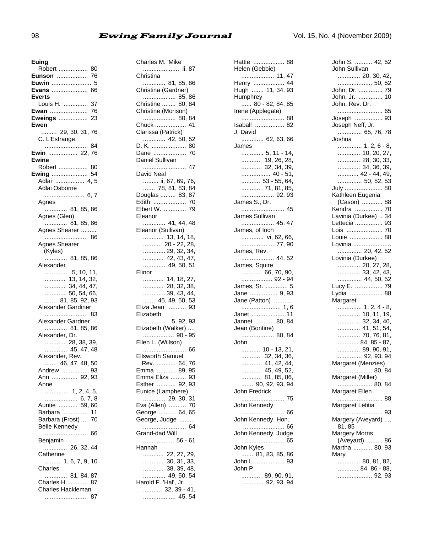#### 98 **Ewing Family Journal** Vol. 15, No. 4 (November 2009)

| Euing                                                                                                                             |
|-----------------------------------------------------------------------------------------------------------------------------------|
| Robert  80                                                                                                                        |
| <b>Eunson  76</b>                                                                                                                 |
|                                                                                                                                   |
| Evans  66                                                                                                                         |
| Everts<br>Louis H.  37                                                                                                            |
| Ewan<br>76                                                                                                                        |
| <b>Eweings </b><br>23                                                                                                             |
| Ewen                                                                                                                              |
| 29, 30, 31, 76                                                                                                                    |
| C. L'Estrange                                                                                                                     |
|                                                                                                                                   |
| <b>Ewin</b> 22, 76                                                                                                                |
| Ewine<br>Robert  80                                                                                                               |
| Ewing  54                                                                                                                         |
| Adlai  4,5                                                                                                                        |
| Adlai Osborne                                                                                                                     |
|                                                                                                                                   |
| Agnes                                                                                                                             |
| 81, 85, 86                                                                                                                        |
| Agnes (Glen)                                                                                                                      |
| 81, 85, 86                                                                                                                        |
| Agnes Shearer                                                                                                                     |
| Agnes Shearer                                                                                                                     |
| (Kyles)                                                                                                                           |
| 81, 85, 86                                                                                                                        |
| Alexander                                                                                                                         |
| $\frac{1}{2}$ 5, 10, 11,                                                                                                          |
| $\begin{array}{rcl}\n & 0, & 11, \\ & 13, & 14, & 32, \\ & 34, & 44, & 47, \\ & 50, & 54, & 66, \\ & 85, & 92, & 93\n\end{array}$ |
|                                                                                                                                   |
|                                                                                                                                   |
|                                                                                                                                   |
| Alexander Gardiner                                                                                                                |
| 83<br>Alexander Gardner                                                                                                           |
|                                                                                                                                   |
| 81, 85, 86<br>Alexander, Dr.                                                                                                      |
|                                                                                                                                   |
| <sup>28</sup> , 38, 39,<br>45, 47, 48                                                                                             |
| Alexander, Rev.                                                                                                                   |
| 46, 47, 48, 50<br>Andrew  93                                                                                                      |
|                                                                                                                                   |
| Ann  92, 93                                                                                                                       |
| Anne<br>1, 2, 4, 5,                                                                                                               |
|                                                                                                                                   |
| Auntie  59, 60                                                                                                                    |
|                                                                                                                                   |
| Barbara  11<br>Barbara (Frost)  70                                                                                                |
| <b>Belle Kennedy</b>                                                                                                              |
|                                                                                                                                   |
| Benjamin                                                                                                                          |
| $\ldots$ 26, 32, 44                                                                                                               |
| Catherine<br>$\cdots$ 1, 6, 7, 9, 10                                                                                              |
| Charles                                                                                                                           |
|                                                                                                                                   |
| 81, 84, 87<br>Charles H.  87                                                                                                      |
| Charles Hackleman                                                                                                                 |
|                                                                                                                                   |

| Charles M. 'Mike'                                                                                                                                                                                                                                                                                                                                                                                                   |
|---------------------------------------------------------------------------------------------------------------------------------------------------------------------------------------------------------------------------------------------------------------------------------------------------------------------------------------------------------------------------------------------------------------------|
| ii, 87<br>Christina<br>81, 85, 86                                                                                                                                                                                                                                                                                                                                                                                   |
| Christina (Gardner)                                                                                                                                                                                                                                                                                                                                                                                                 |
| 85, 86<br>86, 84  Christine<br>Christine (Morison)                                                                                                                                                                                                                                                                                                                                                                  |
| 80, 84<br>Chuck<br>Clarissa (Patrick)<br>41                                                                                                                                                                                                                                                                                                                                                                         |
| $\frac{1}{2}$ 42, 50, 52<br>D. K.  80<br>Dane  70<br>Daniel Sullivan                                                                                                                                                                                                                                                                                                                                                |
| David Neal                                                                                                                                                                                                                                                                                                                                                                                                          |
| ii, 67, 69, 76,<br>78, 81, 83, 84<br>Douglas  83, 87<br>Edith  70<br>Elbert W.  79<br>Eleanor                                                                                                                                                                                                                                                                                                                       |
|                                                                                                                                                                                                                                                                                                                                                                                                                     |
|                                                                                                                                                                                                                                                                                                                                                                                                                     |
| Elinor<br>14, 18, 27,                                                                                                                                                                                                                                                                                                                                                                                               |
| $\begin{array}{cccc}\n & . & . & . & . & . & .\\ \n & . & . & . & . & . & .\\ \n & . & . & . & . & . & .\\ \n & . & . & . & . & . & .\\ \n & . & . & . & . & . & .\\ \n & . & . & . & . & . & .\\ \n & . & . & . & . & .\\ \n & . & . & . & . & .\\ \n & . & . & . & . & .\\ \n & . & . & . & . & .\\ \n & . & . & . & . & .\\ \n & . & . & . & . & .\\ \n & . & . & . & . & .\\ \n & . & . & . & . & .\\ \n & . &$ |
| Eliza Jean<br>93<br>Elizabeth<br>5, 92, 93                                                                                                                                                                                                                                                                                                                                                                          |
|                                                                                                                                                                                                                                                                                                                                                                                                                     |
|                                                                                                                                                                                                                                                                                                                                                                                                                     |
| 66<br>Ellsworth Samuel,<br>Emma Eliza  93<br>Esther  92, 93                                                                                                                                                                                                                                                                                                                                                         |
|                                                                                                                                                                                                                                                                                                                                                                                                                     |
| Grand-dad Will<br>$\cdots$ 56 - 61                                                                                                                                                                                                                                                                                                                                                                                  |
| Hannah                                                                                                                                                                                                                                                                                                                                                                                                              |
| 22, 27, 29,<br>30, 31, 33,<br>38, 39, 48,                                                                                                                                                                                                                                                                                                                                                                           |
|                                                                                                                                                                                                                                                                                                                                                                                                                     |

| Hattie  88<br>Helen (Gebbie)                                      |
|-------------------------------------------------------------------|
| Henry  44<br>Hugh  11, 34, 93<br>Humphrey<br>80 - 82, 84, 85      |
| Irene (Applegate)                                                 |
| Isaball  82<br>J. David<br>62, 63, 66                             |
| James                                                             |
| James S., Dr.                                                     |
| James Sullivan                                                    |
| James, of Inch                                                    |
| <sup></sup> vi, 62, 66,<br>77, 90                                 |
| James, Rev.                                                       |
| James, Squire<br>66, 70, 90,                                      |
|                                                                   |
| 11<br>Janet<br>Jannet  80, 84<br>Jean (Bontine)<br>80, 84         |
| John                                                              |
| 10 - 13, 21,<br>32, 34, 36,<br>41, 42, 44,<br>John Fredrick<br>75 |
|                                                                   |
| John Kennedy, Hon.                                                |
| John Kennedy, Judge                                               |
| John Kyles                                                        |
| John P.                                                           |
| 89, 90, 91,<br>92, 93, 94                                         |

| John S.  42, 52<br>John Sullivan                                                                                                                                     |
|----------------------------------------------------------------------------------------------------------------------------------------------------------------------|
| 20, 30, 42,                                                                                                                                                          |
| 50, 52                                                                                                                                                               |
| John, Dr.<br>79                                                                                                                                                      |
| 10<br>John, Jr.<br>John, Rev. Dr.                                                                                                                                    |
|                                                                                                                                                                      |
| Joseph  93                                                                                                                                                           |
| Joseph Neff, Jr.<br>65, 76, 78                                                                                                                                       |
| Joshua                                                                                                                                                               |
|                                                                                                                                                                      |
|                                                                                                                                                                      |
|                                                                                                                                                                      |
| 42 - 44, 49,<br>50, 52, 53                                                                                                                                           |
| July  80                                                                                                                                                             |
| Kathleen Eugenia                                                                                                                                                     |
| (Cason)  88                                                                                                                                                          |
| Kendra<br>70<br>Lavinia (Durkee)<br>34                                                                                                                               |
| Lettecia<br>93                                                                                                                                                       |
| Lois<br>70                                                                                                                                                           |
| Louie  88                                                                                                                                                            |
|                                                                                                                                                                      |
| Lovinia (Durkee)<br>20, 27, 28,                                                                                                                                      |
| 33, 42, 43,<br>44, 50, 52                                                                                                                                            |
|                                                                                                                                                                      |
| Lucy E.<br>79<br>Lydia  88                                                                                                                                           |
| Margaret                                                                                                                                                             |
|                                                                                                                                                                      |
|                                                                                                                                                                      |
| $\begin{array}{r} 10, 11, 19, \\ 32, 34, 40, \\ \dots & 41, 51, 54, \\ 70, 76, 81, \\ \dots & 84, 85 - 87, \\ \dots & 89, 90, 91, \\ \dots & 92, 93, 94 \end{array}$ |
|                                                                                                                                                                      |
|                                                                                                                                                                      |
|                                                                                                                                                                      |
| Margaret (Menzies)                                                                                                                                                   |
| $\cdots$ 80, 84                                                                                                                                                      |
| Margaret (Miller)<br>80, 84                                                                                                                                          |
| Margaret Ellen                                                                                                                                                       |
| Margaret Letitia                                                                                                                                                     |
| Margery (Aveyard)                                                                                                                                                    |
| 81, 85<br>Margery Morris                                                                                                                                             |
| (Aveyard)  86                                                                                                                                                        |
| Martha  80, 93                                                                                                                                                       |
| Mary<br>80, 81, 82,                                                                                                                                                  |
| 84, 86 - 88,                                                                                                                                                         |
| 92, 93                                                                                                                                                               |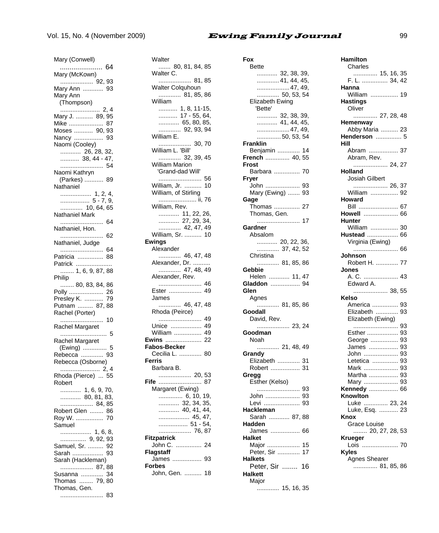### Vol. 15, No. 4 (November 2009) **Ewing Family Journal** 99

**Fox** 

| Mary (Conwell)                                                                                                    |
|-------------------------------------------------------------------------------------------------------------------|
| Mary (McKown)                                                                                                     |
| $\cdots$ 92, 93<br>Mary Ann  93<br>Mary Ann<br>(Thompson)                                                         |
| Moses  90, 93<br>Nancy  93<br>Naomi (Cooley)                                                                      |
| 54<br><br>Naomi Kathryn<br>(Parkes)  89<br>Nathaniel                                                              |
| $\begin{array}{cccc} 1, 2, 4, \\ \dots & 5 - 7, 9, \end{array}$<br>10, 64, 65<br>Nathaniel Mark                   |
| 64<br>.Nathaniel, Hon                                                                                             |
| 62<br>Nathaniel, Judge                                                                                            |
|                                                                                                                   |
| Philip                                                                                                            |
|                                                                                                                   |
| 80, 83, 84, 86<br>,  ٥٠, ٥٠,<br>26  21<br>79  79<br>Prolig<br>Presley K.  79<br>Putnam  87, 88<br>Rachel (Porter) |
| Rachel Margaret                                                                                                   |
| <br>Rachel Margaret<br>5<br>(Ewing)  5<br>Rebecca  93<br>Rebecca (Osborne)                                        |
| Robert                                                                                                            |
| $\frac{1}{2}$ 84, 85<br>Samuel                                                                                    |
| 87,88<br>Susanna  34<br>Thomas  79, 80<br>Thomas, Gen.                                                            |

| Walter                                                                                                                                                                                                                                                                                  |
|-----------------------------------------------------------------------------------------------------------------------------------------------------------------------------------------------------------------------------------------------------------------------------------------|
| 80, 81, 84, 85<br>Walter C.                                                                                                                                                                                                                                                             |
| 81,85<br>Walter Colquhoun                                                                                                                                                                                                                                                               |
| 81, 85, 86<br>William                                                                                                                                                                                                                                                                   |
|                                                                                                                                                                                                                                                                                         |
| 65, 80, 85,                                                                                                                                                                                                                                                                             |
| 92, 93, 94<br>William E.                                                                                                                                                                                                                                                                |
| William L. 'Bill'<br>32, 39, 45                                                                                                                                                                                                                                                         |
| <b>William Marion</b><br>'Grand-dad Will'                                                                                                                                                                                                                                               |
| 56                                                                                                                                                                                                                                                                                      |
| William, Jr.<br>10<br>William, of Stirling                                                                                                                                                                                                                                              |
| ii, 76<br>William, Rev.                                                                                                                                                                                                                                                                 |
| William, Rev.<br>11, 22, 26,<br>27, 29, 34,<br>42, 47, 49<br>William, Sr.  10                                                                                                                                                                                                           |
|                                                                                                                                                                                                                                                                                         |
|                                                                                                                                                                                                                                                                                         |
| Ewings<br>Alexander                                                                                                                                                                                                                                                                     |
| 46, 47, 48                                                                                                                                                                                                                                                                              |
| Alexander, Dr.<br>47, 48, 49                                                                                                                                                                                                                                                            |
| Alexander, Rev.                                                                                                                                                                                                                                                                         |
| 46<br>Ester  49                                                                                                                                                                                                                                                                         |
| James<br>46, 47, 48                                                                                                                                                                                                                                                                     |
| Rhoda (Peirce)                                                                                                                                                                                                                                                                          |
| Unice<br>49                                                                                                                                                                                                                                                                             |
| William  49                                                                                                                                                                                                                                                                             |
| Ewins  22<br>Fabos-Becker                                                                                                                                                                                                                                                               |
| Cecilia L.  80                                                                                                                                                                                                                                                                          |
| Ferris<br>Barbara B.                                                                                                                                                                                                                                                                    |
|                                                                                                                                                                                                                                                                                         |
| <b>Fife</b> 87                                                                                                                                                                                                                                                                          |
| Margaret (Ewing)                                                                                                                                                                                                                                                                        |
| $\begin{array}{r} 32, 34, 35, \\ 40, 41, 44, \\ \dots \\ 45, 47, \\ 45, 47, \\ 46, 47, \\ 48, 49, \\ 49, 40, \\ 40, 41, \\ 42, 43, \\ 44, 45, \\ 46, 47, \\ 48, 49, \\ 40, 41, 42, \\ 42, 43, \\ 45, 47, \\ 48, 49, \\ 40, 41, 42, \\ 42, 43, \\ 45, 47, \\ 49, 49, \\ 40, 40, \\ 40, $ |
|                                                                                                                                                                                                                                                                                         |
|                                                                                                                                                                                                                                                                                         |
| 76, 87<br>Fitzpatrick                                                                                                                                                                                                                                                                   |
| John C.  24                                                                                                                                                                                                                                                                             |
| <b>Flagstaff</b><br>James  93                                                                                                                                                                                                                                                           |
| Forbes                                                                                                                                                                                                                                                                                  |
| John, Gen.  18                                                                                                                                                                                                                                                                          |

| Bette                                                                                      |
|--------------------------------------------------------------------------------------------|
| 32, 38, 39,<br>41, 44, 45,<br>47, 49,<br>$\cdots$ 50, 53, 54<br>Elizabeth Ewing<br>'Bette' |
| 32, 38, 39,<br>41, 44, 45,<br>47, 49,<br>50, 53, 54                                        |
| Franklin<br>Benjamin  14<br>French  40, 55                                                 |
| Frost<br>Barbara<br>70<br>Fryer                                                            |
| <b>John  93</b><br>Mary (Ewing)<br>93                                                      |
| Gage<br>Thomas  27<br>Thomas, Gen.                                                         |
| Gardner<br>Absalom                                                                         |
| 20, 22, 36 <mark>,</mark><br>37, 42, 52                                                    |
| Christina<br>81, 85, 86<br>Gebbie                                                          |
| Helen  11, 47<br>Gladdon  94<br>Glen<br>Agnes                                              |
| 81, 85, 86<br>Goodall<br>David, Rev.                                                       |
| Goodman<br>Noah                                                                            |
| 21, 48, 49<br>Grandy<br>Elizabeth<br>31                                                    |
|                                                                                            |
| 31<br>Robert<br>Gregg                                                                      |
| Esther (Kelso)<br>93<br>93<br>John<br>Levi<br>93                                           |
| Hackleman<br>Sarah  87, 88                                                                 |
| Hadden<br>James  66<br>Halket                                                              |
| Major<br>15<br><sub>.</sub><br>Peter, Sir<br>17<br>Halkets                                 |
| Peter, Sir  16<br><b>Halkett</b><br>Major                                                  |

| <b>Hamilton</b>                        |          |
|----------------------------------------|----------|
| Charles                                |          |
| 15, 16, 35                             |          |
| F. L.  34, 42                          |          |
| Hanna                                  |          |
| William  19                            |          |
| <b>Hastings</b>                        |          |
| Oliver                                 |          |
| 27, 28, 48                             |          |
| Hemenway                               |          |
| Abby Maria  23                         |          |
| Henderson  5                           |          |
| Hill                                   |          |
| Abram  37<br>Abram, Rev.               |          |
|                                        |          |
| 24, 27                                 |          |
| Holland                                |          |
| Josiah Gilbert                         |          |
| 26, 37                                 |          |
| William                                | 92       |
| Howard                                 |          |
| Bill  67                               |          |
| Howell  66                             |          |
| Hunter                                 |          |
| William                                | 30       |
| Hustead                                | 66       |
| Virginia (Ewing)                       |          |
| 66                                     |          |
| Johnson                                |          |
|                                        |          |
|                                        |          |
| Robert H.  77                          |          |
| Jones                                  |          |
| A. C.  43                              |          |
| Edward A.                              |          |
| 38, 55<br>Kelso                        |          |
|                                        | 93       |
| America                                | 93       |
| Elizabeth                              |          |
| Elizabeth (Ewing)                      | 93       |
|                                        | 93       |
| Esther                                 | 93       |
| George                                 |          |
| James                                  | 93       |
| John                                   | 93       |
| Letetica                               | 93       |
| Mark                                   | 93       |
| Martha                                 | 93<br>93 |
| Mary                                   | 66       |
| Kennedy<br>Knowlton                    |          |
|                                        |          |
|                                        |          |
| Luke  23, 24<br>Luke, Esq.  23<br>Knox |          |
|                                        |          |
| Grace Louise                           |          |
| $\ldots$ 20, 27, 28, 53<br>Krueaer     |          |
|                                        |          |
| Lois  70                               |          |
| Kyles<br>Agnes Shearer<br>81, 85,      | 86       |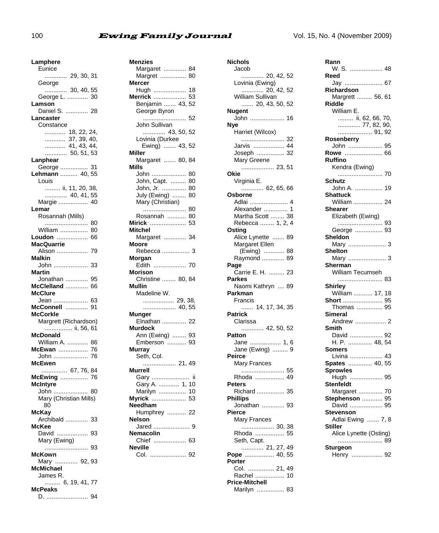### 100 **Ewing Family Journal** Vol. 15, No. 4 (November 2009)

#### **Lamphere**  Eunice

| Eunice                                   |
|------------------------------------------|
| 29, 30, 31<br>George                     |
| $\cdots$ 30, 40, 55<br>George L.  30     |
| Lamson<br>Daniel S.  28                  |
| Lancaster                                |
| Constance<br>18, 22, 24,                 |
| .<br>37, 39, 40,<br>                     |
| 41, 43, 44,<br>50, 51, 53                |
| Lanphear                                 |
| George  31<br>Lehmann  40, 55<br>Louis   |
| ii, 11, 20, 38,                          |
| 40, 41, 55<br>Margie  40                 |
| Lemar                                    |
| Rosannah (Mills)<br>80                   |
| William<br>80                            |
| Loudon<br>66<br>MacQuarrie               |
| Alison<br>79<br>Malkin                   |
| John<br>33                               |
| Martin<br>95<br>Jonathan                 |
| McClelland<br>66<br>McClure              |
| Jean<br>63<br>McConnell<br>91            |
| McCorkle                                 |
| Margrett (Richardson)                    |
| ii, 56, 61<br>McDonald                   |
| William A.<br>86<br>76                   |
| McEwan<br>John<br>76                     |
| McEwen<br>67, 76, 84                     |
| McEwing<br>76                            |
| <b>McIntyre</b>                          |
| John  80<br>Mary (Christian Mills)<br>80 |
| McKay                                    |
| Archibald  33<br>McKee                   |
| David  93<br>Mary (Ewing)                |
| 93                                       |
| McKown<br><br>Mary  92, 93               |
| McMichael<br>James R.                    |
| 6, 19, 41, 77<br><b>McPeaks</b>          |
|                                          |

| Menzies                        |
|--------------------------------|
| Margaret  84                   |
| Margret  80                    |
| <b>Mercer</b>                  |
| Hugh  18                       |
| Merrick<br>53                  |
| Benjamin  43, 52               |
| George Byron                   |
| 52<br>John Sullivan            |
| 43, 50, 52                     |
| Lovinia (Durkee                |
| Ewing)  43, 52                 |
| Miller                         |
| Margaret  80, 84               |
| Mills                          |
| John<br>80                     |
| John, Capt.<br>John, Jr.<br>80 |
| 80<br>July (Ewing)<br>80       |
| Mary (Christian)               |
| 80                             |
| Rosannah  80                   |
| Mirick<br>53                   |
| Mitchel                        |
| Margaret  34                   |
| Moore                          |
| Rebecca  3                     |
| Morgan<br>70<br>Edith          |
| Morison                        |
| Christine  80, 84              |
| Mullin                         |
| Madeline W.                    |
| 29, 38,                        |
| 40, 55                         |
| Munger                         |
| Elnathan  22<br>Murdock        |
| Ann (Ewing)  93                |
| Emberson                       |
| Murray                         |
| Seth, Col.                     |
| 21,49                          |
| Murrell                        |
| Gary<br>ii                     |
| Gary A.  1,<br>10<br>10        |
| Marilyn<br>Myrick  53          |
| Needham                        |
| Humphrey  22                   |
| Nelson                         |
| Jared  9                       |
| Nemacolin                      |
| Chief                          |
| Neville                        |
| Col.  92                       |

| Nichols                              |
|--------------------------------------|
| Jacob                                |
| 20, 42, 52<br>Lovinia (Ewing)        |
| $\ldots$ 20, 42, 52                  |
| William Sullivan<br>20, 43, 50, 52   |
| Nugent<br>John  16                   |
| Nye                                  |
| Harriet (Wilcox)                     |
| 32<br>                               |
| Jarvis<br>44                         |
| Joseph<br>32                         |
| Mary Greene                          |
| 23, 51<br>Okie                       |
| Virginia E.                          |
| 62, 65, 66                           |
| Osborne                              |
|                                      |
|                                      |
|                                      |
| Martha Scott  38<br>Rebecca  1, 2, 4 |
| Osting                               |
| Alice Lynette  89                    |
| Margaret Ellen                       |
| (Ewing)  88                          |
| Raymond  89                          |
| Page                                 |
| Carrie E. H.<br>23                   |
| Parkes                               |
| Naomi Kathryn  89                    |
| Parkman                              |
| Francis                              |
| 14, 17, 34, 35<br>.                  |
| Patrick                              |
| Clarissa                             |
| 42, 50, 52                           |
| Patton                               |
| Jane  1, 6                           |
| Jane (Ewing)  9                      |
| Peirce                               |
| Mary Frances                         |
| 55                                   |
| Rhoda  49                            |
| Peters                               |
| Richard  35                          |
| Phillips                             |
| Jonathan  93                         |
| Pierce                               |
| Mary Frances                         |
| 30, 38                               |
| Rhoda<br>55                          |
| Seth, Capt.                          |
| 21, 27, 49                           |
| Pope  40, 55                         |
| Porter                               |
| 21, 49<br>Col.                       |
| Rachel<br>10                         |
| Price-Mitchell                       |
| Marilyn<br>83                        |

| Rann                           |
|--------------------------------|
| W. S.  48                      |
| Reed                           |
| Jay  67                        |
| Richardson<br>Margrett  56, 61 |
| Riddle                         |
| William E.                     |
|                                |
| ii, 62, 66, 70,<br>77, 82, 90, |
| 91, 92                         |
| Rosenberry                     |
| John  95                       |
| Rowe  66                       |
| Ruffino<br>Kendra (Ewing)      |
| 70                             |
| Schutz                         |
| John A.  19                    |
| <b>Shattuck</b>                |
| William  24                    |
| <b>Shearer</b>                 |
| Elizabeth (Ewing)              |
| 93                             |
| George  93                     |
| Sheldon<br>Mary  3             |
| Shelton                        |
|                                |
|                                |
| Mary  3<br>Sherman             |
| William Tecumseh               |
| 83                             |
| Shirley                        |
| William  17, 18                |
| Short  95                      |
| Thomas  95                     |
| Simeral                        |
| Andrew  2<br>Smith             |
| David  92                      |
| H. P.<br>48, 54                |
| Somers                         |
| Livina  43                     |
| Spates  40, 55                 |
| Sprowles                       |
| Hugh  95                       |
| Stenfeldt                      |
| Margaret  70                   |
| Stephenson  95<br>David  95    |
| <b>Stevenson</b>               |
| Adlai Ewing  7, 8              |
| Stiller                        |
| Alice Lynette (Osting)         |
| Sturgeon                       |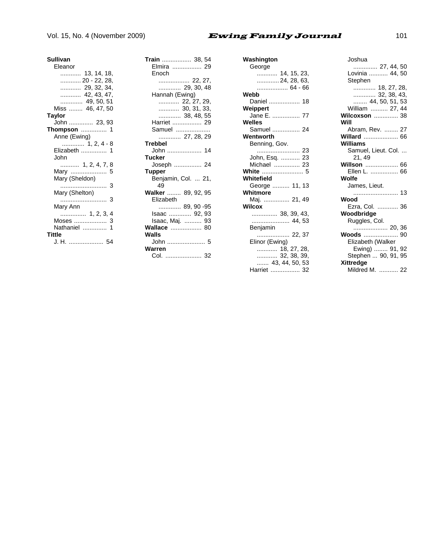## Vol. 15, No. 4 (November 2009) **Ewing Family Journal** 101

## **Sullivan**

| Eleanor            |
|--------------------|
| ………… 13. 14. 18.   |
| 20 - 22, 28,       |
| 29, 32, 34,        |
| 42, 43, 47,        |
| 49, 50, 51         |
| Miss  46, 47, 50   |
| Taylor             |
| John  23, 93       |
| <b>Thompson  1</b> |
| Anne (Ewing)       |
| 1, 2, 4 - 8        |
| Elizabeth  1       |
| John               |
| 1, 2, 4, 7, 8      |
| Mary  5            |
| Mary (Sheldon)     |
| . 3                |
| Mary (Shelton)     |
| 3                  |
| Mary Ann           |
| 1, 2, 3, 4         |
| Moses  3           |
| Nathaniel  1       |
| Tittle             |
| J. H. ………………… 54   |
|                    |

| <b>Train</b> 38, 54 |
|---------------------|
| Elmira  29          |
| Enoch               |
| 22, 27,             |
| 29, 30, 48          |
| Hannah (Ewing)      |
| 22, 27, 29,         |
|                     |
| 30, 31, 33,         |
| 38, 48, 55          |
| Harriet  29         |
| Samuel              |
| 27, 28, 29          |
| Trebbel             |
| John  14            |
| Tucker              |
| Joseph  24          |
| Tupper              |
| Benjamin, Col.  21, |
| 49                  |
| Walker  89, 92, 95  |
| Elizabeth           |
| 89, 90 -95          |
| Isaac  92, 93       |
| Isaac, Maj.  93     |
| Wallace  80         |
| Walls               |
|                     |
| John  5             |
| Warren              |
|                     |

| Washington           |
|----------------------|
| George               |
| 14, 15, 23,          |
| 24, 28, 63,          |
| 64 - 66              |
| Webb                 |
| Daniel  18           |
|                      |
| Weippert             |
| Jane E.  77          |
| Welles               |
| Samuel  24           |
| Wentworth            |
| Benning, Gov.        |
| . 23                 |
| John, Esq.  23       |
|                      |
| Michael  23          |
| White  5             |
| Whitefield           |
| George  11, 13       |
| Whitmore             |
| Maj.  21, 49         |
| Wilcox               |
| 38, 39, 43,          |
| 44. 53               |
| Benjamin             |
|                      |
| $\ldots$ 22, 37<br>. |
| Elinor (Ewing)       |
| 18, 27, 28,          |
| 32, 38, 39,          |
| 43, 44, 50, 53       |
| Harriet  32          |

| Joshua               |
|----------------------|
| 27, 44, 50           |
| Lovinia  44, 50      |
| Stephen              |
| 18, 27, 28,          |
| 32, 38, 43,          |
| 44, 50, 51, 53       |
| William  27, 44      |
| <b>Wilcoxson  38</b> |
| Will                 |
| Abram, Rev.  27      |
| Willard  66          |
| Williams             |
| Samuel, Lieut. Col.  |
| 21, 49               |
| <b>Willson  66</b>   |
| Ellen L.  66         |
| Wolfe                |
|                      |
| James, Lieut.        |
| 13                   |
| Wood                 |
| Ezra, Col.  36       |
| Woodbridge           |
| Ruggles, Col.        |
| 20, 36               |
| <b>Woods</b> 90      |
| Elizabeth (Walker    |
| Ewing)  91, 92       |
| Stephen  90, 91, 95  |
| Xittredge            |

Mildred M. ........... 22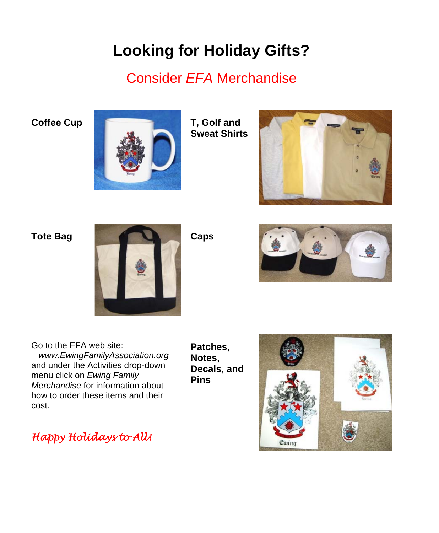# **Looking for Holiday Gifts?**

## Consider *EFA* Merchandise



**Sweat Shirts** 







Go to the EFA web site: *www.EwingFamilyAssociation.org* 

and under the Activities drop-down menu click on *Ewing Family Merchandise* for information about how to order these items and their cost.

*Happy Holidays to All!* 

**Patches, Notes, Decals, and Pins**

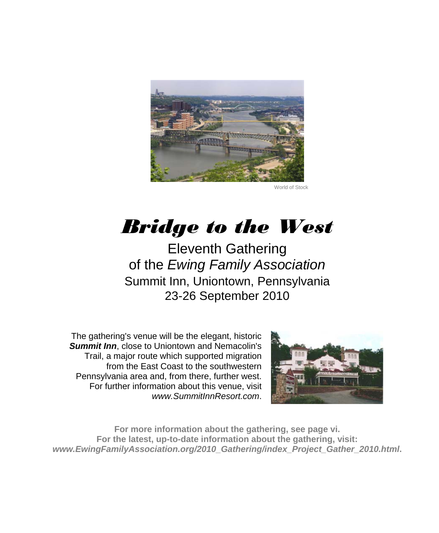

World of Stock

# *Bridge to the West*

Eleventh Gathering of the *Ewing Family Association* Summit Inn, Uniontown, Pennsylvania 23-26 September 2010

The gathering's venue will be the elegant, historic *Summit Inn*, close to Uniontown and Nemacolin's Trail, a major route which supported migration from the East Coast to the southwestern Pennsylvania area and, from there, further west. For further information about this venue, visit *www.SummitInnResort.com*.



**For more information about the gathering, see page vi. For the latest, up-to-date information about the gathering, visit:**  *www.EwingFamilyAssociation.org/2010\_Gathering/index\_Project\_Gather\_2010.html***.**